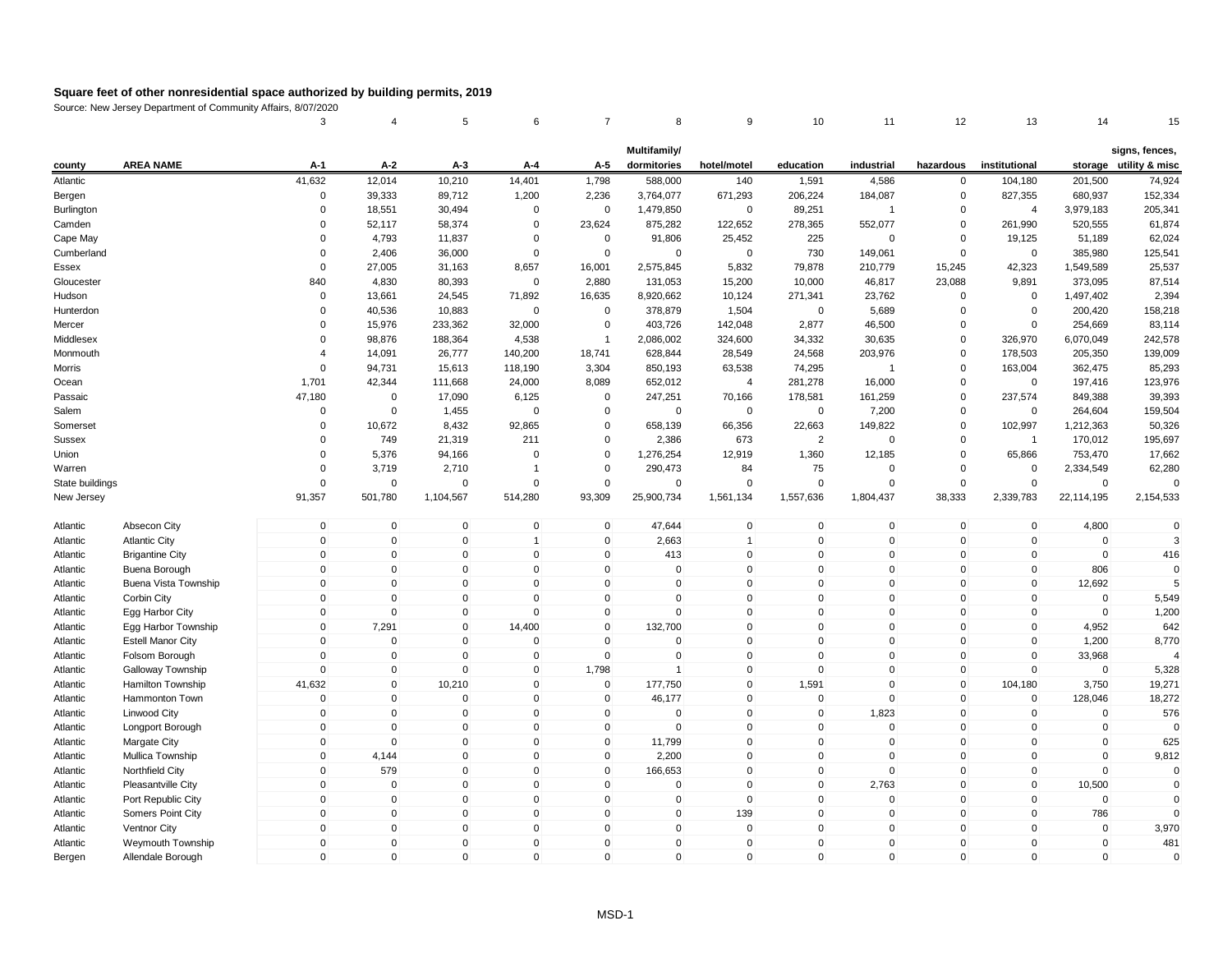|                 |                          | 3              | $\overline{4}$ | 5            | 6            | $\overline{7}$ | 8            | 9              | 10             | 11             | 12           | 13             | 14          | 15                       |
|-----------------|--------------------------|----------------|----------------|--------------|--------------|----------------|--------------|----------------|----------------|----------------|--------------|----------------|-------------|--------------------------|
|                 |                          |                |                |              |              |                | Multifamily/ |                |                |                |              |                |             | signs, fences,           |
| county          | <b>AREA NAME</b>         | A-1            | $A-2$          | A-3          | A-4          | A-5            | dormitories  | hotel/motel    | education      | industrial     | hazardous    | institutional  |             | storage utility & misc   |
| Atlantic        |                          | 41,632         | 12,014         | 10,210       | 14,401       | 1,798          | 588,000      | 140            | 1,591          | 4,586          | 0            | 104,180        | 201,500     | 74,924                   |
| Bergen          |                          | 0              | 39,333         | 89,712       | 1,200        | 2,236          | 3,764,077    | 671,293        | 206,224        | 184,087        | 0            | 827,355        | 680,937     | 152,334                  |
| Burlington      |                          | $\Omega$       | 18,551         | 30,494       | $\mathbf 0$  | $\mathbf 0$    | 1,479,850    | $\mathbf 0$    | 89,251         | $\overline{1}$ | $\Omega$     | $\overline{4}$ | 3,979,183   | 205,341                  |
| Camden          |                          | $\mathbf 0$    | 52,117         | 58,374       | $\mathbf 0$  | 23,624         | 875,282      | 122,652        | 278,365        | 552,077        | $\mathbf 0$  | 261,990        | 520,555     | 61,874                   |
| Cape May        |                          | $\Omega$       | 4,793          | 11,837       | $\Omega$     | $\mathbf 0$    | 91,806       | 25,452         | 225            | $\mathbf 0$    | 0            | 19,125         | 51,189      | 62,024                   |
| Cumberland      |                          | $\Omega$       | 2,406          | 36,000       | $\mathbf 0$  | $\mathbf 0$    | $\mathbf 0$  | $\mathbf 0$    | 730            | 149,061        | 0            | $\mathbf 0$    | 385,980     | 125,541                  |
| Essex           |                          | $\Omega$       | 27,005         | 31,163       | 8,657        | 16,001         | 2,575,845    | 5,832          | 79,878         | 210,779        | 15,245       | 42,323         | 1,549,589   | 25,537                   |
| Gloucester      |                          | 840            | 4,830          | 80,393       | $\mathbf 0$  | 2,880          | 131,053      | 15,200         | 10,000         | 46,817         | 23,088       | 9,891          | 373,095     | 87,514                   |
| Hudson          |                          | $\mathbf 0$    | 13,661         | 24,545       | 71,892       | 16,635         | 8,920,662    | 10,124         | 271,341        | 23,762         | 0            | $\mathbf 0$    | 1,497,402   | 2,394                    |
| Hunterdon       |                          | $\Omega$       | 40,536         | 10,883       | $\mathbf 0$  | $\mathbf 0$    | 378,879      | 1,504          | $\mathbf 0$    | 5,689          | $\mathbf 0$  | $\mathbf 0$    | 200,420     | 158,218                  |
| Mercer          |                          | $\Omega$       | 15,976         | 233,362      | 32,000       | $\mathbf 0$    | 403,726      | 142,048        | 2,877          | 46,500         | 0            | $\mathbf 0$    | 254,669     | 83,114                   |
| Middlesex       |                          | $\Omega$       | 98,876         | 188,364      | 4,538        | $\overline{1}$ | 2,086,002    | 324,600        | 34,332         | 30,635         | $\Omega$     | 326,970        | 6,070,049   | 242,578                  |
| Monmouth        |                          | $\overline{4}$ | 14,091         | 26,777       | 140,200      | 18,741         | 628,844      | 28,549         | 24,568         | 203,976        | 0            | 178,503        | 205,350     | 139,009                  |
| Morris          |                          | $\Omega$       | 94,731         | 15,613       | 118,190      | 3,304          | 850,193      | 63,538         | 74,295         | $\overline{1}$ | 0            | 163,004        | 362,475     | 85,293                   |
| Ocean           |                          | 1,701          | 42,344         | 111,668      | 24,000       | 8,089          | 652,012      | $\overline{4}$ | 281,278        | 16,000         | $\Omega$     | $\mathbf 0$    | 197,416     | 123,976                  |
| Passaic         |                          | 47,180         | $\mathbf 0$    | 17,090       | 6,125        | $\mathbf 0$    | 247,251      | 70,166         | 178,581        | 161,259        | $\mathbf 0$  | 237,574        | 849,388     | 39,393                   |
| Salem           |                          | $\Omega$       | $\mathbf 0$    | 1,455        | 0            | $\Omega$       | $\mathbf 0$  | 0              | $\mathbf 0$    | 7,200          | 0            | 0              | 264,604     | 159,504                  |
| Somerset        |                          | $\mathbf 0$    | 10,672         | 8,432        | 92,865       | 0              | 658,139      | 66,356         | 22,663         | 149,822        | 0            | 102,997        | 1,212,363   | 50,326                   |
| <b>Sussex</b>   |                          | 0              | 749            | 21,319       | 211          | $\mathbf 0$    | 2,386        | 673            | $\overline{2}$ | $\mathbf 0$    | 0            | $\overline{1}$ | 170,012     | 195,697                  |
| Union           |                          | $\Omega$       | 5,376          | 94,166       | $\Omega$     | $\Omega$       | 1,276,254    | 12,919         | 1,360          | 12,185         | $\Omega$     | 65,866         | 753,470     | 17,662                   |
| Warren          |                          | $\mathbf 0$    | 3,719          | 2,710        | $\mathbf{1}$ | 0              | 290,473      | 84             | 75             | $\mathbf 0$    | $\mathbf 0$  | $\mathbf 0$    | 2,334,549   | 62,280                   |
| State buildings |                          | $\Omega$       | $\mathbf 0$    | $\Omega$     | $\Omega$     | $\Omega$       | $\Omega$     | $\Omega$       | $\Omega$       | $\Omega$       | $\Omega$     | $\Omega$       | $\Omega$    | $\Omega$                 |
| New Jersey      |                          | 91,357         | 501,780        | 1,104,567    | 514,280      | 93,309         | 25,900,734   | 1,561,134      | 1,557,636      | 1,804,437      | 38,333       | 2,339,783      | 22,114,195  | 2,154,533                |
| Atlantic        | Absecon City             | $\mathbf 0$    | $\mathbf 0$    | $\mathsf 0$  | $\mathbf 0$  | $\mathbf 0$    | 47,644       | $\mathsf 0$    | $\mathbf 0$    | $\mathbf 0$    | $\mathbf 0$  | $\mathbf 0$    | 4,800       | $\mathbf 0$              |
| Atlantic        | <b>Atlantic City</b>     | $\mathbf 0$    | $\pmb{0}$      | $\mathbf 0$  | $\mathbf{1}$ | $\mathbf 0$    | 2,663        | $\mathbf{1}$   | $\mathbf 0$    | $\mathbf 0$    | $\mathbf 0$  | $\mathbf 0$    | $\mathbf 0$ | 3                        |
| Atlantic        | <b>Brigantine City</b>   | $\mathbf{0}$   | $\mathbf 0$    | $\mathbf{0}$ | $\mathbf 0$  | $\mathbf 0$    | 413          | $\mathsf 0$    | $\mathbf{0}$   | $\mathbf 0$    | $\mathbf 0$  | $\mathbf 0$    | $\mathbf 0$ | 416                      |
| Atlantic        | Buena Borough            | $\mathbf 0$    | $\pmb{0}$      | $\mathbf 0$  | $\mathbf 0$  | 0              | 0            | $\pmb{0}$      | $\mathbf{0}$   | $\mathbf 0$    | $\mathbf 0$  | $\mathbf 0$    | 806         | $\Omega$                 |
| Atlantic        | Buena Vista Township     | $\mathbf 0$    | $\mathbf 0$    | $\mathbf 0$  | $\mathbf 0$  | $\mathbf 0$    | 0            | $\pmb{0}$      | $\mathbf 0$    | $\mathbf 0$    | $\mathbf 0$  | $\mathbf 0$    | 12,692      | 5                        |
| Atlantic        | Corbin City              | $\mathbf{0}$   | $\mathbf 0$    | $\mathbf 0$  | $\mathbf{0}$ | $\mathbf 0$    | $\mathbf 0$  | $\mathbf 0$    | $\mathbf{0}$   | $\mathbf 0$    | $\mathbf 0$  | $\Omega$       | $\mathbf 0$ | 5,549                    |
| Atlantic        | Egg Harbor City          | $\mathbf 0$    | $\mathbf 0$    | $\mathbf 0$  | $\mathbf 0$  | 0              | $\mathbf 0$  | $\mathbf 0$    | $\mathbf{0}$   | $\mathbf 0$    | $\mathbf 0$  | $\mathbf 0$    | $\mathbf 0$ | 1,200                    |
| Atlantic        | Egg Harbor Township      | $\mathbf{0}$   | 7,291          | $\mathbf{0}$ | 14,400       | $\mathbf{0}$   | 132,700      | $\mathbf{0}$   | $\Omega$       | $\Omega$       | $\mathbf 0$  | $\overline{0}$ | 4,952       | 642                      |
| Atlantic        | <b>Estell Manor City</b> | $\mathbf 0$    | $\mathbf 0$    | $\mathbf 0$  | $\mathbf 0$  | $\mathbf 0$    | $\mathbf 0$  | $\mathsf 0$    | $\mathbf{0}$   | $\mathbf 0$    | $\mathbf 0$  | $\mathbf 0$    | 1,200       | 8,770                    |
| Atlantic        | Folsom Borough           | $\mathbf 0$    | $\mathbf 0$    | $\mathbf 0$  | $\mathbf 0$  | $\mathbf 0$    | $\mathbf 0$  | $\mathbf 0$    | $\mathbf{0}$   | $\mathbf 0$    | $\mathbf 0$  | $\mathbf 0$    | 33,968      | $\boldsymbol{\varDelta}$ |
| Atlantic        | Galloway Township        | $\mathbf 0$    | $\pmb{0}$      | $\mathbf 0$  | $\mathbf 0$  | 1,798          | $\mathbf{1}$ | $\mathsf 0$    | $\mathbf{0}$   | $\mathbf 0$    | $\mathbf 0$  | $\mathbf 0$    | $\mathbf 0$ | 5,328                    |
| Atlantic        | <b>Hamilton Township</b> | 41,632         | $\pmb{0}$      | 10,210       | $\mathbf 0$  | 0              | 177,750      | $\mathbf 0$    | 1,591          | $\mathbf 0$    | $\mathbf 0$  | 104,180        | 3,750       | 19,271                   |
| Atlantic        | Hammonton Town           | $\Omega$       | $\mathbf 0$    | $\mathbf 0$  | $\mathbf{0}$ | $\mathbf{0}$   | 46,177       | $\mathsf 0$    | $\mathbf{0}$   | $\Omega$       | $\mathbf{0}$ | $\mathbf{0}$   | 128.046     | 18,272                   |
| Atlantic        | <b>Linwood City</b>      | $\mathbf 0$    | $\mathbf 0$    | $\mathbf 0$  | $\mathbf 0$  | $\mathbf 0$    | $\mathbf 0$  | $\mathbf 0$    | $\mathbf 0$    | 1,823          | $\mathbf 0$  | $\mathbf 0$    | $\mathbf 0$ | 576                      |
| Atlantic        | Longport Borough         | $\mathbf 0$    | $\mathbf 0$    | 0            | $\mathbf 0$  | 0              | $\Omega$     | $\mathbf 0$    | $\Omega$       | 0              | 0            | $\Omega$       | 0           | $\Omega$                 |
| Atlantic        | <b>Margate City</b>      | $\mathbf 0$    | $\mathbf 0$    | $\mathbf 0$  | $\mathbf 0$  | $\mathbf 0$    | 11,799       | $\mathbf 0$    | $\mathbf{0}$   | $\mathbf 0$    | $\mathbf 0$  | 0              | $\mathbf 0$ | 625                      |
| Atlantic        | Mullica Township         | $\mathbf 0$    | 4,144          | $\mathbf 0$  | $\mathbf 0$  | $\mathbf 0$    | 2,200        | $\mathsf 0$    | $\mathbf 0$    | $\mathbf 0$    | $\mathbf 0$  | $\mathbf 0$    | $\mathbf 0$ | 9,812                    |
| Atlantic        | Northfield City          | $\mathbf 0$    | 579            | $\mathsf 0$  | $\mathbf 0$  | $\mathbf 0$    | 166,653      | $\mathsf 0$    | $\mathbf{0}$   | $\mathbf 0$    | $\mathbf 0$  | $\mathbf 0$    | $\Omega$    | $\Omega$                 |
| Atlantic        | Pleasantville City       | $\mathbf 0$    | $\pmb{0}$      | $\mathbf 0$  | $\mathbf 0$  | $\mathbf 0$    | $\mathbf 0$  | $\mathbf 0$    | $\mathbf 0$    | 2,763          | $\mathbf 0$  | $\mathbf 0$    | 10,500      | $\Omega$                 |
| Atlantic        | Port Republic City       | 0              | $\mathbf 0$    | 0            | $\mathbf 0$  | 0              | 0            | $\mathbf 0$    | $\mathbf 0$    | 0              | 0            | $\Omega$       | 0           | $\Omega$                 |
| Atlantic        | Somers Point City        | $\mathbf 0$    | $\mathbf 0$    | $\mathbf{0}$ | $\mathbf 0$  | $\mathbf 0$    | $\Omega$     | 139            | $\mathbf{0}$   | $\mathbf 0$    | $\mathbf 0$  | $\mathbf 0$    | 786         | $\Omega$                 |
| Atlantic        | Ventnor City             | $\mathbf 0$    | $\mathbf 0$    | $\mathbf 0$  | $\mathbf 0$  | $\mathbf 0$    | 0            | $\mathbf 0$    | $\mathbf{0}$   | $\mathbf 0$    | $\mathbf 0$  | $\mathbf 0$    | $\mathbf 0$ | 3,970                    |
| Atlantic        | Weymouth Township        | $\mathbf{0}$   | $\Omega$       | $\Omega$     | $\mathbf 0$  | $\mathbf{0}$   | 0            | $\mathbf 0$    | $\Omega$       | $\Omega$       | $\mathbf{0}$ | $\Omega$       | $\mathbf 0$ | 481                      |
| Bergen          | Allendale Borough        | $\mathbf{0}$   | $\mathbf{0}$   | $\mathbf{0}$ | $\Omega$     | $\mathbf{0}$   | $\Omega$     | $\mathbf 0$    | $\Omega$       | $\Omega$       | $\mathbf{0}$ | $\Omega$       | $\mathbf 0$ | $\Omega$                 |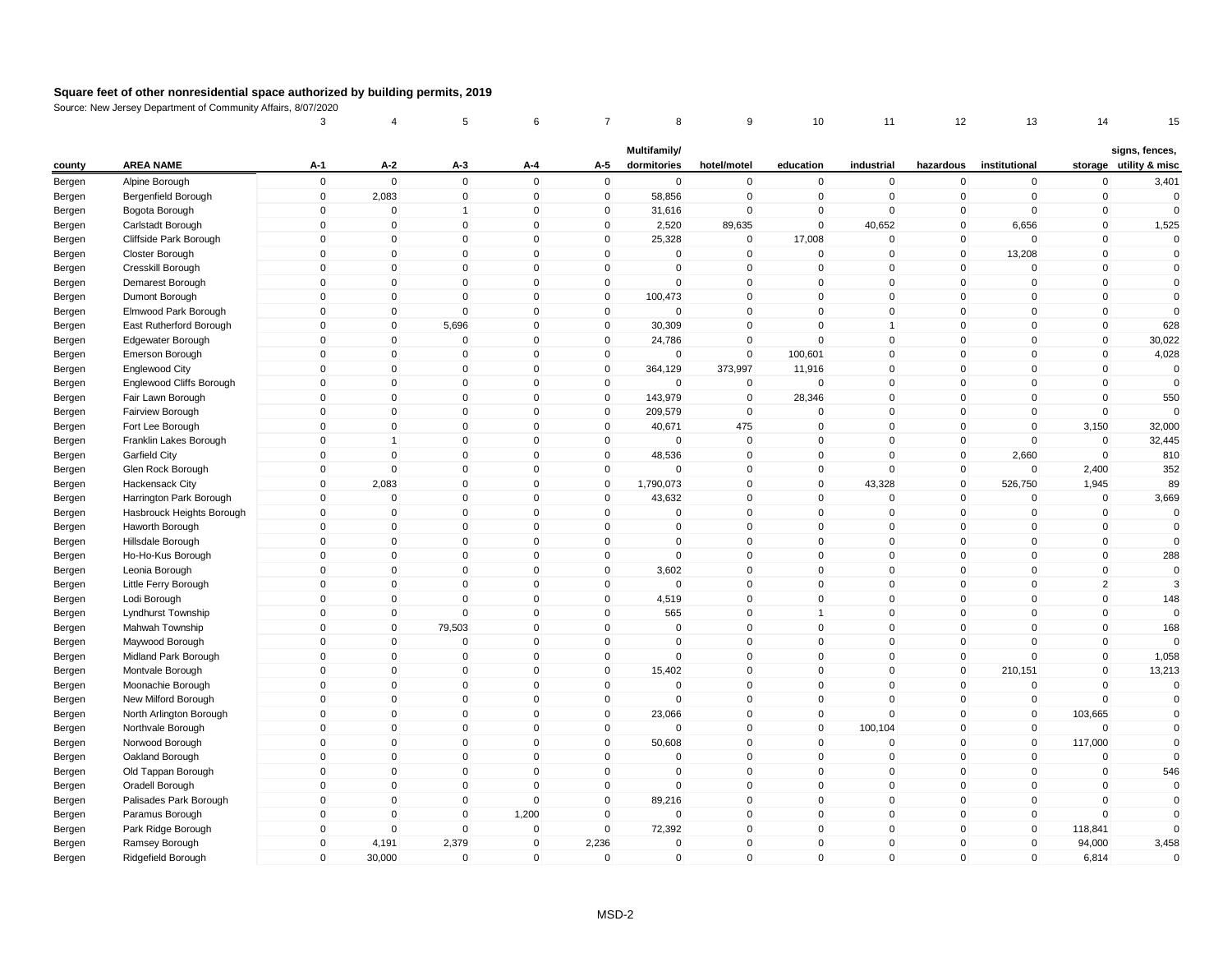|        |                           | 3           | 4              | 5                       | 6               | 7            | 8            | 9            | 10           | 11           | 12           | 13            | 14             | 15                     |
|--------|---------------------------|-------------|----------------|-------------------------|-----------------|--------------|--------------|--------------|--------------|--------------|--------------|---------------|----------------|------------------------|
|        | <b>AREA NAME</b>          |             |                |                         |                 |              | Multifamily/ |              |              | industrial   |              |               |                | signs, fences,         |
| county |                           | $A-1$       | $A-2$          | $A-3$                   | A-4<br>$\Omega$ | A-5          | dormitories  | hotel/motel  | education    |              | hazardous    | institutional |                | storage utility & misc |
| Bergen | Alpine Borough            | $\mathsf 0$ | $\mathbf 0$    | $\mathbf 0$             |                 | $\mathsf 0$  | $\mathbf 0$  | $\pmb{0}$    | $\mathbf 0$  | $\mathbf 0$  | 0            | $\mathbf 0$   | $\mathbf 0$    | 3,401                  |
| Bergen | Bergenfield Borough       | $\mathbf 0$ | 2,083          | $\mathbf 0$             | $\mathbf{0}$    | $\mathbf 0$  | 58,856       | $\mathbf 0$  | $\mathbf 0$  | 0            | $\mathbf 0$  | $\mathbf 0$   | $\mathbf 0$    | $\mathbf 0$            |
| Bergen | Bogota Borough            | $\mathbf 0$ | $\Omega$       | 1                       | $\mathbf{0}$    | 0            | 31,616       | $\pmb{0}$    | $\Omega$     | $\mathbf 0$  | $\mathbf{0}$ | $\mathbf 0$   | $\mathbf 0$    | $\mathbf{0}$           |
| Bergen | Carlstadt Borough         | $\mathsf 0$ | $\mathbf{0}$   | $\Omega$                | $\mathbf{0}$    | $\mathbf 0$  | 2,520        | 89,635       | $\mathbf{0}$ | 40,652       | $\mathbf{0}$ | 6,656         | $\mathbf{0}$   | 1,525                  |
| Bergen | Cliffside Park Borough    | $\mathbf 0$ | $\overline{0}$ | $\mathbf 0$<br>$\Omega$ | $\mathbf 0$     | $\mathbf 0$  | 25,328       | $\mathbf 0$  | 17,008       | $\mathbf 0$  | $\mathbf 0$  | $\mathbf 0$   | $\mathbf 0$    | $\mathbf{0}$           |
| Bergen | Closter Borough           | $\mathsf 0$ | $\Omega$       |                         | $\mathbf{0}$    | $\mathbf{0}$ | $\Omega$     | $\mathbf 0$  | $\mathbf{0}$ | $\mathbf{0}$ | $\mathbf{0}$ | 13,208        | $\mathbf{0}$   | $\mathbf{0}$           |
| Bergen | Cresskill Borough         | $\mathbf 0$ | $\mathbf 0$    | $\mathbf{0}$            | $\mathbf{0}$    | $\mathbf{0}$ | $\Omega$     | $\mathbf 0$  | $\mathbf{0}$ | 0            | $\mathbf{0}$ | $\Omega$      | $\mathbf 0$    | $\mathbf{0}$           |
| Bergen | Demarest Borough          | $\mathsf 0$ | $\mathbf 0$    | $\mathbf 0$             | $\mathbf 0$     | $\mathbf 0$  | $\mathbf 0$  | $\mathbf 0$  | $\mathbf 0$  | $\mathbf 0$  | 0            | $\mathbf 0$   | $\mathbf 0$    | $\mathbf 0$            |
| Bergen | Dumont Borough            | $\mathsf 0$ | $\mathbf 0$    | $\mathbf 0$             | $\mathbf{0}$    | $\mathbf 0$  | 100,473      | $\mathbf 0$  | $\mathbf{0}$ | $\mathbf 0$  | $\mathbf 0$  | $\mathbf 0$   | $\mathbf{0}$   | $\mathbf{0}$           |
| Bergen | Elmwood Park Borough      | $\mathsf 0$ | $\mathbf 0$    | $\mathbf 0$             | $\mathbf 0$     | $\mathbf 0$  | 0            | $\mathbf 0$  | $\mathbf 0$  | $\mathbf 0$  | $\mathbf 0$  | $\mathbf 0$   | $\mathbf 0$    | $\mathbf{0}$           |
| Bergen | East Rutherford Borough   | $\mathbf 0$ | $\mathbf 0$    | 5,696                   | $\Omega$        | $\mathbf 0$  | 30,309       | $\mathbf 0$  | $\Omega$     | $\mathbf{1}$ | $\mathbf 0$  | $\Omega$      | $\Omega$       | 628                    |
| Bergen | Edgewater Borough         | $\mathbf 0$ | $\mathbf 0$    | $\mathbf 0$             | $\mathbf{0}$    | $\mathbf{0}$ | 24,786       | $\mathbf 0$  | $\mathbf{0}$ | $\mathbf 0$  | $\mathbf{0}$ | $\mathbf{0}$  | $\mathbf{0}$   | 30,022                 |
| Bergen | <b>Emerson Borough</b>    | $\mathsf 0$ | $\mathbf 0$    | $\mathbf 0$             | $\mathbf 0$     | $\mathbf 0$  | $\mathbf 0$  | $\mathbf 0$  | 100,601      | $\mathbf 0$  | $\mathbf 0$  | $\mathbf 0$   | $\mathbf 0$    | 4,028                  |
| Bergen | Englewood City            | $\mathbf 0$ | $\overline{0}$ | $\mathbf{0}$            | $\mathbf{0}$    | $\mathbf 0$  | 364,129      | 373,997      | 11,916       | $\mathbf 0$  | $\mathbf 0$  | $\Omega$      | $\mathbf{0}$   | $\Omega$               |
| Bergen | Englewood Cliffs Borough  | $\mathbf 0$ | $\mathbf 0$    | $\Omega$                | $\mathbf{0}$    | $\mathbf 0$  | $\Omega$     | $\mathbf 0$  | $\mathbf{0}$ | $\mathbf 0$  | $\mathbf{0}$ | $\Omega$      | $\mathbf 0$    | $\mathbf{0}$           |
| Bergen | Fair Lawn Borough         | $\mathsf 0$ | $\mathbf 0$    | $\mathbf 0$             | $\mathbf{0}$    | $\mathbf 0$  | 143,979      | $\mathbf 0$  | 28,346       | $\mathbf 0$  | $\mathbf 0$  | $\mathbf 0$   | $\mathbf 0$    | 550                    |
| Bergen | Fairview Borough          | $\mathsf 0$ | $\mathbf 0$    | $\mathbf 0$             | $\mathbf 0$     | $\mathbf 0$  | 209,579      | $\mathbf 0$  | $\Omega$     | $\mathbf 0$  | 0            | $\mathbf 0$   | $\Omega$       | $\Omega$               |
| Bergen | Fort Lee Borough          | $\mathsf 0$ | $\mathbf 0$    | $\mathbf 0$             | $\mathbf{0}$    | $\mathbf 0$  | 40,671       | 475          | $\mathbf{0}$ | $\mathbf 0$  | $\mathbf 0$  | $\mathbf 0$   | 3,150          | 32,000                 |
| Bergen | Franklin Lakes Borough    | 0           | 1              | 0                       | $\mathbf 0$     | 0            | $\mathbf 0$  | $\mathbf 0$  | $\mathbf 0$  | 0            | 0            | $\Omega$      | $\Omega$       | 32,445                 |
| Bergen | Garfield City             | $\mathsf 0$ | $\mathbf{0}$   | $\mathbf{0}$            | $\mathbf{0}$    | $\mathbf 0$  | 48,536       | $\mathbf 0$  | $\mathbf{0}$ | $\Omega$     | $\mathbf{0}$ | 2,660         | $\Omega$       | 810                    |
| Bergen | Glen Rock Borough         | $\mathsf 0$ | $\overline{0}$ | $\overline{0}$          | $\mathbf 0$     | $\mathbf 0$  | $\Omega$     | $\mathbf 0$  | $\mathbf 0$  | $\mathbf 0$  | $\mathbf 0$  | $\mathbf 0$   | 2,400          | 352                    |
| Bergen | Hackensack City           | $\mathbf 0$ | 2,083          | $\Omega$                | $\mathbf{0}$    | $\mathbf{0}$ | 1,790,073    | $\mathbf{0}$ | $\mathbf{0}$ | 43,328       | $\mathbf{0}$ | 526,750       | 1,945          | 89                     |
| Bergen | Harrington Park Borough   | $\Omega$    | $\mathbf 0$    | $\mathbf 0$             | $\mathbf{0}$    | $\mathbf{0}$ | 43,632       | $\mathbf 0$  | $\mathbf{0}$ | $\mathbf 0$  | $\mathbf{0}$ | $\Omega$      | $\Omega$       | 3,669                  |
| Bergen | Hasbrouck Heights Borough | $\mathbf 0$ | $\mathbf 0$    | $\mathbf 0$             | $\mathbf 0$     | $\mathbf 0$  | $\mathbf 0$  | $\mathbf 0$  | $\mathbf{0}$ | $\mathbf 0$  | 0            | $\mathbf 0$   | $\Omega$       | $\mathbf 0$            |
| Bergen | Haworth Borough           | $\mathbf 0$ | $\overline{0}$ | $\mathbf{0}$            | $\mathbf{0}$    | $\mathbf{0}$ | $\mathbf{0}$ | $\mathbf 0$  | $\mathbf{0}$ | $\mathbf{0}$ | $\mathbf{0}$ | $\mathbf{0}$  | $\mathbf{0}$   | $\mathbf{0}$           |
| Bergen | Hillsdale Borough         | $\mathsf 0$ | $\overline{0}$ | $\mathbf 0$             | $\mathbf 0$     | $\mathbf 0$  | $\mathbf 0$  | $\pmb{0}$    | $\mathbf 0$  | $\mathbf 0$  | $\mathbf 0$  | $\mathbf 0$   | $\mathbf 0$    | $\mathbf{0}$           |
| Bergen | Ho-Ho-Kus Borough         | $\mathsf 0$ | $\mathbf 0$    | $\mathbf 0$             | $\Omega$        | $\mathbf 0$  | 0            | $\mathbf 0$  | $\mathbf 0$  | 0            | $\mathbf 0$  | $\mathbf 0$   | $\mathbf 0$    | 288                    |
| Bergen | Leonia Borough            | $\mathsf 0$ | $\mathbf 0$    | $\mathbf 0$             | $\mathbf{0}$    | $\mathbf 0$  | 3,602        | $\mathbf 0$  | $\mathbf{0}$ | $\mathbf 0$  | $\mathbf 0$  | $\mathbf{0}$  | $\mathbf 0$    | $\Omega$               |
| Bergen | Little Ferry Borough      | $\mathsf 0$ | $\overline{0}$ | $\mathbf 0$             | $\mathbf 0$     | $\mathbf 0$  | 0            | $\mathbf 0$  | $\mathbf{0}$ | $\mathbf 0$  | $\mathbf 0$  | $\mathbf 0$   | $\overline{2}$ | 3                      |
| Bergen | Lodi Borough              | $\mathsf 0$ | $\mathbf 0$    | $\mathbf 0$             | $\mathbf 0$     | $\mathbf 0$  | 4,519        | $\mathsf 0$  | $\Omega$     | $\mathbf 0$  | 0            | $\mathbf 0$   | $\mathbf 0$    | 148                    |
| Bergen | Lyndhurst Township        | $\mathsf 0$ | $\mathbf 0$    | $\mathbf 0$             | $\mathbf 0$     | $\mathbf{0}$ | 565          | $\mathbf 0$  |              | $\mathbf 0$  | $\mathbf{0}$ | $\Omega$      | $\mathbf 0$    | $\mathbf{0}$           |
| Bergen | Mahwah Township           | $\mathbf 0$ | $\mathbf 0$    | 79,503                  | $\mathbf{0}$    | $\mathbf 0$  | $\Omega$     | $\mathbf{0}$ | $\mathbf{0}$ | $\mathbf 0$  | $\mathbf 0$  | $\mathbf{0}$  | $\mathbf 0$    | 168                    |
| Bergen | Maywood Borough           | $\mathsf 0$ | $\mathbf 0$    | $\mathbf 0$             | $\mathbf{0}$    | $\mathbf 0$  | $\mathbf 0$  | $\mathbf 0$  | $\mathbf{0}$ | $\mathbf 0$  | 0            | $\Omega$      | $\mathbf 0$    | $\Omega$               |
| Bergen | Midland Park Borough      | $\mathsf 0$ | $\mathbf 0$    | $\mathbf 0$             | $\mathbf{0}$    | $\mathbf 0$  | $\mathbf 0$  | $\mathbf 0$  | $\mathbf{0}$ | $\mathbf 0$  | $\mathbf 0$  | $\mathbf 0$   | $\mathbf{0}$   | 1,058                  |
| Bergen | Montvale Borough          | $\mathsf 0$ | $\mathbf 0$    | $\mathbf 0$             | $\mathbf 0$     | $\mathbf 0$  | 15,402       | $\mathbf 0$  | $\mathbf 0$  | $\mathbf 0$  | $\mathbf 0$  | 210,151       | $\mathbf 0$    | 13,213                 |
| Bergen | Moonachie Borough         | $\mathsf 0$ | $\overline{0}$ | $\mathbf 0$             | $\mathbf{0}$    | $\mathbf{0}$ | $\Omega$     | $\mathbf 0$  | $\mathbf{0}$ | $\Omega$     | $\mathbf 0$  | $\mathbf 0$   | $\Omega$       | $\mathbf{0}$           |
| Bergen | New Milford Borough       | $\mathsf 0$ | $\mathbf 0$    | $\mathbf 0$             | $\mathbf{0}$    | $\mathbf 0$  | $\Omega$     | $\mathbf 0$  | $\mathbf{0}$ | $\mathbf 0$  | $\mathbf 0$  | $\mathbf 0$   | $\Omega$       | $\mathbf{0}$           |
| Bergen | North Arlington Borough   | $\mathbf 0$ | $\mathbf 0$    | $\mathbf 0$             | $\mathbf 0$     | $\mathbf 0$  | 23,066       | $\mathbf 0$  | $\mathbf 0$  | 0            | 0            | $\mathbf 0$   | 103,665        | $\mathbf 0$            |
| Bergen | Northvale Borough         | $\Omega$    | $\Omega$       | $\mathbf{0}$            | $\mathbf{0}$    | $\mathbf{0}$ | $\Omega$     | $\mathbf{0}$ | $\mathbf{0}$ | 100,104      | $\mathbf{0}$ | $\mathbf{0}$  | $\Omega$       | $\mathbf{0}$           |
| Bergen | Norwood Borough           | $\mathsf 0$ | $\mathbf 0$    | $\mathbf 0$             | $\mathbf 0$     | $\mathbf 0$  | 50,608       | $\mathbf 0$  | $\mathbf{0}$ | 0            | 0            | $\mathbf 0$   | 117,000        | $\mathbf{0}$           |
| Bergen | Oakland Borough           | $\mathbf 0$ | $\overline{0}$ | $\mathbf{0}$            | $\mathbf{0}$    | $\mathbf{0}$ | $\Omega$     | $\mathbf{0}$ | $\mathbf{0}$ | $\mathbf{0}$ | $\mathbf{0}$ | $\mathbf{0}$  | $\Omega$       | $\mathbf{0}$           |
| Bergen | Old Tappan Borough        | $\mathbf 0$ | $\overline{0}$ | $\mathbf 0$             | $\mathbf 0$     | $\mathbf 0$  | 0            | $\pmb{0}$    | $\mathbf 0$  | $\mathbf 0$  | $\mathbf 0$  | $\mathbf 0$   | $\mathbf 0$    | 546                    |
| Bergen | Oradell Borough           | $\mathbf 0$ | $\mathbf 0$    | $\mathbf 0$             | $\Omega$        | $\mathbf 0$  | 0            | $\mathbf 0$  | $\mathbf 0$  | 0            | $\mathbf 0$  | $\mathbf 0$   | $\mathbf 0$    | $\mathbf 0$            |
| Bergen | Palisades Park Borough    | $\mathbf 0$ | $\mathbf 0$    | $\mathbf 0$             | $\Omega$        | $\mathbf 0$  | 89,216       | $\mathbf 0$  | $\mathbf{0}$ | $\mathbf 0$  | $\mathbf 0$  | $\mathbf 0$   | $\Omega$       | $\mathbf{0}$           |
| Bergen | Paramus Borough           | $\mathsf 0$ | $\mathbf 0$    | $\mathbf 0$             | 1,200           | $\mathbf 0$  | 0            | $\mathbf 0$  | $\mathbf{0}$ | $\mathbf 0$  | 0            | $\mathbf 0$   | $\Omega$       | $\mathbf{0}$           |
| Bergen | Park Ridge Borough        | $\mathbf 0$ | $\mathbf 0$    | $\mathbf 0$             | $\mathbf 0$     | $\mathbf 0$  | 72,392       | $\mathbf 0$  | $\mathbf{0}$ | $\mathbf 0$  | 0            | $\mathbf 0$   | 118,841        | $\mathbf 0$            |
| Bergen | Ramsey Borough            | $\mathbf 0$ | 4,191          | 2,379                   | $\mathbf 0$     | 2,236        | $\Omega$     | $\mathbf 0$  | $\Omega$     | $\mathbf{0}$ | $\mathbf{0}$ | $\mathbf{0}$  | 94,000         | 3,458                  |
| Bergen | Ridgefield Borough        | $\Omega$    | 30,000         | $\mathbf 0$             | $\mathbf 0$     | $\mathbf{0}$ | $\mathbf{0}$ | $\mathbf 0$  | $\mathbf{0}$ | $\mathbf 0$  | $\mathbf{0}$ | $\Omega$      | 6,814          | $\mathbf{0}$           |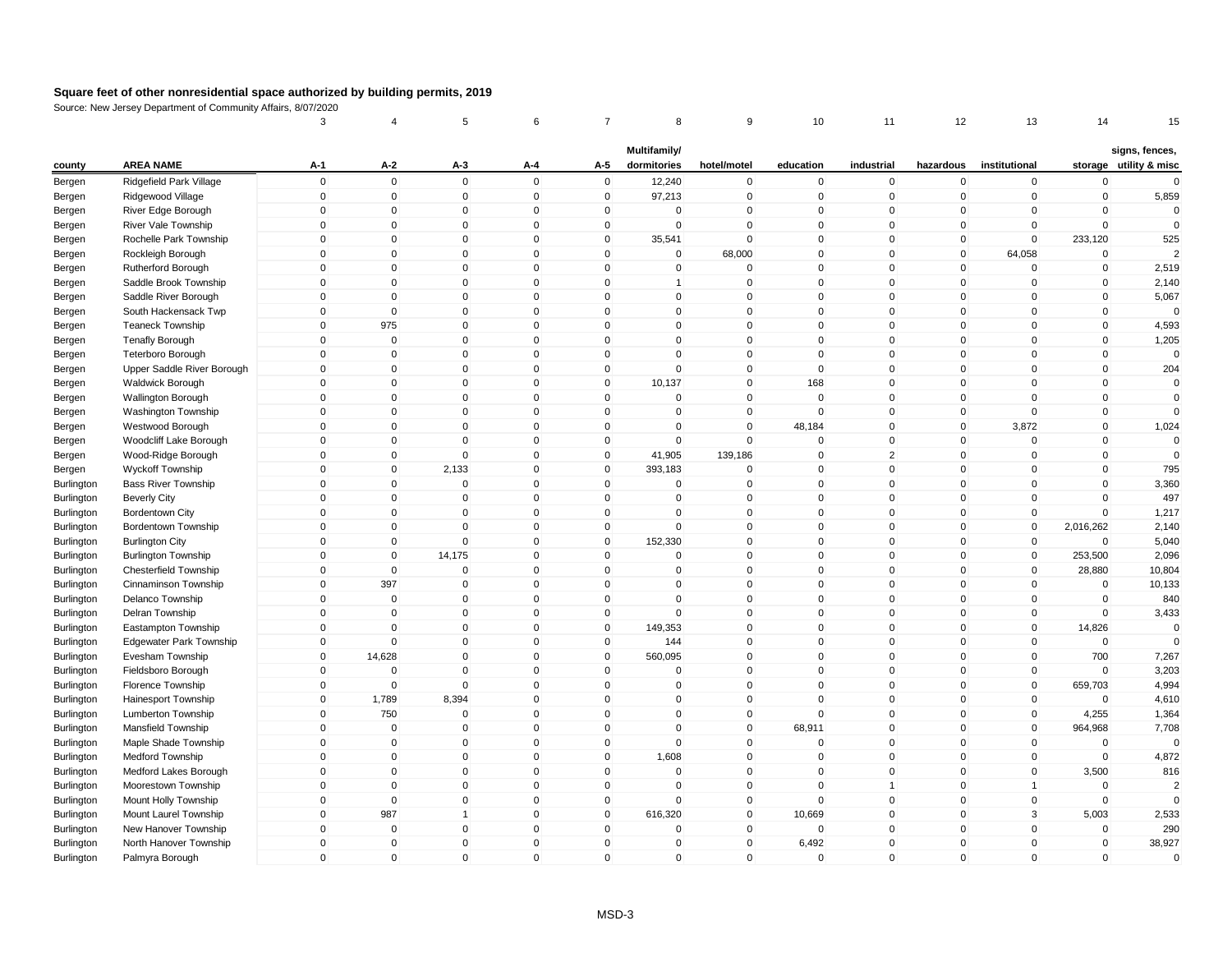|            |                                                        | 3                 | 4                        | 5                           | 6                       | 7                | 8                           | 9                      | 10                       | 11                            | 12                | 13                      | 14                         | 15                                       |
|------------|--------------------------------------------------------|-------------------|--------------------------|-----------------------------|-------------------------|------------------|-----------------------------|------------------------|--------------------------|-------------------------------|-------------------|-------------------------|----------------------------|------------------------------------------|
| county     | <b>AREA NAME</b>                                       | A-1               | $A-2$                    | A-3                         | A-4                     | A-5              | Multifamily/<br>dormitories | hotel/motel            | education                | industrial                    | hazardous         | institutional           |                            | signs, fences,<br>storage utility & misc |
| Bergen     | Ridgefield Park Village                                | $\mathbf 0$       | $\mathbf 0$              | $\mathbf 0$                 | $\mathbf 0$             | $\mathbf 0$      | 12,240                      | $\mathbf 0$            | $\mathbf 0$              | $\mathbf 0$                   | $\mathbf 0$       | $\pmb{0}$               | $\mathbf 0$                | $\Omega$                                 |
| Bergen     | Ridgewood Village                                      | $\mathbf 0$       | $\mathbf 0$              | $\mathbf 0$                 | $\mathbf 0$             | $\mathbf 0$      | 97,213                      | $\mathbf 0$            | $\mathbf 0$              | $\mathbf 0$                   | $\mathbf 0$       | $\mathbf 0$             | $\mathbf 0$                | 5,859                                    |
| Bergen     | River Edge Borough                                     | $\Omega$          | $\pmb{0}$                | 0                           | $\mathbf 0$             | $\mathbf 0$      | 0                           | $\pmb{0}$              | $\Omega$                 | $\mathbf 0$                   | $\mathbf 0$       | $\Omega$                | $\Omega$                   | $\Omega$                                 |
| Bergen     | River Vale Township                                    | $\mathbf{0}$      | $\mathbf 0$              | $\mathbf 0$                 | $\mathbf 0$             | $\mathbf 0$      | $\mathbf{0}$                | $\mathsf 0$            | $\mathbf{0}$             | $\Omega$                      | $\mathbf 0$       | $\mathbf 0$             | $\Omega$                   | $\mathbf 0$                              |
| Bergen     | Rochelle Park Township                                 | $\mathbf 0$       | $\mathbf 0$              | $\mathbf 0$                 | $\mathbf 0$             | $\mathbf 0$      | 35,541                      | $\mathbf 0$            | $\mathbf{0}$             | $\mathbf 0$                   | $\mathbf 0$       | $\mathbf 0$             | 233,120                    | 525                                      |
| Bergen     | Rockleigh Borough                                      | $\mathbf{0}$      | $\mathbf 0$              | $\mathbf 0$                 | $\mathbf 0$             | $\mathbf 0$      | 0                           | 68,000                 | $\Omega$                 | $\Omega$                      | $\mathbf 0$       | 64,058                  | $\mathbf 0$                |                                          |
| Bergen     | Rutherford Borough                                     | $\mathbf{0}$      | $\mathbf 0$              | $\mathbf 0$                 | $\mathbf{0}$            | $\mathbf 0$      | 0                           | $\mathbf 0$            | $\mathbf{0}$             | $\mathbf 0$                   | $\mathbf{0}$      | $\mathbf 0$             | $\mathbf 0$                | 2,519                                    |
| Bergen     | Saddle Brook Township                                  | $\mathbf 0$       | $\mathbf 0$              | $\mathbf 0$                 | $\mathbf 0$             | $\mathbf 0$      | 1                           | $\mathbf 0$            | $\mathbf 0$              | $\mathbf 0$                   | $\mathbf 0$       | $\mathbf 0$             | $\mathbf 0$                | 2,140                                    |
| Bergen     | Saddle River Borough                                   | $\mathbf{0}$      | $\mathbf 0$              | $\mathbf{0}$                | $\mathbf{0}$            | $\mathbf{0}$     | $\mathbf{0}$                | $\mathsf 0$            | $\mathbf{0}$             | $\Omega$                      | $\mathbf{0}$      | $\mathbf 0$             | $\mathbf 0$                | 5,067                                    |
| Bergen     | South Hackensack Twp                                   | $\mathbf 0$       | $\pmb{0}$                | $\mathbf 0$                 | $\mathbf 0$             | $\mathbf 0$      | 0                           | $\mathbf 0$            | $\mathbf 0$              | $\mathbf 0$                   | $\mathbf 0$       | $\mathbf 0$             | $\mathbf 0$                | $\Omega$                                 |
| Bergen     | <b>Teaneck Township</b>                                | 0                 | 975                      | $\mathbf 0$                 | $\Omega$                | 0                | $\Omega$                    | $\mathbf 0$            | $\Omega$                 | $\Omega$                      | 0                 | 0                       | $\pmb{0}$                  | 4,593                                    |
|            | <b>Tenafly Borough</b>                                 | $\mathbf{0}$      | $\pmb{0}$                | $\mathbf 0$                 | $\mathbf 0$             | $\mathbf 0$      | 0                           | $\mathsf 0$            | $\mathbf{0}$             | $\mathbf 0$                   | $\mathbf 0$       | $\Omega$                | $\mathbf 0$                | 1,205                                    |
| Bergen     |                                                        | $\mathbf 0$       | $\pmb{0}$                | $\mathbf 0$                 | $\mathbf 0$             | $\mathbf 0$      | 0                           | $\mathsf 0$            | $\mathbf{0}$             | $\mathbf 0$                   | $\mathbf 0$       | $\mathbf 0$             | $\mathbf 0$                | $\mathbf 0$                              |
| Bergen     | <b>Teterboro Borough</b><br>Upper Saddle River Borough | $\mathbf{0}$      | $\mathbf 0$              | $\mathbf 0$                 | $\mathbf{0}$            | $\mathbf 0$      | $\mathbf 0$                 | $\mathbf 0$            | $\mathbf{0}$             | $\mathbf 0$                   | $\mathbf{0}$      | $\Omega$                | $\mathbf 0$                | 204                                      |
| Bergen     |                                                        | $\Omega$          | $\mathbf 0$              | $\mathbf 0$                 | $\mathbf 0$             | $\mathbf 0$      | 10,137                      | $\mathbf 0$            | 168                      | $\mathbf 0$                   | $\mathbf 0$       | 0                       | $\mathbf 0$                | $\Omega$                                 |
| Bergen     | Waldwick Borough                                       | $\mathbf 0$       | $\mathbf 0$              | $\mathsf 0$                 | $\mathbf 0$             | $\mathbf 0$      | $\mathbf 0$                 | $\mathsf 0$            | $\mathbf{0}$             | $\mathbf 0$                   | $\mathbf 0$       | $\mathbf 0$             | $\mathbf 0$                | $\mathbf 0$                              |
| Bergen     | <b>Wallington Borough</b>                              | $\mathbf 0$       | $\mathbf 0$              | $\mathbf 0$                 | $\mathbf 0$             |                  | $\mathbf 0$                 | $\mathsf 0$            | $\Omega$                 | $\mathbf 0$                   |                   | $\mathbf 0$             | $\mathbf 0$                | $\Omega$                                 |
| Bergen     | <b>Washington Township</b>                             |                   |                          |                             |                         | $\mathbf 0$      |                             |                        |                          | $\mathbf 0$                   | $\mathbf 0$       |                         |                            |                                          |
| Bergen     | Westwood Borough                                       | $\mathbf 0$       | $\mathbf 0$<br>$\pmb{0}$ | $\mathbf 0$                 | $\mathbf 0$             | $\mathbf 0$      | 0                           | $\mathsf 0$            | 48,184<br>$\Omega$       |                               | $\mathbf 0$       | 3,872                   | $\mathbf 0$                | 1,024<br>$\Omega$                        |
| Bergen     | Woodcliff Lake Borough                                 | 0<br>$\mathbf{0}$ | $\pmb{0}$                | $\mathbf 0$<br>$\mathbf{0}$ | $\mathbf 0$<br>$\Omega$ | 0<br>$\mathbf 0$ | 0                           | $\mathbf 0$<br>139,186 | $\mathbf{0}$             | $\mathbf 0$<br>$\overline{2}$ | 0<br>$\mathbf{0}$ | 0<br>$\mathbf 0$        | $\pmb{0}$<br>$\mathbf 0$   | $\mathbf 0$                              |
| Bergen     | Wood-Ridge Borough                                     |                   |                          |                             |                         |                  | 41,905                      |                        |                          |                               |                   |                         |                            |                                          |
| Bergen     | <b>Wyckoff Township</b>                                | $\mathbf 0$       | $\mathbf 0$              | 2,133                       | $\mathbf 0$             | $\mathbf 0$      | 393,183                     | $\mathbf 0$            | $\mathbf{0}$<br>$\Omega$ | $\mathbf 0$<br>$\mathbf{0}$   | $\mathbf 0$       | $\mathbf 0$<br>$\Omega$ | $\mathbf 0$<br>$\mathbf 0$ | 795                                      |
| Burlington | <b>Bass River Township</b>                             | $\mathbf{0}$      | $\pmb{0}$                | $\mathbf{0}$                | $\mathbf 0$             | 0                | $\mathbf{0}$                | 0                      |                          |                               | $\mathbf 0$       | $\overline{0}$          |                            | 3,360                                    |
| Burlington | <b>Beverly City</b>                                    | $\mathbf{0}$      | $\mathbf 0$              | $\mathbf 0$                 | $\mathbf{0}$            | $\mathbf 0$      | $\Omega$                    | $\mathsf 0$            | $\mathbf{0}$             | $\mathbf 0$                   | $\mathbf{0}$      |                         | $\mathbf 0$                | 497                                      |
| Burlington | <b>Bordentown City</b>                                 | $\mathbf 0$       | $\mathbf 0$              | $\mathbf 0$                 | $\mathbf 0$             | 0                | $\Omega$<br>$\Omega$        | $\mathbf 0$            | $\mathbf{0}$             | $\mathbf 0$<br>$\Omega$       | $\mathbf 0$       | 0                       | $\Omega$                   | 1,217                                    |
| Burlington | Bordentown Township                                    | $\mathbf{0}$      | $\mathbf 0$              | $\mathbf{0}$                | $\mathbf{0}$            | $\mathbf 0$      |                             | $\mathsf 0$            | $\mathbf{0}$             |                               | $\mathbf{0}$      | $\mathbf 0$             | 2,016,262                  | 2,140                                    |
| Burlington | <b>Burlington City</b>                                 | $\mathbf 0$       | $\pmb{0}$                | $\mathbf 0$                 | $\mathbf 0$             | $\mathbf 0$      | 152,330                     | $\pmb{0}$              | $\mathbf 0$              | $\mathbf 0$                   | $\mathbf 0$       | $\mathbf 0$             | $\Omega$                   | 5,040                                    |
| Burlington | <b>Burlington Township</b>                             | $\mathbf 0$       | $\pmb{0}$                | 14,175                      | $\mathbf 0$             | $\mathbf 0$      | $\mathbf 0$                 | $\mathbf 0$            | $\mathbf{0}$             | $\mathbf 0$                   | $\mathbf 0$       | $\mathbf 0$             | 253,500                    | 2,096                                    |
| Burlington | <b>Chesterfield Township</b>                           | $\mathbf{0}$      | $\mathbf 0$              | $\mathbf 0$                 | $\mathbf 0$             | $\mathbf 0$      | 0                           | $\mathsf 0$            | $\mathbf{0}$             | $\mathbf 0$                   | $\mathbf 0$       | $\mathbf 0$             | 28,880                     | 10,804                                   |
| Burlington | Cinnaminson Township                                   | $\mathbf 0$       | 397                      | $\mathbf 0$                 | $\mathbf 0$             | $\mathbf 0$      | 0                           | $\mathsf 0$            | $\mathbf{0}$             | $\mathbf 0$                   | $\mathbf 0$       | $\mathbf 0$             | $\mathbf 0$                | 10,133                                   |
| Burlington | Delanco Township                                       | $\mathbf 0$       | $\mathbf 0$              | $\mathbf 0$                 | $\mathbf 0$             | $\mathbf 0$      | $\Omega$                    | $\mathbf 0$            | $\Omega$                 | $\mathbf 0$                   | $\mathbf 0$       | $\mathbf 0$             | $\mathbf 0$                | 840                                      |
| Burlington | Delran Township                                        | $\Omega$          | $\mathbf 0$              | $\mathbf 0$                 | $\mathbf 0$             | $\mathbf 0$      | $\Omega$                    | $\mathbf 0$            | $\mathbf{0}$             | $\mathbf 0$                   | $\mathbf 0$       | $\Omega$                | $\mathbf 0$                | 3,433                                    |
| Burlington | Eastampton Township                                    | $\mathbf{0}$      | $\mathbf 0$              | $\mathbf 0$                 | $\mathbf 0$             | $\mathbf 0$      | 149,353                     | $\mathsf 0$            | $\mathbf{0}$             | $\mathbf 0$                   | $\mathbf 0$       | $\mathbf{0}$            | 14,826                     | $\Omega$                                 |
| Burlington | <b>Edgewater Park Township</b>                         | $\mathbf 0$       | $\mathbf 0$              | $\mathbf 0$                 | $\mathbf 0$             | $\mathbf 0$      | 144                         | $\mathsf 0$            | $\mathbf{0}$             | $\mathbf 0$                   | $\mathbf 0$       | $\mathbf 0$             | $\Omega$                   |                                          |
| Burlington | Evesham Township                                       | $\mathbf 0$       | 14,628                   | $\mathbf{0}$                | $\mathbf 0$             | $\mathbf 0$      | 560,095                     | $\mathsf 0$            | $\mathbf{0}$             | $\mathbf 0$                   | $\mathbf 0$       | $\mathbf 0$             | 700                        | 7,267                                    |
| Burlington | Fieldsboro Borough                                     | 0                 | $\mathbf 0$              | $\mathbf 0$                 | $\mathbf 0$             | $\mathbf 0$      | 0<br>$\Omega$               | $\mathbf 0$            | $\mathbf 0$              | $\mathbf 0$<br>$\Omega$       | $\mathbf 0$       | $\pmb{0}$               | $\mathbf 0$                | 3,203                                    |
| Burlington | Florence Township                                      | $\mathbf{0}$      | $\mathbf 0$              | $\mathbf{0}$                | $\mathbf{0}$            | $\mathbf{0}$     |                             | $\mathbf 0$            | $\mathbf{0}$             |                               | $\mathbf{0}$      | $\mathbf 0$             | 659,703                    | 4,994                                    |
| Burlington | Hainesport Township                                    | $\mathbf 0$       | 1,789                    | 8,394                       | $\mathbf 0$             | $\mathbf 0$      | 0                           | $\mathsf 0$            | $\mathbf{0}$             | $\mathbf 0$                   | $\mathbf 0$       | $\mathbf 0$             | $\mathbf 0$                | 4,610                                    |
| Burlington | Lumberton Township                                     | $\mathbf 0$       | 750                      | $\mathbf 0$                 | $\mathbf 0$             | $\mathbf 0$      | 0                           | $\mathbf 0$            | $\Omega$                 | $\mathbf 0$                   | $\mathbf 0$       | $\mathbf 0$             | 4,255                      | 1,364                                    |
| Burlington | Mansfield Township                                     | $\mathbf{0}$      | $\mathbf 0$              | $\mathbf 0$                 | $\mathbf{0}$            | $\mathbf 0$      | 0                           | $\mathsf 0$            | 68,911                   | $\mathbf 0$                   | $\mathbf{0}$      | $\mathbf{0}$            | 964,968                    | 7,708                                    |
| Burlington | Maple Shade Township                                   | $\mathbf 0$       | $\mathbf 0$              | $\mathbf 0$                 | $\mathbf 0$             | $\mathbf 0$      | $\mathbf 0$                 | $\mathsf 0$            | $\Omega$                 | $\mathbf 0$                   | $\mathbf 0$       | 0                       | $\Omega$                   |                                          |
| Burlington | Medford Township                                       | $\mathbf{0}$      | $\mathbf 0$              | $\mathbf{0}$                | $\mathbf{0}$            | $\mathbf{0}$     | 1,608                       | $\mathbf 0$            | $\mathbf{0}$             | $\Omega$                      | $\mathbf 0$       | $\mathbf{0}$            | $\Omega$                   | 4,872                                    |
| Burlington | Medford Lakes Borough                                  | $\mathbf 0$       | $\pmb{0}$                | $\mathbf 0$                 | $\mathbf 0$             | $\mathbf 0$      | $\mathbf 0$                 | $\mathsf 0$            | $\mathbf 0$              | $\mathbf 0$                   | $\mathbf 0$       | $\mathbf 0$             | 3,500                      | 816                                      |
| Burlington | Moorestown Township                                    | $\mathbf 0$       | $\pmb{0}$                | $\mathbf 0$                 | $\mathbf 0$             | $\mathbf 0$      | 0                           | $\mathbf 0$            | $\mathbf{0}$             | $\mathbf{1}$                  | $\mathbf 0$       | 1                       | $\mathbf 0$                | $\overline{2}$                           |
| Burlington | Mount Holly Township                                   | $\Omega$          | $\mathbf 0$              | $\mathbf 0$                 | $\mathbf 0$             | $\mathbf 0$      | 0                           | $\mathsf 0$            | $\Omega$                 | $\mathbf 0$                   | $\mathbf 0$       | $\mathbf 0$             | $\mathbf 0$                | $\Omega$                                 |
| Burlington | Mount Laurel Township                                  | $\mathbf 0$       | 987                      | $\overline{1}$              | $\mathbf 0$             | $\mathbf 0$      | 616,320                     | $\mathsf 0$            | 10,669                   | $\mathbf 0$                   | $\mathbf 0$       | 3                       | 5,003                      | 2,533                                    |
| Burlington | New Hanover Township                                   | $\mathbf 0$       | $\mathbf 0$              | $\mathbf 0$                 | $\mathbf 0$             | $\mathbf 0$      | $\mathbf 0$                 | $\mathbf 0$            | $\mathbf{0}$             | $\mathbf 0$                   | $\mathbf 0$       | $\mathbf 0$             | $\mathbf 0$                | 290                                      |
| Burlington | North Hanover Township                                 | $\mathbf{0}$      | $\mathbf 0$              | $\mathbf 0$                 | $\mathbf 0$             | $\mathbf 0$      | 0                           | $\mathsf 0$            | 6,492                    | $\Omega$                      | $\mathbf 0$       | $\Omega$                | $\mathbf 0$                | 38,927                                   |
| Burlington | Palmyra Borough                                        | $\mathbf{0}$      | $\mathbf 0$              | $\mathsf 0$                 | $\mathbf 0$             | $\mathbf{0}$     | $\mathbf 0$                 | $\mathbf 0$            | $\mathbf{0}$             | $\Omega$                      | $\mathbf 0$       | $\overline{0}$          | $\mathbf 0$                | $\mathbf 0$                              |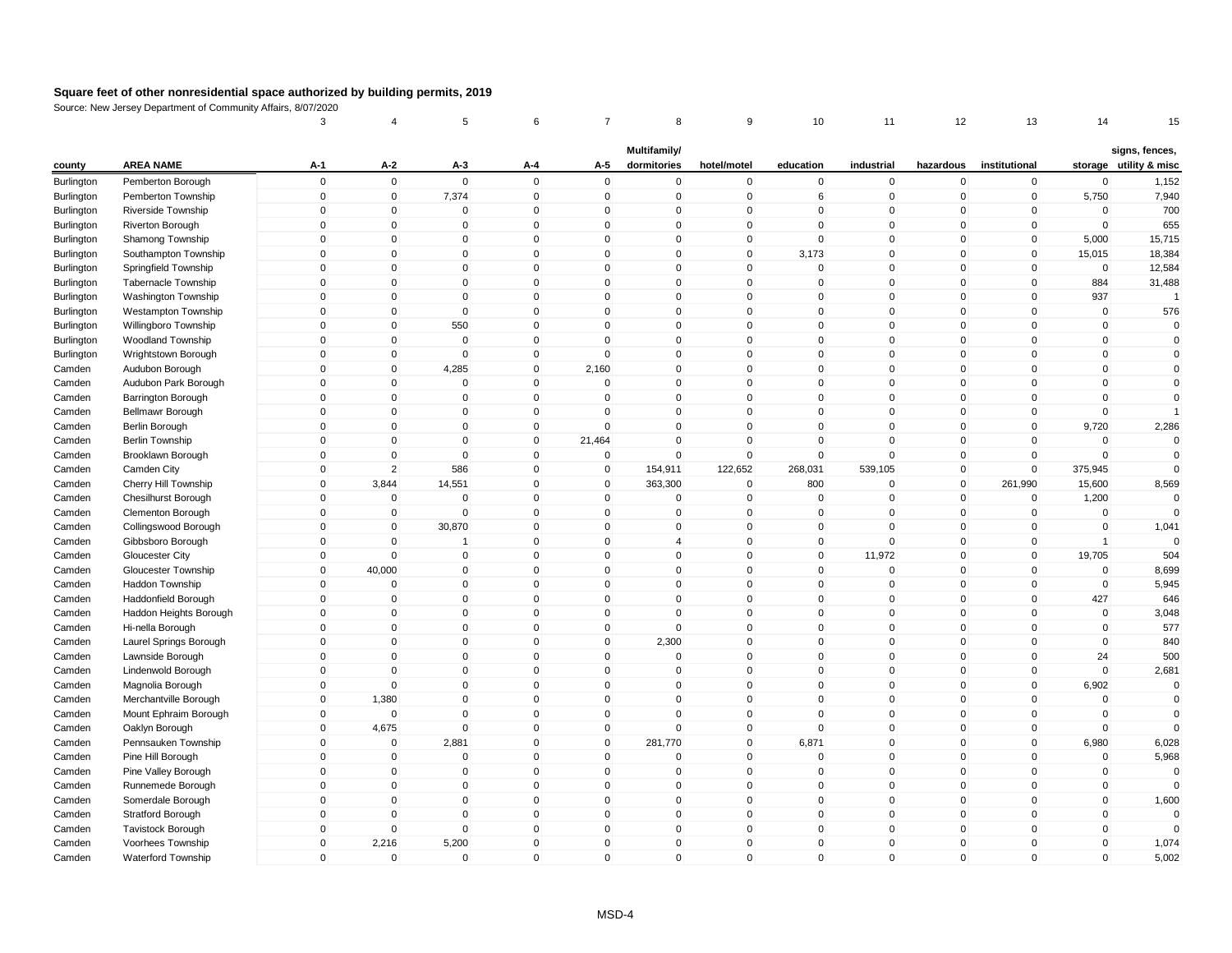|                          |                                         | 3                           | 4                           | 5            | 6                           | 7                           | 8                           | 9                          | 10                          | 11                      | 12                          | 13                      | 14                       | 15                                       |
|--------------------------|-----------------------------------------|-----------------------------|-----------------------------|--------------|-----------------------------|-----------------------------|-----------------------------|----------------------------|-----------------------------|-------------------------|-----------------------------|-------------------------|--------------------------|------------------------------------------|
| county                   | <b>AREA NAME</b>                        | A-1                         | $A-2$                       | A-3          | A-4                         | A-5                         | Multifamily/<br>dormitories | hotel/motel                | education                   | industrial              | hazardous                   | institutional           |                          | signs, fences,<br>storage utility & misc |
|                          |                                         | $\mathbf 0$                 | $\mathbf 0$                 | $\mathsf 0$  | $\mathbf 0$                 | $\mathbf 0$                 | $\mathbf 0$                 | $\mathbf 0$                | $\mathbf 0$                 | $\mathbf 0$             | $\mathbf 0$                 | $\pmb{0}$               | $\mathbf 0$              | 1,152                                    |
| Burlington               | Pemberton Borough<br>Pemberton Township | $\mathbf 0$                 | $\mathbf 0$                 | 7,374        | $\mathbf 0$                 | $\mathbf 0$                 | $\mathbf 0$                 | $\mathbf 0$                | 6                           | $\mathbf 0$             | $\mathbf 0$                 | $\mathbf 0$             | 5,750                    | 7,940                                    |
| Burlington               | Riverside Township                      | $\Omega$                    | $\pmb{0}$                   | $\mathbf 0$  | $\mathbf 0$                 | $\mathbf 0$                 | 0                           | $\mathsf 0$                | $\Omega$                    | $\mathbf 0$             | $\mathbf{0}$                | 0                       | $\Omega$                 | 700                                      |
| Burlington               |                                         | $\mathbf{0}$                | $\mathbf 0$                 | $\mathbf 0$  | $\mathbf 0$                 | $\mathbf 0$                 | $\Omega$                    | $\mathsf 0$                | $\mathbf{0}$                | $\mathbf 0$             | $\mathbf 0$                 | $\mathbf 0$             | $\mathbf 0$              | 655                                      |
| Burlington               | Riverton Borough<br>Shamong Township    | $\mathbf 0$                 | $\mathbf 0$                 | $\mathbf 0$  | $\mathbf 0$                 | $\mathbf 0$                 | $\mathbf 0$                 | $\mathbf 0$                | $\mathbf 0$                 | $\mathbf 0$             | $\mathbf 0$                 | $\mathbf 0$             | 5,000                    | 15,715                                   |
| Burlington<br>Burlington | Southampton Township                    | $\mathbf{0}$                | $\mathbf 0$                 | $\Omega$     | $\mathbf 0$                 | $\mathbf 0$                 | 0                           | $\mathsf 0$                | 3,173                       | $\mathbf 0$             | $\mathbf 0$                 | $\mathbf 0$             | 15,015                   | 18,384                                   |
|                          |                                         | $\mathbf{0}$                | $\mathbf 0$                 | $\mathbf 0$  | $\mathbf 0$                 | $\mathbf 0$                 | 0                           | $\mathbf 0$                | $\mathbf{0}$                | $\mathbf 0$             | $\mathbf 0$                 | $\Omega$                | $\mathbf 0$              | 12,584                                   |
| Burlington               | Springfield Township                    | $\mathbf{0}$                | $\mathbf 0$                 | $\Omega$     | $\mathbf{0}$                | $\mathbf{0}$                | $\Omega$                    | $\mathsf 0$                | $\mathbf{0}$                | $\Omega$                | $\mathbf{0}$                | $\Omega$                | 884                      | 31,488                                   |
| Burlington               | Tabernacle Township                     | $\mathbf{0}$                | $\mathbf 0$                 | $\mathbf 0$  | $\mathbf 0$                 | $\mathbf 0$                 | $\mathbf 0$                 | $\mathsf 0$                | $\mathbf{0}$                | $\mathbf 0$             | $\mathbf 0$                 | $\mathbf 0$             | 937                      |                                          |
| Burlington               | <b>Washington Township</b>              |                             |                             | $\mathbf 0$  |                             |                             | 0                           |                            |                             | $\mathbf 0$             |                             | $\mathbf 0$             |                          |                                          |
| Burlington               | Westampton Township                     | $\mathbf 0$<br>$\mathbf{0}$ | $\mathbf 0$<br>$\mathbf 0$  | 550          | $\mathbf 0$<br>$\mathbf 0$  | $\mathbf 0$<br>$\mathbf{0}$ | $\Omega$                    | $\mathbf 0$<br>$\mathsf 0$ | $\mathbf 0$<br>$\mathbf{0}$ | $\mathbf 0$             | $\mathbf 0$<br>$\mathbf{0}$ | $\mathbf 0$             | $\pmb{0}$<br>$\mathbf 0$ | 576<br>$\Omega$                          |
| Burlington               | Willingboro Township                    |                             |                             |              |                             |                             |                             |                            | $\mathbf{0}$                |                         |                             |                         |                          |                                          |
| Burlington               | Woodland Township                       | $\mathbf 0$                 | $\pmb{0}$                   | $\mathbf 0$  | $\mathbf 0$                 | 0                           | 0<br>$\Omega$               | $\pmb{0}$<br>$\mathbf 0$   |                             | $\mathbf 0$<br>$\Omega$ | $\mathbf 0$                 | $\mathbf 0$             | $\pmb{0}$<br>$\mathbf 0$ | $\mathbf 0$                              |
| Burlington               | Wrightstown Borough                     | $\mathbf 0$<br>$\mathbf{0}$ | $\pmb{0}$                   | $\mathbf 0$  | $\mathbf 0$<br>$\mathbf 0$  | $\mathbf 0$                 |                             | $\mathsf 0$                | $\mathbf 0$<br>$\mathbf{0}$ | $\mathbf 0$             | $\mathbf 0$                 | $\mathbf 0$<br>$\Omega$ |                          | $\mathbf 0$<br>$\Omega$                  |
| Camden                   | Audubon Borough                         |                             | $\mathbf 0$                 | 4,285        |                             | 2,160                       | $\mathbf 0$                 |                            |                             |                         | $\mathbf 0$                 |                         | $\mathbf 0$              |                                          |
| Camden                   | Audubon Park Borough                    | $\Omega$                    | $\mathbf 0$<br>$\mathbf{0}$ | $\mathbf 0$  | $\mathbf 0$<br>$\mathbf{0}$ | 0                           | 0                           | $\mathbf 0$<br>$\mathbf 0$ | $\mathbf{0}$                | $\mathbf 0$<br>$\Omega$ | $\mathbf 0$                 | 0<br>$\mathbf{0}$       | $\mathbf 0$              | $\mathbf 0$<br>$\Omega$                  |
| Camden                   | <b>Barrington Borough</b>               | $\mathbf{0}$                |                             | $\mathbf{0}$ |                             | $\mathbf{0}$                | $\mathbf{0}$                |                            | $\mathbf{0}$                |                         | $\mathbf{0}$                |                         | $\mathbf 0$              |                                          |
| Camden                   | Bellmawr Borough                        | $\mathbf 0$                 | $\pmb{0}$                   | $\mathbf 0$  | $\mathbf 0$                 | $\mathbf 0$                 | 0                           | $\mathsf 0$                | $\mathbf{0}$                | $\mathbf 0$             | $\mathbf 0$                 | 0                       | $\mathbf 0$              |                                          |
| Camden                   | <b>Berlin Borough</b>                   | $\mathbf 0$                 | $\mathbf 0$                 | $\mathbf 0$  | $\mathsf{O}\xspace$         | $\mathbf 0$                 | 0                           | $\mathbf 0$                | $\mathbf 0$                 | $\mathbf 0$             | $\mathbf 0$                 | $\mathbf 0$             | 9,720                    | 2,286                                    |
| Camden                   | <b>Berlin Township</b>                  | $\mathbf 0$                 | $\pmb{0}$                   | $\mathbf 0$  | $\mathsf{O}\xspace$         | 21,464                      | 0                           | $\mathbf 0$                | $\mathbf{0}$                | $\mathbf 0$             | $\mathbf 0$                 | $\mathbf 0$             | $\mathbf 0$              | $\Omega$                                 |
| Camden                   | Brooklawn Borough                       | $\mathbf 0$                 | $\pmb{0}$                   | $\mathbf 0$  | $\mathbf 0$                 | $\mathbf 0$                 | $\Omega$                    | $\mathsf 0$                | $\mathbf{0}$                | $\mathbf 0$             | $\mathbf 0$                 | $\mathbf 0$             | $\mathbf 0$              | $\mathbf 0$                              |
| Camden                   | Camden City                             | $\mathbf{0}$                | $\overline{2}$              | 586          | $\mathbf 0$                 | $\mathbf 0$                 | 154,911                     | 122,652                    | 268,031                     | 539,105                 | $\mathbf 0$                 | $\mathbf{0}$            | 375,945                  | $\Omega$                                 |
| Camden                   | Cherry Hill Township                    | $\mathbf 0$                 | 3,844                       | 14,551       | $\mathbf 0$                 | $\mathbf 0$                 | 363,300                     | $\mathbf 0$                | 800                         | $\mathbf 0$             | $\mathbf 0$                 | 261,990                 | 15,600                   | 8,569                                    |
| Camden                   | Chesilhurst Borough                     | $\mathbf{0}$                | $\mathbf 0$                 | $\mathbf 0$  | $\mathbf 0$                 | $\mathbf 0$                 | $\mathbf 0$                 | $\mathbf 0$                | $\mathbf 0$                 | $\mathbf 0$             | 0                           | $\mathbf 0$             | 1,200                    | $\Omega$                                 |
| Camden                   | Clementon Borough                       | $\mathbf{0}$                | $\mathbf 0$                 | $\mathbf 0$  | $\mathbf 0$                 | $\mathbf 0$                 | $\mathbf 0$                 | $\mathbf 0$                | $\mathbf{0}$                | $\mathbf 0$             | $\mathbf 0$                 | $\mathbf 0$             | $\mathbf 0$              |                                          |
| Camden                   | Collingswood Borough                    | $\mathbf 0$                 | $\mathbf 0$                 | 30,870       | $\mathbf 0$                 | $\mathbf 0$                 | $\mathbf 0$                 | $\mathsf 0$                | $\mathbf 0$                 | $\mathbf 0$             | $\mathbf 0$                 | $\mathbf 0$             | $\mathbf 0$              | 1,041                                    |
| Camden                   | Gibbsboro Borough                       | $\mathsf{O}\xspace$         | $\pmb{0}$                   |              | $\mathsf 0$                 | $\mathsf 0$                 | $\overline{4}$              | $\pmb{0}$                  | $\mathbf{0}$                | $\mathbf{0}$            | $\mathsf 0$                 | $\mathbf 0$             | $\overline{1}$           |                                          |
| Camden                   | Gloucester City                         | $\mathbf 0$                 | $\mathbf 0$                 | $\mathbf 0$  | $\mathbf 0$                 | $\mathbf 0$                 | $\mathbf 0$                 | $\mathsf 0$                | $\mathbf{0}$                | 11,972                  | $\mathbf 0$                 | $\mathbf 0$             | 19,705                   | 504                                      |
| Camden                   | Gloucester Township                     | 0                           | 40,000                      | 0            | $\mathbf 0$                 | 0                           | 0                           | $\mathbf 0$                | $\mathbf 0$                 | 0                       | 0                           | $\mathbf 0$             | $\mathbf 0$              | 8,699                                    |
| Camden                   | <b>Haddon Township</b>                  | $\mathbf{0}$                | $\mathbf 0$                 | $\mathbf 0$  | $\mathbf{0}$                | $\mathbf{0}$                | $\Omega$                    | $\mathsf 0$                | $\mathbf{0}$                | $\mathbf 0$             | $\mathbf{0}$                | $\mathbf 0$             | $\mathbf 0$              | 5,945                                    |
| Camden                   | Haddonfield Borough                     | $\mathbf{0}$                | $\mathbf 0$                 | $\mathbf 0$  | $\mathbf 0$                 | $\mathbf 0$                 | $\mathbf 0$                 | $\mathsf 0$                | $\mathbf{0}$                | $\mathbf 0$             | $\mathbf 0$                 | $\mathbf{0}$            | 427                      | 646                                      |
| Camden                   | Haddon Heights Borough                  | $\mathbf 0$                 | $\mathbf 0$                 | $\mathbf 0$  | $\mathbf 0$                 | 0                           | $\Omega$                    | $\mathbf 0$                | $\Omega$                    | $\Omega$                | 0                           | $\Omega$                | 0                        | 3,048                                    |
| Camden                   | Hi-nella Borough                        | $\mathbf{0}$                | $\mathbf 0$                 | $\mathbf 0$  | $\mathbf{0}$                | $\mathbf 0$                 | $\mathbf 0$                 | $\mathbf{0}$               | $\mathbf{0}$                | $\mathbf 0$             | $\mathbf{0}$                | $\overline{0}$          | $\mathbf 0$              | 577                                      |
| Camden                   | Laurel Springs Borough                  | $\mathbf 0$                 | $\mathbf 0$                 | $\mathbf 0$  | $\mathbf 0$                 | $\mathbf 0$                 | 2,300                       | $\mathsf 0$                | $\mathbf 0$                 | $\mathbf 0$             | $\mathbf 0$                 | 0                       | $\mathbf 0$              | 840                                      |
| Camden                   | Lawnside Borough                        | $\mathbf{0}$                | $\mathbf 0$                 | $\mathbf{0}$ | $\mathbf 0$                 | $\mathbf 0$                 | $\mathbf{0}$                | $\mathsf 0$                | $\mathbf{0}$                | $\mathbf 0$             | $\mathbf{0}$                | $\mathbf 0$             | 24                       | 500                                      |
| Camden                   | Lindenwold Borough                      | $\mathbf 0$                 | $\mathbf 0$                 | $\mathbf 0$  | $\mathbf 0$                 | $\mathbf 0$                 | 0                           | $\mathsf 0$                | $\mathbf 0$                 | $\mathbf 0$             | $\mathbf 0$                 | $\mathbf 0$             | $\mathbf 0$              | 2,681                                    |
| Camden                   | Magnolia Borough                        | 0                           | $\Omega$                    | $\mathbf 0$  | $\mathbf 0$                 | 0                           | $\Omega$                    | $\mathbf 0$                | $\Omega$                    | $\Omega$                | 0                           | $\mathbf 0$             | 6,902                    | 0                                        |
| Camden                   | Merchantville Borough                   | $\mathbf{0}$                | 1,380                       | $\mathbf 0$  | $\mathbf{0}$                | $\mathbf 0$                 | 0                           | $\mathsf 0$                | $\mathbf{0}$                | $\mathbf 0$             | $\mathbf{0}$                | $\Omega$                | $\mathbf 0$              | $\mathbf 0$                              |
| Camden                   | Mount Ephraim Borough                   | $\mathbf 0$                 | $\mathbf 0$                 | $\mathbf 0$  | $\mathbf 0$                 | $\mathbf 0$                 | 0                           | $\pmb{0}$                  | $\mathbf{0}$                | $\mathbf 0$             | $\mathbf 0$                 | $\mathbf 0$             | $\mathbf 0$              | $\mathbf 0$                              |
| Camden                   | Oaklyn Borough                          | $\mathbf{0}$                | 4,675                       | $\mathbf 0$  | $\mathbf{0}$                | $\mathbf 0$                 | $\mathbf 0$                 | $\mathbf 0$                | $\mathbf{0}$                | $\mathbf 0$             | $\mathbf{0}$                | $\mathbf{0}$            | $\mathbf 0$              | $\Omega$                                 |
| Camden                   | Pennsauken Township                     | $\mathbf 0$                 | $\mathbf 0$                 | 2,881        | $\mathbf 0$                 | $\mathbf 0$                 | 281,770                     | $\mathbf 0$                | 6,871                       | $\mathbf 0$             | $\mathbf 0$                 | $\mathbf 0$             | 6,980                    | 6,028                                    |
| Camden                   | Pine Hill Borough                       | $\mathbf{0}$                | $\mathbf 0$                 | $\mathbf 0$  | $\Omega$                    | $\mathbf 0$                 | $\mathbf 0$                 | $\mathbf 0$                | $\mathbf{0}$                | $\mathbf 0$             | $\mathbf 0$                 | $\Omega$                | $\mathbf 0$              | 5,968                                    |
| Camden                   | Pine Valley Borough                     | $\mathbf 0$                 | $\mathbf 0$                 | $\mathbf 0$  | $\mathbf 0$                 | $\mathbf 0$                 | $\mathbf 0$                 | $\mathsf 0$                | $\mathbf{0}$                | $\mathbf 0$             | $\mathbf 0$                 | 0                       | $\mathbf 0$              | $\Omega$                                 |
| Camden                   | Runnemede Borough                       | $\mathbf 0$                 | $\mathbf 0$                 | $\mathbf 0$  | $\mathbf 0$                 | $\mathbf 0$                 | 0                           | $\mathsf 0$                | $\mathbf 0$                 | $\mathbf 0$             | $\mathbf 0$                 | $\mathbf 0$             | $\mathbf 0$              | $\Omega$                                 |
| Camden                   | Somerdale Borough                       | 0                           | $\mathbf 0$                 | 0            | $\mathbf 0$                 | 0                           | 0                           | $\mathbf 0$                | $\mathbf 0$                 | $\mathbf 0$             | 0                           | 0                       | $\pmb{0}$                | 1,600                                    |
| Camden                   | <b>Stratford Borough</b>                | $\mathbf{0}$                | $\mathbf 0$                 | $\mathbf 0$  | $\mathbf 0$                 | $\mathbf{0}$                | $\Omega$                    | $\mathsf 0$                | $\mathbf{0}$                | $\mathbf 0$             | $\mathbf 0$                 | $\mathbf 0$             | $\mathbf 0$              | $\mathbf 0$                              |
| Camden                   | <b>Tavistock Borough</b>                | $\mathbf 0$                 | $\mathbf 0$                 | $\mathbf 0$  | $\mathbf 0$                 | $\mathbf 0$                 | $\mathbf 0$                 | $\mathsf 0$                | $\mathbf{0}$                | $\mathbf 0$             | $\mathbf 0$                 | $\mathbf 0$             | $\mathbf 0$              | $\mathbf 0$                              |
| Camden                   | Voorhees Township                       | $\mathbf{0}$                | 2,216                       | 5,200        | $\mathbf{0}$                | $\mathbf{0}$                | $\Omega$                    | $\mathsf 0$                | $\Omega$                    | $\Omega$                | $\mathbf{0}$                | $\overline{0}$          | $\mathbf 0$              | 1,074                                    |
| Camden                   | Waterford Township                      | $\mathbf{0}$                | $\Omega$                    | $\mathbf 0$  | $\mathbf 0$                 | $\mathbf{0}$                | $\mathbf{0}$                | $\mathbf{0}$               | $\mathbf{0}$                | $\mathbf 0$             | $\mathbf{0}$                | 0                       | $\mathbf 0$              | 5,002                                    |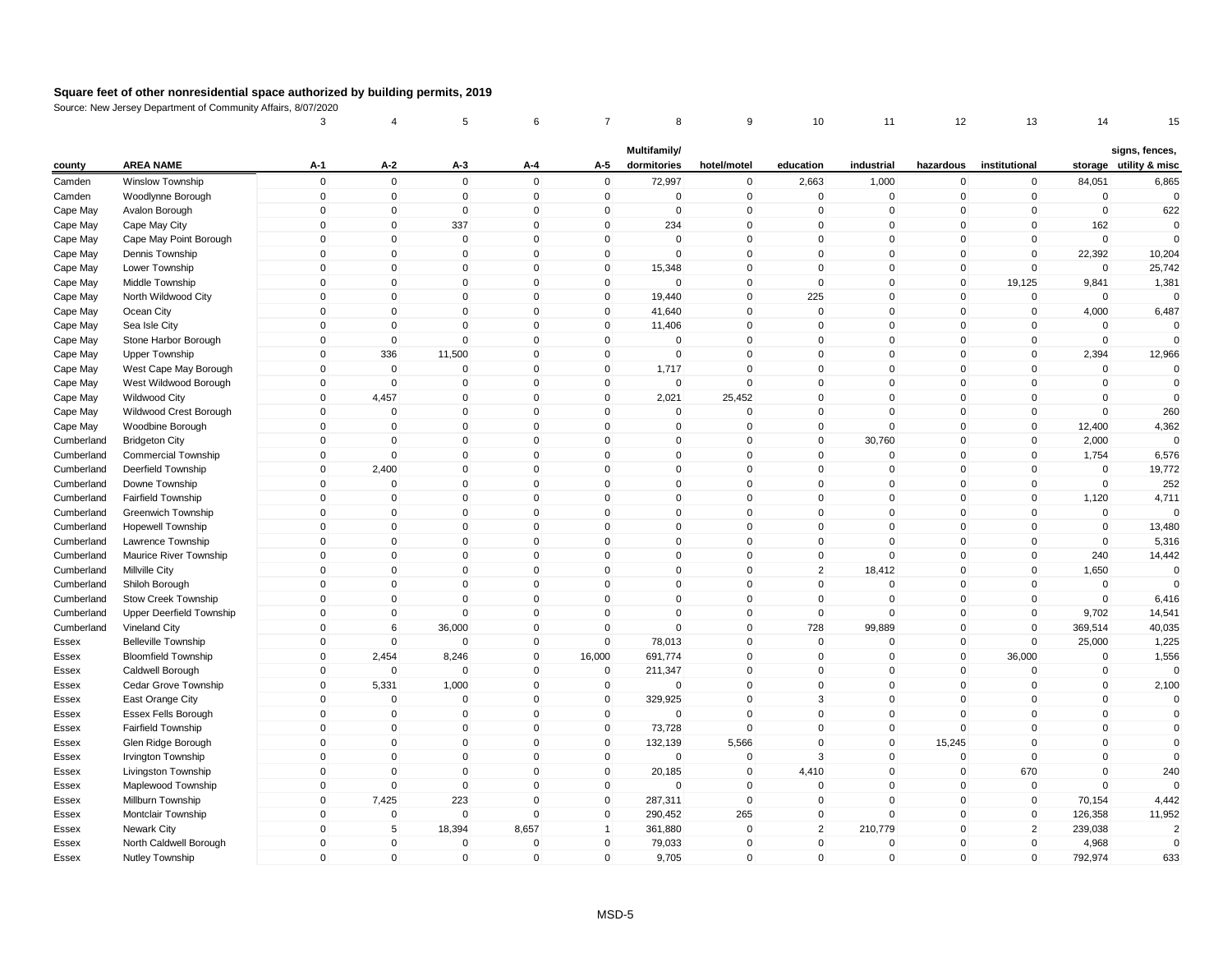| Multifamily/<br>signs, fences,<br><b>AREA NAME</b><br>$A-2$<br>A-4<br>A-5<br>dormitories<br>industrial<br>institutional<br>storage utility & misc<br>county<br>A-1<br>A-3<br>hotel/motel<br>education<br>hazardous<br>$\mathbf 0$<br>$\mathbf 0$<br>$\mathbf 0$<br>$\mathbf 0$<br>$\mathbf 0$<br>72,997<br>$\mathsf 0$<br>2,663<br>1,000<br>84,051<br>6,865<br>Camden<br><b>Winslow Township</b><br>$\mathbf 0$<br>$\mathbf 0$<br>$\pmb{0}$<br>$\mathbf 0$<br>$\mathbf 0$<br>$\mathbf 0$<br>$\mathbf 0$<br>$\mathbf 0$<br>$\mathbf 0$<br>0<br>$\mathbf 0$<br>$\mathbf 0$<br>$\mathbf 0$<br>$\Omega$<br>Camden<br>Woodlynne Borough<br>$\mathbf 0$<br>$\mathbf 0$<br>622<br>0<br>$\mathbf{0}$<br>$\Omega$<br>$\overline{0}$<br>$\pmb{0}$<br>$\Omega$<br>$\mathbf 0$<br>$\pmb{0}$<br>Avalon Borough<br>$\Omega$<br>$\Omega$<br>$\Omega$<br>Cape May<br>$\mathbf 0$<br>337<br>$\Omega$<br>234<br>$\mathsf 0$<br>$\Omega$<br>$\mathbf{0}$<br>$\mathbf{0}$<br>$\Omega$<br>$\mathbf{0}$<br>$\mathbf 0$<br>162<br>$\mathbf 0$<br>Cape May<br>Cape May City<br>$\mathbf 0$<br>$\mathbf 0$<br>$\mathbf 0$<br>$\mathbf 0$<br>$\mathbf 0$<br>$\mathbf 0$<br>$\mathbf 0$<br>$\Omega$<br>$\mathbf 0$<br>$\mathbf 0$<br>$\mathbf 0$<br>$\mathbf 0$<br>$\Omega$<br>Cape May<br>Cape May Point Borough<br>$\mathbf 0$<br>$\Omega$<br>$\Omega$<br>$\mathbf 0$<br>$\mathsf 0$<br>$\mathbf{0}$<br>22,392<br>10,204<br>Cape May<br>Dennis Township<br>$\Omega$<br>$\mathbf{0}$<br>$\Omega$<br>$\mathbf{0}$<br>$\Omega$<br>$\mathbf 0$<br>$\Omega$<br>$\Omega$<br>$\mathbf 0$<br>$\mathsf 0$<br>$\Omega$<br>$\Omega$<br>$\Omega$<br>25,742<br>Cape May<br>$\mathbf 0$<br>15,348<br>$\mathbf{0}$<br>$\mathbf 0$<br>Lower Township<br>$\mathbf 0$<br>$\mathbf 0$<br>0<br>$\mathbf 0$<br>$\mathbf 0$<br>$\mathbf 0$<br>$\mathbf 0$<br>$\mathbf 0$<br>$\mathbf 0$<br>19,125<br>9,841<br>1,381<br>Cape May<br>Middle Township<br>0<br>$\mathbf 0$<br>$\overline{0}$<br>$\mathbf{0}$<br>$\Omega$<br>$\mathbf 0$<br>$\mathsf 0$<br>225<br>$\mathbf{0}$<br>$\mathbf{0}$<br>$\mathbf 0$<br>$\Omega$<br>$\Omega$<br>Cape May<br>North Wildwood City<br>19,440<br>$\pmb{0}$<br>$\mathbf 0$<br>$\mathbf 0$<br>$\mathbf 0$<br>$\mathbf 0$<br>41,640<br>$\mathbf 0$<br>$\mathbf 0$<br>$\mathbf 0$<br>$\mathbf 0$<br>$\mathbf 0$<br>4,000<br>6,487<br>Cape May<br>Ocean City<br>$\pmb{0}$<br>$\mathbf 0$<br>$\mathbf 0$<br>$\Omega$<br>$\Omega$<br>$\Omega$<br>Cape May<br>Sea Isle City<br>$\mathbf 0$<br>$\Omega$<br>$\Omega$<br>11,406<br>0<br>$\Omega$<br>$\Omega$<br>$\Omega$<br>$\mathbf 0$<br>$\mathbf{0}$<br>$\Omega$<br>$\mathsf 0$<br>$\mathbf 0$<br>$\mathbf 0$<br>Stone Harbor Borough<br>$\Omega$<br>$\mathbf 0$<br>$\Omega$<br>$\mathbf{0}$<br>$\Omega$<br>$\Omega$<br>Cape May<br>336<br>11,500<br>$\mathbf 0$<br>$\mathbf 0$<br>$\mathsf 0$<br>$\mathbf 0$<br>$\mathbf 0$<br>2,394<br>$\mathbf 0$<br>$\mathbf 0$<br>$\mathbf 0$<br>$\mathbf 0$<br>12,966<br>Cape May<br><b>Upper Township</b><br>$\Omega$<br>$\mathbf 0$<br>$\Omega$<br>1,717<br>$\mathbf 0$<br>$\Omega$<br>$\mathbf{0}$<br>$\Omega$<br>$\mathbf 0$<br>Cape May<br>West Cape May Borough<br>$\mathbf{0}$<br>$\mathbf{0}$<br>$\mathbf{0}$<br>$\Omega$<br>$\mathbf 0$<br>Cape May<br>West Wildwood Borough<br>0<br>$\mathbf{0}$<br>$\Omega$<br>$\mathbf 0$<br>$\mathbf 0$<br>$\mathbf 0$<br>$\Omega$<br>$\mathbf{0}$<br>$\mathbf{0}$<br>$\Omega$<br>$\mathbf 0$<br>$\mathbf 0$<br>$\overline{0}$<br>4,457<br>$\mathbf 0$<br>$\mathbf 0$<br>$\mathbf 0$<br>$\mathbf 0$<br>$\mathbf 0$<br>$\mathbf 0$<br>2,021<br>25,452<br>$\Omega$<br>$\mathbf 0$<br>$\mathbf 0$<br>Cape May<br><b>Wildwood City</b><br>$\overline{0}$<br>$\mathbf 0$<br>$\mathbf{0}$<br>$\mathbf 0$<br>$\mathsf 0$<br>$\mathbf 0$<br>$\Omega$<br>260<br>Cape May<br>Wildwood Crest Borough<br>$\mathbf 0$<br>$\mathbf 0$<br>$\Omega$<br>$\mathbf 0$<br>$\mathbf 0$<br>$\mathbf 0$<br>$\mathbf 0$<br>$\mathbf 0$<br>4,362<br>Woodbine Borough<br>$\mathbf 0$<br>$\mathbf 0$<br>$\mathbf 0$<br>$\mathbf 0$<br>$\mathbf 0$<br>$\mathbf 0$<br>$\mathbf 0$<br>$\mathbf 0$<br>12,400<br>Cape May<br>$\mathbf 0$<br>0<br>$\mathbf 0$<br>30,760<br>2,000<br>Cumberland<br><b>Bridgeton City</b><br>$\Omega$<br>$\mathbf 0$<br>$\Omega$<br>0<br>$\Omega$<br>0<br>$\Omega$<br>$\Omega$<br>$\overline{0}$<br>$\mathbf 0$<br>$\mathbf{0}$<br>$\Omega$<br>$\mathbf{0}$<br>$\mathbf{0}$<br>$\mathsf 0$<br>$\mathbf 0$<br>1,754<br>6,576<br>Cumberland<br>$\Omega$<br>$\mathbf{0}$<br>$\mathbf{0}$<br><b>Commercial Township</b><br>2,400<br>$\mathbf 0$<br>$\mathsf 0$<br>0<br>$\mathbf 0$<br>$\mathbf 0$<br>$\mathbf 0$<br>$\mathbf 0$<br>$\mathbf 0$<br>$\mathbf 0$<br>$\mathbf 0$<br>$\mathbf 0$<br>19,772<br>Cumberland<br>Deerfield Township<br>$\Omega$<br>$\Omega$<br>$\pmb{0}$<br>$\mathbf{0}$<br>Cumberland<br>Downe Township<br>$\Omega$<br>$\mathbf 0$<br>$\Omega$<br>$\mathbf 0$<br>$\mathbf{0}$<br>$\mathbf 0$<br>$\Omega$<br>$\mathbf 0$<br>252<br>$\Omega$<br>$\mathbf 0$<br>$\mathbf{0}$<br>$\Omega$<br>$\mathbf 0$<br>$\mathsf 0$<br>$\Omega$<br>$\Omega$<br>4,711<br>Cumberland<br>Fairfield Township<br>$\Omega$<br>0<br>$\mathbf{0}$<br>1,120<br>0<br>$\mathbf 0$<br>$\mathsf 0$<br>$\mathbf 0$<br>$\mathbf 0$<br>$\mathbf 0$<br>0<br>$\mathbf 0$<br>0<br>Cumberland<br>Greenwich Township<br>0<br>$\Omega$<br>$\mathbf 0$<br>$\mathbf 0$<br>$\overline{0}$<br>$\mathbf{0}$<br>$\Omega$<br>$\mathbf{0}$<br>$\mathbf{0}$<br>$\mathbf 0$<br>$\mathbf{0}$<br>$\mathbf{0}$<br>$\mathbf{0}$<br>$\Omega$<br>$\mathbf 0$<br>13,480<br><b>Hopewell Township</b><br>Cumberland<br>$\pmb{0}$<br>$\mathsf 0$<br>$\mathbf 0$<br>$\mathbf 0$<br>$\mathbf 0$<br>$\mathbf 0$<br>$\mathbf 0$<br>$\mathbf 0$<br>$\mathbf 0$<br>$\mathbf 0$<br>$\mathbf 0$<br>$\mathbf 0$<br>5,316<br>Cumberland<br>Lawrence Township<br>$\pmb{0}$<br>0<br>$\mathbf{0}$<br>$\mathbf 0$<br>$\mathbf 0$<br>$\mathbf 0$<br>$\mathbf 0$<br>$\mathbf 0$<br>0<br>$\mathbf 0$<br>$\mathbf 0$<br>240<br>14,442<br>Cumberland<br>Maurice River Township<br>$\pmb{0}$<br>$\mathbf 0$<br>$\mathsf 0$<br>$\overline{2}$<br>Cumberland<br>Millville City<br>$\Omega$<br>$\mathbf{0}$<br>$\mathbf 0$<br>$\mathbf 0$<br>18,412<br>$\mathbf 0$<br>$\mathbf 0$<br>1,650<br>$\Omega$<br>$\mathbf 0$<br>$\mathbf 0$<br>0<br>$\mathsf 0$<br>$\mathbf 0$<br>$\mathbf 0$<br>$\mathbf 0$<br>$\mathbf 0$<br>$\mathbf 0$<br>$\mathbf 0$<br>$\mathbf 0$<br>$\mathbf 0$<br>Cumberland<br>Shiloh Borough<br>$\Omega$<br>$\mathbf 0$<br>$\mathbf 0$<br>$\mathbf 0$<br>$\Omega$<br>$\mathbf 0$<br>$\mathbf 0$<br>$\mathbf 0$<br>$\Omega$<br>$\mathbf 0$<br>$\mathbf 0$<br>$\mathbf 0$<br>$\mathbf 0$<br>6,416<br>Cumberland<br>Stow Creek Township<br>$\mathbf 0$<br>$\mathbf{0}$<br>$\Omega$<br>Cumberland<br>Upper Deerfield Township<br>0<br>$\Omega$<br>$\mathbf{0}$<br>$\Omega$<br>$\mathbf 0$<br>$\mathbf{0}$<br>$\mathbf{0}$<br>$\Omega$<br>9,702<br>14,541<br>$\overline{0}$<br>$6\phantom{1}6$<br>$\Omega$<br>$\mathbf 0$<br>$\mathsf 0$<br>728<br>$\mathbf{0}$<br>36,000<br>$\mathbf 0$<br>99,889<br>$\mathbf 0$<br>369,514<br>40,035<br>Cumberland<br>Vineland City<br>$\overline{0}$<br>$\mathbf 0$<br>$\mathbf{0}$<br>$\mathbf 0$<br>$\mathbf 0$<br>78,013<br>$\mathsf 0$<br>$\mathbf 0$<br>$\mathbf 0$<br>$\mathbf 0$<br>25,000<br>1,225<br><b>Belleville Township</b><br>$\mathbf 0$<br>Essex<br>$\mathbf 0$<br>$\mathbf 0$<br>$\mathsf 0$<br>$\mathbf 0$<br><b>Bloomfield Township</b><br>2,454<br>8,246<br>16,000<br>691,774<br>$\mathbf 0$<br>$\mathbf 0$<br>36,000<br>$\mathbf 0$<br>1,556<br>Essex<br>$\overline{0}$<br>$\mathbf{0}$<br>0<br>211,347<br>$\mathbf 0$<br>$\mathbf 0$<br>$\mathbf 0$<br>$\mathbf 0$<br>Caldwell Borough<br>0<br>0<br>$\mathbf 0$<br>$\mathbf 0$<br>$\Omega$<br>Essex<br>$\Omega$<br>$\Omega$<br>$\mathbf 0$<br>$\Omega$<br>$\mathbf 0$<br>$\mathbf 0$<br>2,100<br>Cedar Grove Township<br>5,331<br>1,000<br>$\mathbf 0$<br>$\mathbf 0$<br>$\Omega$<br>$\mathbf{0}$<br><b>Essex</b><br>$\pmb{0}$<br>$\mathbf 0$<br>$\mathsf 0$<br>$\mathbf 0$<br>East Orange City<br>$\mathbf 0$<br>$\mathbf{0}$<br>$\mathbf 0$<br>329,925<br>3<br>$\mathbf 0$<br>$\mathbf 0$<br>$\mathbf 0$<br>$\mathbf 0$<br>Essex<br>Essex Fells Borough<br>0<br>$\mathbf 0$<br>$\mathbf 0$<br>$\mathbf 0$<br>$\mathbf 0$<br>$\mathbf 0$<br>$\mathbf 0$<br>$\mathbf 0$<br>0<br>$\mathbf 0$<br>$\mathbf 0$<br>$\mathbf 0$<br>$\mathbf 0$<br>Essex<br>$\overline{0}$<br>$\mathbf 0$<br>$\Omega$<br>$\mathsf 0$<br>$\Omega$<br>$\Omega$<br>$\mathbf 0$<br>$\Omega$<br>Fairfield Township<br>$\mathbf{0}$<br>$\mathbf 0$<br>73,728<br>0<br>$\mathbf{0}$<br>Essex<br>0<br>$\mathbf 0$<br>$\mathbf{0}$<br>$\mathbf 0$<br>5,566<br>$\mathbf 0$<br>15,245<br>$\mathbf 0$<br>$\mathbf 0$<br>$\mathbf 0$<br>132,139<br>$\Omega$<br>$\Omega$<br>Essex<br>Glen Ridge Borough<br>$\overline{0}$<br>$\mathbf 0$<br>$\Omega$<br>$\mathbf{0}$<br>$\mathbf 0$<br>$\mathbf{0}$<br>$\mathbf{0}$<br>$\mathbf{0}$<br>$\mathbf 0$<br>3<br>$\Omega$<br>$\Omega$<br><b>Irvington Township</b><br>$\mathbf 0$<br>Essex<br>$\mathbf 0$<br>670<br>240<br>$\mathbf 0$<br>$\mathbf{0}$<br>$\mathbf 0$<br>$\mathbf 0$<br>20,185<br>$\mathbf 0$<br>4,410<br>$\mathbf 0$<br>$\mathbf 0$<br>$\mathbf 0$<br>Livingston Township<br>Essex<br>0<br>$\mathbf 0$<br>$\mathbf 0$<br>$\mathbf 0$<br>$\mathbf 0$<br>$\mathbf 0$<br>$\mathbf 0$<br>$\mathbf 0$<br>0<br>$\mathbf 0$<br>$\pmb{0}$<br>$\mathbf 0$<br>Maplewood Township<br>Essex<br>7,425<br>223<br>$\mathbf 0$<br>$\mathsf 0$<br>$\mathbf 0$<br>$\mathbf 0$<br>4,442<br>Millburn Township<br>0<br>$\mathbf 0$<br>287,311<br>$\Omega$<br>$\mathbf{0}$<br>70,154<br>Essex<br>$\pmb{0}$<br>$\mathbf 0$<br>265<br>$\mathbf 0$<br>11,952<br>0<br>$\mathbf{0}$<br>$\mathbf 0$<br>290,452<br>$\mathbf 0$<br>$\mathbf 0$<br>$\mathbf 0$<br>126,358<br>Montclair Township<br>Essex<br>Newark City<br>$\mathbf 0$<br>5<br>18,394<br>8,657<br>361,880<br>$\mathbf 0$<br>$\overline{2}$<br>210,779<br>$\mathbf 0$<br>$\overline{2}$<br>239,038<br>$\mathbf{1}$<br>$\mathcal{P}$<br>Essex<br>4,968<br>North Caldwell Borough<br>0<br>$\mathbf 0$<br>$\Omega$<br>$\Omega$<br>$\mathbf{0}$<br>79,033<br>$\mathbf 0$<br>$\mathbf{0}$<br>$\Omega$<br>$\mathbf{0}$<br>$\Omega$<br>Essex<br>$\Omega$<br>$\mathbf 0$<br>$\mathbf{0}$<br>$\Omega$<br>$\Omega$<br>$\overline{0}$<br>$\mathbf{0}$<br>9,705<br>$\mathbf 0$<br>$\mathbf{0}$<br>$\mathbf{0}$<br>$\mathbf{0}$<br>792,974<br>633<br>Essex<br>Nutley Township |  | 3 | 4 | 5 | 6 | 8 | 9 | 10 | 11 | 12 | 13 | 14 | 15 |
|------------------------------------------------------------------------------------------------------------------------------------------------------------------------------------------------------------------------------------------------------------------------------------------------------------------------------------------------------------------------------------------------------------------------------------------------------------------------------------------------------------------------------------------------------------------------------------------------------------------------------------------------------------------------------------------------------------------------------------------------------------------------------------------------------------------------------------------------------------------------------------------------------------------------------------------------------------------------------------------------------------------------------------------------------------------------------------------------------------------------------------------------------------------------------------------------------------------------------------------------------------------------------------------------------------------------------------------------------------------------------------------------------------------------------------------------------------------------------------------------------------------------------------------------------------------------------------------------------------------------------------------------------------------------------------------------------------------------------------------------------------------------------------------------------------------------------------------------------------------------------------------------------------------------------------------------------------------------------------------------------------------------------------------------------------------------------------------------------------------------------------------------------------------------------------------------------------------------------------------------------------------------------------------------------------------------------------------------------------------------------------------------------------------------------------------------------------------------------------------------------------------------------------------------------------------------------------------------------------------------------------------------------------------------------------------------------------------------------------------------------------------------------------------------------------------------------------------------------------------------------------------------------------------------------------------------------------------------------------------------------------------------------------------------------------------------------------------------------------------------------------------------------------------------------------------------------------------------------------------------------------------------------------------------------------------------------------------------------------------------------------------------------------------------------------------------------------------------------------------------------------------------------------------------------------------------------------------------------------------------------------------------------------------------------------------------------------------------------------------------------------------------------------------------------------------------------------------------------------------------------------------------------------------------------------------------------------------------------------------------------------------------------------------------------------------------------------------------------------------------------------------------------------------------------------------------------------------------------------------------------------------------------------------------------------------------------------------------------------------------------------------------------------------------------------------------------------------------------------------------------------------------------------------------------------------------------------------------------------------------------------------------------------------------------------------------------------------------------------------------------------------------------------------------------------------------------------------------------------------------------------------------------------------------------------------------------------------------------------------------------------------------------------------------------------------------------------------------------------------------------------------------------------------------------------------------------------------------------------------------------------------------------------------------------------------------------------------------------------------------------------------------------------------------------------------------------------------------------------------------------------------------------------------------------------------------------------------------------------------------------------------------------------------------------------------------------------------------------------------------------------------------------------------------------------------------------------------------------------------------------------------------------------------------------------------------------------------------------------------------------------------------------------------------------------------------------------------------------------------------------------------------------------------------------------------------------------------------------------------------------------------------------------------------------------------------------------------------------------------------------------------------------------------------------------------------------------------------------------------------------------------------------------------------------------------------------------------------------------------------------------------------------------------------------------------------------------------------------------------------------------------------------------------------------------------------------------------------------------------------------------------------------------------------------------------------------------------------------------------------------------------------------------------------------------------------------------------------------------------------------------------------------------------------------------------------------------------------------------------------------------------------------------------------------------------------------------------------------------------------------------------------------------------------------------------------------------------------------------------------------------------------------------------------------------------------------------------------------------------------------------------------------------------------------------------------------------------------------------------------------------------------------------------------------------------------------------------------------------------------------------------------------------------------------------------------------------------------------------------------------------------------------------------------------------------------------------------------------------------------------------------------------------------------------------------------------------------------------------------------------------------------------------------------------------------------------------------------------------------------------------------------------------------------------------------------------------------------------------------------------------------------------------------------------------------------------------------------------------------------------------------------------------------------------------------------------------------------------------------------------------------------------------------------------------------------------------------------------------------------------------------------------------------------------------------------------------------------------------------------------------------------------------------------------------------------------------------------------------------------------------------------------------------------------------------------------------------------------------------------------------------------------------------------------------------------------------------------------------------------------------------------------------------------------------------------------------------------------------------------------------------------------------------------------------------------------------------------------------------------------------------------------------------------------------------------------------------------------------------------------------------------------------------------------------------------------------------------------------------------------------------------------------------------------------------------------------------------------------------------------------------------------------------------------------------------------------------------------------------------------------------------------------------------------------------------------------------------------------------------------------------------------------------------------------------------------------------------------------------------------------------------------------------------------------------------------------------------------------------|--|---|---|---|---|---|---|----|----|----|----|----|----|
|                                                                                                                                                                                                                                                                                                                                                                                                                                                                                                                                                                                                                                                                                                                                                                                                                                                                                                                                                                                                                                                                                                                                                                                                                                                                                                                                                                                                                                                                                                                                                                                                                                                                                                                                                                                                                                                                                                                                                                                                                                                                                                                                                                                                                                                                                                                                                                                                                                                                                                                                                                                                                                                                                                                                                                                                                                                                                                                                                                                                                                                                                                                                                                                                                                                                                                                                                                                                                                                                                                                                                                                                                                                                                                                                                                                                                                                                                                                                                                                                                                                                                                                                                                                                                                                                                                                                                                                                                                                                                                                                                                                                                                                                                                                                                                                                                                                                                                                                                                                                                                                                                                                                                                                                                                                                                                                                                                                                                                                                                                                                                                                                                                                                                                                                                                                                                                                                                                                                                                                                                                                                                                                                                                                                                                                                                                                                                                                                                                                                                                                                                                                                                                                                                                                                                                                                                                                                                                                                                                                                                                                                                                                                                                                                                                                                                                                                                                                                                                                                                                                                                                                                                                                                                                                                                                                                                                                                                                                                                                                                                                                                                                                                                                                                                                                                                                                                                                                                                                                                                                                                                                                                                                                                                                                                                                                                                                                                                                                                                                                                                                                                                                                                                                                                                                                                                                                                                                                                                                                                                                                                                                                                                                                                                                                                                                                                                                                                                                                                                                                                                                                                                                                                                                                                                                                                                                                                                                                                                                                                                          |  |   |   |   |   |   |   |    |    |    |    |    |    |
|                                                                                                                                                                                                                                                                                                                                                                                                                                                                                                                                                                                                                                                                                                                                                                                                                                                                                                                                                                                                                                                                                                                                                                                                                                                                                                                                                                                                                                                                                                                                                                                                                                                                                                                                                                                                                                                                                                                                                                                                                                                                                                                                                                                                                                                                                                                                                                                                                                                                                                                                                                                                                                                                                                                                                                                                                                                                                                                                                                                                                                                                                                                                                                                                                                                                                                                                                                                                                                                                                                                                                                                                                                                                                                                                                                                                                                                                                                                                                                                                                                                                                                                                                                                                                                                                                                                                                                                                                                                                                                                                                                                                                                                                                                                                                                                                                                                                                                                                                                                                                                                                                                                                                                                                                                                                                                                                                                                                                                                                                                                                                                                                                                                                                                                                                                                                                                                                                                                                                                                                                                                                                                                                                                                                                                                                                                                                                                                                                                                                                                                                                                                                                                                                                                                                                                                                                                                                                                                                                                                                                                                                                                                                                                                                                                                                                                                                                                                                                                                                                                                                                                                                                                                                                                                                                                                                                                                                                                                                                                                                                                                                                                                                                                                                                                                                                                                                                                                                                                                                                                                                                                                                                                                                                                                                                                                                                                                                                                                                                                                                                                                                                                                                                                                                                                                                                                                                                                                                                                                                                                                                                                                                                                                                                                                                                                                                                                                                                                                                                                                                                                                                                                                                                                                                                                                                                                                                                                                                                                                                                          |  |   |   |   |   |   |   |    |    |    |    |    |    |
|                                                                                                                                                                                                                                                                                                                                                                                                                                                                                                                                                                                                                                                                                                                                                                                                                                                                                                                                                                                                                                                                                                                                                                                                                                                                                                                                                                                                                                                                                                                                                                                                                                                                                                                                                                                                                                                                                                                                                                                                                                                                                                                                                                                                                                                                                                                                                                                                                                                                                                                                                                                                                                                                                                                                                                                                                                                                                                                                                                                                                                                                                                                                                                                                                                                                                                                                                                                                                                                                                                                                                                                                                                                                                                                                                                                                                                                                                                                                                                                                                                                                                                                                                                                                                                                                                                                                                                                                                                                                                                                                                                                                                                                                                                                                                                                                                                                                                                                                                                                                                                                                                                                                                                                                                                                                                                                                                                                                                                                                                                                                                                                                                                                                                                                                                                                                                                                                                                                                                                                                                                                                                                                                                                                                                                                                                                                                                                                                                                                                                                                                                                                                                                                                                                                                                                                                                                                                                                                                                                                                                                                                                                                                                                                                                                                                                                                                                                                                                                                                                                                                                                                                                                                                                                                                                                                                                                                                                                                                                                                                                                                                                                                                                                                                                                                                                                                                                                                                                                                                                                                                                                                                                                                                                                                                                                                                                                                                                                                                                                                                                                                                                                                                                                                                                                                                                                                                                                                                                                                                                                                                                                                                                                                                                                                                                                                                                                                                                                                                                                                                                                                                                                                                                                                                                                                                                                                                                                                                                                                                                          |  |   |   |   |   |   |   |    |    |    |    |    |    |
|                                                                                                                                                                                                                                                                                                                                                                                                                                                                                                                                                                                                                                                                                                                                                                                                                                                                                                                                                                                                                                                                                                                                                                                                                                                                                                                                                                                                                                                                                                                                                                                                                                                                                                                                                                                                                                                                                                                                                                                                                                                                                                                                                                                                                                                                                                                                                                                                                                                                                                                                                                                                                                                                                                                                                                                                                                                                                                                                                                                                                                                                                                                                                                                                                                                                                                                                                                                                                                                                                                                                                                                                                                                                                                                                                                                                                                                                                                                                                                                                                                                                                                                                                                                                                                                                                                                                                                                                                                                                                                                                                                                                                                                                                                                                                                                                                                                                                                                                                                                                                                                                                                                                                                                                                                                                                                                                                                                                                                                                                                                                                                                                                                                                                                                                                                                                                                                                                                                                                                                                                                                                                                                                                                                                                                                                                                                                                                                                                                                                                                                                                                                                                                                                                                                                                                                                                                                                                                                                                                                                                                                                                                                                                                                                                                                                                                                                                                                                                                                                                                                                                                                                                                                                                                                                                                                                                                                                                                                                                                                                                                                                                                                                                                                                                                                                                                                                                                                                                                                                                                                                                                                                                                                                                                                                                                                                                                                                                                                                                                                                                                                                                                                                                                                                                                                                                                                                                                                                                                                                                                                                                                                                                                                                                                                                                                                                                                                                                                                                                                                                                                                                                                                                                                                                                                                                                                                                                                                                                                                                                          |  |   |   |   |   |   |   |    |    |    |    |    |    |
|                                                                                                                                                                                                                                                                                                                                                                                                                                                                                                                                                                                                                                                                                                                                                                                                                                                                                                                                                                                                                                                                                                                                                                                                                                                                                                                                                                                                                                                                                                                                                                                                                                                                                                                                                                                                                                                                                                                                                                                                                                                                                                                                                                                                                                                                                                                                                                                                                                                                                                                                                                                                                                                                                                                                                                                                                                                                                                                                                                                                                                                                                                                                                                                                                                                                                                                                                                                                                                                                                                                                                                                                                                                                                                                                                                                                                                                                                                                                                                                                                                                                                                                                                                                                                                                                                                                                                                                                                                                                                                                                                                                                                                                                                                                                                                                                                                                                                                                                                                                                                                                                                                                                                                                                                                                                                                                                                                                                                                                                                                                                                                                                                                                                                                                                                                                                                                                                                                                                                                                                                                                                                                                                                                                                                                                                                                                                                                                                                                                                                                                                                                                                                                                                                                                                                                                                                                                                                                                                                                                                                                                                                                                                                                                                                                                                                                                                                                                                                                                                                                                                                                                                                                                                                                                                                                                                                                                                                                                                                                                                                                                                                                                                                                                                                                                                                                                                                                                                                                                                                                                                                                                                                                                                                                                                                                                                                                                                                                                                                                                                                                                                                                                                                                                                                                                                                                                                                                                                                                                                                                                                                                                                                                                                                                                                                                                                                                                                                                                                                                                                                                                                                                                                                                                                                                                                                                                                                                                                                                                                                          |  |   |   |   |   |   |   |    |    |    |    |    |    |
|                                                                                                                                                                                                                                                                                                                                                                                                                                                                                                                                                                                                                                                                                                                                                                                                                                                                                                                                                                                                                                                                                                                                                                                                                                                                                                                                                                                                                                                                                                                                                                                                                                                                                                                                                                                                                                                                                                                                                                                                                                                                                                                                                                                                                                                                                                                                                                                                                                                                                                                                                                                                                                                                                                                                                                                                                                                                                                                                                                                                                                                                                                                                                                                                                                                                                                                                                                                                                                                                                                                                                                                                                                                                                                                                                                                                                                                                                                                                                                                                                                                                                                                                                                                                                                                                                                                                                                                                                                                                                                                                                                                                                                                                                                                                                                                                                                                                                                                                                                                                                                                                                                                                                                                                                                                                                                                                                                                                                                                                                                                                                                                                                                                                                                                                                                                                                                                                                                                                                                                                                                                                                                                                                                                                                                                                                                                                                                                                                                                                                                                                                                                                                                                                                                                                                                                                                                                                                                                                                                                                                                                                                                                                                                                                                                                                                                                                                                                                                                                                                                                                                                                                                                                                                                                                                                                                                                                                                                                                                                                                                                                                                                                                                                                                                                                                                                                                                                                                                                                                                                                                                                                                                                                                                                                                                                                                                                                                                                                                                                                                                                                                                                                                                                                                                                                                                                                                                                                                                                                                                                                                                                                                                                                                                                                                                                                                                                                                                                                                                                                                                                                                                                                                                                                                                                                                                                                                                                                                                                                                                          |  |   |   |   |   |   |   |    |    |    |    |    |    |
|                                                                                                                                                                                                                                                                                                                                                                                                                                                                                                                                                                                                                                                                                                                                                                                                                                                                                                                                                                                                                                                                                                                                                                                                                                                                                                                                                                                                                                                                                                                                                                                                                                                                                                                                                                                                                                                                                                                                                                                                                                                                                                                                                                                                                                                                                                                                                                                                                                                                                                                                                                                                                                                                                                                                                                                                                                                                                                                                                                                                                                                                                                                                                                                                                                                                                                                                                                                                                                                                                                                                                                                                                                                                                                                                                                                                                                                                                                                                                                                                                                                                                                                                                                                                                                                                                                                                                                                                                                                                                                                                                                                                                                                                                                                                                                                                                                                                                                                                                                                                                                                                                                                                                                                                                                                                                                                                                                                                                                                                                                                                                                                                                                                                                                                                                                                                                                                                                                                                                                                                                                                                                                                                                                                                                                                                                                                                                                                                                                                                                                                                                                                                                                                                                                                                                                                                                                                                                                                                                                                                                                                                                                                                                                                                                                                                                                                                                                                                                                                                                                                                                                                                                                                                                                                                                                                                                                                                                                                                                                                                                                                                                                                                                                                                                                                                                                                                                                                                                                                                                                                                                                                                                                                                                                                                                                                                                                                                                                                                                                                                                                                                                                                                                                                                                                                                                                                                                                                                                                                                                                                                                                                                                                                                                                                                                                                                                                                                                                                                                                                                                                                                                                                                                                                                                                                                                                                                                                                                                                                                                          |  |   |   |   |   |   |   |    |    |    |    |    |    |
|                                                                                                                                                                                                                                                                                                                                                                                                                                                                                                                                                                                                                                                                                                                                                                                                                                                                                                                                                                                                                                                                                                                                                                                                                                                                                                                                                                                                                                                                                                                                                                                                                                                                                                                                                                                                                                                                                                                                                                                                                                                                                                                                                                                                                                                                                                                                                                                                                                                                                                                                                                                                                                                                                                                                                                                                                                                                                                                                                                                                                                                                                                                                                                                                                                                                                                                                                                                                                                                                                                                                                                                                                                                                                                                                                                                                                                                                                                                                                                                                                                                                                                                                                                                                                                                                                                                                                                                                                                                                                                                                                                                                                                                                                                                                                                                                                                                                                                                                                                                                                                                                                                                                                                                                                                                                                                                                                                                                                                                                                                                                                                                                                                                                                                                                                                                                                                                                                                                                                                                                                                                                                                                                                                                                                                                                                                                                                                                                                                                                                                                                                                                                                                                                                                                                                                                                                                                                                                                                                                                                                                                                                                                                                                                                                                                                                                                                                                                                                                                                                                                                                                                                                                                                                                                                                                                                                                                                                                                                                                                                                                                                                                                                                                                                                                                                                                                                                                                                                                                                                                                                                                                                                                                                                                                                                                                                                                                                                                                                                                                                                                                                                                                                                                                                                                                                                                                                                                                                                                                                                                                                                                                                                                                                                                                                                                                                                                                                                                                                                                                                                                                                                                                                                                                                                                                                                                                                                                                                                                                                                          |  |   |   |   |   |   |   |    |    |    |    |    |    |
|                                                                                                                                                                                                                                                                                                                                                                                                                                                                                                                                                                                                                                                                                                                                                                                                                                                                                                                                                                                                                                                                                                                                                                                                                                                                                                                                                                                                                                                                                                                                                                                                                                                                                                                                                                                                                                                                                                                                                                                                                                                                                                                                                                                                                                                                                                                                                                                                                                                                                                                                                                                                                                                                                                                                                                                                                                                                                                                                                                                                                                                                                                                                                                                                                                                                                                                                                                                                                                                                                                                                                                                                                                                                                                                                                                                                                                                                                                                                                                                                                                                                                                                                                                                                                                                                                                                                                                                                                                                                                                                                                                                                                                                                                                                                                                                                                                                                                                                                                                                                                                                                                                                                                                                                                                                                                                                                                                                                                                                                                                                                                                                                                                                                                                                                                                                                                                                                                                                                                                                                                                                                                                                                                                                                                                                                                                                                                                                                                                                                                                                                                                                                                                                                                                                                                                                                                                                                                                                                                                                                                                                                                                                                                                                                                                                                                                                                                                                                                                                                                                                                                                                                                                                                                                                                                                                                                                                                                                                                                                                                                                                                                                                                                                                                                                                                                                                                                                                                                                                                                                                                                                                                                                                                                                                                                                                                                                                                                                                                                                                                                                                                                                                                                                                                                                                                                                                                                                                                                                                                                                                                                                                                                                                                                                                                                                                                                                                                                                                                                                                                                                                                                                                                                                                                                                                                                                                                                                                                                                                                                          |  |   |   |   |   |   |   |    |    |    |    |    |    |
|                                                                                                                                                                                                                                                                                                                                                                                                                                                                                                                                                                                                                                                                                                                                                                                                                                                                                                                                                                                                                                                                                                                                                                                                                                                                                                                                                                                                                                                                                                                                                                                                                                                                                                                                                                                                                                                                                                                                                                                                                                                                                                                                                                                                                                                                                                                                                                                                                                                                                                                                                                                                                                                                                                                                                                                                                                                                                                                                                                                                                                                                                                                                                                                                                                                                                                                                                                                                                                                                                                                                                                                                                                                                                                                                                                                                                                                                                                                                                                                                                                                                                                                                                                                                                                                                                                                                                                                                                                                                                                                                                                                                                                                                                                                                                                                                                                                                                                                                                                                                                                                                                                                                                                                                                                                                                                                                                                                                                                                                                                                                                                                                                                                                                                                                                                                                                                                                                                                                                                                                                                                                                                                                                                                                                                                                                                                                                                                                                                                                                                                                                                                                                                                                                                                                                                                                                                                                                                                                                                                                                                                                                                                                                                                                                                                                                                                                                                                                                                                                                                                                                                                                                                                                                                                                                                                                                                                                                                                                                                                                                                                                                                                                                                                                                                                                                                                                                                                                                                                                                                                                                                                                                                                                                                                                                                                                                                                                                                                                                                                                                                                                                                                                                                                                                                                                                                                                                                                                                                                                                                                                                                                                                                                                                                                                                                                                                                                                                                                                                                                                                                                                                                                                                                                                                                                                                                                                                                                                                                                                                          |  |   |   |   |   |   |   |    |    |    |    |    |    |
|                                                                                                                                                                                                                                                                                                                                                                                                                                                                                                                                                                                                                                                                                                                                                                                                                                                                                                                                                                                                                                                                                                                                                                                                                                                                                                                                                                                                                                                                                                                                                                                                                                                                                                                                                                                                                                                                                                                                                                                                                                                                                                                                                                                                                                                                                                                                                                                                                                                                                                                                                                                                                                                                                                                                                                                                                                                                                                                                                                                                                                                                                                                                                                                                                                                                                                                                                                                                                                                                                                                                                                                                                                                                                                                                                                                                                                                                                                                                                                                                                                                                                                                                                                                                                                                                                                                                                                                                                                                                                                                                                                                                                                                                                                                                                                                                                                                                                                                                                                                                                                                                                                                                                                                                                                                                                                                                                                                                                                                                                                                                                                                                                                                                                                                                                                                                                                                                                                                                                                                                                                                                                                                                                                                                                                                                                                                                                                                                                                                                                                                                                                                                                                                                                                                                                                                                                                                                                                                                                                                                                                                                                                                                                                                                                                                                                                                                                                                                                                                                                                                                                                                                                                                                                                                                                                                                                                                                                                                                                                                                                                                                                                                                                                                                                                                                                                                                                                                                                                                                                                                                                                                                                                                                                                                                                                                                                                                                                                                                                                                                                                                                                                                                                                                                                                                                                                                                                                                                                                                                                                                                                                                                                                                                                                                                                                                                                                                                                                                                                                                                                                                                                                                                                                                                                                                                                                                                                                                                                                                                                          |  |   |   |   |   |   |   |    |    |    |    |    |    |
|                                                                                                                                                                                                                                                                                                                                                                                                                                                                                                                                                                                                                                                                                                                                                                                                                                                                                                                                                                                                                                                                                                                                                                                                                                                                                                                                                                                                                                                                                                                                                                                                                                                                                                                                                                                                                                                                                                                                                                                                                                                                                                                                                                                                                                                                                                                                                                                                                                                                                                                                                                                                                                                                                                                                                                                                                                                                                                                                                                                                                                                                                                                                                                                                                                                                                                                                                                                                                                                                                                                                                                                                                                                                                                                                                                                                                                                                                                                                                                                                                                                                                                                                                                                                                                                                                                                                                                                                                                                                                                                                                                                                                                                                                                                                                                                                                                                                                                                                                                                                                                                                                                                                                                                                                                                                                                                                                                                                                                                                                                                                                                                                                                                                                                                                                                                                                                                                                                                                                                                                                                                                                                                                                                                                                                                                                                                                                                                                                                                                                                                                                                                                                                                                                                                                                                                                                                                                                                                                                                                                                                                                                                                                                                                                                                                                                                                                                                                                                                                                                                                                                                                                                                                                                                                                                                                                                                                                                                                                                                                                                                                                                                                                                                                                                                                                                                                                                                                                                                                                                                                                                                                                                                                                                                                                                                                                                                                                                                                                                                                                                                                                                                                                                                                                                                                                                                                                                                                                                                                                                                                                                                                                                                                                                                                                                                                                                                                                                                                                                                                                                                                                                                                                                                                                                                                                                                                                                                                                                                                                                          |  |   |   |   |   |   |   |    |    |    |    |    |    |
|                                                                                                                                                                                                                                                                                                                                                                                                                                                                                                                                                                                                                                                                                                                                                                                                                                                                                                                                                                                                                                                                                                                                                                                                                                                                                                                                                                                                                                                                                                                                                                                                                                                                                                                                                                                                                                                                                                                                                                                                                                                                                                                                                                                                                                                                                                                                                                                                                                                                                                                                                                                                                                                                                                                                                                                                                                                                                                                                                                                                                                                                                                                                                                                                                                                                                                                                                                                                                                                                                                                                                                                                                                                                                                                                                                                                                                                                                                                                                                                                                                                                                                                                                                                                                                                                                                                                                                                                                                                                                                                                                                                                                                                                                                                                                                                                                                                                                                                                                                                                                                                                                                                                                                                                                                                                                                                                                                                                                                                                                                                                                                                                                                                                                                                                                                                                                                                                                                                                                                                                                                                                                                                                                                                                                                                                                                                                                                                                                                                                                                                                                                                                                                                                                                                                                                                                                                                                                                                                                                                                                                                                                                                                                                                                                                                                                                                                                                                                                                                                                                                                                                                                                                                                                                                                                                                                                                                                                                                                                                                                                                                                                                                                                                                                                                                                                                                                                                                                                                                                                                                                                                                                                                                                                                                                                                                                                                                                                                                                                                                                                                                                                                                                                                                                                                                                                                                                                                                                                                                                                                                                                                                                                                                                                                                                                                                                                                                                                                                                                                                                                                                                                                                                                                                                                                                                                                                                                                                                                                                                                          |  |   |   |   |   |   |   |    |    |    |    |    |    |
|                                                                                                                                                                                                                                                                                                                                                                                                                                                                                                                                                                                                                                                                                                                                                                                                                                                                                                                                                                                                                                                                                                                                                                                                                                                                                                                                                                                                                                                                                                                                                                                                                                                                                                                                                                                                                                                                                                                                                                                                                                                                                                                                                                                                                                                                                                                                                                                                                                                                                                                                                                                                                                                                                                                                                                                                                                                                                                                                                                                                                                                                                                                                                                                                                                                                                                                                                                                                                                                                                                                                                                                                                                                                                                                                                                                                                                                                                                                                                                                                                                                                                                                                                                                                                                                                                                                                                                                                                                                                                                                                                                                                                                                                                                                                                                                                                                                                                                                                                                                                                                                                                                                                                                                                                                                                                                                                                                                                                                                                                                                                                                                                                                                                                                                                                                                                                                                                                                                                                                                                                                                                                                                                                                                                                                                                                                                                                                                                                                                                                                                                                                                                                                                                                                                                                                                                                                                                                                                                                                                                                                                                                                                                                                                                                                                                                                                                                                                                                                                                                                                                                                                                                                                                                                                                                                                                                                                                                                                                                                                                                                                                                                                                                                                                                                                                                                                                                                                                                                                                                                                                                                                                                                                                                                                                                                                                                                                                                                                                                                                                                                                                                                                                                                                                                                                                                                                                                                                                                                                                                                                                                                                                                                                                                                                                                                                                                                                                                                                                                                                                                                                                                                                                                                                                                                                                                                                                                                                                                                                                                          |  |   |   |   |   |   |   |    |    |    |    |    |    |
|                                                                                                                                                                                                                                                                                                                                                                                                                                                                                                                                                                                                                                                                                                                                                                                                                                                                                                                                                                                                                                                                                                                                                                                                                                                                                                                                                                                                                                                                                                                                                                                                                                                                                                                                                                                                                                                                                                                                                                                                                                                                                                                                                                                                                                                                                                                                                                                                                                                                                                                                                                                                                                                                                                                                                                                                                                                                                                                                                                                                                                                                                                                                                                                                                                                                                                                                                                                                                                                                                                                                                                                                                                                                                                                                                                                                                                                                                                                                                                                                                                                                                                                                                                                                                                                                                                                                                                                                                                                                                                                                                                                                                                                                                                                                                                                                                                                                                                                                                                                                                                                                                                                                                                                                                                                                                                                                                                                                                                                                                                                                                                                                                                                                                                                                                                                                                                                                                                                                                                                                                                                                                                                                                                                                                                                                                                                                                                                                                                                                                                                                                                                                                                                                                                                                                                                                                                                                                                                                                                                                                                                                                                                                                                                                                                                                                                                                                                                                                                                                                                                                                                                                                                                                                                                                                                                                                                                                                                                                                                                                                                                                                                                                                                                                                                                                                                                                                                                                                                                                                                                                                                                                                                                                                                                                                                                                                                                                                                                                                                                                                                                                                                                                                                                                                                                                                                                                                                                                                                                                                                                                                                                                                                                                                                                                                                                                                                                                                                                                                                                                                                                                                                                                                                                                                                                                                                                                                                                                                                                                                          |  |   |   |   |   |   |   |    |    |    |    |    |    |
|                                                                                                                                                                                                                                                                                                                                                                                                                                                                                                                                                                                                                                                                                                                                                                                                                                                                                                                                                                                                                                                                                                                                                                                                                                                                                                                                                                                                                                                                                                                                                                                                                                                                                                                                                                                                                                                                                                                                                                                                                                                                                                                                                                                                                                                                                                                                                                                                                                                                                                                                                                                                                                                                                                                                                                                                                                                                                                                                                                                                                                                                                                                                                                                                                                                                                                                                                                                                                                                                                                                                                                                                                                                                                                                                                                                                                                                                                                                                                                                                                                                                                                                                                                                                                                                                                                                                                                                                                                                                                                                                                                                                                                                                                                                                                                                                                                                                                                                                                                                                                                                                                                                                                                                                                                                                                                                                                                                                                                                                                                                                                                                                                                                                                                                                                                                                                                                                                                                                                                                                                                                                                                                                                                                                                                                                                                                                                                                                                                                                                                                                                                                                                                                                                                                                                                                                                                                                                                                                                                                                                                                                                                                                                                                                                                                                                                                                                                                                                                                                                                                                                                                                                                                                                                                                                                                                                                                                                                                                                                                                                                                                                                                                                                                                                                                                                                                                                                                                                                                                                                                                                                                                                                                                                                                                                                                                                                                                                                                                                                                                                                                                                                                                                                                                                                                                                                                                                                                                                                                                                                                                                                                                                                                                                                                                                                                                                                                                                                                                                                                                                                                                                                                                                                                                                                                                                                                                                                                                                                                                                          |  |   |   |   |   |   |   |    |    |    |    |    |    |
|                                                                                                                                                                                                                                                                                                                                                                                                                                                                                                                                                                                                                                                                                                                                                                                                                                                                                                                                                                                                                                                                                                                                                                                                                                                                                                                                                                                                                                                                                                                                                                                                                                                                                                                                                                                                                                                                                                                                                                                                                                                                                                                                                                                                                                                                                                                                                                                                                                                                                                                                                                                                                                                                                                                                                                                                                                                                                                                                                                                                                                                                                                                                                                                                                                                                                                                                                                                                                                                                                                                                                                                                                                                                                                                                                                                                                                                                                                                                                                                                                                                                                                                                                                                                                                                                                                                                                                                                                                                                                                                                                                                                                                                                                                                                                                                                                                                                                                                                                                                                                                                                                                                                                                                                                                                                                                                                                                                                                                                                                                                                                                                                                                                                                                                                                                                                                                                                                                                                                                                                                                                                                                                                                                                                                                                                                                                                                                                                                                                                                                                                                                                                                                                                                                                                                                                                                                                                                                                                                                                                                                                                                                                                                                                                                                                                                                                                                                                                                                                                                                                                                                                                                                                                                                                                                                                                                                                                                                                                                                                                                                                                                                                                                                                                                                                                                                                                                                                                                                                                                                                                                                                                                                                                                                                                                                                                                                                                                                                                                                                                                                                                                                                                                                                                                                                                                                                                                                                                                                                                                                                                                                                                                                                                                                                                                                                                                                                                                                                                                                                                                                                                                                                                                                                                                                                                                                                                                                                                                                                                                          |  |   |   |   |   |   |   |    |    |    |    |    |    |
|                                                                                                                                                                                                                                                                                                                                                                                                                                                                                                                                                                                                                                                                                                                                                                                                                                                                                                                                                                                                                                                                                                                                                                                                                                                                                                                                                                                                                                                                                                                                                                                                                                                                                                                                                                                                                                                                                                                                                                                                                                                                                                                                                                                                                                                                                                                                                                                                                                                                                                                                                                                                                                                                                                                                                                                                                                                                                                                                                                                                                                                                                                                                                                                                                                                                                                                                                                                                                                                                                                                                                                                                                                                                                                                                                                                                                                                                                                                                                                                                                                                                                                                                                                                                                                                                                                                                                                                                                                                                                                                                                                                                                                                                                                                                                                                                                                                                                                                                                                                                                                                                                                                                                                                                                                                                                                                                                                                                                                                                                                                                                                                                                                                                                                                                                                                                                                                                                                                                                                                                                                                                                                                                                                                                                                                                                                                                                                                                                                                                                                                                                                                                                                                                                                                                                                                                                                                                                                                                                                                                                                                                                                                                                                                                                                                                                                                                                                                                                                                                                                                                                                                                                                                                                                                                                                                                                                                                                                                                                                                                                                                                                                                                                                                                                                                                                                                                                                                                                                                                                                                                                                                                                                                                                                                                                                                                                                                                                                                                                                                                                                                                                                                                                                                                                                                                                                                                                                                                                                                                                                                                                                                                                                                                                                                                                                                                                                                                                                                                                                                                                                                                                                                                                                                                                                                                                                                                                                                                                                                                                          |  |   |   |   |   |   |   |    |    |    |    |    |    |
|                                                                                                                                                                                                                                                                                                                                                                                                                                                                                                                                                                                                                                                                                                                                                                                                                                                                                                                                                                                                                                                                                                                                                                                                                                                                                                                                                                                                                                                                                                                                                                                                                                                                                                                                                                                                                                                                                                                                                                                                                                                                                                                                                                                                                                                                                                                                                                                                                                                                                                                                                                                                                                                                                                                                                                                                                                                                                                                                                                                                                                                                                                                                                                                                                                                                                                                                                                                                                                                                                                                                                                                                                                                                                                                                                                                                                                                                                                                                                                                                                                                                                                                                                                                                                                                                                                                                                                                                                                                                                                                                                                                                                                                                                                                                                                                                                                                                                                                                                                                                                                                                                                                                                                                                                                                                                                                                                                                                                                                                                                                                                                                                                                                                                                                                                                                                                                                                                                                                                                                                                                                                                                                                                                                                                                                                                                                                                                                                                                                                                                                                                                                                                                                                                                                                                                                                                                                                                                                                                                                                                                                                                                                                                                                                                                                                                                                                                                                                                                                                                                                                                                                                                                                                                                                                                                                                                                                                                                                                                                                                                                                                                                                                                                                                                                                                                                                                                                                                                                                                                                                                                                                                                                                                                                                                                                                                                                                                                                                                                                                                                                                                                                                                                                                                                                                                                                                                                                                                                                                                                                                                                                                                                                                                                                                                                                                                                                                                                                                                                                                                                                                                                                                                                                                                                                                                                                                                                                                                                                                                                          |  |   |   |   |   |   |   |    |    |    |    |    |    |
|                                                                                                                                                                                                                                                                                                                                                                                                                                                                                                                                                                                                                                                                                                                                                                                                                                                                                                                                                                                                                                                                                                                                                                                                                                                                                                                                                                                                                                                                                                                                                                                                                                                                                                                                                                                                                                                                                                                                                                                                                                                                                                                                                                                                                                                                                                                                                                                                                                                                                                                                                                                                                                                                                                                                                                                                                                                                                                                                                                                                                                                                                                                                                                                                                                                                                                                                                                                                                                                                                                                                                                                                                                                                                                                                                                                                                                                                                                                                                                                                                                                                                                                                                                                                                                                                                                                                                                                                                                                                                                                                                                                                                                                                                                                                                                                                                                                                                                                                                                                                                                                                                                                                                                                                                                                                                                                                                                                                                                                                                                                                                                                                                                                                                                                                                                                                                                                                                                                                                                                                                                                                                                                                                                                                                                                                                                                                                                                                                                                                                                                                                                                                                                                                                                                                                                                                                                                                                                                                                                                                                                                                                                                                                                                                                                                                                                                                                                                                                                                                                                                                                                                                                                                                                                                                                                                                                                                                                                                                                                                                                                                                                                                                                                                                                                                                                                                                                                                                                                                                                                                                                                                                                                                                                                                                                                                                                                                                                                                                                                                                                                                                                                                                                                                                                                                                                                                                                                                                                                                                                                                                                                                                                                                                                                                                                                                                                                                                                                                                                                                                                                                                                                                                                                                                                                                                                                                                                                                                                                                                                          |  |   |   |   |   |   |   |    |    |    |    |    |    |
|                                                                                                                                                                                                                                                                                                                                                                                                                                                                                                                                                                                                                                                                                                                                                                                                                                                                                                                                                                                                                                                                                                                                                                                                                                                                                                                                                                                                                                                                                                                                                                                                                                                                                                                                                                                                                                                                                                                                                                                                                                                                                                                                                                                                                                                                                                                                                                                                                                                                                                                                                                                                                                                                                                                                                                                                                                                                                                                                                                                                                                                                                                                                                                                                                                                                                                                                                                                                                                                                                                                                                                                                                                                                                                                                                                                                                                                                                                                                                                                                                                                                                                                                                                                                                                                                                                                                                                                                                                                                                                                                                                                                                                                                                                                                                                                                                                                                                                                                                                                                                                                                                                                                                                                                                                                                                                                                                                                                                                                                                                                                                                                                                                                                                                                                                                                                                                                                                                                                                                                                                                                                                                                                                                                                                                                                                                                                                                                                                                                                                                                                                                                                                                                                                                                                                                                                                                                                                                                                                                                                                                                                                                                                                                                                                                                                                                                                                                                                                                                                                                                                                                                                                                                                                                                                                                                                                                                                                                                                                                                                                                                                                                                                                                                                                                                                                                                                                                                                                                                                                                                                                                                                                                                                                                                                                                                                                                                                                                                                                                                                                                                                                                                                                                                                                                                                                                                                                                                                                                                                                                                                                                                                                                                                                                                                                                                                                                                                                                                                                                                                                                                                                                                                                                                                                                                                                                                                                                                                                                                                                          |  |   |   |   |   |   |   |    |    |    |    |    |    |
|                                                                                                                                                                                                                                                                                                                                                                                                                                                                                                                                                                                                                                                                                                                                                                                                                                                                                                                                                                                                                                                                                                                                                                                                                                                                                                                                                                                                                                                                                                                                                                                                                                                                                                                                                                                                                                                                                                                                                                                                                                                                                                                                                                                                                                                                                                                                                                                                                                                                                                                                                                                                                                                                                                                                                                                                                                                                                                                                                                                                                                                                                                                                                                                                                                                                                                                                                                                                                                                                                                                                                                                                                                                                                                                                                                                                                                                                                                                                                                                                                                                                                                                                                                                                                                                                                                                                                                                                                                                                                                                                                                                                                                                                                                                                                                                                                                                                                                                                                                                                                                                                                                                                                                                                                                                                                                                                                                                                                                                                                                                                                                                                                                                                                                                                                                                                                                                                                                                                                                                                                                                                                                                                                                                                                                                                                                                                                                                                                                                                                                                                                                                                                                                                                                                                                                                                                                                                                                                                                                                                                                                                                                                                                                                                                                                                                                                                                                                                                                                                                                                                                                                                                                                                                                                                                                                                                                                                                                                                                                                                                                                                                                                                                                                                                                                                                                                                                                                                                                                                                                                                                                                                                                                                                                                                                                                                                                                                                                                                                                                                                                                                                                                                                                                                                                                                                                                                                                                                                                                                                                                                                                                                                                                                                                                                                                                                                                                                                                                                                                                                                                                                                                                                                                                                                                                                                                                                                                                                                                                                                          |  |   |   |   |   |   |   |    |    |    |    |    |    |
|                                                                                                                                                                                                                                                                                                                                                                                                                                                                                                                                                                                                                                                                                                                                                                                                                                                                                                                                                                                                                                                                                                                                                                                                                                                                                                                                                                                                                                                                                                                                                                                                                                                                                                                                                                                                                                                                                                                                                                                                                                                                                                                                                                                                                                                                                                                                                                                                                                                                                                                                                                                                                                                                                                                                                                                                                                                                                                                                                                                                                                                                                                                                                                                                                                                                                                                                                                                                                                                                                                                                                                                                                                                                                                                                                                                                                                                                                                                                                                                                                                                                                                                                                                                                                                                                                                                                                                                                                                                                                                                                                                                                                                                                                                                                                                                                                                                                                                                                                                                                                                                                                                                                                                                                                                                                                                                                                                                                                                                                                                                                                                                                                                                                                                                                                                                                                                                                                                                                                                                                                                                                                                                                                                                                                                                                                                                                                                                                                                                                                                                                                                                                                                                                                                                                                                                                                                                                                                                                                                                                                                                                                                                                                                                                                                                                                                                                                                                                                                                                                                                                                                                                                                                                                                                                                                                                                                                                                                                                                                                                                                                                                                                                                                                                                                                                                                                                                                                                                                                                                                                                                                                                                                                                                                                                                                                                                                                                                                                                                                                                                                                                                                                                                                                                                                                                                                                                                                                                                                                                                                                                                                                                                                                                                                                                                                                                                                                                                                                                                                                                                                                                                                                                                                                                                                                                                                                                                                                                                                                                                          |  |   |   |   |   |   |   |    |    |    |    |    |    |
|                                                                                                                                                                                                                                                                                                                                                                                                                                                                                                                                                                                                                                                                                                                                                                                                                                                                                                                                                                                                                                                                                                                                                                                                                                                                                                                                                                                                                                                                                                                                                                                                                                                                                                                                                                                                                                                                                                                                                                                                                                                                                                                                                                                                                                                                                                                                                                                                                                                                                                                                                                                                                                                                                                                                                                                                                                                                                                                                                                                                                                                                                                                                                                                                                                                                                                                                                                                                                                                                                                                                                                                                                                                                                                                                                                                                                                                                                                                                                                                                                                                                                                                                                                                                                                                                                                                                                                                                                                                                                                                                                                                                                                                                                                                                                                                                                                                                                                                                                                                                                                                                                                                                                                                                                                                                                                                                                                                                                                                                                                                                                                                                                                                                                                                                                                                                                                                                                                                                                                                                                                                                                                                                                                                                                                                                                                                                                                                                                                                                                                                                                                                                                                                                                                                                                                                                                                                                                                                                                                                                                                                                                                                                                                                                                                                                                                                                                                                                                                                                                                                                                                                                                                                                                                                                                                                                                                                                                                                                                                                                                                                                                                                                                                                                                                                                                                                                                                                                                                                                                                                                                                                                                                                                                                                                                                                                                                                                                                                                                                                                                                                                                                                                                                                                                                                                                                                                                                                                                                                                                                                                                                                                                                                                                                                                                                                                                                                                                                                                                                                                                                                                                                                                                                                                                                                                                                                                                                                                                                                                                          |  |   |   |   |   |   |   |    |    |    |    |    |    |
|                                                                                                                                                                                                                                                                                                                                                                                                                                                                                                                                                                                                                                                                                                                                                                                                                                                                                                                                                                                                                                                                                                                                                                                                                                                                                                                                                                                                                                                                                                                                                                                                                                                                                                                                                                                                                                                                                                                                                                                                                                                                                                                                                                                                                                                                                                                                                                                                                                                                                                                                                                                                                                                                                                                                                                                                                                                                                                                                                                                                                                                                                                                                                                                                                                                                                                                                                                                                                                                                                                                                                                                                                                                                                                                                                                                                                                                                                                                                                                                                                                                                                                                                                                                                                                                                                                                                                                                                                                                                                                                                                                                                                                                                                                                                                                                                                                                                                                                                                                                                                                                                                                                                                                                                                                                                                                                                                                                                                                                                                                                                                                                                                                                                                                                                                                                                                                                                                                                                                                                                                                                                                                                                                                                                                                                                                                                                                                                                                                                                                                                                                                                                                                                                                                                                                                                                                                                                                                                                                                                                                                                                                                                                                                                                                                                                                                                                                                                                                                                                                                                                                                                                                                                                                                                                                                                                                                                                                                                                                                                                                                                                                                                                                                                                                                                                                                                                                                                                                                                                                                                                                                                                                                                                                                                                                                                                                                                                                                                                                                                                                                                                                                                                                                                                                                                                                                                                                                                                                                                                                                                                                                                                                                                                                                                                                                                                                                                                                                                                                                                                                                                                                                                                                                                                                                                                                                                                                                                                                                                                                          |  |   |   |   |   |   |   |    |    |    |    |    |    |
|                                                                                                                                                                                                                                                                                                                                                                                                                                                                                                                                                                                                                                                                                                                                                                                                                                                                                                                                                                                                                                                                                                                                                                                                                                                                                                                                                                                                                                                                                                                                                                                                                                                                                                                                                                                                                                                                                                                                                                                                                                                                                                                                                                                                                                                                                                                                                                                                                                                                                                                                                                                                                                                                                                                                                                                                                                                                                                                                                                                                                                                                                                                                                                                                                                                                                                                                                                                                                                                                                                                                                                                                                                                                                                                                                                                                                                                                                                                                                                                                                                                                                                                                                                                                                                                                                                                                                                                                                                                                                                                                                                                                                                                                                                                                                                                                                                                                                                                                                                                                                                                                                                                                                                                                                                                                                                                                                                                                                                                                                                                                                                                                                                                                                                                                                                                                                                                                                                                                                                                                                                                                                                                                                                                                                                                                                                                                                                                                                                                                                                                                                                                                                                                                                                                                                                                                                                                                                                                                                                                                                                                                                                                                                                                                                                                                                                                                                                                                                                                                                                                                                                                                                                                                                                                                                                                                                                                                                                                                                                                                                                                                                                                                                                                                                                                                                                                                                                                                                                                                                                                                                                                                                                                                                                                                                                                                                                                                                                                                                                                                                                                                                                                                                                                                                                                                                                                                                                                                                                                                                                                                                                                                                                                                                                                                                                                                                                                                                                                                                                                                                                                                                                                                                                                                                                                                                                                                                                                                                                                                                          |  |   |   |   |   |   |   |    |    |    |    |    |    |
|                                                                                                                                                                                                                                                                                                                                                                                                                                                                                                                                                                                                                                                                                                                                                                                                                                                                                                                                                                                                                                                                                                                                                                                                                                                                                                                                                                                                                                                                                                                                                                                                                                                                                                                                                                                                                                                                                                                                                                                                                                                                                                                                                                                                                                                                                                                                                                                                                                                                                                                                                                                                                                                                                                                                                                                                                                                                                                                                                                                                                                                                                                                                                                                                                                                                                                                                                                                                                                                                                                                                                                                                                                                                                                                                                                                                                                                                                                                                                                                                                                                                                                                                                                                                                                                                                                                                                                                                                                                                                                                                                                                                                                                                                                                                                                                                                                                                                                                                                                                                                                                                                                                                                                                                                                                                                                                                                                                                                                                                                                                                                                                                                                                                                                                                                                                                                                                                                                                                                                                                                                                                                                                                                                                                                                                                                                                                                                                                                                                                                                                                                                                                                                                                                                                                                                                                                                                                                                                                                                                                                                                                                                                                                                                                                                                                                                                                                                                                                                                                                                                                                                                                                                                                                                                                                                                                                                                                                                                                                                                                                                                                                                                                                                                                                                                                                                                                                                                                                                                                                                                                                                                                                                                                                                                                                                                                                                                                                                                                                                                                                                                                                                                                                                                                                                                                                                                                                                                                                                                                                                                                                                                                                                                                                                                                                                                                                                                                                                                                                                                                                                                                                                                                                                                                                                                                                                                                                                                                                                                                                          |  |   |   |   |   |   |   |    |    |    |    |    |    |
|                                                                                                                                                                                                                                                                                                                                                                                                                                                                                                                                                                                                                                                                                                                                                                                                                                                                                                                                                                                                                                                                                                                                                                                                                                                                                                                                                                                                                                                                                                                                                                                                                                                                                                                                                                                                                                                                                                                                                                                                                                                                                                                                                                                                                                                                                                                                                                                                                                                                                                                                                                                                                                                                                                                                                                                                                                                                                                                                                                                                                                                                                                                                                                                                                                                                                                                                                                                                                                                                                                                                                                                                                                                                                                                                                                                                                                                                                                                                                                                                                                                                                                                                                                                                                                                                                                                                                                                                                                                                                                                                                                                                                                                                                                                                                                                                                                                                                                                                                                                                                                                                                                                                                                                                                                                                                                                                                                                                                                                                                                                                                                                                                                                                                                                                                                                                                                                                                                                                                                                                                                                                                                                                                                                                                                                                                                                                                                                                                                                                                                                                                                                                                                                                                                                                                                                                                                                                                                                                                                                                                                                                                                                                                                                                                                                                                                                                                                                                                                                                                                                                                                                                                                                                                                                                                                                                                                                                                                                                                                                                                                                                                                                                                                                                                                                                                                                                                                                                                                                                                                                                                                                                                                                                                                                                                                                                                                                                                                                                                                                                                                                                                                                                                                                                                                                                                                                                                                                                                                                                                                                                                                                                                                                                                                                                                                                                                                                                                                                                                                                                                                                                                                                                                                                                                                                                                                                                                                                                                                                                                          |  |   |   |   |   |   |   |    |    |    |    |    |    |
|                                                                                                                                                                                                                                                                                                                                                                                                                                                                                                                                                                                                                                                                                                                                                                                                                                                                                                                                                                                                                                                                                                                                                                                                                                                                                                                                                                                                                                                                                                                                                                                                                                                                                                                                                                                                                                                                                                                                                                                                                                                                                                                                                                                                                                                                                                                                                                                                                                                                                                                                                                                                                                                                                                                                                                                                                                                                                                                                                                                                                                                                                                                                                                                                                                                                                                                                                                                                                                                                                                                                                                                                                                                                                                                                                                                                                                                                                                                                                                                                                                                                                                                                                                                                                                                                                                                                                                                                                                                                                                                                                                                                                                                                                                                                                                                                                                                                                                                                                                                                                                                                                                                                                                                                                                                                                                                                                                                                                                                                                                                                                                                                                                                                                                                                                                                                                                                                                                                                                                                                                                                                                                                                                                                                                                                                                                                                                                                                                                                                                                                                                                                                                                                                                                                                                                                                                                                                                                                                                                                                                                                                                                                                                                                                                                                                                                                                                                                                                                                                                                                                                                                                                                                                                                                                                                                                                                                                                                                                                                                                                                                                                                                                                                                                                                                                                                                                                                                                                                                                                                                                                                                                                                                                                                                                                                                                                                                                                                                                                                                                                                                                                                                                                                                                                                                                                                                                                                                                                                                                                                                                                                                                                                                                                                                                                                                                                                                                                                                                                                                                                                                                                                                                                                                                                                                                                                                                                                                                                                                                                          |  |   |   |   |   |   |   |    |    |    |    |    |    |
|                                                                                                                                                                                                                                                                                                                                                                                                                                                                                                                                                                                                                                                                                                                                                                                                                                                                                                                                                                                                                                                                                                                                                                                                                                                                                                                                                                                                                                                                                                                                                                                                                                                                                                                                                                                                                                                                                                                                                                                                                                                                                                                                                                                                                                                                                                                                                                                                                                                                                                                                                                                                                                                                                                                                                                                                                                                                                                                                                                                                                                                                                                                                                                                                                                                                                                                                                                                                                                                                                                                                                                                                                                                                                                                                                                                                                                                                                                                                                                                                                                                                                                                                                                                                                                                                                                                                                                                                                                                                                                                                                                                                                                                                                                                                                                                                                                                                                                                                                                                                                                                                                                                                                                                                                                                                                                                                                                                                                                                                                                                                                                                                                                                                                                                                                                                                                                                                                                                                                                                                                                                                                                                                                                                                                                                                                                                                                                                                                                                                                                                                                                                                                                                                                                                                                                                                                                                                                                                                                                                                                                                                                                                                                                                                                                                                                                                                                                                                                                                                                                                                                                                                                                                                                                                                                                                                                                                                                                                                                                                                                                                                                                                                                                                                                                                                                                                                                                                                                                                                                                                                                                                                                                                                                                                                                                                                                                                                                                                                                                                                                                                                                                                                                                                                                                                                                                                                                                                                                                                                                                                                                                                                                                                                                                                                                                                                                                                                                                                                                                                                                                                                                                                                                                                                                                                                                                                                                                                                                                                                                          |  |   |   |   |   |   |   |    |    |    |    |    |    |
|                                                                                                                                                                                                                                                                                                                                                                                                                                                                                                                                                                                                                                                                                                                                                                                                                                                                                                                                                                                                                                                                                                                                                                                                                                                                                                                                                                                                                                                                                                                                                                                                                                                                                                                                                                                                                                                                                                                                                                                                                                                                                                                                                                                                                                                                                                                                                                                                                                                                                                                                                                                                                                                                                                                                                                                                                                                                                                                                                                                                                                                                                                                                                                                                                                                                                                                                                                                                                                                                                                                                                                                                                                                                                                                                                                                                                                                                                                                                                                                                                                                                                                                                                                                                                                                                                                                                                                                                                                                                                                                                                                                                                                                                                                                                                                                                                                                                                                                                                                                                                                                                                                                                                                                                                                                                                                                                                                                                                                                                                                                                                                                                                                                                                                                                                                                                                                                                                                                                                                                                                                                                                                                                                                                                                                                                                                                                                                                                                                                                                                                                                                                                                                                                                                                                                                                                                                                                                                                                                                                                                                                                                                                                                                                                                                                                                                                                                                                                                                                                                                                                                                                                                                                                                                                                                                                                                                                                                                                                                                                                                                                                                                                                                                                                                                                                                                                                                                                                                                                                                                                                                                                                                                                                                                                                                                                                                                                                                                                                                                                                                                                                                                                                                                                                                                                                                                                                                                                                                                                                                                                                                                                                                                                                                                                                                                                                                                                                                                                                                                                                                                                                                                                                                                                                                                                                                                                                                                                                                                                                                          |  |   |   |   |   |   |   |    |    |    |    |    |    |
|                                                                                                                                                                                                                                                                                                                                                                                                                                                                                                                                                                                                                                                                                                                                                                                                                                                                                                                                                                                                                                                                                                                                                                                                                                                                                                                                                                                                                                                                                                                                                                                                                                                                                                                                                                                                                                                                                                                                                                                                                                                                                                                                                                                                                                                                                                                                                                                                                                                                                                                                                                                                                                                                                                                                                                                                                                                                                                                                                                                                                                                                                                                                                                                                                                                                                                                                                                                                                                                                                                                                                                                                                                                                                                                                                                                                                                                                                                                                                                                                                                                                                                                                                                                                                                                                                                                                                                                                                                                                                                                                                                                                                                                                                                                                                                                                                                                                                                                                                                                                                                                                                                                                                                                                                                                                                                                                                                                                                                                                                                                                                                                                                                                                                                                                                                                                                                                                                                                                                                                                                                                                                                                                                                                                                                                                                                                                                                                                                                                                                                                                                                                                                                                                                                                                                                                                                                                                                                                                                                                                                                                                                                                                                                                                                                                                                                                                                                                                                                                                                                                                                                                                                                                                                                                                                                                                                                                                                                                                                                                                                                                                                                                                                                                                                                                                                                                                                                                                                                                                                                                                                                                                                                                                                                                                                                                                                                                                                                                                                                                                                                                                                                                                                                                                                                                                                                                                                                                                                                                                                                                                                                                                                                                                                                                                                                                                                                                                                                                                                                                                                                                                                                                                                                                                                                                                                                                                                                                                                                                                                          |  |   |   |   |   |   |   |    |    |    |    |    |    |
|                                                                                                                                                                                                                                                                                                                                                                                                                                                                                                                                                                                                                                                                                                                                                                                                                                                                                                                                                                                                                                                                                                                                                                                                                                                                                                                                                                                                                                                                                                                                                                                                                                                                                                                                                                                                                                                                                                                                                                                                                                                                                                                                                                                                                                                                                                                                                                                                                                                                                                                                                                                                                                                                                                                                                                                                                                                                                                                                                                                                                                                                                                                                                                                                                                                                                                                                                                                                                                                                                                                                                                                                                                                                                                                                                                                                                                                                                                                                                                                                                                                                                                                                                                                                                                                                                                                                                                                                                                                                                                                                                                                                                                                                                                                                                                                                                                                                                                                                                                                                                                                                                                                                                                                                                                                                                                                                                                                                                                                                                                                                                                                                                                                                                                                                                                                                                                                                                                                                                                                                                                                                                                                                                                                                                                                                                                                                                                                                                                                                                                                                                                                                                                                                                                                                                                                                                                                                                                                                                                                                                                                                                                                                                                                                                                                                                                                                                                                                                                                                                                                                                                                                                                                                                                                                                                                                                                                                                                                                                                                                                                                                                                                                                                                                                                                                                                                                                                                                                                                                                                                                                                                                                                                                                                                                                                                                                                                                                                                                                                                                                                                                                                                                                                                                                                                                                                                                                                                                                                                                                                                                                                                                                                                                                                                                                                                                                                                                                                                                                                                                                                                                                                                                                                                                                                                                                                                                                                                                                                                                                          |  |   |   |   |   |   |   |    |    |    |    |    |    |
|                                                                                                                                                                                                                                                                                                                                                                                                                                                                                                                                                                                                                                                                                                                                                                                                                                                                                                                                                                                                                                                                                                                                                                                                                                                                                                                                                                                                                                                                                                                                                                                                                                                                                                                                                                                                                                                                                                                                                                                                                                                                                                                                                                                                                                                                                                                                                                                                                                                                                                                                                                                                                                                                                                                                                                                                                                                                                                                                                                                                                                                                                                                                                                                                                                                                                                                                                                                                                                                                                                                                                                                                                                                                                                                                                                                                                                                                                                                                                                                                                                                                                                                                                                                                                                                                                                                                                                                                                                                                                                                                                                                                                                                                                                                                                                                                                                                                                                                                                                                                                                                                                                                                                                                                                                                                                                                                                                                                                                                                                                                                                                                                                                                                                                                                                                                                                                                                                                                                                                                                                                                                                                                                                                                                                                                                                                                                                                                                                                                                                                                                                                                                                                                                                                                                                                                                                                                                                                                                                                                                                                                                                                                                                                                                                                                                                                                                                                                                                                                                                                                                                                                                                                                                                                                                                                                                                                                                                                                                                                                                                                                                                                                                                                                                                                                                                                                                                                                                                                                                                                                                                                                                                                                                                                                                                                                                                                                                                                                                                                                                                                                                                                                                                                                                                                                                                                                                                                                                                                                                                                                                                                                                                                                                                                                                                                                                                                                                                                                                                                                                                                                                                                                                                                                                                                                                                                                                                                                                                                                                                          |  |   |   |   |   |   |   |    |    |    |    |    |    |
|                                                                                                                                                                                                                                                                                                                                                                                                                                                                                                                                                                                                                                                                                                                                                                                                                                                                                                                                                                                                                                                                                                                                                                                                                                                                                                                                                                                                                                                                                                                                                                                                                                                                                                                                                                                                                                                                                                                                                                                                                                                                                                                                                                                                                                                                                                                                                                                                                                                                                                                                                                                                                                                                                                                                                                                                                                                                                                                                                                                                                                                                                                                                                                                                                                                                                                                                                                                                                                                                                                                                                                                                                                                                                                                                                                                                                                                                                                                                                                                                                                                                                                                                                                                                                                                                                                                                                                                                                                                                                                                                                                                                                                                                                                                                                                                                                                                                                                                                                                                                                                                                                                                                                                                                                                                                                                                                                                                                                                                                                                                                                                                                                                                                                                                                                                                                                                                                                                                                                                                                                                                                                                                                                                                                                                                                                                                                                                                                                                                                                                                                                                                                                                                                                                                                                                                                                                                                                                                                                                                                                                                                                                                                                                                                                                                                                                                                                                                                                                                                                                                                                                                                                                                                                                                                                                                                                                                                                                                                                                                                                                                                                                                                                                                                                                                                                                                                                                                                                                                                                                                                                                                                                                                                                                                                                                                                                                                                                                                                                                                                                                                                                                                                                                                                                                                                                                                                                                                                                                                                                                                                                                                                                                                                                                                                                                                                                                                                                                                                                                                                                                                                                                                                                                                                                                                                                                                                                                                                                                                                                          |  |   |   |   |   |   |   |    |    |    |    |    |    |
|                                                                                                                                                                                                                                                                                                                                                                                                                                                                                                                                                                                                                                                                                                                                                                                                                                                                                                                                                                                                                                                                                                                                                                                                                                                                                                                                                                                                                                                                                                                                                                                                                                                                                                                                                                                                                                                                                                                                                                                                                                                                                                                                                                                                                                                                                                                                                                                                                                                                                                                                                                                                                                                                                                                                                                                                                                                                                                                                                                                                                                                                                                                                                                                                                                                                                                                                                                                                                                                                                                                                                                                                                                                                                                                                                                                                                                                                                                                                                                                                                                                                                                                                                                                                                                                                                                                                                                                                                                                                                                                                                                                                                                                                                                                                                                                                                                                                                                                                                                                                                                                                                                                                                                                                                                                                                                                                                                                                                                                                                                                                                                                                                                                                                                                                                                                                                                                                                                                                                                                                                                                                                                                                                                                                                                                                                                                                                                                                                                                                                                                                                                                                                                                                                                                                                                                                                                                                                                                                                                                                                                                                                                                                                                                                                                                                                                                                                                                                                                                                                                                                                                                                                                                                                                                                                                                                                                                                                                                                                                                                                                                                                                                                                                                                                                                                                                                                                                                                                                                                                                                                                                                                                                                                                                                                                                                                                                                                                                                                                                                                                                                                                                                                                                                                                                                                                                                                                                                                                                                                                                                                                                                                                                                                                                                                                                                                                                                                                                                                                                                                                                                                                                                                                                                                                                                                                                                                                                                                                                                                                          |  |   |   |   |   |   |   |    |    |    |    |    |    |
|                                                                                                                                                                                                                                                                                                                                                                                                                                                                                                                                                                                                                                                                                                                                                                                                                                                                                                                                                                                                                                                                                                                                                                                                                                                                                                                                                                                                                                                                                                                                                                                                                                                                                                                                                                                                                                                                                                                                                                                                                                                                                                                                                                                                                                                                                                                                                                                                                                                                                                                                                                                                                                                                                                                                                                                                                                                                                                                                                                                                                                                                                                                                                                                                                                                                                                                                                                                                                                                                                                                                                                                                                                                                                                                                                                                                                                                                                                                                                                                                                                                                                                                                                                                                                                                                                                                                                                                                                                                                                                                                                                                                                                                                                                                                                                                                                                                                                                                                                                                                                                                                                                                                                                                                                                                                                                                                                                                                                                                                                                                                                                                                                                                                                                                                                                                                                                                                                                                                                                                                                                                                                                                                                                                                                                                                                                                                                                                                                                                                                                                                                                                                                                                                                                                                                                                                                                                                                                                                                                                                                                                                                                                                                                                                                                                                                                                                                                                                                                                                                                                                                                                                                                                                                                                                                                                                                                                                                                                                                                                                                                                                                                                                                                                                                                                                                                                                                                                                                                                                                                                                                                                                                                                                                                                                                                                                                                                                                                                                                                                                                                                                                                                                                                                                                                                                                                                                                                                                                                                                                                                                                                                                                                                                                                                                                                                                                                                                                                                                                                                                                                                                                                                                                                                                                                                                                                                                                                                                                                                                                          |  |   |   |   |   |   |   |    |    |    |    |    |    |
|                                                                                                                                                                                                                                                                                                                                                                                                                                                                                                                                                                                                                                                                                                                                                                                                                                                                                                                                                                                                                                                                                                                                                                                                                                                                                                                                                                                                                                                                                                                                                                                                                                                                                                                                                                                                                                                                                                                                                                                                                                                                                                                                                                                                                                                                                                                                                                                                                                                                                                                                                                                                                                                                                                                                                                                                                                                                                                                                                                                                                                                                                                                                                                                                                                                                                                                                                                                                                                                                                                                                                                                                                                                                                                                                                                                                                                                                                                                                                                                                                                                                                                                                                                                                                                                                                                                                                                                                                                                                                                                                                                                                                                                                                                                                                                                                                                                                                                                                                                                                                                                                                                                                                                                                                                                                                                                                                                                                                                                                                                                                                                                                                                                                                                                                                                                                                                                                                                                                                                                                                                                                                                                                                                                                                                                                                                                                                                                                                                                                                                                                                                                                                                                                                                                                                                                                                                                                                                                                                                                                                                                                                                                                                                                                                                                                                                                                                                                                                                                                                                                                                                                                                                                                                                                                                                                                                                                                                                                                                                                                                                                                                                                                                                                                                                                                                                                                                                                                                                                                                                                                                                                                                                                                                                                                                                                                                                                                                                                                                                                                                                                                                                                                                                                                                                                                                                                                                                                                                                                                                                                                                                                                                                                                                                                                                                                                                                                                                                                                                                                                                                                                                                                                                                                                                                                                                                                                                                                                                                                                                          |  |   |   |   |   |   |   |    |    |    |    |    |    |
|                                                                                                                                                                                                                                                                                                                                                                                                                                                                                                                                                                                                                                                                                                                                                                                                                                                                                                                                                                                                                                                                                                                                                                                                                                                                                                                                                                                                                                                                                                                                                                                                                                                                                                                                                                                                                                                                                                                                                                                                                                                                                                                                                                                                                                                                                                                                                                                                                                                                                                                                                                                                                                                                                                                                                                                                                                                                                                                                                                                                                                                                                                                                                                                                                                                                                                                                                                                                                                                                                                                                                                                                                                                                                                                                                                                                                                                                                                                                                                                                                                                                                                                                                                                                                                                                                                                                                                                                                                                                                                                                                                                                                                                                                                                                                                                                                                                                                                                                                                                                                                                                                                                                                                                                                                                                                                                                                                                                                                                                                                                                                                                                                                                                                                                                                                                                                                                                                                                                                                                                                                                                                                                                                                                                                                                                                                                                                                                                                                                                                                                                                                                                                                                                                                                                                                                                                                                                                                                                                                                                                                                                                                                                                                                                                                                                                                                                                                                                                                                                                                                                                                                                                                                                                                                                                                                                                                                                                                                                                                                                                                                                                                                                                                                                                                                                                                                                                                                                                                                                                                                                                                                                                                                                                                                                                                                                                                                                                                                                                                                                                                                                                                                                                                                                                                                                                                                                                                                                                                                                                                                                                                                                                                                                                                                                                                                                                                                                                                                                                                                                                                                                                                                                                                                                                                                                                                                                                                                                                                                                                          |  |   |   |   |   |   |   |    |    |    |    |    |    |
|                                                                                                                                                                                                                                                                                                                                                                                                                                                                                                                                                                                                                                                                                                                                                                                                                                                                                                                                                                                                                                                                                                                                                                                                                                                                                                                                                                                                                                                                                                                                                                                                                                                                                                                                                                                                                                                                                                                                                                                                                                                                                                                                                                                                                                                                                                                                                                                                                                                                                                                                                                                                                                                                                                                                                                                                                                                                                                                                                                                                                                                                                                                                                                                                                                                                                                                                                                                                                                                                                                                                                                                                                                                                                                                                                                                                                                                                                                                                                                                                                                                                                                                                                                                                                                                                                                                                                                                                                                                                                                                                                                                                                                                                                                                                                                                                                                                                                                                                                                                                                                                                                                                                                                                                                                                                                                                                                                                                                                                                                                                                                                                                                                                                                                                                                                                                                                                                                                                                                                                                                                                                                                                                                                                                                                                                                                                                                                                                                                                                                                                                                                                                                                                                                                                                                                                                                                                                                                                                                                                                                                                                                                                                                                                                                                                                                                                                                                                                                                                                                                                                                                                                                                                                                                                                                                                                                                                                                                                                                                                                                                                                                                                                                                                                                                                                                                                                                                                                                                                                                                                                                                                                                                                                                                                                                                                                                                                                                                                                                                                                                                                                                                                                                                                                                                                                                                                                                                                                                                                                                                                                                                                                                                                                                                                                                                                                                                                                                                                                                                                                                                                                                                                                                                                                                                                                                                                                                                                                                                                                                          |  |   |   |   |   |   |   |    |    |    |    |    |    |
|                                                                                                                                                                                                                                                                                                                                                                                                                                                                                                                                                                                                                                                                                                                                                                                                                                                                                                                                                                                                                                                                                                                                                                                                                                                                                                                                                                                                                                                                                                                                                                                                                                                                                                                                                                                                                                                                                                                                                                                                                                                                                                                                                                                                                                                                                                                                                                                                                                                                                                                                                                                                                                                                                                                                                                                                                                                                                                                                                                                                                                                                                                                                                                                                                                                                                                                                                                                                                                                                                                                                                                                                                                                                                                                                                                                                                                                                                                                                                                                                                                                                                                                                                                                                                                                                                                                                                                                                                                                                                                                                                                                                                                                                                                                                                                                                                                                                                                                                                                                                                                                                                                                                                                                                                                                                                                                                                                                                                                                                                                                                                                                                                                                                                                                                                                                                                                                                                                                                                                                                                                                                                                                                                                                                                                                                                                                                                                                                                                                                                                                                                                                                                                                                                                                                                                                                                                                                                                                                                                                                                                                                                                                                                                                                                                                                                                                                                                                                                                                                                                                                                                                                                                                                                                                                                                                                                                                                                                                                                                                                                                                                                                                                                                                                                                                                                                                                                                                                                                                                                                                                                                                                                                                                                                                                                                                                                                                                                                                                                                                                                                                                                                                                                                                                                                                                                                                                                                                                                                                                                                                                                                                                                                                                                                                                                                                                                                                                                                                                                                                                                                                                                                                                                                                                                                                                                                                                                                                                                                                                                          |  |   |   |   |   |   |   |    |    |    |    |    |    |
|                                                                                                                                                                                                                                                                                                                                                                                                                                                                                                                                                                                                                                                                                                                                                                                                                                                                                                                                                                                                                                                                                                                                                                                                                                                                                                                                                                                                                                                                                                                                                                                                                                                                                                                                                                                                                                                                                                                                                                                                                                                                                                                                                                                                                                                                                                                                                                                                                                                                                                                                                                                                                                                                                                                                                                                                                                                                                                                                                                                                                                                                                                                                                                                                                                                                                                                                                                                                                                                                                                                                                                                                                                                                                                                                                                                                                                                                                                                                                                                                                                                                                                                                                                                                                                                                                                                                                                                                                                                                                                                                                                                                                                                                                                                                                                                                                                                                                                                                                                                                                                                                                                                                                                                                                                                                                                                                                                                                                                                                                                                                                                                                                                                                                                                                                                                                                                                                                                                                                                                                                                                                                                                                                                                                                                                                                                                                                                                                                                                                                                                                                                                                                                                                                                                                                                                                                                                                                                                                                                                                                                                                                                                                                                                                                                                                                                                                                                                                                                                                                                                                                                                                                                                                                                                                                                                                                                                                                                                                                                                                                                                                                                                                                                                                                                                                                                                                                                                                                                                                                                                                                                                                                                                                                                                                                                                                                                                                                                                                                                                                                                                                                                                                                                                                                                                                                                                                                                                                                                                                                                                                                                                                                                                                                                                                                                                                                                                                                                                                                                                                                                                                                                                                                                                                                                                                                                                                                                                                                                                                                          |  |   |   |   |   |   |   |    |    |    |    |    |    |
|                                                                                                                                                                                                                                                                                                                                                                                                                                                                                                                                                                                                                                                                                                                                                                                                                                                                                                                                                                                                                                                                                                                                                                                                                                                                                                                                                                                                                                                                                                                                                                                                                                                                                                                                                                                                                                                                                                                                                                                                                                                                                                                                                                                                                                                                                                                                                                                                                                                                                                                                                                                                                                                                                                                                                                                                                                                                                                                                                                                                                                                                                                                                                                                                                                                                                                                                                                                                                                                                                                                                                                                                                                                                                                                                                                                                                                                                                                                                                                                                                                                                                                                                                                                                                                                                                                                                                                                                                                                                                                                                                                                                                                                                                                                                                                                                                                                                                                                                                                                                                                                                                                                                                                                                                                                                                                                                                                                                                                                                                                                                                                                                                                                                                                                                                                                                                                                                                                                                                                                                                                                                                                                                                                                                                                                                                                                                                                                                                                                                                                                                                                                                                                                                                                                                                                                                                                                                                                                                                                                                                                                                                                                                                                                                                                                                                                                                                                                                                                                                                                                                                                                                                                                                                                                                                                                                                                                                                                                                                                                                                                                                                                                                                                                                                                                                                                                                                                                                                                                                                                                                                                                                                                                                                                                                                                                                                                                                                                                                                                                                                                                                                                                                                                                                                                                                                                                                                                                                                                                                                                                                                                                                                                                                                                                                                                                                                                                                                                                                                                                                                                                                                                                                                                                                                                                                                                                                                                                                                                                                                          |  |   |   |   |   |   |   |    |    |    |    |    |    |
|                                                                                                                                                                                                                                                                                                                                                                                                                                                                                                                                                                                                                                                                                                                                                                                                                                                                                                                                                                                                                                                                                                                                                                                                                                                                                                                                                                                                                                                                                                                                                                                                                                                                                                                                                                                                                                                                                                                                                                                                                                                                                                                                                                                                                                                                                                                                                                                                                                                                                                                                                                                                                                                                                                                                                                                                                                                                                                                                                                                                                                                                                                                                                                                                                                                                                                                                                                                                                                                                                                                                                                                                                                                                                                                                                                                                                                                                                                                                                                                                                                                                                                                                                                                                                                                                                                                                                                                                                                                                                                                                                                                                                                                                                                                                                                                                                                                                                                                                                                                                                                                                                                                                                                                                                                                                                                                                                                                                                                                                                                                                                                                                                                                                                                                                                                                                                                                                                                                                                                                                                                                                                                                                                                                                                                                                                                                                                                                                                                                                                                                                                                                                                                                                                                                                                                                                                                                                                                                                                                                                                                                                                                                                                                                                                                                                                                                                                                                                                                                                                                                                                                                                                                                                                                                                                                                                                                                                                                                                                                                                                                                                                                                                                                                                                                                                                                                                                                                                                                                                                                                                                                                                                                                                                                                                                                                                                                                                                                                                                                                                                                                                                                                                                                                                                                                                                                                                                                                                                                                                                                                                                                                                                                                                                                                                                                                                                                                                                                                                                                                                                                                                                                                                                                                                                                                                                                                                                                                                                                                                                          |  |   |   |   |   |   |   |    |    |    |    |    |    |
|                                                                                                                                                                                                                                                                                                                                                                                                                                                                                                                                                                                                                                                                                                                                                                                                                                                                                                                                                                                                                                                                                                                                                                                                                                                                                                                                                                                                                                                                                                                                                                                                                                                                                                                                                                                                                                                                                                                                                                                                                                                                                                                                                                                                                                                                                                                                                                                                                                                                                                                                                                                                                                                                                                                                                                                                                                                                                                                                                                                                                                                                                                                                                                                                                                                                                                                                                                                                                                                                                                                                                                                                                                                                                                                                                                                                                                                                                                                                                                                                                                                                                                                                                                                                                                                                                                                                                                                                                                                                                                                                                                                                                                                                                                                                                                                                                                                                                                                                                                                                                                                                                                                                                                                                                                                                                                                                                                                                                                                                                                                                                                                                                                                                                                                                                                                                                                                                                                                                                                                                                                                                                                                                                                                                                                                                                                                                                                                                                                                                                                                                                                                                                                                                                                                                                                                                                                                                                                                                                                                                                                                                                                                                                                                                                                                                                                                                                                                                                                                                                                                                                                                                                                                                                                                                                                                                                                                                                                                                                                                                                                                                                                                                                                                                                                                                                                                                                                                                                                                                                                                                                                                                                                                                                                                                                                                                                                                                                                                                                                                                                                                                                                                                                                                                                                                                                                                                                                                                                                                                                                                                                                                                                                                                                                                                                                                                                                                                                                                                                                                                                                                                                                                                                                                                                                                                                                                                                                                                                                                                                          |  |   |   |   |   |   |   |    |    |    |    |    |    |
|                                                                                                                                                                                                                                                                                                                                                                                                                                                                                                                                                                                                                                                                                                                                                                                                                                                                                                                                                                                                                                                                                                                                                                                                                                                                                                                                                                                                                                                                                                                                                                                                                                                                                                                                                                                                                                                                                                                                                                                                                                                                                                                                                                                                                                                                                                                                                                                                                                                                                                                                                                                                                                                                                                                                                                                                                                                                                                                                                                                                                                                                                                                                                                                                                                                                                                                                                                                                                                                                                                                                                                                                                                                                                                                                                                                                                                                                                                                                                                                                                                                                                                                                                                                                                                                                                                                                                                                                                                                                                                                                                                                                                                                                                                                                                                                                                                                                                                                                                                                                                                                                                                                                                                                                                                                                                                                                                                                                                                                                                                                                                                                                                                                                                                                                                                                                                                                                                                                                                                                                                                                                                                                                                                                                                                                                                                                                                                                                                                                                                                                                                                                                                                                                                                                                                                                                                                                                                                                                                                                                                                                                                                                                                                                                                                                                                                                                                                                                                                                                                                                                                                                                                                                                                                                                                                                                                                                                                                                                                                                                                                                                                                                                                                                                                                                                                                                                                                                                                                                                                                                                                                                                                                                                                                                                                                                                                                                                                                                                                                                                                                                                                                                                                                                                                                                                                                                                                                                                                                                                                                                                                                                                                                                                                                                                                                                                                                                                                                                                                                                                                                                                                                                                                                                                                                                                                                                                                                                                                                                                                          |  |   |   |   |   |   |   |    |    |    |    |    |    |
|                                                                                                                                                                                                                                                                                                                                                                                                                                                                                                                                                                                                                                                                                                                                                                                                                                                                                                                                                                                                                                                                                                                                                                                                                                                                                                                                                                                                                                                                                                                                                                                                                                                                                                                                                                                                                                                                                                                                                                                                                                                                                                                                                                                                                                                                                                                                                                                                                                                                                                                                                                                                                                                                                                                                                                                                                                                                                                                                                                                                                                                                                                                                                                                                                                                                                                                                                                                                                                                                                                                                                                                                                                                                                                                                                                                                                                                                                                                                                                                                                                                                                                                                                                                                                                                                                                                                                                                                                                                                                                                                                                                                                                                                                                                                                                                                                                                                                                                                                                                                                                                                                                                                                                                                                                                                                                                                                                                                                                                                                                                                                                                                                                                                                                                                                                                                                                                                                                                                                                                                                                                                                                                                                                                                                                                                                                                                                                                                                                                                                                                                                                                                                                                                                                                                                                                                                                                                                                                                                                                                                                                                                                                                                                                                                                                                                                                                                                                                                                                                                                                                                                                                                                                                                                                                                                                                                                                                                                                                                                                                                                                                                                                                                                                                                                                                                                                                                                                                                                                                                                                                                                                                                                                                                                                                                                                                                                                                                                                                                                                                                                                                                                                                                                                                                                                                                                                                                                                                                                                                                                                                                                                                                                                                                                                                                                                                                                                                                                                                                                                                                                                                                                                                                                                                                                                                                                                                                                                                                                                                                          |  |   |   |   |   |   |   |    |    |    |    |    |    |
|                                                                                                                                                                                                                                                                                                                                                                                                                                                                                                                                                                                                                                                                                                                                                                                                                                                                                                                                                                                                                                                                                                                                                                                                                                                                                                                                                                                                                                                                                                                                                                                                                                                                                                                                                                                                                                                                                                                                                                                                                                                                                                                                                                                                                                                                                                                                                                                                                                                                                                                                                                                                                                                                                                                                                                                                                                                                                                                                                                                                                                                                                                                                                                                                                                                                                                                                                                                                                                                                                                                                                                                                                                                                                                                                                                                                                                                                                                                                                                                                                                                                                                                                                                                                                                                                                                                                                                                                                                                                                                                                                                                                                                                                                                                                                                                                                                                                                                                                                                                                                                                                                                                                                                                                                                                                                                                                                                                                                                                                                                                                                                                                                                                                                                                                                                                                                                                                                                                                                                                                                                                                                                                                                                                                                                                                                                                                                                                                                                                                                                                                                                                                                                                                                                                                                                                                                                                                                                                                                                                                                                                                                                                                                                                                                                                                                                                                                                                                                                                                                                                                                                                                                                                                                                                                                                                                                                                                                                                                                                                                                                                                                                                                                                                                                                                                                                                                                                                                                                                                                                                                                                                                                                                                                                                                                                                                                                                                                                                                                                                                                                                                                                                                                                                                                                                                                                                                                                                                                                                                                                                                                                                                                                                                                                                                                                                                                                                                                                                                                                                                                                                                                                                                                                                                                                                                                                                                                                                                                                                                                          |  |   |   |   |   |   |   |    |    |    |    |    |    |
|                                                                                                                                                                                                                                                                                                                                                                                                                                                                                                                                                                                                                                                                                                                                                                                                                                                                                                                                                                                                                                                                                                                                                                                                                                                                                                                                                                                                                                                                                                                                                                                                                                                                                                                                                                                                                                                                                                                                                                                                                                                                                                                                                                                                                                                                                                                                                                                                                                                                                                                                                                                                                                                                                                                                                                                                                                                                                                                                                                                                                                                                                                                                                                                                                                                                                                                                                                                                                                                                                                                                                                                                                                                                                                                                                                                                                                                                                                                                                                                                                                                                                                                                                                                                                                                                                                                                                                                                                                                                                                                                                                                                                                                                                                                                                                                                                                                                                                                                                                                                                                                                                                                                                                                                                                                                                                                                                                                                                                                                                                                                                                                                                                                                                                                                                                                                                                                                                                                                                                                                                                                                                                                                                                                                                                                                                                                                                                                                                                                                                                                                                                                                                                                                                                                                                                                                                                                                                                                                                                                                                                                                                                                                                                                                                                                                                                                                                                                                                                                                                                                                                                                                                                                                                                                                                                                                                                                                                                                                                                                                                                                                                                                                                                                                                                                                                                                                                                                                                                                                                                                                                                                                                                                                                                                                                                                                                                                                                                                                                                                                                                                                                                                                                                                                                                                                                                                                                                                                                                                                                                                                                                                                                                                                                                                                                                                                                                                                                                                                                                                                                                                                                                                                                                                                                                                                                                                                                                                                                                                                                          |  |   |   |   |   |   |   |    |    |    |    |    |    |
|                                                                                                                                                                                                                                                                                                                                                                                                                                                                                                                                                                                                                                                                                                                                                                                                                                                                                                                                                                                                                                                                                                                                                                                                                                                                                                                                                                                                                                                                                                                                                                                                                                                                                                                                                                                                                                                                                                                                                                                                                                                                                                                                                                                                                                                                                                                                                                                                                                                                                                                                                                                                                                                                                                                                                                                                                                                                                                                                                                                                                                                                                                                                                                                                                                                                                                                                                                                                                                                                                                                                                                                                                                                                                                                                                                                                                                                                                                                                                                                                                                                                                                                                                                                                                                                                                                                                                                                                                                                                                                                                                                                                                                                                                                                                                                                                                                                                                                                                                                                                                                                                                                                                                                                                                                                                                                                                                                                                                                                                                                                                                                                                                                                                                                                                                                                                                                                                                                                                                                                                                                                                                                                                                                                                                                                                                                                                                                                                                                                                                                                                                                                                                                                                                                                                                                                                                                                                                                                                                                                                                                                                                                                                                                                                                                                                                                                                                                                                                                                                                                                                                                                                                                                                                                                                                                                                                                                                                                                                                                                                                                                                                                                                                                                                                                                                                                                                                                                                                                                                                                                                                                                                                                                                                                                                                                                                                                                                                                                                                                                                                                                                                                                                                                                                                                                                                                                                                                                                                                                                                                                                                                                                                                                                                                                                                                                                                                                                                                                                                                                                                                                                                                                                                                                                                                                                                                                                                                                                                                                                                          |  |   |   |   |   |   |   |    |    |    |    |    |    |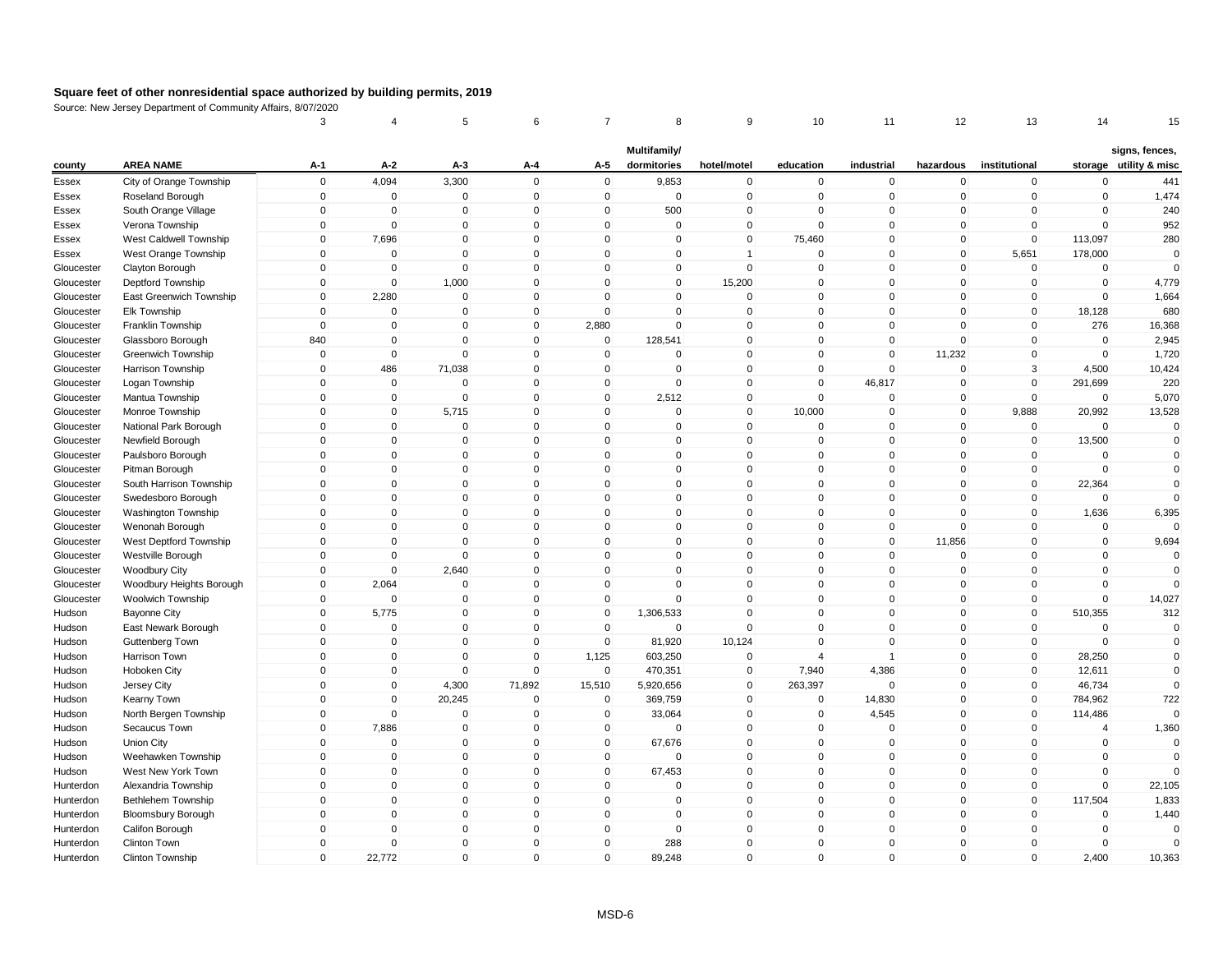|                          |                                             | 3                       | 4                          | 5                           | 6                           | 7                          | 8                           | 9                          | 10                           | 11                      | 12                         | 13                            | 14                        | 15                                       |
|--------------------------|---------------------------------------------|-------------------------|----------------------------|-----------------------------|-----------------------------|----------------------------|-----------------------------|----------------------------|------------------------------|-------------------------|----------------------------|-------------------------------|---------------------------|------------------------------------------|
| county                   | <b>AREA NAME</b>                            | A-1                     | $A-2$                      | A-3                         | A-4                         | A-5                        | Multifamily/<br>dormitories | hotel/motel                | education                    | industrial              | hazardous                  | institutional                 |                           | signs, fences,<br>storage utility & misc |
|                          |                                             | $\mathbf 0$             | 4,094                      | 3,300                       | $\mathbf 0$                 | $\mathbf 0$                | 9,853                       | $\pmb{0}$                  | $\mathbf 0$                  | $\mathbf 0$             | $\mathbf 0$                | $\mathbf 0$                   | $\mathbf 0$               | 441                                      |
| Essex                    | City of Orange Township<br>Roseland Borough | $\mathbf 0$             | $\mathbf 0$                | $\mathbf 0$                 | $\mathbf 0$                 | $\mathbf 0$                | $\mathbf 0$                 | $\mathsf 0$                | $\mathbf 0$                  | $\mathbf 0$             | $\mathbf 0$                | $\mathbf 0$                   | $\mathbf 0$               | 1,474                                    |
| Essex                    |                                             | $\Omega$                | $\pmb{0}$                  | $\pmb{0}$                   | $\mathbf 0$                 | 0                          | 500                         | $\pmb{0}$                  | $\Omega$                     | $\mathbf 0$             | $\Omega$                   | $\Omega$                      | $\Omega$                  | 240                                      |
| Essex<br>Essex           | South Orange Village<br>Verona Township     | $\mathbf 0$             | $\mathbf 0$                | $\mathbf 0$                 | $\mathbf 0$                 | $\mathbf{0}$               | $\mathbf 0$                 | $\mathsf 0$                | $\Omega$                     | $\Omega$                | $\mathbf 0$                | $\mathbf 0$                   | $\Omega$                  | 952                                      |
| Essex                    | West Caldwell Township                      | $\mathbf{0}$            | 7,696                      | $\mathbf 0$                 | $\mathbf 0$                 | $\mathbf 0$                | $\mathbf 0$                 | $\mathbf 0$                | 75,460                       | $\mathbf 0$             | $\mathbf 0$                | $\mathbf 0$                   | 113,097                   | 280                                      |
| Essex                    | West Orange Township                        | $\mathbf{0}$            | $\mathbf 0$                | $\Omega$                    | $\mathbf{0}$                | $\mathbf{0}$               | $\Omega$                    | $\mathbf{1}$               | $\Omega$                     | $\Omega$                | $\mathbf 0$                | 5,651                         | 178,000                   | $\Omega$                                 |
| Gloucester               | Clayton Borough                             | $\mathbf{0}$            | $\mathbf 0$                | $\mathbf 0$                 | $\Omega$                    | $\mathbf{0}$               | $\Omega$                    | $\mathbf 0$                | $\mathbf{0}$                 | $\mathbf 0$             | $\mathbf{0}$               | $\mathbf 0$                   | $\mathbf 0$               | $\Omega$                                 |
| Gloucester               | Deptford Township                           | $\mathbf 0$             | $\mathbf 0$                | 1,000                       | $\mathbf 0$                 | $\mathbf 0$                | 0                           | 15,200                     | $\mathbf 0$                  | $\mathbf 0$             | $\mathbf 0$                | $\mathbf 0$                   | $\mathbf 0$               | 4,779                                    |
| Gloucester               | East Greenwich Township                     | $\mathbf{0}$            | 2,280                      | $\mathbf 0$                 | $\mathbf{0}$                | $\mathbf{0}$               | $\mathbf{0}$                | $\mathsf 0$                | $\mathbf{0}$                 | $\Omega$                | $\mathbf{0}$               | $\mathbf 0$                   | $\mathbf 0$               | 1,664                                    |
|                          |                                             | $\mathbf 0$             | $\mathbf 0$                | $\mathbf 0$                 | $\mathbf 0$                 | $\mathbf 0$                | 0                           | $\mathbf 0$                | $\mathbf 0$                  | $\mathbf 0$             | $\mathbf 0$                | $\mathbf 0$                   | 18,128                    | 680                                      |
| Gloucester<br>Gloucester | Elk Township<br>Franklin Township           | $\Omega$                | $\mathbf 0$                | $\mathbf 0$                 | $\Omega$                    |                            | $\Omega$                    | $\mathbf 0$                | $\Omega$                     | $\Omega$                | $\Omega$                   | $\Omega$                      | 276                       |                                          |
|                          |                                             | 840                     | $\mathbf 0$                | $\mathbf{0}$                | $\mathbf 0$                 | 2,880<br>$\mathbf 0$       | 128,541                     | $\mathsf 0$                | $\mathbf{0}$                 | $\mathbf 0$             | $\mathbf 0$                | $\mathbf{0}$                  | $\mathbf 0$               | 16,368<br>2,945                          |
| Gloucester               | Glassboro Borough                           | $\mathbf 0$             | $\mathbf 0$                | $\mathbf 0$                 | $\mathbf 0$                 | $\mathbf 0$                | $\mathbf 0$                 | $\mathsf 0$                | $\mathbf{0}$                 | $\mathbf 0$             | 11,232                     | $\mathbf 0$                   | $\mathbf 0$               |                                          |
| Gloucester               | <b>Greenwich Township</b>                   | $\Omega$                | 486                        | 71,038                      | $\mathbf{0}$                | $\mathbf{0}$               | $\mathbf{0}$                | $\mathbf 0$                | $\Omega$                     | $\mathbf 0$             | $\mathbf{0}$               | 3                             | 4,500                     | 1,720<br>10,424                          |
| Gloucester               | Harrison Township                           | $\Omega$                |                            | $\Omega$                    |                             |                            | $\mathbf 0$                 |                            | $\mathbf{0}$                 |                         |                            | 0                             |                           |                                          |
| Gloucester               | Logan Township                              | $\mathbf 0$             | $\mathbf 0$<br>$\mathbf 0$ | $\mathbf 0$                 | $\mathbf 0$<br>$\mathbf 0$  | $\mathbf 0$<br>$\mathbf 0$ | 2,512                       | $\mathbf 0$<br>$\mathsf 0$ | $\mathbf{0}$                 | 46,817<br>$\mathbf 0$   | $\mathbf 0$                | $\mathbf 0$                   | 291,699<br>$\mathbf 0$    | 220                                      |
| Gloucester               | Mantua Township                             | $\mathbf 0$             | $\mathbf 0$                | 5,715                       | $\mathbf 0$                 |                            | $\mathbf 0$                 | $\mathsf 0$                |                              | $\mathbf 0$             | 0                          |                               |                           | 5,070                                    |
| Gloucester               | Monroe Township                             |                         | $\mathbf 0$                |                             | $\mathbf 0$                 | $\mathbf 0$                | 0                           | $\mathsf 0$                | 10,000<br>$\mathbf{0}$       | $\mathbf 0$             | $\mathbf 0$                | 9,888<br>$\mathbf 0$          | 20,992                    | 13,528                                   |
| Gloucester               | National Park Borough                       | $\mathbf 0$<br>$\Omega$ | $\pmb{0}$                  | $\mathbf 0$                 |                             | $\mathbf 0$                |                             |                            | $\Omega$                     | $\mathbf 0$             | $\mathbf 0$                |                               | $\mathbf 0$               | $\mathbf 0$<br>$\Omega$                  |
| Gloucester               | Newfield Borough                            | $\mathbf{0}$            | $\mathbf 0$                | 0<br>$\mathbf{0}$           | $\mathbf 0$<br>$\Omega$     | 0<br>$\mathbf{0}$          | 0<br>$\Omega$               | $\mathbf 0$<br>$\mathbf 0$ | $\mathbf{0}$                 | $\Omega$                | 0<br>$\mathbf{0}$          | $\pmb{0}$<br>$\mathbf 0$      | 13,500<br>$\Omega$        | $\mathbf 0$                              |
| Gloucester               | Paulsboro Borough                           | $\mathbf{0}$            |                            |                             | $\mathbf 0$                 |                            |                             | $\mathsf 0$                | $\mathbf{0}$                 |                         |                            |                               | $\mathbf 0$               |                                          |
| Gloucester               | Pitman Borough                              | $\mathbf{0}$            | $\mathbf 0$<br>$\pmb{0}$   | $\mathbf 0$<br>$\mathbf{0}$ | $\mathbf{0}$                | $\mathbf 0$<br>$\mathbf 0$ | $\mathbf 0$<br>$\Omega$     | $\mathbf 0$                | $\Omega$                     | $\mathbf 0$<br>$\Omega$ | $\mathbf 0$<br>$\mathbf 0$ | $\mathbf 0$<br>$\mathbf 0$    | 22,364                    | $\mathbf 0$<br>$\Omega$                  |
| Gloucester               | South Harrison Township                     | $\mathbf{0}$            | $\mathbf 0$                | $\mathbf{0}$                | $\mathbf{0}$                | $\mathbf{0}$               | $\Omega$                    | $\mathbf 0$                | $\Omega$                     | $\mathbf 0$             | $\mathbf{0}$               | $\Omega$                      |                           | $\Omega$                                 |
| Gloucester               | Swedesboro Borough                          | $\Omega$                | $\mathbf 0$                |                             |                             |                            |                             |                            |                              |                         |                            | 0                             | $\mathbf 0$               |                                          |
| Gloucester<br>Gloucester | Washington Township                         | $\mathbf{0}$            | $\mathbf 0$                | $\mathbf 0$<br>$\mathbf{0}$ | $\mathbf 0$<br>$\mathbf{0}$ | 0<br>$\mathbf{0}$          | 0<br>$\mathbf{0}$           | $\mathsf 0$<br>$\mathsf 0$ | $\mathbf{0}$<br>$\mathbf{0}$ | $\mathbf 0$<br>$\Omega$ | 0<br>$\mathbf{0}$          | $\mathbf{0}$                  | 1,636<br>$\mathbf 0$      | 6,395<br>$\Omega$                        |
|                          | Wenonah Borough                             | $\mathbf 0$             | $\pmb{0}$                  | $\mathbf 0$                 | $\mathbf 0$                 | $\mathbf 0$                | 0                           | $\pmb{0}$                  | $\mathbf{0}$                 | $\mathbf 0$             |                            | $\mathbf 0$                   | $\mathbf 0$               |                                          |
| Gloucester               | West Deptford Township                      | $\mathbf 0$             | $\mathbf 0$                | $\mathbf 0$                 | $\mathbf 0$                 | $\mathbf 0$                | 0                           | $\mathbf 0$                | $\mathbf{0}$                 | $\mathbf 0$             | 11,856<br>$\mathbf 0$      | $\mathbf 0$                   | $\mathbf 0$               | 9,694<br>$\mathbf 0$                     |
| Gloucester               | Westville Borough                           | $\mathbf{0}$            | $\mathbf 0$                | 2,640                       | $\mathbf 0$                 | $\mathbf 0$                | 0                           | $\mathsf 0$                | $\mathbf{0}$                 | $\mathbf 0$             | $\mathbf 0$                | $\mathbf{0}$                  | $\mathbf 0$               | $\Omega$                                 |
| Gloucester               | <b>Woodbury City</b>                        | $\mathbf 0$             |                            | $\mathbf 0$                 | $\mathbf 0$                 | $\mathbf 0$                | 0                           | $\mathsf 0$                | $\mathbf{0}$                 | $\mathbf 0$             | $\mathbf 0$                | $\mathbf 0$                   | $\mathbf 0$               | $\Omega$                                 |
| Gloucester               | Woodbury Heights Borough                    |                         | 2,064                      |                             |                             |                            | $\Omega$                    |                            | $\Omega$                     | $\Omega$                |                            |                               |                           |                                          |
| Gloucester<br>Hudson     | Woolwich Township<br><b>Bayonne City</b>    | $\mathbf 0$<br>$\Omega$ | $\mathbf 0$<br>5,775       | $\mathbf 0$<br>$\mathbf 0$  | $\mathbf 0$<br>$\mathbf 0$  | $\mathbf 0$<br>$\mathbf 0$ | 1,306,533                   | $\mathbf 0$<br>$\mathbf 0$ | $\mathbf{0}$                 | $\Omega$                | $\mathbf 0$<br>$\mathbf 0$ | $\overline{0}$<br>$\mathbf 0$ | $\mathbf 0$<br>510,355    | 14,027<br>312                            |
|                          |                                             | $\mathbf{0}$            | $\mathbf 0$                | $\mathbf 0$                 | $\Omega$                    | $\mathbf 0$                | $\mathbf 0$                 | $\mathsf 0$                | $\mathbf{0}$                 | $\mathbf 0$             | $\mathbf 0$                | $\mathbf{0}$                  | $\Omega$                  | $\mathbf 0$                              |
| Hudson                   | East Newark Borough                         | $\mathbf 0$             | $\mathbf 0$                | $\mathbf 0$                 | $\mathbf 0$                 | $\mathbf 0$                | 81,920                      | 10,124                     | $\Omega$                     | $\mathbf 0$             | $\mathbf 0$                | $\mathbf 0$                   | $\Omega$                  | $\Omega$                                 |
| Hudson<br>Hudson         | Guttenberg Town                             | $\mathbf 0$             | $\mathbf 0$                | $\mathbf 0$                 | $\mathbf 0$                 | 1,125                      | 603,250                     | $\mathbf 0$                | $\overline{4}$               | $\overline{1}$          | $\mathbf 0$                | $\mathbf 0$                   | 28,250                    | $\mathbf 0$                              |
|                          | Harrison Town                               | $\mathbf 0$             |                            |                             | $\mathbf 0$                 | $\mathbf 0$                |                             |                            |                              |                         |                            | $\pmb{0}$                     |                           | $\Omega$                                 |
| Hudson<br>Hudson         | Hoboken City<br>Jersey City                 | $\mathbf{0}$            | $\mathbf 0$<br>$\mathbf 0$ | $\mathbf 0$<br>4,300        | 71,892                      | 15,510                     | 470,351<br>5,920,656        | $\mathbf 0$<br>$\mathbf 0$ | 7,940<br>263,397             | 4,386<br>$\mathbf{0}$   | 0<br>$\mathbf{0}$          | $\mathbf{0}$                  | 12,611<br>46,734          | $\Omega$                                 |
|                          |                                             | $\mathbf{0}$            | $\mathbf 0$                | 20,245                      | $\mathbf 0$                 | $\mathbf 0$                | 369,759                     | $\mathsf 0$                | $\mathbf 0$                  | 14,830                  | $\mathbf 0$                | $\mathbf 0$                   | 784,962                   | 722                                      |
| Hudson                   | Kearny Town                                 | $\mathbf 0$             | $\mathbf 0$                | $\mathbf 0$                 | $\mathbf 0$                 |                            |                             |                            | $\mathbf 0$                  |                         | $\mathbf 0$                | $\mathbf 0$                   |                           |                                          |
| Hudson                   | North Bergen Township                       | $\mathbf{0}$            | 7,886                      | $\mathbf 0$                 | $\mathbf{0}$                | $\mathbf 0$<br>$\mathbf 0$ | 33,064<br>$\mathbf 0$       | $\mathbf 0$<br>$\mathbf 0$ | $\mathbf{0}$                 | 4,545<br>$\mathbf 0$    | $\mathbf{0}$               | $\mathbf{0}$                  | 114,486<br>$\overline{4}$ | 1,360                                    |
| Hudson                   | Secaucus Town                               | $\Omega$                | $\mathbf 0$                | $\mathbf 0$                 | $\mathbf 0$                 | $\mathbf 0$                | 67,676                      | $\mathsf 0$                | $\mathbf{0}$                 | $\mathbf 0$             | $\mathbf 0$                | 0                             | $\mathbf 0$               | $\Omega$                                 |
| Hudson                   | Union City                                  | $\mathbf{0}$            | $\mathbf{0}$               | $\mathbf{0}$                | $\mathbf{0}$                | $\mathbf{0}$               | $\Omega$                    | $\mathbf 0$                | $\Omega$                     | $\Omega$                |                            | $\Omega$                      | $\mathbf 0$               | $\mathbf 0$                              |
| Hudson                   | Weehawken Township                          | $\mathbf 0$             | $\pmb{0}$                  | $\mathbf 0$                 | $\mathbf 0$                 | $\mathbf 0$                |                             | $\mathsf 0$                | $\mathbf{0}$                 | $\mathbf 0$             | $\mathbf 0$<br>$\mathbf 0$ | $\mathbf 0$                   | $\mathbf 0$               | $\Omega$                                 |
| Hudson                   | West New York Town                          |                         |                            |                             |                             |                            | 67,453                      |                            |                              |                         |                            |                               |                           |                                          |
| Hunterdon                | Alexandria Township                         | $\mathbf 0$             | $\pmb{0}$                  | $\mathbf 0$                 | $\mathbf 0$                 | $\mathbf 0$                | $\mathbf 0$                 | $\mathbf 0$                | $\mathbf{0}$                 | $\mathbf 0$             | $\mathbf 0$                | $\mathbf 0$                   | $\mathbf 0$               | 22,105                                   |
| Hunterdon                | <b>Bethlehem Township</b>                   | $\Omega$                | $\mathbf 0$                | $\mathbf 0$                 | $\mathbf 0$                 | $\mathbf 0$                | 0                           | $\mathsf 0$                | $\mathbf{0}$                 | $\mathbf 0$             | $\mathbf 0$                | $\mathbf 0$                   | 117,504                   | 1,833                                    |
| Hunterdon                | <b>Bloomsbury Borough</b>                   | $\mathbf 0$             | $\mathbf 0$                | $\mathbf 0$                 | $\mathbf 0$                 | $\mathbf 0$                | 0                           | $\mathsf 0$                | $\mathbf{0}$                 | $\mathbf 0$             | $\mathbf 0$                | $\mathbf 0$                   | $\mathbf 0$               | 1,440                                    |
| Hunterdon                | Califon Borough                             | $\mathbf{0}$            | $\mathbf 0$                | $\mathbf 0$                 | $\mathbf 0$                 | $\mathbf 0$                | $\mathbf 0$                 | $\mathbf 0$                | $\mathbf{0}$                 | $\mathbf 0$             | $\mathbf 0$                | $\mathbf{0}$                  | $\mathbf 0$               | $\Omega$                                 |
| Hunterdon                | Clinton Town                                | $\mathbf{0}$            | $\Omega$                   | $\mathbf 0$                 | $\mathbf{0}$                | $\mathbf 0$                | 288                         | $\mathbf 0$                | $\Omega$                     | $\Omega$<br>$\Omega$    | $\mathbf{0}$               | $\Omega$                      | $\Omega$                  | $\Omega$                                 |
| Hunterdon                | Clinton Township                            | $\mathbf{0}$            | 22,772                     | $\mathsf 0$                 | $\mathbf 0$                 | $\mathbf{0}$               | 89,248                      | $\mathsf 0$                | $\mathbf{0}$                 |                         | $\mathbf 0$                | $\mathbf{0}$                  | 2,400                     | 10,363                                   |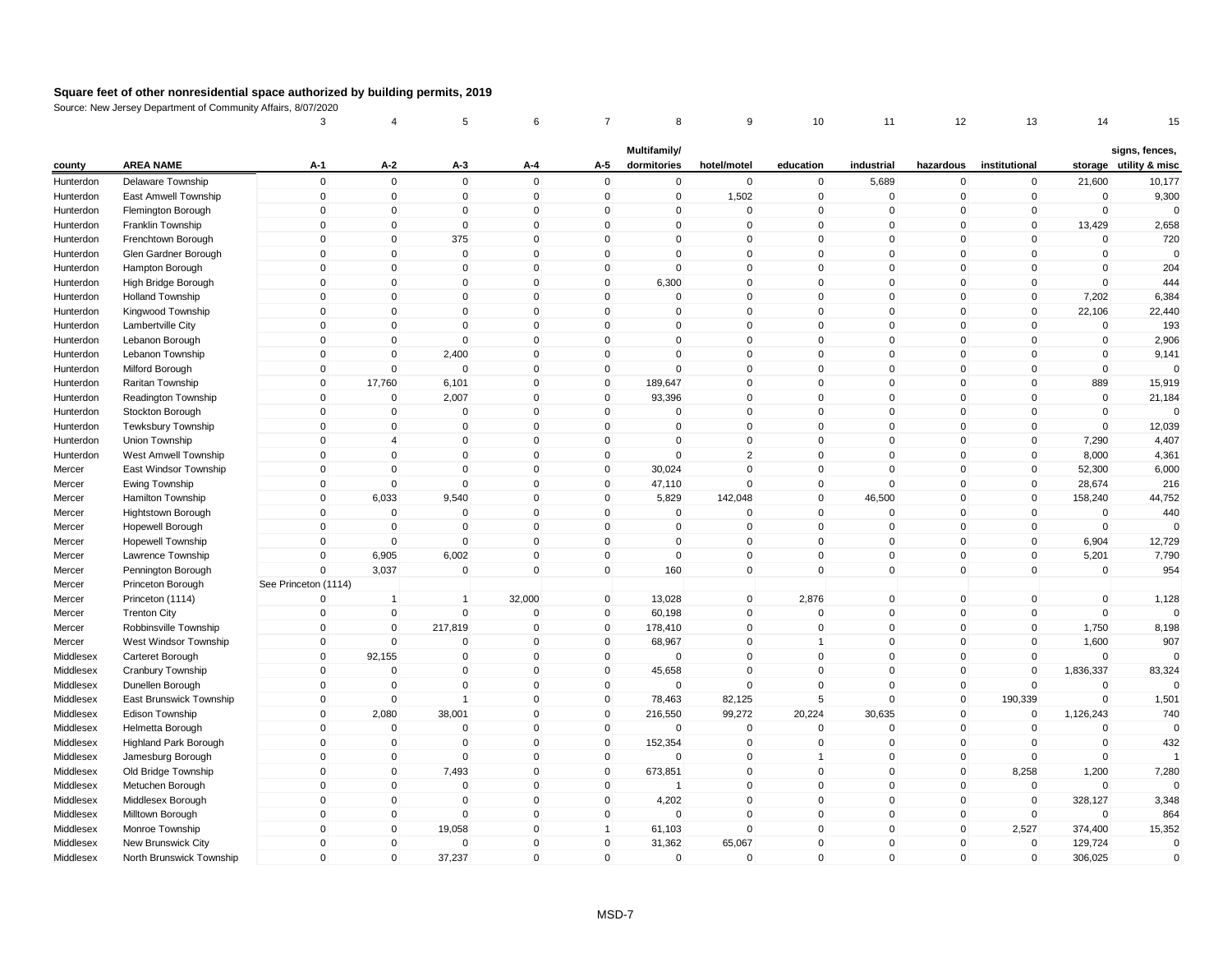|           |                              | 3                    | 4              | 5              | 6            | 7            | 8            | 9              | 10           | 11          | 12           | 13             | 14          | 15                     |
|-----------|------------------------------|----------------------|----------------|----------------|--------------|--------------|--------------|----------------|--------------|-------------|--------------|----------------|-------------|------------------------|
|           |                              |                      |                |                |              |              | Multifamily/ |                |              |             |              |                |             | signs, fences,         |
| county    | <b>AREA NAME</b>             | A-1                  | $A-2$          | A-3            | A-4          | A-5          | dormitories  | hotel/motel    | education    | industrial  | hazardous    | institutional  |             | storage utility & misc |
| Hunterdon | Delaware Township            | $\mathbf 0$          | $\mathbf 0$    | $\mathbf 0$    | $\mathbf 0$  | $\mathbf 0$  | $\mathbf 0$  | $\mathbf 0$    | $\mathbf 0$  | 5,689       | $\mathbf 0$  | $\pmb{0}$      | 21,600      | 10,177                 |
| Hunterdon | East Amwell Township         | $\mathbf 0$          | $\mathbf 0$    | $\mathbf 0$    | $\mathbf 0$  | $\mathbf 0$  | $\mathbf 0$  | 1,502          | $\mathbf 0$  | $\mathbf 0$ | $\mathbf 0$  | $\mathbf 0$    | $\mathbf 0$ | 9,300                  |
| Hunterdon | Flemington Borough           | $\Omega$             | $\pmb{0}$      | 0              | $\mathbf 0$  | $\mathbf 0$  | 0            | $\Omega$       | $\mathbf{0}$ | $\mathbf 0$ | $\mathbf 0$  | 0              | $\Omega$    | $\Omega$               |
| Hunterdon | Franklin Township            | $\mathbf{0}$         | $\pmb{0}$      | $\mathbf 0$    | $\mathbf 0$  | $\mathbf 0$  | $\Omega$     | $\mathbf 0$    | $\mathbf{0}$ | $\mathbf 0$ | $\mathbf{0}$ | $\mathbf 0$    | 13,429      | 2,658                  |
| Hunterdon | Frenchtown Borough           | $\mathbf 0$          | $\mathbf 0$    | 375            | $\mathbf 0$  | $\mathbf 0$  | 0            | $\mathbf 0$    | $\mathbf{0}$ | $\mathbf 0$ | $\mathbf 0$  | $\mathbf 0$    | 0           | 720                    |
| Hunterdon | Glen Gardner Borough         | $\mathbf{0}$         | $\mathbf 0$    | $\mathbf 0$    | $\mathbf 0$  | $\mathbf 0$  | $\Omega$     | $\mathsf 0$    | $\Omega$     | $\Omega$    | $\mathbf 0$  | $\Omega$       | $\mathbf 0$ | $\Omega$               |
| Hunterdon | Hampton Borough              | $\mathbf{0}$         | $\mathbf 0$    | $\mathbf 0$    | $\Omega$     | $\mathbf 0$  | $\mathbf 0$  | $\mathbf 0$    | $\Omega$     | $\mathbf 0$ | $\mathbf{0}$ | $\overline{0}$ | $\mathbf 0$ | 204                    |
| Hunterdon | High Bridge Borough          | $\mathbf 0$          | $\mathbf 0$    | $\mathbf 0$    | $\mathbf 0$  | $\mathbf 0$  | 6,300        | $\mathbf 0$    | $\mathbf 0$  | $\mathbf 0$ | $\mathbf 0$  | 0              | $\mathbf 0$ | 444                    |
| Hunterdon | <b>Holland Township</b>      | $\mathbf{0}$         | $\mathbf 0$    | $\mathbf{0}$   | $\mathbf 0$  | $\mathbf 0$  | $\mathsf 0$  | $\mathsf 0$    | $\mathbf{0}$ | $\mathbf 0$ | $\mathbf{0}$ | $\mathbf 0$    | 7,202       | 6,384                  |
| Hunterdon | Kingwood Township            | $\mathbf 0$          | $\pmb{0}$      | $\mathbf 0$    | $\mathbf 0$  | $\mathbf 0$  | 0            | $\mathbf 0$    | $\mathbf 0$  | $\mathbf 0$ | $\mathbf 0$  | $\mathbf 0$    | 22,106      | 22,440                 |
| Hunterdon | Lambertville City            | 0                    | $\mathbf 0$    | $\Omega$       | $\Omega$     | 0            | $\Omega$     | $\mathbf 0$    | $\Omega$     | $\Omega$    | 0            | $\Omega$       | 0           | 193                    |
| Hunterdon | Lebanon Borough              | $\mathbf{0}$         | $\pmb{0}$      | $\mathbf 0$    | $\mathbf 0$  | $\mathbf 0$  | 0            | $\mathsf 0$    | $\mathbf{0}$ | $\mathbf 0$ | $\mathbf 0$  | $\mathbf{0}$   | $\mathbf 0$ | 2,906                  |
| Hunterdon | Lebanon Township             | $\mathbf 0$          | $\mathbf 0$    | 2,400          | $\mathbf 0$  | $\mathbf 0$  | 0            | $\mathsf 0$    | $\mathbf{0}$ | $\mathbf 0$ | $\mathbf 0$  | $\mathbf 0$    | $\mathbf 0$ | 9,141                  |
| Hunterdon | Milford Borough              | $\mathbf{0}$         | $\mathbf 0$    | $\mathbf 0$    | $\mathbf{0}$ | $\mathbf 0$  | $\Omega$     | $\mathbf 0$    | $\Omega$     | $\mathbf 0$ | $\mathbf{0}$ | $\Omega$       | $\mathbf 0$ | $\Omega$               |
| Hunterdon | Raritan Township             | $\Omega$             | 17,760         | 6,101          | $\mathbf 0$  | $\mathbf 0$  | 189,647      | $\mathbf 0$    | $\mathbf{0}$ | $\Omega$    | $\mathbf 0$  | 0              | 889         | 15,919                 |
| Hunterdon | Readington Township          | $\mathbf 0$          | $\mathbf 0$    | 2,007          | $\mathbf 0$  | $\mathbf 0$  | 93,396       | $\mathsf 0$    | $\mathbf{0}$ | $\mathbf 0$ | $\mathbf 0$  | 0              | $\mathbf 0$ | 21,184                 |
| Hunterdon | Stockton Borough             | $\mathbf 0$          | $\pmb{0}$      | $\mathbf 0$    | $\mathbf 0$  | $\mathbf 0$  | $\mathbf 0$  | $\mathsf 0$    | $\mathbf{0}$ | $\mathbf 0$ | $\mathbf 0$  | 0              | $\Omega$    | $\Omega$               |
| Hunterdon | Tewksbury Township           | $\mathbf 0$          | $\mathbf 0$    | $\mathbf 0$    | $\mathbf 0$  | $\mathbf 0$  | 0            | $\mathsf 0$    | $\mathbf{0}$ | $\mathbf 0$ | $\mathbf 0$  | $\mathbf 0$    | $\mathbf 0$ | 12,039                 |
| Hunterdon | Union Township               | $\Omega$             | $\overline{4}$ | 0              | $\mathbf 0$  | 0            | 0            | $\mathbf 0$    | $\mathbf 0$  | $\mathbf 0$ | 0            | 0              | 7,290       | 4,407                  |
| Hunterdon | West Amwell Township         | $\mathbf{0}$         | $\mathbf 0$    | $\Omega$       | $\Omega$     | $\mathbf 0$  | $\Omega$     | $\overline{2}$ | $\mathbf{0}$ | $\Omega$    | $\mathbf{0}$ | $\mathbf 0$    | 8,000       | 4,361                  |
| Mercer    | East Windsor Township        | $\mathbf 0$          | $\mathbf 0$    | $\mathbf 0$    | $\mathbf 0$  | $\mathbf 0$  | 30,024       | $\mathsf 0$    | $\mathbf{0}$ | $\mathbf 0$ | $\mathbf 0$  | $\mathbf 0$    | 52,300      | 6,000                  |
| Mercer    | Ewing Township               | $\mathbf{0}$         | $\Omega$       | $\mathbf{0}$   | $\mathbf{0}$ | 0            | 47,110       | $\mathbf 0$    | $\mathbf{0}$ | $\Omega$    | $\mathbf 0$  | $\mathbf 0$    | 28,674      | 216                    |
| Mercer    | Hamilton Township            | $\Omega$             | 6,033          | 9,540          | $\mathbf 0$  | $\mathbf 0$  | 5,829        | 142,048        | $\mathbf{0}$ | 46,500      | $\mathbf{0}$ | $\overline{0}$ | 158,240     | 44,752                 |
| Mercer    | Hightstown Borough           | $\mathbf 0$          | $\mathbf 0$    | $\mathbf 0$    | $\mathbf 0$  | 0            | $\mathbf 0$  | $\mathbf 0$    | $\mathbf{0}$ | $\mathbf 0$ | 0            | 0              | $\mathbf 0$ | 440                    |
| Mercer    | Hopewell Borough             | $\mathbf{0}$         | $\mathbf 0$    | $\mathbf{0}$   | $\mathbf{0}$ | $\mathbf{0}$ | $\mathbf{0}$ | $\mathsf 0$    | $\mathbf{0}$ | $\mathbf 0$ | $\mathbf{0}$ | $\mathbf 0$    | $\Omega$    | $\Omega$               |
| Mercer    | <b>Hopewell Township</b>     | $\mathbf 0$          | $\mathbf 0$    | $\mathbf 0$    | $\mathbf 0$  | $\mathbf 0$  | 0            | $\mathbf 0$    | $\mathbf 0$  | $\mathbf 0$ | $\mathbf 0$  | $\mathbf 0$    | 6,904       | 12,729                 |
| Mercer    | Lawrence Township            | $\mathbf 0$          | 6,905          | 6,002          | $\mathbf 0$  | $\mathbf 0$  | $\mathbf 0$  | $\mathbf 0$    | $\mathbf 0$  | $\mathbf 0$ | $\mathbf 0$  | $\pmb{0}$      | 5,201       | 7,790                  |
| Mercer    | Pennington Borough           | $\mathbf{0}$         | 3,037          | $\mathbf 0$    | $\Omega$     | $\mathbf 0$  | 160          | $\mathsf 0$    | $\Omega$     | $\mathbf 0$ | $\mathbf{0}$ | $\mathbf{0}$   | $\mathbf 0$ | 954                    |
| Mercer    | Princeton Borough            | See Princeton (1114) |                |                |              |              |              |                |              |             |              |                |             |                        |
| Mercer    | Princeton (1114)             | 0                    | $\mathbf 1$    | $\overline{1}$ | 32,000       | $\mathbf 0$  | 13,028       | $\mathbf 0$    | 2,876        | $\mathbf 0$ | $\mathbf 0$  | $\mathbf 0$    | $\mathbf 0$ | 1,128                  |
| Mercer    | <b>Trenton City</b>          | $\mathbf 0$          | $\mathbf 0$    | $\mathbf 0$    | $\mathbf 0$  | $\mathbf 0$  | 60,198       | $\mathbf 0$    | $\Omega$     | $\mathbf 0$ | $\mathbf 0$  | $\mathbf 0$    | $\mathbf 0$ |                        |
| Mercer    | Robbinsville Township        | $\mathbf{0}$         | $\mathbf 0$    | 217,819        | $\mathbf 0$  | $\mathbf 0$  | 178,410      | $\mathsf 0$    | $\mathbf 0$  | $\mathbf 0$ | 0            | $\mathbf 0$    | 1,750       | 8,198                  |
| Mercer    | West Windsor Township        | $\mathbf 0$          | $\mathbf 0$    | $\mathbf 0$    | $\mathbf 0$  | $\mathbf 0$  | 68,967       | $\mathsf 0$    |              | $\mathbf 0$ | $\mathbf 0$  | $\mathbf 0$    | 1,600       | 907                    |
| Middlesex | Carteret Borough             | $\mathbf 0$          | 92,155         | $\mathbf 0$    | $\mathbf 0$  | $\mathbf 0$  | $\mathbf 0$  | $\mathsf 0$    | $\mathbf{0}$ | $\mathbf 0$ | $\mathbf 0$  | $\mathbf 0$    | $\mathbf 0$ |                        |
| Middlesex | Cranbury Township            | 0                    | $\mathbf 0$    | 0              | $\mathbf 0$  | $\mathbf 0$  | 45,658       | $\mathbf 0$    | $\mathbf 0$  | $\mathbf 0$ | $\mathbf 0$  | $\mathbf 0$    | 1,836,337   | 83,324                 |
| Middlesex | Dunellen Borough             | $\mathbf{0}$         | $\mathbf 0$    | $\Omega$       | $\Omega$     | $\mathbf 0$  | $\Omega$     | $\mathbf 0$    | $\mathbf{0}$ | $\Omega$    | $\mathbf{0}$ | $\mathbf{0}$   | $\mathbf 0$ | $\Omega$               |
| Middlesex | East Brunswick Township      | $\mathbf 0$          | $\mathbf 0$    | $\overline{1}$ | $\mathbf 0$  | $\mathbf 0$  | 78,463       | 82,125         | 5            | $\mathbf 0$ | $\mathbf 0$  | 190,339        | $\mathbf 0$ | 1,501                  |
| Middlesex | Edison Township              | $\mathbf 0$          | 2,080          | 38,001         | $\mathbf 0$  | $\mathbf 0$  | 216,550      | 99,272         | 20,224       | 30,635      | $\mathbf 0$  | 0              | 1,126,243   | 740                    |
| Middlesex | Helmetta Borough             | $\Omega$             | $\mathbf 0$    | $\mathbf 0$    | $\mathbf 0$  | $\mathbf 0$  | $\mathbf 0$  | $\mathbf 0$    | $\mathbf{0}$ | $\mathbf 0$ | $\mathbf 0$  | $\mathbf{0}$   | $\mathbf 0$ | $\Omega$               |
| Middlesex | <b>Highland Park Borough</b> | $\mathbf 0$          | $\mathbf 0$    | $\mathbf 0$    | $\mathbf 0$  | $\mathbf 0$  | 152,354      | $\mathbf 0$    | $\Omega$     | $\mathbf 0$ | $\mathbf 0$  | $\mathbf 0$    | $\mathbf 0$ | 432                    |
| Middlesex | Jamesburg Borough            | $\mathbf{0}$         | $\mathbf 0$    | $\Omega$       | $\mathbf{0}$ | $\mathbf{0}$ | $\Omega$     | $\mathbf 0$    |              | $\Omega$    | $\mathbf 0$  | $\mathbf{0}$   | $\mathbf 0$ |                        |
| Middlesex | Old Bridge Township          | $\mathbf 0$          | $\pmb{0}$      | 7,493          | $\mathbf 0$  | $\mathbf 0$  | 673,851      | $\mathbf 0$    | $\mathbf 0$  | $\mathbf 0$ | $\mathbf 0$  | 8,258          | 1,200       | 7,280                  |
| Middlesex | Metuchen Borough             | $\mathbf 0$          | $\pmb{0}$      | $\mathbf 0$    | $\mathbf 0$  | $\mathbf 0$  | -1           | $\mathbf 0$    | $\mathbf 0$  | $\mathbf 0$ | $\mathbf 0$  | $\pmb{0}$      | $\mathbf 0$ | $\Omega$               |
| Middlesex | Middlesex Borough            | $\Omega$             | $\pmb{0}$      | $\mathbf 0$    | $\mathbf 0$  | $\mathbf 0$  | 4,202        | $\mathsf 0$    | $\Omega$     | $\mathbf 0$ | $\mathbf 0$  | $\mathbf 0$    | 328,127     | 3,348                  |
| Middlesex | Milltown Borough             | $\mathbf 0$          | $\mathbf 0$    | $\mathbf 0$    | $\mathbf 0$  | $\mathbf 0$  | $\mathbf 0$  | $\mathsf 0$    | $\mathbf{0}$ | $\mathbf 0$ | $\mathbf 0$  | $\mathbf 0$    | $\mathbf 0$ | 864                    |
| Middlesex | Monroe Township              | $\mathbf 0$          | $\mathbf 0$    | 19,058         | $\mathbf 0$  | $\mathbf{1}$ | 61,103       | $\mathbf 0$    | $\mathbf{0}$ | $\mathbf 0$ | $\mathbf 0$  | 2,527          | 374,400     | 15,352                 |
| Middlesex | New Brunswick City           | $\Omega$             | $\mathbf 0$    | $\Omega$       | $\mathbf 0$  | $\mathbf 0$  | 31,362       | 65,067         | $\Omega$     | $\Omega$    | $\mathbf 0$  | $\mathbf 0$    | 129,724     | $\Omega$               |
| Middlesex | North Brunswick Township     | $\Omega$             | $\mathsf 0$    | 37,237         | $\Omega$     | $\mathbf{0}$ | $\mathbf 0$  | $\mathbf 0$    | $\mathbf{0}$ | $\Omega$    | $\mathbf{0}$ | $\mathbf{0}$   | 306,025     | $\Omega$               |
|           |                              |                      |                |                |              |              |              |                |              |             |              |                |             |                        |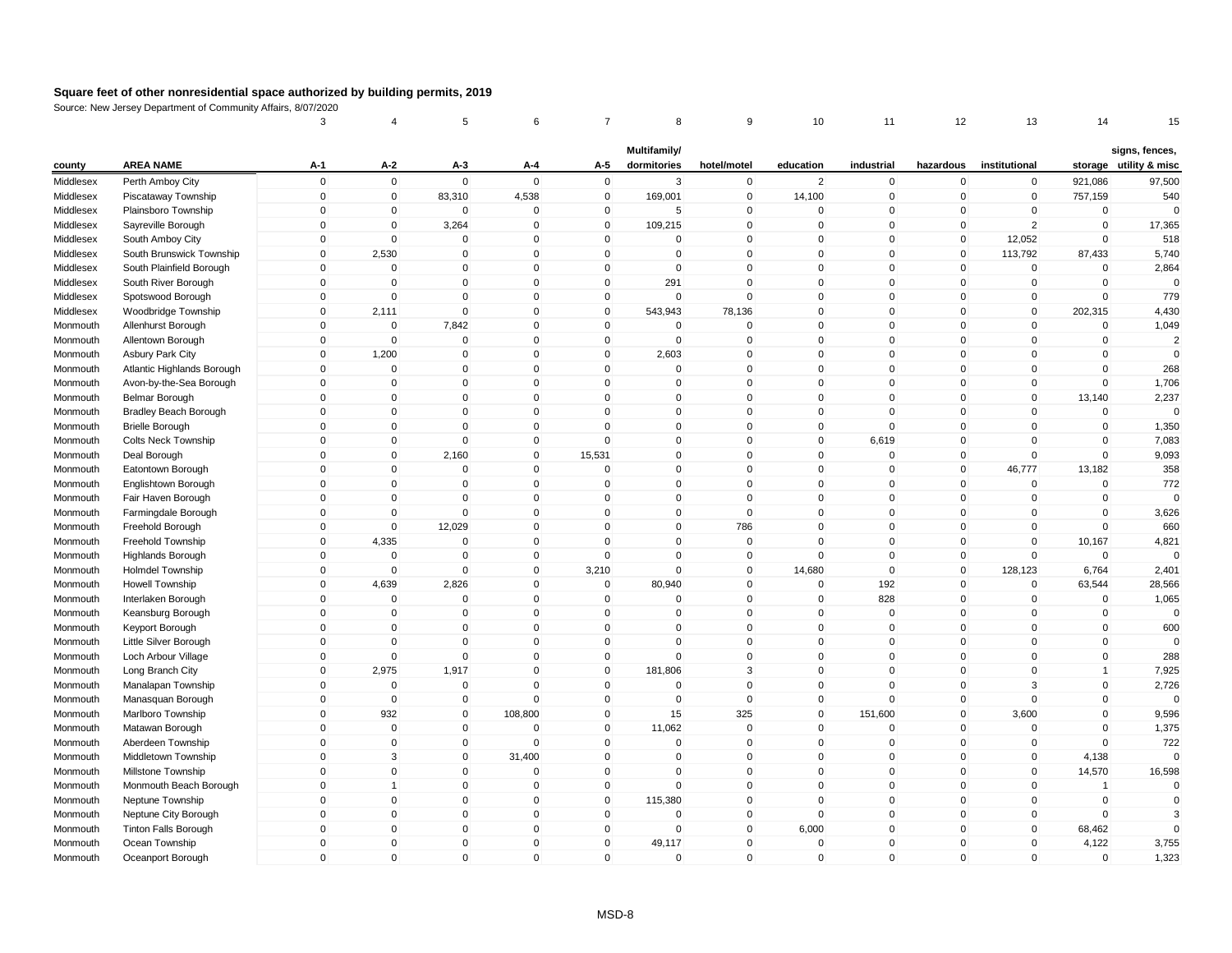| Multifamily/<br>signs, fences,<br><b>AREA NAME</b><br>A-2<br>A-5<br>storage utility & misc<br>county<br>$A-1$<br>$A-3$<br>A-4<br>dormitories<br>hotel/motel<br>education<br>industrial<br>hazardous<br>institutional<br>$\mathbf 0$<br>$\mathbf 0$<br>$\mathsf 0$<br>$\mathbf 0$<br>$\mathbf 0$<br>$\overline{2}$<br>$\pmb{0}$<br>97,500<br>Middlesex<br>Perth Amboy City<br>3<br>$\mathbf 0$<br>$\mathbf 0$<br>$\mathbf 0$<br>921,086<br>$\mathbf 0$<br>$\mathbf 0$<br>83,310<br>4,538<br>$\overline{0}$<br>169,001<br>$\mathbf 0$<br>14,100<br>$\mathbf 0$<br>$\overline{0}$<br>$\overline{0}$<br>540<br>Middlesex<br>Piscataway Township<br>757,159<br>$\mathbf 0$<br>$\pmb{0}$<br>$\Omega$<br>$\pmb{0}$<br>$\mathbf 0$<br>Middlesex<br>Plainsboro Township<br>$\Omega$<br>0<br>$\mathbf 0$<br>5<br>$\Omega$<br>0<br>0<br>$\Omega$<br>$\mathbf 0$<br>$\mathbf 0$<br>$\Omega$<br>$\overline{2}$<br>$\mathbf 0$<br>Middlesex<br>$\mathbf 0$<br>3,264<br>$\mathbf 0$<br>109,215<br>$\Omega$<br>$\mathbf 0$<br>$\mathbf 0$<br>17,365<br>Sayreville Borough<br>$\mathbf 0$<br>$\mathbf 0$<br>$\mathbf 0$<br>$\mathbf 0$<br>$\mathbf 0$<br>$\mathbf{0}$<br>$\mathbf 0$<br>$\mathbf 0$<br>$\mathbf 0$<br>12,052<br>$\mathbf 0$<br>518<br>Middlesex<br>South Amboy City<br>0<br>$\Omega$<br>2,530<br>$\mathbf 0$<br>$\mathsf 0$<br>$\mathbf{0}$<br>$\mathbf 0$<br>113,792<br>87,433<br>5,740<br>Middlesex<br>South Brunswick Township<br>$\Omega$<br>$\Omega$<br>$\mathbf{0}$<br>$\Omega$<br>$\Omega$<br>$\mathbf 0$<br>$\mathbf{0}$<br>$\mathbf 0$<br>$\mathbf{0}$<br>$\Omega$<br>$\mathbf 0$<br>$\mathbf 0$<br>$\Omega$<br>South Plainfield Borough<br>$\Omega$<br>$\mathbf 0$<br>$\mathbf 0$<br>2,864<br>Middlesex<br>$\mathbf 0$<br>$\mathbf 0$<br>$\mathbf 0$<br>$\mathbf 0$<br>291<br>$\mathbf 0$<br>$\mathbf 0$<br>$\mathbf 0$<br>$\mathbf 0$<br>$\mathbf 0$<br>$\mathbf 0$<br>$\mathbf 0$<br>Middlesex<br>South River Borough<br>$\mathbf 0$<br>$\mathsf 0$<br>$\Omega$<br>$\Omega$<br>$\mathbf 0$<br>$\mathbf 0$<br>$\mathsf 0$<br>$\Omega$<br>$\Omega$<br>$\mathbf 0$<br>$\mathbf 0$<br>$\mathbf 0$<br>$\Omega$<br>779<br>Middlesex<br>Spotswood Borough<br>$\mathbf 0$<br>Middlesex<br>Woodbridge Township<br>$\mathbf 0$<br>2,111<br>$\mathbf 0$<br>$\mathbf 0$<br>543,943<br>78,136<br>$\mathbf 0$<br>$\mathbf 0$<br>$\overline{0}$<br>$\mathbf 0$<br>202,315<br>4,430<br>$\mathbf 0$<br>7,842<br>$\mathbf 0$<br>$\mathbf 0$<br>$\Omega$<br>1,049<br>Allenhurst Borough<br>$\Omega$<br>0<br>0<br>$\Omega$<br>$\Omega$<br>0<br>0<br>Monmouth<br>$\mathbf{0}$<br>$\Omega$<br>$\mathbf 0$<br>$\mathbf 0$<br>$\overline{2}$<br>$\mathbf 0$<br>$\mathbf 0$<br>$\mathbf 0$<br>$\mathbf 0$<br>$\mathbf 0$<br>$\Omega$<br>$\mathbf 0$<br>$\mathbf 0$<br>Monmouth<br>Allentown Borough<br>1,200<br>$\mathbf 0$<br>$\pmb{0}$<br>2,603<br>$\mathbf 0$<br>$\mathbf 0$<br>$\mathbf 0$<br>$\mathbf 0$<br>$\Omega$<br>$\mathbf 0$<br>$\mathbf 0$<br>$\mathbf 0$<br>$\mathbf{0}$<br>Monmouth<br><b>Asbury Park City</b><br>$\Omega$<br>$\mathbf{0}$<br>$\mathbf{0}$<br>$\mathsf 0$<br>$\mathbf 0$<br>$\mathbf{0}$<br>$\mathbf{0}$<br>$\Omega$<br>268<br>Monmouth<br>Atlantic Highlands Borough<br>$\mathbf{0}$<br>$\mathbf 0$<br>$\Omega$<br>$\Omega$<br>Avon-by-the-Sea Borough<br>$\Omega$<br>$\mathbf 0$<br>$\Omega$<br>$\mathbf 0$<br>$\mathbf 0$<br>$\Omega$<br>$\mathbf{0}$<br>$\Omega$<br>$\mathbf 0$<br>$\mathbf 0$<br>$\mathbf 0$<br>$\mathbf 0$<br>1,706<br>Monmouth<br>$\mathbf 0$<br>$\mathbf 0$<br>$\mathbf 0$<br>$\mathbf{0}$<br>$\mathbf 0$<br>$\mathbf 0$<br>2,237<br>$\mathbf 0$<br>$\mathbf 0$<br>$\mathbf 0$<br>$\Omega$<br>$\mathbf 0$<br>13,140<br><b>Belmar Borough</b><br>Monmouth<br>$\mathbf 0$<br>$\mathbf 0$<br>$\mathbf 0$<br>$\mathsf 0$<br>$\mathbf 0$<br>$\mathbf{0}$<br>$\mathbf 0$<br>$\mathbf 0$<br>$\Omega$<br><b>Bradley Beach Borough</b><br>$\mathbf 0$<br>$\mathbf 0$<br>$\mathbf 0$<br>$\mathbf 0$<br>Monmouth<br>$\mathbf 0$<br>$\mathsf 0$<br>$\mathbf 0$<br>$\mathbf 0$<br>$\mathbf 0$<br>$\mathbf 0$<br>$\mathbf 0$<br>$\Omega$<br>$\mathbf 0$<br>$\mathbf 0$<br>$\mathbf 0$<br>$\mathbf 0$<br>1,350<br>Monmouth<br><b>Brielle Borough</b><br>$\pmb{0}$<br>$\mathbf 0$<br>$\Omega$<br>6,619<br>$\mathbf 0$<br>7,083<br><b>Colts Neck Township</b><br>$\Omega$<br>$\Omega$<br>0<br>0<br>0<br>$\mathbf 0$<br>0<br>Monmouth<br>$\mathbf 0$<br>$\mathbf 0$<br>2,160<br>$\mathbf 0$<br>15,531<br>$\mathbf{0}$<br>$\mathbf{0}$<br>$\mathbf 0$<br>$\Omega$<br>9,093<br>Deal Borough<br>$\Omega$<br>$\mathbf 0$<br>$\mathbf 0$<br>Monmouth<br>$\mathbf 0$<br>13,182<br>358<br>$\mathbf 0$<br>$\mathbf 0$<br>$\mathbf 0$<br>$\mathbf 0$<br>$\overline{0}$<br>$\mathbf 0$<br>$\mathbf 0$<br>$\mathbf 0$<br>$\mathbf 0$<br>46,777<br>Monmouth<br>Eatontown Borough<br>$\mathbf{0}$<br>$\mathsf{O}\xspace$<br>772<br>Englishtown Borough<br>$\Omega$<br>$\Omega$<br>$\overline{0}$<br>$\Omega$<br>$\mathbf{0}$<br>$\Omega$<br>$\mathbf 0$<br>$\mathbf 0$<br>0<br>$\Omega$<br>Monmouth<br>$\mathbf{0}$<br>$\mathbf 0$<br>$\mathbf{0}$<br>$\mathsf 0$<br>$\Omega$<br>$\Omega$<br>$\mathbf 0$<br>$\mathbf 0$<br>$\mathbf 0$<br>$\Omega$<br>$\mathbf 0$<br>$\mathbf 0$<br>$\Omega$<br>Monmouth<br>Fair Haven Borough<br>$\mathbf 0$<br>$\mathbf 0$<br>0<br>$\mathbf 0$<br>$\mathbf 0$<br>$\mathbf 0$<br>$\mathbf 0$<br>$\Omega$<br>$\mathbf 0$<br>$\mathbf 0$<br>$\mathbf 0$<br>3,626<br>Monmouth<br>Farmingdale Borough<br>$\Omega$<br>$\mathbf 0$<br>$\mathbf{0}$<br>12,029<br>$\mathbf{0}$<br>$\mathbf 0$<br>$\mathbf{0}$<br>786<br>$\Omega$<br>$\mathbf{0}$<br>$\mathbf 0$<br>$\mathbf{0}$<br>$\Omega$<br>660<br>Monmouth<br>Freehold Borough<br>$\mathbf 0$<br>4,335<br>$\mathbf 0$<br>$\mathbf 0$<br>$\overline{0}$<br>$\mathbf 0$<br>$\mathbf 0$<br>$\Omega$<br>$\mathbf 0$<br>$\overline{0}$<br>$\mathbf 0$<br>10,167<br>4,821<br>Monmouth<br>Freehold Township<br>$\mathbf 0$<br>$\mathbf 0$<br>$\mathbf 0$<br>$\overline{0}$<br>$\mathbf 0$<br>$\mathbf 0$<br>$\mathbf 0$<br>$\mathbf 0$<br>$\mathbf 0$<br>$\mathbf 0$<br>$\Omega$<br><b>Highlands Borough</b><br>$\mathbf 0$<br>$\Omega$<br>Monmouth<br>$\mathbf 0$<br>$\mathbf 0$<br>6,764<br>2,401<br>$\mathbf 0$<br>$\mathbf 0$<br>$\mathbf 0$<br>3,210<br>$\mathbf 0$<br>$\mathbf 0$<br>14,680<br>$\mathbf 0$<br>128,123<br>Monmouth<br><b>Holmdel Township</b><br>$\mathsf 0$<br>4,639<br>2,826<br>80,940<br>$\mathbf 0$<br>192<br>$\mathbf 0$<br>$\mathbf 0$<br>$\mathbf 0$<br>$\mathbf 0$<br>$\mathbf 0$<br>63,544<br>28,566<br>Monmouth<br><b>Howell Township</b><br>$\Omega$<br>$\mathbf 0$<br>$\Omega$<br>$\mathbf 0$<br>$\mathbf 0$<br>$\mathbf 0$<br>$\mathbf 0$<br>$\Omega$<br>828<br>$\mathbf 0$<br>$\mathbf 0$<br>1,065<br>Interlaken Borough<br>$\Omega$<br>Monmouth<br>$\Omega$<br>$\mathbf 0$<br>$\Omega$<br>$\mathbf 0$<br>$\mathbf 0$<br>$\Omega$<br>$\mathbf{0}$<br>$\Omega$<br>$\mathbf 0$<br>$\mathbf 0$<br>$\mathbf 0$<br>$\mathbf 0$<br>Monmouth<br>Keansburg Borough<br>$\Omega$<br>$\Omega$<br>$\mathbf 0$<br>$\mathbf 0$<br>$\mathbf 0$<br>$\mathbf{0}$<br>$\mathbf 0$<br>$\mathbf 0$<br>$\mathbf 0$<br>$\Omega$<br>$\Omega$<br>$\Omega$<br>$\mathbf 0$<br>600<br>Monmouth<br>Keyport Borough<br>$\mathbf 0$<br>$\Omega$<br>$\mathbf 0$<br>$\mathsf 0$<br>$\mathbf 0$<br>$\mathbf{0}$<br>$\mathbf 0$<br>$\mathbf 0$<br>$\Omega$<br>$\mathbf 0$<br>$\Omega$<br>Little Silver Borough<br>$\mathbf 0$<br>$\Omega$<br>Monmouth<br>$\Omega$<br>$\mathbf 0$<br>$\mathbf 0$<br>$\Omega$<br>$\mathbf 0$<br>$\mathbf 0$<br>$\mathbf 0$<br>288<br>Loch Arbour Village<br>$\mathbf 0$<br>$\mathbf 0$<br>$\mathbf 0$<br>$\Omega$<br>$\mathbf 0$<br>Monmouth<br>$\mathbf 0$<br>$\mathbf 0$<br>2,975<br>1,917<br>$\mathbf 0$<br>181,806<br>3<br>$\mathbf 0$<br>$\overline{0}$<br>$\pmb{0}$<br>7,925<br>Monmouth<br>Long Branch City<br>0<br>$\mathbf{1}$<br>$\Omega$<br>$\mathbf{0}$<br>$\mathbf 0$<br>$\Omega$<br>$\mathbf{0}$<br>$\mathbf 0$<br>3<br>$\mathbf{0}$<br>2,726<br>$\mathbf 0$<br>$\mathbf 0$<br>$\mathbf 0$<br>$\Omega$<br>Monmouth<br>Manalapan Township<br>$\mathbf 0$<br>$\mathbf 0$<br>$\mathbf 0$<br>$\Omega$<br>$\mathbf 0$<br>$\mathbf 0$<br>$\mathbf 0$<br>$\mathbf 0$<br>$\mathbf 0$<br>$\mathbf 0$<br>$\mathbf 0$<br>$\mathbf 0$<br>$\mathbf{0}$<br>Manasquan Borough<br>Monmouth<br>932<br>325<br>$\mathsf 0$<br>$\mathbf 0$<br>108,800<br>$\mathbf 0$<br>15<br>$\mathbf 0$<br>151,600<br>$\overline{0}$<br>3,600<br>$\mathbf 0$<br>9,596<br>Marlboro Township<br>Monmouth<br>$\Omega$<br>$\mathbf 0$<br>$\mathbf 0$<br>$\mathbf 0$<br>1,375<br>$\mathbf 0$<br>$\mathbf 0$<br>11,062<br>$\mathbf{0}$<br>$\Omega$<br>$\mathbf 0$<br>$\mathbf 0$<br>$\mathbf 0$<br>Monmouth<br>Matawan Borough<br>$\mathbf 0$<br>$\mathbf 0$<br>$\mathbf 0$<br>722<br>0<br>$\mathbf 0$<br>$\mathbf 0$<br>$\mathbf 0$<br>$\mathbf 0$<br>$\mathbf 0$<br>$\Omega$<br>$\mathbf 0$<br>$\mathbf 0$<br>Monmouth<br>Aberdeen Township<br>$\sqrt{3}$<br>$\mathbf{0}$<br>$\Omega$<br>$\mathbf{0}$<br>31,400<br>$\Omega$<br>$\mathbf{0}$<br>$\Omega$<br>$\mathbf{0}$<br>$\mathbf{0}$<br>$\mathbf{0}$<br>4,138<br>$\Omega$<br>Middletown Township<br>Monmouth<br>$\mathbf 0$<br>14,570<br>$\mathbf 0$<br>$\mathbf 0$<br>$\mathbf 0$<br>$\mathbf 0$<br>$\mathbf 0$<br>$\mathbf 0$<br>$\mathbf 0$<br>$\mathbf 0$<br>$\mathbf 0$<br>$\mathbf 0$<br>16,598<br>Monmouth<br>Millstone Township<br>$\mathbf 0$<br>$\mathbf{1}$<br>$\mathbf 0$<br>$\mathbf 0$<br>$\mathbf 0$<br>$\mathbf 0$<br>$\Omega$<br>$\mathbf 0$<br>$\mathbf 0$<br>$\mathbf 0$<br>$\mathbf 0$<br>Monmouth<br>Monmouth Beach Borough<br>$\mathbf{1}$<br>$\mathbf{0}$<br>$\mathbf 0$<br>$\pmb{0}$<br>$\Omega$<br>$\mathsf 0$<br>$\mathbf 0$<br>$\Omega$<br>$\Omega$<br>$\Omega$<br>$\mathbf 0$<br>115,380<br>$\Omega$<br>$\mathbf 0$<br>$\mathbf 0$<br>Monmouth<br>Neptune Township<br>$\mathbf 0$<br>$\mathbf 0$<br>$\mathbf 0$<br>$\mathbf 0$<br>$\mathbf 0$<br>$\mathbf 0$<br>$\mathbf 0$<br>$\mathbf 0$<br>$\mathbf 0$<br>$\Omega$<br>$\mathbf 0$<br>$\mathbf 0$<br>3<br>Monmouth<br>Neptune City Borough<br>6,000<br>$\mathbf 0$<br>$\mathbf 0$<br>$\mathbf 0$<br>$\mathbf 0$<br>$\overline{0}$<br>$\mathbf 0$<br>$\mathbf 0$<br>$\mathbf 0$<br>$\mathbf 0$<br>$\mathbf 0$<br>68,462<br>$\mathbf{0}$<br>Monmouth<br><b>Tinton Falls Borough</b><br>$\mathbf 0$<br>4,122<br>$\Omega$<br>$\mathbf 0$<br>$\Omega$<br>$\mathbf 0$<br>$\mathbf 0$<br>49,117<br>$\mathbf{0}$<br>$\Omega$<br>$\mathbf 0$<br>$\mathbf 0$<br>3,755<br>Monmouth<br>Ocean Township<br>$\mathbf 0$<br>$\mathbf{0}$<br>$\mathbf{0}$<br>$\mathbf 0$<br>0<br>$\mathbf 0$<br>$\mathbf 0$<br>$\mathbf 0$<br>$\Omega$<br>$\mathbf 0$<br>$\mathbf{0}$<br>$\mathbf 0$<br>1,323<br>Monmouth<br>Oceanport Borough |  | 3 | 4 | 5 | 6 | 8 | 9 | 10 | 11 | 12 | 13 | 14 | 15 |
|--------------------------------------------------------------------------------------------------------------------------------------------------------------------------------------------------------------------------------------------------------------------------------------------------------------------------------------------------------------------------------------------------------------------------------------------------------------------------------------------------------------------------------------------------------------------------------------------------------------------------------------------------------------------------------------------------------------------------------------------------------------------------------------------------------------------------------------------------------------------------------------------------------------------------------------------------------------------------------------------------------------------------------------------------------------------------------------------------------------------------------------------------------------------------------------------------------------------------------------------------------------------------------------------------------------------------------------------------------------------------------------------------------------------------------------------------------------------------------------------------------------------------------------------------------------------------------------------------------------------------------------------------------------------------------------------------------------------------------------------------------------------------------------------------------------------------------------------------------------------------------------------------------------------------------------------------------------------------------------------------------------------------------------------------------------------------------------------------------------------------------------------------------------------------------------------------------------------------------------------------------------------------------------------------------------------------------------------------------------------------------------------------------------------------------------------------------------------------------------------------------------------------------------------------------------------------------------------------------------------------------------------------------------------------------------------------------------------------------------------------------------------------------------------------------------------------------------------------------------------------------------------------------------------------------------------------------------------------------------------------------------------------------------------------------------------------------------------------------------------------------------------------------------------------------------------------------------------------------------------------------------------------------------------------------------------------------------------------------------------------------------------------------------------------------------------------------------------------------------------------------------------------------------------------------------------------------------------------------------------------------------------------------------------------------------------------------------------------------------------------------------------------------------------------------------------------------------------------------------------------------------------------------------------------------------------------------------------------------------------------------------------------------------------------------------------------------------------------------------------------------------------------------------------------------------------------------------------------------------------------------------------------------------------------------------------------------------------------------------------------------------------------------------------------------------------------------------------------------------------------------------------------------------------------------------------------------------------------------------------------------------------------------------------------------------------------------------------------------------------------------------------------------------------------------------------------------------------------------------------------------------------------------------------------------------------------------------------------------------------------------------------------------------------------------------------------------------------------------------------------------------------------------------------------------------------------------------------------------------------------------------------------------------------------------------------------------------------------------------------------------------------------------------------------------------------------------------------------------------------------------------------------------------------------------------------------------------------------------------------------------------------------------------------------------------------------------------------------------------------------------------------------------------------------------------------------------------------------------------------------------------------------------------------------------------------------------------------------------------------------------------------------------------------------------------------------------------------------------------------------------------------------------------------------------------------------------------------------------------------------------------------------------------------------------------------------------------------------------------------------------------------------------------------------------------------------------------------------------------------------------------------------------------------------------------------------------------------------------------------------------------------------------------------------------------------------------------------------------------------------------------------------------------------------------------------------------------------------------------------------------------------------------------------------------------------------------------------------------------------------------------------------------------------------------------------------------------------------------------------------------------------------------------------------------------------------------------------------------------------------------------------------------------------------------------------------------------------------------------------------------------------------------------------------------------------------------------------------------------------------------------------------------------------------------------------------------------------------------------------------------------------------------------------------------------------------------------------------------------------------------------------------------------------------------------------------------------------------------------------------------------------------------------------------------------------------------------------------------------------------------------------------------------------------------------------------------------------------------------------------------------------------------------------------------------------------------------------------------------------------------------------------------------------------------------------------------------------------------------------------------------------------------------------------------------------------------------------------------------------------------------------------------------------------------------------------------------------------------------------------------------------------------------------------------------------------------------------------------------------------------------------------------------------------------------------------------------------------------------------------------------------------------------------------------------------------------------------------------------------------------------------------------------------------------------------------------------------------------------------------------------------------------------------------------------------------------------------------------------------------------------------------------------------------------------------------------------------------------------------------------------------------------------------------------------------------------------------------------------------------------------------------------------------------------------------------------------------------------------------------------------------------------------------------------------------------------------------------------------------------------------------------------------------------------------------------------------------------------------------------------------------------------------------------------------------------------------------------------------------------------------------------------------------------------------------------------------------------------------------------------------------------------------------------------------------------------------------------------------------------------------------------------------------------------------------------------------------------------------------------------------------------------------------------------------------------------------------------------------------------------------------------------------------------------------------------------------------------------------------------------------------------------------------------------------------------------------------------------------|--|---|---|---|---|---|---|----|----|----|----|----|----|
|                                                                                                                                                                                                                                                                                                                                                                                                                                                                                                                                                                                                                                                                                                                                                                                                                                                                                                                                                                                                                                                                                                                                                                                                                                                                                                                                                                                                                                                                                                                                                                                                                                                                                                                                                                                                                                                                                                                                                                                                                                                                                                                                                                                                                                                                                                                                                                                                                                                                                                                                                                                                                                                                                                                                                                                                                                                                                                                                                                                                                                                                                                                                                                                                                                                                                                                                                                                                                                                                                                                                                                                                                                                                                                                                                                                                                                                                                                                                                                                                                                                                                                                                                                                                                                                                                                                                                                                                                                                                                                                                                                                                                                                                                                                                                                                                                                                                                                                                                                                                                                                                                                                                                                                                                                                                                                                                                                                                                                                                                                                                                                                                                                                                                                                                                                                                                                                                                                                                                                                                                                                                                                                                                                                                                                                                                                                                                                                                                                                                                                                                                                                                                                                                                                                                                                                                                                                                                                                                                                                                                                                                                                                                                                                                                                                                                                                                                                                                                                                                                                                                                                                                                                                                                                                                                                                                                                                                                                                                                                                                                                                                                                                                                                                                                                                                                                                                                                                                                                                                                                                                                                                                                                                                                                                                                                                                                                                                                                                                                                                                                                                                                                                                                                                                                                                                                                                                                                                                                                                                                                                                                                                                                                                                                                                                                                                                                                                                                                                                                                                                                                                                                                                                                                                                                                                                                                                                                                                                                                                                                                                                                                                                                                                                                                                                      |  |   |   |   |   |   |   |    |    |    |    |    |    |
|                                                                                                                                                                                                                                                                                                                                                                                                                                                                                                                                                                                                                                                                                                                                                                                                                                                                                                                                                                                                                                                                                                                                                                                                                                                                                                                                                                                                                                                                                                                                                                                                                                                                                                                                                                                                                                                                                                                                                                                                                                                                                                                                                                                                                                                                                                                                                                                                                                                                                                                                                                                                                                                                                                                                                                                                                                                                                                                                                                                                                                                                                                                                                                                                                                                                                                                                                                                                                                                                                                                                                                                                                                                                                                                                                                                                                                                                                                                                                                                                                                                                                                                                                                                                                                                                                                                                                                                                                                                                                                                                                                                                                                                                                                                                                                                                                                                                                                                                                                                                                                                                                                                                                                                                                                                                                                                                                                                                                                                                                                                                                                                                                                                                                                                                                                                                                                                                                                                                                                                                                                                                                                                                                                                                                                                                                                                                                                                                                                                                                                                                                                                                                                                                                                                                                                                                                                                                                                                                                                                                                                                                                                                                                                                                                                                                                                                                                                                                                                                                                                                                                                                                                                                                                                                                                                                                                                                                                                                                                                                                                                                                                                                                                                                                                                                                                                                                                                                                                                                                                                                                                                                                                                                                                                                                                                                                                                                                                                                                                                                                                                                                                                                                                                                                                                                                                                                                                                                                                                                                                                                                                                                                                                                                                                                                                                                                                                                                                                                                                                                                                                                                                                                                                                                                                                                                                                                                                                                                                                                                                                                                                                                                                                                                                                                                      |  |   |   |   |   |   |   |    |    |    |    |    |    |
|                                                                                                                                                                                                                                                                                                                                                                                                                                                                                                                                                                                                                                                                                                                                                                                                                                                                                                                                                                                                                                                                                                                                                                                                                                                                                                                                                                                                                                                                                                                                                                                                                                                                                                                                                                                                                                                                                                                                                                                                                                                                                                                                                                                                                                                                                                                                                                                                                                                                                                                                                                                                                                                                                                                                                                                                                                                                                                                                                                                                                                                                                                                                                                                                                                                                                                                                                                                                                                                                                                                                                                                                                                                                                                                                                                                                                                                                                                                                                                                                                                                                                                                                                                                                                                                                                                                                                                                                                                                                                                                                                                                                                                                                                                                                                                                                                                                                                                                                                                                                                                                                                                                                                                                                                                                                                                                                                                                                                                                                                                                                                                                                                                                                                                                                                                                                                                                                                                                                                                                                                                                                                                                                                                                                                                                                                                                                                                                                                                                                                                                                                                                                                                                                                                                                                                                                                                                                                                                                                                                                                                                                                                                                                                                                                                                                                                                                                                                                                                                                                                                                                                                                                                                                                                                                                                                                                                                                                                                                                                                                                                                                                                                                                                                                                                                                                                                                                                                                                                                                                                                                                                                                                                                                                                                                                                                                                                                                                                                                                                                                                                                                                                                                                                                                                                                                                                                                                                                                                                                                                                                                                                                                                                                                                                                                                                                                                                                                                                                                                                                                                                                                                                                                                                                                                                                                                                                                                                                                                                                                                                                                                                                                                                                                                                                                      |  |   |   |   |   |   |   |    |    |    |    |    |    |
|                                                                                                                                                                                                                                                                                                                                                                                                                                                                                                                                                                                                                                                                                                                                                                                                                                                                                                                                                                                                                                                                                                                                                                                                                                                                                                                                                                                                                                                                                                                                                                                                                                                                                                                                                                                                                                                                                                                                                                                                                                                                                                                                                                                                                                                                                                                                                                                                                                                                                                                                                                                                                                                                                                                                                                                                                                                                                                                                                                                                                                                                                                                                                                                                                                                                                                                                                                                                                                                                                                                                                                                                                                                                                                                                                                                                                                                                                                                                                                                                                                                                                                                                                                                                                                                                                                                                                                                                                                                                                                                                                                                                                                                                                                                                                                                                                                                                                                                                                                                                                                                                                                                                                                                                                                                                                                                                                                                                                                                                                                                                                                                                                                                                                                                                                                                                                                                                                                                                                                                                                                                                                                                                                                                                                                                                                                                                                                                                                                                                                                                                                                                                                                                                                                                                                                                                                                                                                                                                                                                                                                                                                                                                                                                                                                                                                                                                                                                                                                                                                                                                                                                                                                                                                                                                                                                                                                                                                                                                                                                                                                                                                                                                                                                                                                                                                                                                                                                                                                                                                                                                                                                                                                                                                                                                                                                                                                                                                                                                                                                                                                                                                                                                                                                                                                                                                                                                                                                                                                                                                                                                                                                                                                                                                                                                                                                                                                                                                                                                                                                                                                                                                                                                                                                                                                                                                                                                                                                                                                                                                                                                                                                                                                                                                                                                      |  |   |   |   |   |   |   |    |    |    |    |    |    |
|                                                                                                                                                                                                                                                                                                                                                                                                                                                                                                                                                                                                                                                                                                                                                                                                                                                                                                                                                                                                                                                                                                                                                                                                                                                                                                                                                                                                                                                                                                                                                                                                                                                                                                                                                                                                                                                                                                                                                                                                                                                                                                                                                                                                                                                                                                                                                                                                                                                                                                                                                                                                                                                                                                                                                                                                                                                                                                                                                                                                                                                                                                                                                                                                                                                                                                                                                                                                                                                                                                                                                                                                                                                                                                                                                                                                                                                                                                                                                                                                                                                                                                                                                                                                                                                                                                                                                                                                                                                                                                                                                                                                                                                                                                                                                                                                                                                                                                                                                                                                                                                                                                                                                                                                                                                                                                                                                                                                                                                                                                                                                                                                                                                                                                                                                                                                                                                                                                                                                                                                                                                                                                                                                                                                                                                                                                                                                                                                                                                                                                                                                                                                                                                                                                                                                                                                                                                                                                                                                                                                                                                                                                                                                                                                                                                                                                                                                                                                                                                                                                                                                                                                                                                                                                                                                                                                                                                                                                                                                                                                                                                                                                                                                                                                                                                                                                                                                                                                                                                                                                                                                                                                                                                                                                                                                                                                                                                                                                                                                                                                                                                                                                                                                                                                                                                                                                                                                                                                                                                                                                                                                                                                                                                                                                                                                                                                                                                                                                                                                                                                                                                                                                                                                                                                                                                                                                                                                                                                                                                                                                                                                                                                                                                                                                                                      |  |   |   |   |   |   |   |    |    |    |    |    |    |
|                                                                                                                                                                                                                                                                                                                                                                                                                                                                                                                                                                                                                                                                                                                                                                                                                                                                                                                                                                                                                                                                                                                                                                                                                                                                                                                                                                                                                                                                                                                                                                                                                                                                                                                                                                                                                                                                                                                                                                                                                                                                                                                                                                                                                                                                                                                                                                                                                                                                                                                                                                                                                                                                                                                                                                                                                                                                                                                                                                                                                                                                                                                                                                                                                                                                                                                                                                                                                                                                                                                                                                                                                                                                                                                                                                                                                                                                                                                                                                                                                                                                                                                                                                                                                                                                                                                                                                                                                                                                                                                                                                                                                                                                                                                                                                                                                                                                                                                                                                                                                                                                                                                                                                                                                                                                                                                                                                                                                                                                                                                                                                                                                                                                                                                                                                                                                                                                                                                                                                                                                                                                                                                                                                                                                                                                                                                                                                                                                                                                                                                                                                                                                                                                                                                                                                                                                                                                                                                                                                                                                                                                                                                                                                                                                                                                                                                                                                                                                                                                                                                                                                                                                                                                                                                                                                                                                                                                                                                                                                                                                                                                                                                                                                                                                                                                                                                                                                                                                                                                                                                                                                                                                                                                                                                                                                                                                                                                                                                                                                                                                                                                                                                                                                                                                                                                                                                                                                                                                                                                                                                                                                                                                                                                                                                                                                                                                                                                                                                                                                                                                                                                                                                                                                                                                                                                                                                                                                                                                                                                                                                                                                                                                                                                                                                                      |  |   |   |   |   |   |   |    |    |    |    |    |    |
|                                                                                                                                                                                                                                                                                                                                                                                                                                                                                                                                                                                                                                                                                                                                                                                                                                                                                                                                                                                                                                                                                                                                                                                                                                                                                                                                                                                                                                                                                                                                                                                                                                                                                                                                                                                                                                                                                                                                                                                                                                                                                                                                                                                                                                                                                                                                                                                                                                                                                                                                                                                                                                                                                                                                                                                                                                                                                                                                                                                                                                                                                                                                                                                                                                                                                                                                                                                                                                                                                                                                                                                                                                                                                                                                                                                                                                                                                                                                                                                                                                                                                                                                                                                                                                                                                                                                                                                                                                                                                                                                                                                                                                                                                                                                                                                                                                                                                                                                                                                                                                                                                                                                                                                                                                                                                                                                                                                                                                                                                                                                                                                                                                                                                                                                                                                                                                                                                                                                                                                                                                                                                                                                                                                                                                                                                                                                                                                                                                                                                                                                                                                                                                                                                                                                                                                                                                                                                                                                                                                                                                                                                                                                                                                                                                                                                                                                                                                                                                                                                                                                                                                                                                                                                                                                                                                                                                                                                                                                                                                                                                                                                                                                                                                                                                                                                                                                                                                                                                                                                                                                                                                                                                                                                                                                                                                                                                                                                                                                                                                                                                                                                                                                                                                                                                                                                                                                                                                                                                                                                                                                                                                                                                                                                                                                                                                                                                                                                                                                                                                                                                                                                                                                                                                                                                                                                                                                                                                                                                                                                                                                                                                                                                                                                                                                      |  |   |   |   |   |   |   |    |    |    |    |    |    |
|                                                                                                                                                                                                                                                                                                                                                                                                                                                                                                                                                                                                                                                                                                                                                                                                                                                                                                                                                                                                                                                                                                                                                                                                                                                                                                                                                                                                                                                                                                                                                                                                                                                                                                                                                                                                                                                                                                                                                                                                                                                                                                                                                                                                                                                                                                                                                                                                                                                                                                                                                                                                                                                                                                                                                                                                                                                                                                                                                                                                                                                                                                                                                                                                                                                                                                                                                                                                                                                                                                                                                                                                                                                                                                                                                                                                                                                                                                                                                                                                                                                                                                                                                                                                                                                                                                                                                                                                                                                                                                                                                                                                                                                                                                                                                                                                                                                                                                                                                                                                                                                                                                                                                                                                                                                                                                                                                                                                                                                                                                                                                                                                                                                                                                                                                                                                                                                                                                                                                                                                                                                                                                                                                                                                                                                                                                                                                                                                                                                                                                                                                                                                                                                                                                                                                                                                                                                                                                                                                                                                                                                                                                                                                                                                                                                                                                                                                                                                                                                                                                                                                                                                                                                                                                                                                                                                                                                                                                                                                                                                                                                                                                                                                                                                                                                                                                                                                                                                                                                                                                                                                                                                                                                                                                                                                                                                                                                                                                                                                                                                                                                                                                                                                                                                                                                                                                                                                                                                                                                                                                                                                                                                                                                                                                                                                                                                                                                                                                                                                                                                                                                                                                                                                                                                                                                                                                                                                                                                                                                                                                                                                                                                                                                                                                                                      |  |   |   |   |   |   |   |    |    |    |    |    |    |
|                                                                                                                                                                                                                                                                                                                                                                                                                                                                                                                                                                                                                                                                                                                                                                                                                                                                                                                                                                                                                                                                                                                                                                                                                                                                                                                                                                                                                                                                                                                                                                                                                                                                                                                                                                                                                                                                                                                                                                                                                                                                                                                                                                                                                                                                                                                                                                                                                                                                                                                                                                                                                                                                                                                                                                                                                                                                                                                                                                                                                                                                                                                                                                                                                                                                                                                                                                                                                                                                                                                                                                                                                                                                                                                                                                                                                                                                                                                                                                                                                                                                                                                                                                                                                                                                                                                                                                                                                                                                                                                                                                                                                                                                                                                                                                                                                                                                                                                                                                                                                                                                                                                                                                                                                                                                                                                                                                                                                                                                                                                                                                                                                                                                                                                                                                                                                                                                                                                                                                                                                                                                                                                                                                                                                                                                                                                                                                                                                                                                                                                                                                                                                                                                                                                                                                                                                                                                                                                                                                                                                                                                                                                                                                                                                                                                                                                                                                                                                                                                                                                                                                                                                                                                                                                                                                                                                                                                                                                                                                                                                                                                                                                                                                                                                                                                                                                                                                                                                                                                                                                                                                                                                                                                                                                                                                                                                                                                                                                                                                                                                                                                                                                                                                                                                                                                                                                                                                                                                                                                                                                                                                                                                                                                                                                                                                                                                                                                                                                                                                                                                                                                                                                                                                                                                                                                                                                                                                                                                                                                                                                                                                                                                                                                                                                                      |  |   |   |   |   |   |   |    |    |    |    |    |    |
|                                                                                                                                                                                                                                                                                                                                                                                                                                                                                                                                                                                                                                                                                                                                                                                                                                                                                                                                                                                                                                                                                                                                                                                                                                                                                                                                                                                                                                                                                                                                                                                                                                                                                                                                                                                                                                                                                                                                                                                                                                                                                                                                                                                                                                                                                                                                                                                                                                                                                                                                                                                                                                                                                                                                                                                                                                                                                                                                                                                                                                                                                                                                                                                                                                                                                                                                                                                                                                                                                                                                                                                                                                                                                                                                                                                                                                                                                                                                                                                                                                                                                                                                                                                                                                                                                                                                                                                                                                                                                                                                                                                                                                                                                                                                                                                                                                                                                                                                                                                                                                                                                                                                                                                                                                                                                                                                                                                                                                                                                                                                                                                                                                                                                                                                                                                                                                                                                                                                                                                                                                                                                                                                                                                                                                                                                                                                                                                                                                                                                                                                                                                                                                                                                                                                                                                                                                                                                                                                                                                                                                                                                                                                                                                                                                                                                                                                                                                                                                                                                                                                                                                                                                                                                                                                                                                                                                                                                                                                                                                                                                                                                                                                                                                                                                                                                                                                                                                                                                                                                                                                                                                                                                                                                                                                                                                                                                                                                                                                                                                                                                                                                                                                                                                                                                                                                                                                                                                                                                                                                                                                                                                                                                                                                                                                                                                                                                                                                                                                                                                                                                                                                                                                                                                                                                                                                                                                                                                                                                                                                                                                                                                                                                                                                                                                      |  |   |   |   |   |   |   |    |    |    |    |    |    |
|                                                                                                                                                                                                                                                                                                                                                                                                                                                                                                                                                                                                                                                                                                                                                                                                                                                                                                                                                                                                                                                                                                                                                                                                                                                                                                                                                                                                                                                                                                                                                                                                                                                                                                                                                                                                                                                                                                                                                                                                                                                                                                                                                                                                                                                                                                                                                                                                                                                                                                                                                                                                                                                                                                                                                                                                                                                                                                                                                                                                                                                                                                                                                                                                                                                                                                                                                                                                                                                                                                                                                                                                                                                                                                                                                                                                                                                                                                                                                                                                                                                                                                                                                                                                                                                                                                                                                                                                                                                                                                                                                                                                                                                                                                                                                                                                                                                                                                                                                                                                                                                                                                                                                                                                                                                                                                                                                                                                                                                                                                                                                                                                                                                                                                                                                                                                                                                                                                                                                                                                                                                                                                                                                                                                                                                                                                                                                                                                                                                                                                                                                                                                                                                                                                                                                                                                                                                                                                                                                                                                                                                                                                                                                                                                                                                                                                                                                                                                                                                                                                                                                                                                                                                                                                                                                                                                                                                                                                                                                                                                                                                                                                                                                                                                                                                                                                                                                                                                                                                                                                                                                                                                                                                                                                                                                                                                                                                                                                                                                                                                                                                                                                                                                                                                                                                                                                                                                                                                                                                                                                                                                                                                                                                                                                                                                                                                                                                                                                                                                                                                                                                                                                                                                                                                                                                                                                                                                                                                                                                                                                                                                                                                                                                                                                                                      |  |   |   |   |   |   |   |    |    |    |    |    |    |
|                                                                                                                                                                                                                                                                                                                                                                                                                                                                                                                                                                                                                                                                                                                                                                                                                                                                                                                                                                                                                                                                                                                                                                                                                                                                                                                                                                                                                                                                                                                                                                                                                                                                                                                                                                                                                                                                                                                                                                                                                                                                                                                                                                                                                                                                                                                                                                                                                                                                                                                                                                                                                                                                                                                                                                                                                                                                                                                                                                                                                                                                                                                                                                                                                                                                                                                                                                                                                                                                                                                                                                                                                                                                                                                                                                                                                                                                                                                                                                                                                                                                                                                                                                                                                                                                                                                                                                                                                                                                                                                                                                                                                                                                                                                                                                                                                                                                                                                                                                                                                                                                                                                                                                                                                                                                                                                                                                                                                                                                                                                                                                                                                                                                                                                                                                                                                                                                                                                                                                                                                                                                                                                                                                                                                                                                                                                                                                                                                                                                                                                                                                                                                                                                                                                                                                                                                                                                                                                                                                                                                                                                                                                                                                                                                                                                                                                                                                                                                                                                                                                                                                                                                                                                                                                                                                                                                                                                                                                                                                                                                                                                                                                                                                                                                                                                                                                                                                                                                                                                                                                                                                                                                                                                                                                                                                                                                                                                                                                                                                                                                                                                                                                                                                                                                                                                                                                                                                                                                                                                                                                                                                                                                                                                                                                                                                                                                                                                                                                                                                                                                                                                                                                                                                                                                                                                                                                                                                                                                                                                                                                                                                                                                                                                                                                                      |  |   |   |   |   |   |   |    |    |    |    |    |    |
|                                                                                                                                                                                                                                                                                                                                                                                                                                                                                                                                                                                                                                                                                                                                                                                                                                                                                                                                                                                                                                                                                                                                                                                                                                                                                                                                                                                                                                                                                                                                                                                                                                                                                                                                                                                                                                                                                                                                                                                                                                                                                                                                                                                                                                                                                                                                                                                                                                                                                                                                                                                                                                                                                                                                                                                                                                                                                                                                                                                                                                                                                                                                                                                                                                                                                                                                                                                                                                                                                                                                                                                                                                                                                                                                                                                                                                                                                                                                                                                                                                                                                                                                                                                                                                                                                                                                                                                                                                                                                                                                                                                                                                                                                                                                                                                                                                                                                                                                                                                                                                                                                                                                                                                                                                                                                                                                                                                                                                                                                                                                                                                                                                                                                                                                                                                                                                                                                                                                                                                                                                                                                                                                                                                                                                                                                                                                                                                                                                                                                                                                                                                                                                                                                                                                                                                                                                                                                                                                                                                                                                                                                                                                                                                                                                                                                                                                                                                                                                                                                                                                                                                                                                                                                                                                                                                                                                                                                                                                                                                                                                                                                                                                                                                                                                                                                                                                                                                                                                                                                                                                                                                                                                                                                                                                                                                                                                                                                                                                                                                                                                                                                                                                                                                                                                                                                                                                                                                                                                                                                                                                                                                                                                                                                                                                                                                                                                                                                                                                                                                                                                                                                                                                                                                                                                                                                                                                                                                                                                                                                                                                                                                                                                                                                                                                      |  |   |   |   |   |   |   |    |    |    |    |    |    |
|                                                                                                                                                                                                                                                                                                                                                                                                                                                                                                                                                                                                                                                                                                                                                                                                                                                                                                                                                                                                                                                                                                                                                                                                                                                                                                                                                                                                                                                                                                                                                                                                                                                                                                                                                                                                                                                                                                                                                                                                                                                                                                                                                                                                                                                                                                                                                                                                                                                                                                                                                                                                                                                                                                                                                                                                                                                                                                                                                                                                                                                                                                                                                                                                                                                                                                                                                                                                                                                                                                                                                                                                                                                                                                                                                                                                                                                                                                                                                                                                                                                                                                                                                                                                                                                                                                                                                                                                                                                                                                                                                                                                                                                                                                                                                                                                                                                                                                                                                                                                                                                                                                                                                                                                                                                                                                                                                                                                                                                                                                                                                                                                                                                                                                                                                                                                                                                                                                                                                                                                                                                                                                                                                                                                                                                                                                                                                                                                                                                                                                                                                                                                                                                                                                                                                                                                                                                                                                                                                                                                                                                                                                                                                                                                                                                                                                                                                                                                                                                                                                                                                                                                                                                                                                                                                                                                                                                                                                                                                                                                                                                                                                                                                                                                                                                                                                                                                                                                                                                                                                                                                                                                                                                                                                                                                                                                                                                                                                                                                                                                                                                                                                                                                                                                                                                                                                                                                                                                                                                                                                                                                                                                                                                                                                                                                                                                                                                                                                                                                                                                                                                                                                                                                                                                                                                                                                                                                                                                                                                                                                                                                                                                                                                                                                                                      |  |   |   |   |   |   |   |    |    |    |    |    |    |
|                                                                                                                                                                                                                                                                                                                                                                                                                                                                                                                                                                                                                                                                                                                                                                                                                                                                                                                                                                                                                                                                                                                                                                                                                                                                                                                                                                                                                                                                                                                                                                                                                                                                                                                                                                                                                                                                                                                                                                                                                                                                                                                                                                                                                                                                                                                                                                                                                                                                                                                                                                                                                                                                                                                                                                                                                                                                                                                                                                                                                                                                                                                                                                                                                                                                                                                                                                                                                                                                                                                                                                                                                                                                                                                                                                                                                                                                                                                                                                                                                                                                                                                                                                                                                                                                                                                                                                                                                                                                                                                                                                                                                                                                                                                                                                                                                                                                                                                                                                                                                                                                                                                                                                                                                                                                                                                                                                                                                                                                                                                                                                                                                                                                                                                                                                                                                                                                                                                                                                                                                                                                                                                                                                                                                                                                                                                                                                                                                                                                                                                                                                                                                                                                                                                                                                                                                                                                                                                                                                                                                                                                                                                                                                                                                                                                                                                                                                                                                                                                                                                                                                                                                                                                                                                                                                                                                                                                                                                                                                                                                                                                                                                                                                                                                                                                                                                                                                                                                                                                                                                                                                                                                                                                                                                                                                                                                                                                                                                                                                                                                                                                                                                                                                                                                                                                                                                                                                                                                                                                                                                                                                                                                                                                                                                                                                                                                                                                                                                                                                                                                                                                                                                                                                                                                                                                                                                                                                                                                                                                                                                                                                                                                                                                                                                                      |  |   |   |   |   |   |   |    |    |    |    |    |    |
|                                                                                                                                                                                                                                                                                                                                                                                                                                                                                                                                                                                                                                                                                                                                                                                                                                                                                                                                                                                                                                                                                                                                                                                                                                                                                                                                                                                                                                                                                                                                                                                                                                                                                                                                                                                                                                                                                                                                                                                                                                                                                                                                                                                                                                                                                                                                                                                                                                                                                                                                                                                                                                                                                                                                                                                                                                                                                                                                                                                                                                                                                                                                                                                                                                                                                                                                                                                                                                                                                                                                                                                                                                                                                                                                                                                                                                                                                                                                                                                                                                                                                                                                                                                                                                                                                                                                                                                                                                                                                                                                                                                                                                                                                                                                                                                                                                                                                                                                                                                                                                                                                                                                                                                                                                                                                                                                                                                                                                                                                                                                                                                                                                                                                                                                                                                                                                                                                                                                                                                                                                                                                                                                                                                                                                                                                                                                                                                                                                                                                                                                                                                                                                                                                                                                                                                                                                                                                                                                                                                                                                                                                                                                                                                                                                                                                                                                                                                                                                                                                                                                                                                                                                                                                                                                                                                                                                                                                                                                                                                                                                                                                                                                                                                                                                                                                                                                                                                                                                                                                                                                                                                                                                                                                                                                                                                                                                                                                                                                                                                                                                                                                                                                                                                                                                                                                                                                                                                                                                                                                                                                                                                                                                                                                                                                                                                                                                                                                                                                                                                                                                                                                                                                                                                                                                                                                                                                                                                                                                                                                                                                                                                                                                                                                                                                      |  |   |   |   |   |   |   |    |    |    |    |    |    |
|                                                                                                                                                                                                                                                                                                                                                                                                                                                                                                                                                                                                                                                                                                                                                                                                                                                                                                                                                                                                                                                                                                                                                                                                                                                                                                                                                                                                                                                                                                                                                                                                                                                                                                                                                                                                                                                                                                                                                                                                                                                                                                                                                                                                                                                                                                                                                                                                                                                                                                                                                                                                                                                                                                                                                                                                                                                                                                                                                                                                                                                                                                                                                                                                                                                                                                                                                                                                                                                                                                                                                                                                                                                                                                                                                                                                                                                                                                                                                                                                                                                                                                                                                                                                                                                                                                                                                                                                                                                                                                                                                                                                                                                                                                                                                                                                                                                                                                                                                                                                                                                                                                                                                                                                                                                                                                                                                                                                                                                                                                                                                                                                                                                                                                                                                                                                                                                                                                                                                                                                                                                                                                                                                                                                                                                                                                                                                                                                                                                                                                                                                                                                                                                                                                                                                                                                                                                                                                                                                                                                                                                                                                                                                                                                                                                                                                                                                                                                                                                                                                                                                                                                                                                                                                                                                                                                                                                                                                                                                                                                                                                                                                                                                                                                                                                                                                                                                                                                                                                                                                                                                                                                                                                                                                                                                                                                                                                                                                                                                                                                                                                                                                                                                                                                                                                                                                                                                                                                                                                                                                                                                                                                                                                                                                                                                                                                                                                                                                                                                                                                                                                                                                                                                                                                                                                                                                                                                                                                                                                                                                                                                                                                                                                                                                                                      |  |   |   |   |   |   |   |    |    |    |    |    |    |
|                                                                                                                                                                                                                                                                                                                                                                                                                                                                                                                                                                                                                                                                                                                                                                                                                                                                                                                                                                                                                                                                                                                                                                                                                                                                                                                                                                                                                                                                                                                                                                                                                                                                                                                                                                                                                                                                                                                                                                                                                                                                                                                                                                                                                                                                                                                                                                                                                                                                                                                                                                                                                                                                                                                                                                                                                                                                                                                                                                                                                                                                                                                                                                                                                                                                                                                                                                                                                                                                                                                                                                                                                                                                                                                                                                                                                                                                                                                                                                                                                                                                                                                                                                                                                                                                                                                                                                                                                                                                                                                                                                                                                                                                                                                                                                                                                                                                                                                                                                                                                                                                                                                                                                                                                                                                                                                                                                                                                                                                                                                                                                                                                                                                                                                                                                                                                                                                                                                                                                                                                                                                                                                                                                                                                                                                                                                                                                                                                                                                                                                                                                                                                                                                                                                                                                                                                                                                                                                                                                                                                                                                                                                                                                                                                                                                                                                                                                                                                                                                                                                                                                                                                                                                                                                                                                                                                                                                                                                                                                                                                                                                                                                                                                                                                                                                                                                                                                                                                                                                                                                                                                                                                                                                                                                                                                                                                                                                                                                                                                                                                                                                                                                                                                                                                                                                                                                                                                                                                                                                                                                                                                                                                                                                                                                                                                                                                                                                                                                                                                                                                                                                                                                                                                                                                                                                                                                                                                                                                                                                                                                                                                                                                                                                                                                                      |  |   |   |   |   |   |   |    |    |    |    |    |    |
|                                                                                                                                                                                                                                                                                                                                                                                                                                                                                                                                                                                                                                                                                                                                                                                                                                                                                                                                                                                                                                                                                                                                                                                                                                                                                                                                                                                                                                                                                                                                                                                                                                                                                                                                                                                                                                                                                                                                                                                                                                                                                                                                                                                                                                                                                                                                                                                                                                                                                                                                                                                                                                                                                                                                                                                                                                                                                                                                                                                                                                                                                                                                                                                                                                                                                                                                                                                                                                                                                                                                                                                                                                                                                                                                                                                                                                                                                                                                                                                                                                                                                                                                                                                                                                                                                                                                                                                                                                                                                                                                                                                                                                                                                                                                                                                                                                                                                                                                                                                                                                                                                                                                                                                                                                                                                                                                                                                                                                                                                                                                                                                                                                                                                                                                                                                                                                                                                                                                                                                                                                                                                                                                                                                                                                                                                                                                                                                                                                                                                                                                                                                                                                                                                                                                                                                                                                                                                                                                                                                                                                                                                                                                                                                                                                                                                                                                                                                                                                                                                                                                                                                                                                                                                                                                                                                                                                                                                                                                                                                                                                                                                                                                                                                                                                                                                                                                                                                                                                                                                                                                                                                                                                                                                                                                                                                                                                                                                                                                                                                                                                                                                                                                                                                                                                                                                                                                                                                                                                                                                                                                                                                                                                                                                                                                                                                                                                                                                                                                                                                                                                                                                                                                                                                                                                                                                                                                                                                                                                                                                                                                                                                                                                                                                                                                      |  |   |   |   |   |   |   |    |    |    |    |    |    |
|                                                                                                                                                                                                                                                                                                                                                                                                                                                                                                                                                                                                                                                                                                                                                                                                                                                                                                                                                                                                                                                                                                                                                                                                                                                                                                                                                                                                                                                                                                                                                                                                                                                                                                                                                                                                                                                                                                                                                                                                                                                                                                                                                                                                                                                                                                                                                                                                                                                                                                                                                                                                                                                                                                                                                                                                                                                                                                                                                                                                                                                                                                                                                                                                                                                                                                                                                                                                                                                                                                                                                                                                                                                                                                                                                                                                                                                                                                                                                                                                                                                                                                                                                                                                                                                                                                                                                                                                                                                                                                                                                                                                                                                                                                                                                                                                                                                                                                                                                                                                                                                                                                                                                                                                                                                                                                                                                                                                                                                                                                                                                                                                                                                                                                                                                                                                                                                                                                                                                                                                                                                                                                                                                                                                                                                                                                                                                                                                                                                                                                                                                                                                                                                                                                                                                                                                                                                                                                                                                                                                                                                                                                                                                                                                                                                                                                                                                                                                                                                                                                                                                                                                                                                                                                                                                                                                                                                                                                                                                                                                                                                                                                                                                                                                                                                                                                                                                                                                                                                                                                                                                                                                                                                                                                                                                                                                                                                                                                                                                                                                                                                                                                                                                                                                                                                                                                                                                                                                                                                                                                                                                                                                                                                                                                                                                                                                                                                                                                                                                                                                                                                                                                                                                                                                                                                                                                                                                                                                                                                                                                                                                                                                                                                                                                                                      |  |   |   |   |   |   |   |    |    |    |    |    |    |
|                                                                                                                                                                                                                                                                                                                                                                                                                                                                                                                                                                                                                                                                                                                                                                                                                                                                                                                                                                                                                                                                                                                                                                                                                                                                                                                                                                                                                                                                                                                                                                                                                                                                                                                                                                                                                                                                                                                                                                                                                                                                                                                                                                                                                                                                                                                                                                                                                                                                                                                                                                                                                                                                                                                                                                                                                                                                                                                                                                                                                                                                                                                                                                                                                                                                                                                                                                                                                                                                                                                                                                                                                                                                                                                                                                                                                                                                                                                                                                                                                                                                                                                                                                                                                                                                                                                                                                                                                                                                                                                                                                                                                                                                                                                                                                                                                                                                                                                                                                                                                                                                                                                                                                                                                                                                                                                                                                                                                                                                                                                                                                                                                                                                                                                                                                                                                                                                                                                                                                                                                                                                                                                                                                                                                                                                                                                                                                                                                                                                                                                                                                                                                                                                                                                                                                                                                                                                                                                                                                                                                                                                                                                                                                                                                                                                                                                                                                                                                                                                                                                                                                                                                                                                                                                                                                                                                                                                                                                                                                                                                                                                                                                                                                                                                                                                                                                                                                                                                                                                                                                                                                                                                                                                                                                                                                                                                                                                                                                                                                                                                                                                                                                                                                                                                                                                                                                                                                                                                                                                                                                                                                                                                                                                                                                                                                                                                                                                                                                                                                                                                                                                                                                                                                                                                                                                                                                                                                                                                                                                                                                                                                                                                                                                                                                                      |  |   |   |   |   |   |   |    |    |    |    |    |    |
|                                                                                                                                                                                                                                                                                                                                                                                                                                                                                                                                                                                                                                                                                                                                                                                                                                                                                                                                                                                                                                                                                                                                                                                                                                                                                                                                                                                                                                                                                                                                                                                                                                                                                                                                                                                                                                                                                                                                                                                                                                                                                                                                                                                                                                                                                                                                                                                                                                                                                                                                                                                                                                                                                                                                                                                                                                                                                                                                                                                                                                                                                                                                                                                                                                                                                                                                                                                                                                                                                                                                                                                                                                                                                                                                                                                                                                                                                                                                                                                                                                                                                                                                                                                                                                                                                                                                                                                                                                                                                                                                                                                                                                                                                                                                                                                                                                                                                                                                                                                                                                                                                                                                                                                                                                                                                                                                                                                                                                                                                                                                                                                                                                                                                                                                                                                                                                                                                                                                                                                                                                                                                                                                                                                                                                                                                                                                                                                                                                                                                                                                                                                                                                                                                                                                                                                                                                                                                                                                                                                                                                                                                                                                                                                                                                                                                                                                                                                                                                                                                                                                                                                                                                                                                                                                                                                                                                                                                                                                                                                                                                                                                                                                                                                                                                                                                                                                                                                                                                                                                                                                                                                                                                                                                                                                                                                                                                                                                                                                                                                                                                                                                                                                                                                                                                                                                                                                                                                                                                                                                                                                                                                                                                                                                                                                                                                                                                                                                                                                                                                                                                                                                                                                                                                                                                                                                                                                                                                                                                                                                                                                                                                                                                                                                                                                      |  |   |   |   |   |   |   |    |    |    |    |    |    |
|                                                                                                                                                                                                                                                                                                                                                                                                                                                                                                                                                                                                                                                                                                                                                                                                                                                                                                                                                                                                                                                                                                                                                                                                                                                                                                                                                                                                                                                                                                                                                                                                                                                                                                                                                                                                                                                                                                                                                                                                                                                                                                                                                                                                                                                                                                                                                                                                                                                                                                                                                                                                                                                                                                                                                                                                                                                                                                                                                                                                                                                                                                                                                                                                                                                                                                                                                                                                                                                                                                                                                                                                                                                                                                                                                                                                                                                                                                                                                                                                                                                                                                                                                                                                                                                                                                                                                                                                                                                                                                                                                                                                                                                                                                                                                                                                                                                                                                                                                                                                                                                                                                                                                                                                                                                                                                                                                                                                                                                                                                                                                                                                                                                                                                                                                                                                                                                                                                                                                                                                                                                                                                                                                                                                                                                                                                                                                                                                                                                                                                                                                                                                                                                                                                                                                                                                                                                                                                                                                                                                                                                                                                                                                                                                                                                                                                                                                                                                                                                                                                                                                                                                                                                                                                                                                                                                                                                                                                                                                                                                                                                                                                                                                                                                                                                                                                                                                                                                                                                                                                                                                                                                                                                                                                                                                                                                                                                                                                                                                                                                                                                                                                                                                                                                                                                                                                                                                                                                                                                                                                                                                                                                                                                                                                                                                                                                                                                                                                                                                                                                                                                                                                                                                                                                                                                                                                                                                                                                                                                                                                                                                                                                                                                                                                                                      |  |   |   |   |   |   |   |    |    |    |    |    |    |
|                                                                                                                                                                                                                                                                                                                                                                                                                                                                                                                                                                                                                                                                                                                                                                                                                                                                                                                                                                                                                                                                                                                                                                                                                                                                                                                                                                                                                                                                                                                                                                                                                                                                                                                                                                                                                                                                                                                                                                                                                                                                                                                                                                                                                                                                                                                                                                                                                                                                                                                                                                                                                                                                                                                                                                                                                                                                                                                                                                                                                                                                                                                                                                                                                                                                                                                                                                                                                                                                                                                                                                                                                                                                                                                                                                                                                                                                                                                                                                                                                                                                                                                                                                                                                                                                                                                                                                                                                                                                                                                                                                                                                                                                                                                                                                                                                                                                                                                                                                                                                                                                                                                                                                                                                                                                                                                                                                                                                                                                                                                                                                                                                                                                                                                                                                                                                                                                                                                                                                                                                                                                                                                                                                                                                                                                                                                                                                                                                                                                                                                                                                                                                                                                                                                                                                                                                                                                                                                                                                                                                                                                                                                                                                                                                                                                                                                                                                                                                                                                                                                                                                                                                                                                                                                                                                                                                                                                                                                                                                                                                                                                                                                                                                                                                                                                                                                                                                                                                                                                                                                                                                                                                                                                                                                                                                                                                                                                                                                                                                                                                                                                                                                                                                                                                                                                                                                                                                                                                                                                                                                                                                                                                                                                                                                                                                                                                                                                                                                                                                                                                                                                                                                                                                                                                                                                                                                                                                                                                                                                                                                                                                                                                                                                                                                                      |  |   |   |   |   |   |   |    |    |    |    |    |    |
|                                                                                                                                                                                                                                                                                                                                                                                                                                                                                                                                                                                                                                                                                                                                                                                                                                                                                                                                                                                                                                                                                                                                                                                                                                                                                                                                                                                                                                                                                                                                                                                                                                                                                                                                                                                                                                                                                                                                                                                                                                                                                                                                                                                                                                                                                                                                                                                                                                                                                                                                                                                                                                                                                                                                                                                                                                                                                                                                                                                                                                                                                                                                                                                                                                                                                                                                                                                                                                                                                                                                                                                                                                                                                                                                                                                                                                                                                                                                                                                                                                                                                                                                                                                                                                                                                                                                                                                                                                                                                                                                                                                                                                                                                                                                                                                                                                                                                                                                                                                                                                                                                                                                                                                                                                                                                                                                                                                                                                                                                                                                                                                                                                                                                                                                                                                                                                                                                                                                                                                                                                                                                                                                                                                                                                                                                                                                                                                                                                                                                                                                                                                                                                                                                                                                                                                                                                                                                                                                                                                                                                                                                                                                                                                                                                                                                                                                                                                                                                                                                                                                                                                                                                                                                                                                                                                                                                                                                                                                                                                                                                                                                                                                                                                                                                                                                                                                                                                                                                                                                                                                                                                                                                                                                                                                                                                                                                                                                                                                                                                                                                                                                                                                                                                                                                                                                                                                                                                                                                                                                                                                                                                                                                                                                                                                                                                                                                                                                                                                                                                                                                                                                                                                                                                                                                                                                                                                                                                                                                                                                                                                                                                                                                                                                                                                      |  |   |   |   |   |   |   |    |    |    |    |    |    |
|                                                                                                                                                                                                                                                                                                                                                                                                                                                                                                                                                                                                                                                                                                                                                                                                                                                                                                                                                                                                                                                                                                                                                                                                                                                                                                                                                                                                                                                                                                                                                                                                                                                                                                                                                                                                                                                                                                                                                                                                                                                                                                                                                                                                                                                                                                                                                                                                                                                                                                                                                                                                                                                                                                                                                                                                                                                                                                                                                                                                                                                                                                                                                                                                                                                                                                                                                                                                                                                                                                                                                                                                                                                                                                                                                                                                                                                                                                                                                                                                                                                                                                                                                                                                                                                                                                                                                                                                                                                                                                                                                                                                                                                                                                                                                                                                                                                                                                                                                                                                                                                                                                                                                                                                                                                                                                                                                                                                                                                                                                                                                                                                                                                                                                                                                                                                                                                                                                                                                                                                                                                                                                                                                                                                                                                                                                                                                                                                                                                                                                                                                                                                                                                                                                                                                                                                                                                                                                                                                                                                                                                                                                                                                                                                                                                                                                                                                                                                                                                                                                                                                                                                                                                                                                                                                                                                                                                                                                                                                                                                                                                                                                                                                                                                                                                                                                                                                                                                                                                                                                                                                                                                                                                                                                                                                                                                                                                                                                                                                                                                                                                                                                                                                                                                                                                                                                                                                                                                                                                                                                                                                                                                                                                                                                                                                                                                                                                                                                                                                                                                                                                                                                                                                                                                                                                                                                                                                                                                                                                                                                                                                                                                                                                                                                                                      |  |   |   |   |   |   |   |    |    |    |    |    |    |
|                                                                                                                                                                                                                                                                                                                                                                                                                                                                                                                                                                                                                                                                                                                                                                                                                                                                                                                                                                                                                                                                                                                                                                                                                                                                                                                                                                                                                                                                                                                                                                                                                                                                                                                                                                                                                                                                                                                                                                                                                                                                                                                                                                                                                                                                                                                                                                                                                                                                                                                                                                                                                                                                                                                                                                                                                                                                                                                                                                                                                                                                                                                                                                                                                                                                                                                                                                                                                                                                                                                                                                                                                                                                                                                                                                                                                                                                                                                                                                                                                                                                                                                                                                                                                                                                                                                                                                                                                                                                                                                                                                                                                                                                                                                                                                                                                                                                                                                                                                                                                                                                                                                                                                                                                                                                                                                                                                                                                                                                                                                                                                                                                                                                                                                                                                                                                                                                                                                                                                                                                                                                                                                                                                                                                                                                                                                                                                                                                                                                                                                                                                                                                                                                                                                                                                                                                                                                                                                                                                                                                                                                                                                                                                                                                                                                                                                                                                                                                                                                                                                                                                                                                                                                                                                                                                                                                                                                                                                                                                                                                                                                                                                                                                                                                                                                                                                                                                                                                                                                                                                                                                                                                                                                                                                                                                                                                                                                                                                                                                                                                                                                                                                                                                                                                                                                                                                                                                                                                                                                                                                                                                                                                                                                                                                                                                                                                                                                                                                                                                                                                                                                                                                                                                                                                                                                                                                                                                                                                                                                                                                                                                                                                                                                                                                                      |  |   |   |   |   |   |   |    |    |    |    |    |    |
|                                                                                                                                                                                                                                                                                                                                                                                                                                                                                                                                                                                                                                                                                                                                                                                                                                                                                                                                                                                                                                                                                                                                                                                                                                                                                                                                                                                                                                                                                                                                                                                                                                                                                                                                                                                                                                                                                                                                                                                                                                                                                                                                                                                                                                                                                                                                                                                                                                                                                                                                                                                                                                                                                                                                                                                                                                                                                                                                                                                                                                                                                                                                                                                                                                                                                                                                                                                                                                                                                                                                                                                                                                                                                                                                                                                                                                                                                                                                                                                                                                                                                                                                                                                                                                                                                                                                                                                                                                                                                                                                                                                                                                                                                                                                                                                                                                                                                                                                                                                                                                                                                                                                                                                                                                                                                                                                                                                                                                                                                                                                                                                                                                                                                                                                                                                                                                                                                                                                                                                                                                                                                                                                                                                                                                                                                                                                                                                                                                                                                                                                                                                                                                                                                                                                                                                                                                                                                                                                                                                                                                                                                                                                                                                                                                                                                                                                                                                                                                                                                                                                                                                                                                                                                                                                                                                                                                                                                                                                                                                                                                                                                                                                                                                                                                                                                                                                                                                                                                                                                                                                                                                                                                                                                                                                                                                                                                                                                                                                                                                                                                                                                                                                                                                                                                                                                                                                                                                                                                                                                                                                                                                                                                                                                                                                                                                                                                                                                                                                                                                                                                                                                                                                                                                                                                                                                                                                                                                                                                                                                                                                                                                                                                                                                                                                      |  |   |   |   |   |   |   |    |    |    |    |    |    |
|                                                                                                                                                                                                                                                                                                                                                                                                                                                                                                                                                                                                                                                                                                                                                                                                                                                                                                                                                                                                                                                                                                                                                                                                                                                                                                                                                                                                                                                                                                                                                                                                                                                                                                                                                                                                                                                                                                                                                                                                                                                                                                                                                                                                                                                                                                                                                                                                                                                                                                                                                                                                                                                                                                                                                                                                                                                                                                                                                                                                                                                                                                                                                                                                                                                                                                                                                                                                                                                                                                                                                                                                                                                                                                                                                                                                                                                                                                                                                                                                                                                                                                                                                                                                                                                                                                                                                                                                                                                                                                                                                                                                                                                                                                                                                                                                                                                                                                                                                                                                                                                                                                                                                                                                                                                                                                                                                                                                                                                                                                                                                                                                                                                                                                                                                                                                                                                                                                                                                                                                                                                                                                                                                                                                                                                                                                                                                                                                                                                                                                                                                                                                                                                                                                                                                                                                                                                                                                                                                                                                                                                                                                                                                                                                                                                                                                                                                                                                                                                                                                                                                                                                                                                                                                                                                                                                                                                                                                                                                                                                                                                                                                                                                                                                                                                                                                                                                                                                                                                                                                                                                                                                                                                                                                                                                                                                                                                                                                                                                                                                                                                                                                                                                                                                                                                                                                                                                                                                                                                                                                                                                                                                                                                                                                                                                                                                                                                                                                                                                                                                                                                                                                                                                                                                                                                                                                                                                                                                                                                                                                                                                                                                                                                                                                                                      |  |   |   |   |   |   |   |    |    |    |    |    |    |
|                                                                                                                                                                                                                                                                                                                                                                                                                                                                                                                                                                                                                                                                                                                                                                                                                                                                                                                                                                                                                                                                                                                                                                                                                                                                                                                                                                                                                                                                                                                                                                                                                                                                                                                                                                                                                                                                                                                                                                                                                                                                                                                                                                                                                                                                                                                                                                                                                                                                                                                                                                                                                                                                                                                                                                                                                                                                                                                                                                                                                                                                                                                                                                                                                                                                                                                                                                                                                                                                                                                                                                                                                                                                                                                                                                                                                                                                                                                                                                                                                                                                                                                                                                                                                                                                                                                                                                                                                                                                                                                                                                                                                                                                                                                                                                                                                                                                                                                                                                                                                                                                                                                                                                                                                                                                                                                                                                                                                                                                                                                                                                                                                                                                                                                                                                                                                                                                                                                                                                                                                                                                                                                                                                                                                                                                                                                                                                                                                                                                                                                                                                                                                                                                                                                                                                                                                                                                                                                                                                                                                                                                                                                                                                                                                                                                                                                                                                                                                                                                                                                                                                                                                                                                                                                                                                                                                                                                                                                                                                                                                                                                                                                                                                                                                                                                                                                                                                                                                                                                                                                                                                                                                                                                                                                                                                                                                                                                                                                                                                                                                                                                                                                                                                                                                                                                                                                                                                                                                                                                                                                                                                                                                                                                                                                                                                                                                                                                                                                                                                                                                                                                                                                                                                                                                                                                                                                                                                                                                                                                                                                                                                                                                                                                                                                                      |  |   |   |   |   |   |   |    |    |    |    |    |    |
|                                                                                                                                                                                                                                                                                                                                                                                                                                                                                                                                                                                                                                                                                                                                                                                                                                                                                                                                                                                                                                                                                                                                                                                                                                                                                                                                                                                                                                                                                                                                                                                                                                                                                                                                                                                                                                                                                                                                                                                                                                                                                                                                                                                                                                                                                                                                                                                                                                                                                                                                                                                                                                                                                                                                                                                                                                                                                                                                                                                                                                                                                                                                                                                                                                                                                                                                                                                                                                                                                                                                                                                                                                                                                                                                                                                                                                                                                                                                                                                                                                                                                                                                                                                                                                                                                                                                                                                                                                                                                                                                                                                                                                                                                                                                                                                                                                                                                                                                                                                                                                                                                                                                                                                                                                                                                                                                                                                                                                                                                                                                                                                                                                                                                                                                                                                                                                                                                                                                                                                                                                                                                                                                                                                                                                                                                                                                                                                                                                                                                                                                                                                                                                                                                                                                                                                                                                                                                                                                                                                                                                                                                                                                                                                                                                                                                                                                                                                                                                                                                                                                                                                                                                                                                                                                                                                                                                                                                                                                                                                                                                                                                                                                                                                                                                                                                                                                                                                                                                                                                                                                                                                                                                                                                                                                                                                                                                                                                                                                                                                                                                                                                                                                                                                                                                                                                                                                                                                                                                                                                                                                                                                                                                                                                                                                                                                                                                                                                                                                                                                                                                                                                                                                                                                                                                                                                                                                                                                                                                                                                                                                                                                                                                                                                                                                      |  |   |   |   |   |   |   |    |    |    |    |    |    |
|                                                                                                                                                                                                                                                                                                                                                                                                                                                                                                                                                                                                                                                                                                                                                                                                                                                                                                                                                                                                                                                                                                                                                                                                                                                                                                                                                                                                                                                                                                                                                                                                                                                                                                                                                                                                                                                                                                                                                                                                                                                                                                                                                                                                                                                                                                                                                                                                                                                                                                                                                                                                                                                                                                                                                                                                                                                                                                                                                                                                                                                                                                                                                                                                                                                                                                                                                                                                                                                                                                                                                                                                                                                                                                                                                                                                                                                                                                                                                                                                                                                                                                                                                                                                                                                                                                                                                                                                                                                                                                                                                                                                                                                                                                                                                                                                                                                                                                                                                                                                                                                                                                                                                                                                                                                                                                                                                                                                                                                                                                                                                                                                                                                                                                                                                                                                                                                                                                                                                                                                                                                                                                                                                                                                                                                                                                                                                                                                                                                                                                                                                                                                                                                                                                                                                                                                                                                                                                                                                                                                                                                                                                                                                                                                                                                                                                                                                                                                                                                                                                                                                                                                                                                                                                                                                                                                                                                                                                                                                                                                                                                                                                                                                                                                                                                                                                                                                                                                                                                                                                                                                                                                                                                                                                                                                                                                                                                                                                                                                                                                                                                                                                                                                                                                                                                                                                                                                                                                                                                                                                                                                                                                                                                                                                                                                                                                                                                                                                                                                                                                                                                                                                                                                                                                                                                                                                                                                                                                                                                                                                                                                                                                                                                                                                                                      |  |   |   |   |   |   |   |    |    |    |    |    |    |
|                                                                                                                                                                                                                                                                                                                                                                                                                                                                                                                                                                                                                                                                                                                                                                                                                                                                                                                                                                                                                                                                                                                                                                                                                                                                                                                                                                                                                                                                                                                                                                                                                                                                                                                                                                                                                                                                                                                                                                                                                                                                                                                                                                                                                                                                                                                                                                                                                                                                                                                                                                                                                                                                                                                                                                                                                                                                                                                                                                                                                                                                                                                                                                                                                                                                                                                                                                                                                                                                                                                                                                                                                                                                                                                                                                                                                                                                                                                                                                                                                                                                                                                                                                                                                                                                                                                                                                                                                                                                                                                                                                                                                                                                                                                                                                                                                                                                                                                                                                                                                                                                                                                                                                                                                                                                                                                                                                                                                                                                                                                                                                                                                                                                                                                                                                                                                                                                                                                                                                                                                                                                                                                                                                                                                                                                                                                                                                                                                                                                                                                                                                                                                                                                                                                                                                                                                                                                                                                                                                                                                                                                                                                                                                                                                                                                                                                                                                                                                                                                                                                                                                                                                                                                                                                                                                                                                                                                                                                                                                                                                                                                                                                                                                                                                                                                                                                                                                                                                                                                                                                                                                                                                                                                                                                                                                                                                                                                                                                                                                                                                                                                                                                                                                                                                                                                                                                                                                                                                                                                                                                                                                                                                                                                                                                                                                                                                                                                                                                                                                                                                                                                                                                                                                                                                                                                                                                                                                                                                                                                                                                                                                                                                                                                                                                                      |  |   |   |   |   |   |   |    |    |    |    |    |    |
|                                                                                                                                                                                                                                                                                                                                                                                                                                                                                                                                                                                                                                                                                                                                                                                                                                                                                                                                                                                                                                                                                                                                                                                                                                                                                                                                                                                                                                                                                                                                                                                                                                                                                                                                                                                                                                                                                                                                                                                                                                                                                                                                                                                                                                                                                                                                                                                                                                                                                                                                                                                                                                                                                                                                                                                                                                                                                                                                                                                                                                                                                                                                                                                                                                                                                                                                                                                                                                                                                                                                                                                                                                                                                                                                                                                                                                                                                                                                                                                                                                                                                                                                                                                                                                                                                                                                                                                                                                                                                                                                                                                                                                                                                                                                                                                                                                                                                                                                                                                                                                                                                                                                                                                                                                                                                                                                                                                                                                                                                                                                                                                                                                                                                                                                                                                                                                                                                                                                                                                                                                                                                                                                                                                                                                                                                                                                                                                                                                                                                                                                                                                                                                                                                                                                                                                                                                                                                                                                                                                                                                                                                                                                                                                                                                                                                                                                                                                                                                                                                                                                                                                                                                                                                                                                                                                                                                                                                                                                                                                                                                                                                                                                                                                                                                                                                                                                                                                                                                                                                                                                                                                                                                                                                                                                                                                                                                                                                                                                                                                                                                                                                                                                                                                                                                                                                                                                                                                                                                                                                                                                                                                                                                                                                                                                                                                                                                                                                                                                                                                                                                                                                                                                                                                                                                                                                                                                                                                                                                                                                                                                                                                                                                                                                                                                      |  |   |   |   |   |   |   |    |    |    |    |    |    |
|                                                                                                                                                                                                                                                                                                                                                                                                                                                                                                                                                                                                                                                                                                                                                                                                                                                                                                                                                                                                                                                                                                                                                                                                                                                                                                                                                                                                                                                                                                                                                                                                                                                                                                                                                                                                                                                                                                                                                                                                                                                                                                                                                                                                                                                                                                                                                                                                                                                                                                                                                                                                                                                                                                                                                                                                                                                                                                                                                                                                                                                                                                                                                                                                                                                                                                                                                                                                                                                                                                                                                                                                                                                                                                                                                                                                                                                                                                                                                                                                                                                                                                                                                                                                                                                                                                                                                                                                                                                                                                                                                                                                                                                                                                                                                                                                                                                                                                                                                                                                                                                                                                                                                                                                                                                                                                                                                                                                                                                                                                                                                                                                                                                                                                                                                                                                                                                                                                                                                                                                                                                                                                                                                                                                                                                                                                                                                                                                                                                                                                                                                                                                                                                                                                                                                                                                                                                                                                                                                                                                                                                                                                                                                                                                                                                                                                                                                                                                                                                                                                                                                                                                                                                                                                                                                                                                                                                                                                                                                                                                                                                                                                                                                                                                                                                                                                                                                                                                                                                                                                                                                                                                                                                                                                                                                                                                                                                                                                                                                                                                                                                                                                                                                                                                                                                                                                                                                                                                                                                                                                                                                                                                                                                                                                                                                                                                                                                                                                                                                                                                                                                                                                                                                                                                                                                                                                                                                                                                                                                                                                                                                                                                                                                                                                                                      |  |   |   |   |   |   |   |    |    |    |    |    |    |
|                                                                                                                                                                                                                                                                                                                                                                                                                                                                                                                                                                                                                                                                                                                                                                                                                                                                                                                                                                                                                                                                                                                                                                                                                                                                                                                                                                                                                                                                                                                                                                                                                                                                                                                                                                                                                                                                                                                                                                                                                                                                                                                                                                                                                                                                                                                                                                                                                                                                                                                                                                                                                                                                                                                                                                                                                                                                                                                                                                                                                                                                                                                                                                                                                                                                                                                                                                                                                                                                                                                                                                                                                                                                                                                                                                                                                                                                                                                                                                                                                                                                                                                                                                                                                                                                                                                                                                                                                                                                                                                                                                                                                                                                                                                                                                                                                                                                                                                                                                                                                                                                                                                                                                                                                                                                                                                                                                                                                                                                                                                                                                                                                                                                                                                                                                                                                                                                                                                                                                                                                                                                                                                                                                                                                                                                                                                                                                                                                                                                                                                                                                                                                                                                                                                                                                                                                                                                                                                                                                                                                                                                                                                                                                                                                                                                                                                                                                                                                                                                                                                                                                                                                                                                                                                                                                                                                                                                                                                                                                                                                                                                                                                                                                                                                                                                                                                                                                                                                                                                                                                                                                                                                                                                                                                                                                                                                                                                                                                                                                                                                                                                                                                                                                                                                                                                                                                                                                                                                                                                                                                                                                                                                                                                                                                                                                                                                                                                                                                                                                                                                                                                                                                                                                                                                                                                                                                                                                                                                                                                                                                                                                                                                                                                                                                                      |  |   |   |   |   |   |   |    |    |    |    |    |    |
|                                                                                                                                                                                                                                                                                                                                                                                                                                                                                                                                                                                                                                                                                                                                                                                                                                                                                                                                                                                                                                                                                                                                                                                                                                                                                                                                                                                                                                                                                                                                                                                                                                                                                                                                                                                                                                                                                                                                                                                                                                                                                                                                                                                                                                                                                                                                                                                                                                                                                                                                                                                                                                                                                                                                                                                                                                                                                                                                                                                                                                                                                                                                                                                                                                                                                                                                                                                                                                                                                                                                                                                                                                                                                                                                                                                                                                                                                                                                                                                                                                                                                                                                                                                                                                                                                                                                                                                                                                                                                                                                                                                                                                                                                                                                                                                                                                                                                                                                                                                                                                                                                                                                                                                                                                                                                                                                                                                                                                                                                                                                                                                                                                                                                                                                                                                                                                                                                                                                                                                                                                                                                                                                                                                                                                                                                                                                                                                                                                                                                                                                                                                                                                                                                                                                                                                                                                                                                                                                                                                                                                                                                                                                                                                                                                                                                                                                                                                                                                                                                                                                                                                                                                                                                                                                                                                                                                                                                                                                                                                                                                                                                                                                                                                                                                                                                                                                                                                                                                                                                                                                                                                                                                                                                                                                                                                                                                                                                                                                                                                                                                                                                                                                                                                                                                                                                                                                                                                                                                                                                                                                                                                                                                                                                                                                                                                                                                                                                                                                                                                                                                                                                                                                                                                                                                                                                                                                                                                                                                                                                                                                                                                                                                                                                                                                      |  |   |   |   |   |   |   |    |    |    |    |    |    |
|                                                                                                                                                                                                                                                                                                                                                                                                                                                                                                                                                                                                                                                                                                                                                                                                                                                                                                                                                                                                                                                                                                                                                                                                                                                                                                                                                                                                                                                                                                                                                                                                                                                                                                                                                                                                                                                                                                                                                                                                                                                                                                                                                                                                                                                                                                                                                                                                                                                                                                                                                                                                                                                                                                                                                                                                                                                                                                                                                                                                                                                                                                                                                                                                                                                                                                                                                                                                                                                                                                                                                                                                                                                                                                                                                                                                                                                                                                                                                                                                                                                                                                                                                                                                                                                                                                                                                                                                                                                                                                                                                                                                                                                                                                                                                                                                                                                                                                                                                                                                                                                                                                                                                                                                                                                                                                                                                                                                                                                                                                                                                                                                                                                                                                                                                                                                                                                                                                                                                                                                                                                                                                                                                                                                                                                                                                                                                                                                                                                                                                                                                                                                                                                                                                                                                                                                                                                                                                                                                                                                                                                                                                                                                                                                                                                                                                                                                                                                                                                                                                                                                                                                                                                                                                                                                                                                                                                                                                                                                                                                                                                                                                                                                                                                                                                                                                                                                                                                                                                                                                                                                                                                                                                                                                                                                                                                                                                                                                                                                                                                                                                                                                                                                                                                                                                                                                                                                                                                                                                                                                                                                                                                                                                                                                                                                                                                                                                                                                                                                                                                                                                                                                                                                                                                                                                                                                                                                                                                                                                                                                                                                                                                                                                                                                                                      |  |   |   |   |   |   |   |    |    |    |    |    |    |
|                                                                                                                                                                                                                                                                                                                                                                                                                                                                                                                                                                                                                                                                                                                                                                                                                                                                                                                                                                                                                                                                                                                                                                                                                                                                                                                                                                                                                                                                                                                                                                                                                                                                                                                                                                                                                                                                                                                                                                                                                                                                                                                                                                                                                                                                                                                                                                                                                                                                                                                                                                                                                                                                                                                                                                                                                                                                                                                                                                                                                                                                                                                                                                                                                                                                                                                                                                                                                                                                                                                                                                                                                                                                                                                                                                                                                                                                                                                                                                                                                                                                                                                                                                                                                                                                                                                                                                                                                                                                                                                                                                                                                                                                                                                                                                                                                                                                                                                                                                                                                                                                                                                                                                                                                                                                                                                                                                                                                                                                                                                                                                                                                                                                                                                                                                                                                                                                                                                                                                                                                                                                                                                                                                                                                                                                                                                                                                                                                                                                                                                                                                                                                                                                                                                                                                                                                                                                                                                                                                                                                                                                                                                                                                                                                                                                                                                                                                                                                                                                                                                                                                                                                                                                                                                                                                                                                                                                                                                                                                                                                                                                                                                                                                                                                                                                                                                                                                                                                                                                                                                                                                                                                                                                                                                                                                                                                                                                                                                                                                                                                                                                                                                                                                                                                                                                                                                                                                                                                                                                                                                                                                                                                                                                                                                                                                                                                                                                                                                                                                                                                                                                                                                                                                                                                                                                                                                                                                                                                                                                                                                                                                                                                                                                                                                                      |  |   |   |   |   |   |   |    |    |    |    |    |    |
|                                                                                                                                                                                                                                                                                                                                                                                                                                                                                                                                                                                                                                                                                                                                                                                                                                                                                                                                                                                                                                                                                                                                                                                                                                                                                                                                                                                                                                                                                                                                                                                                                                                                                                                                                                                                                                                                                                                                                                                                                                                                                                                                                                                                                                                                                                                                                                                                                                                                                                                                                                                                                                                                                                                                                                                                                                                                                                                                                                                                                                                                                                                                                                                                                                                                                                                                                                                                                                                                                                                                                                                                                                                                                                                                                                                                                                                                                                                                                                                                                                                                                                                                                                                                                                                                                                                                                                                                                                                                                                                                                                                                                                                                                                                                                                                                                                                                                                                                                                                                                                                                                                                                                                                                                                                                                                                                                                                                                                                                                                                                                                                                                                                                                                                                                                                                                                                                                                                                                                                                                                                                                                                                                                                                                                                                                                                                                                                                                                                                                                                                                                                                                                                                                                                                                                                                                                                                                                                                                                                                                                                                                                                                                                                                                                                                                                                                                                                                                                                                                                                                                                                                                                                                                                                                                                                                                                                                                                                                                                                                                                                                                                                                                                                                                                                                                                                                                                                                                                                                                                                                                                                                                                                                                                                                                                                                                                                                                                                                                                                                                                                                                                                                                                                                                                                                                                                                                                                                                                                                                                                                                                                                                                                                                                                                                                                                                                                                                                                                                                                                                                                                                                                                                                                                                                                                                                                                                                                                                                                                                                                                                                                                                                                                                                                                      |  |   |   |   |   |   |   |    |    |    |    |    |    |
|                                                                                                                                                                                                                                                                                                                                                                                                                                                                                                                                                                                                                                                                                                                                                                                                                                                                                                                                                                                                                                                                                                                                                                                                                                                                                                                                                                                                                                                                                                                                                                                                                                                                                                                                                                                                                                                                                                                                                                                                                                                                                                                                                                                                                                                                                                                                                                                                                                                                                                                                                                                                                                                                                                                                                                                                                                                                                                                                                                                                                                                                                                                                                                                                                                                                                                                                                                                                                                                                                                                                                                                                                                                                                                                                                                                                                                                                                                                                                                                                                                                                                                                                                                                                                                                                                                                                                                                                                                                                                                                                                                                                                                                                                                                                                                                                                                                                                                                                                                                                                                                                                                                                                                                                                                                                                                                                                                                                                                                                                                                                                                                                                                                                                                                                                                                                                                                                                                                                                                                                                                                                                                                                                                                                                                                                                                                                                                                                                                                                                                                                                                                                                                                                                                                                                                                                                                                                                                                                                                                                                                                                                                                                                                                                                                                                                                                                                                                                                                                                                                                                                                                                                                                                                                                                                                                                                                                                                                                                                                                                                                                                                                                                                                                                                                                                                                                                                                                                                                                                                                                                                                                                                                                                                                                                                                                                                                                                                                                                                                                                                                                                                                                                                                                                                                                                                                                                                                                                                                                                                                                                                                                                                                                                                                                                                                                                                                                                                                                                                                                                                                                                                                                                                                                                                                                                                                                                                                                                                                                                                                                                                                                                                                                                                                                                      |  |   |   |   |   |   |   |    |    |    |    |    |    |
|                                                                                                                                                                                                                                                                                                                                                                                                                                                                                                                                                                                                                                                                                                                                                                                                                                                                                                                                                                                                                                                                                                                                                                                                                                                                                                                                                                                                                                                                                                                                                                                                                                                                                                                                                                                                                                                                                                                                                                                                                                                                                                                                                                                                                                                                                                                                                                                                                                                                                                                                                                                                                                                                                                                                                                                                                                                                                                                                                                                                                                                                                                                                                                                                                                                                                                                                                                                                                                                                                                                                                                                                                                                                                                                                                                                                                                                                                                                                                                                                                                                                                                                                                                                                                                                                                                                                                                                                                                                                                                                                                                                                                                                                                                                                                                                                                                                                                                                                                                                                                                                                                                                                                                                                                                                                                                                                                                                                                                                                                                                                                                                                                                                                                                                                                                                                                                                                                                                                                                                                                                                                                                                                                                                                                                                                                                                                                                                                                                                                                                                                                                                                                                                                                                                                                                                                                                                                                                                                                                                                                                                                                                                                                                                                                                                                                                                                                                                                                                                                                                                                                                                                                                                                                                                                                                                                                                                                                                                                                                                                                                                                                                                                                                                                                                                                                                                                                                                                                                                                                                                                                                                                                                                                                                                                                                                                                                                                                                                                                                                                                                                                                                                                                                                                                                                                                                                                                                                                                                                                                                                                                                                                                                                                                                                                                                                                                                                                                                                                                                                                                                                                                                                                                                                                                                                                                                                                                                                                                                                                                                                                                                                                                                                                                                                                      |  |   |   |   |   |   |   |    |    |    |    |    |    |
|                                                                                                                                                                                                                                                                                                                                                                                                                                                                                                                                                                                                                                                                                                                                                                                                                                                                                                                                                                                                                                                                                                                                                                                                                                                                                                                                                                                                                                                                                                                                                                                                                                                                                                                                                                                                                                                                                                                                                                                                                                                                                                                                                                                                                                                                                                                                                                                                                                                                                                                                                                                                                                                                                                                                                                                                                                                                                                                                                                                                                                                                                                                                                                                                                                                                                                                                                                                                                                                                                                                                                                                                                                                                                                                                                                                                                                                                                                                                                                                                                                                                                                                                                                                                                                                                                                                                                                                                                                                                                                                                                                                                                                                                                                                                                                                                                                                                                                                                                                                                                                                                                                                                                                                                                                                                                                                                                                                                                                                                                                                                                                                                                                                                                                                                                                                                                                                                                                                                                                                                                                                                                                                                                                                                                                                                                                                                                                                                                                                                                                                                                                                                                                                                                                                                                                                                                                                                                                                                                                                                                                                                                                                                                                                                                                                                                                                                                                                                                                                                                                                                                                                                                                                                                                                                                                                                                                                                                                                                                                                                                                                                                                                                                                                                                                                                                                                                                                                                                                                                                                                                                                                                                                                                                                                                                                                                                                                                                                                                                                                                                                                                                                                                                                                                                                                                                                                                                                                                                                                                                                                                                                                                                                                                                                                                                                                                                                                                                                                                                                                                                                                                                                                                                                                                                                                                                                                                                                                                                                                                                                                                                                                                                                                                                                                                      |  |   |   |   |   |   |   |    |    |    |    |    |    |
|                                                                                                                                                                                                                                                                                                                                                                                                                                                                                                                                                                                                                                                                                                                                                                                                                                                                                                                                                                                                                                                                                                                                                                                                                                                                                                                                                                                                                                                                                                                                                                                                                                                                                                                                                                                                                                                                                                                                                                                                                                                                                                                                                                                                                                                                                                                                                                                                                                                                                                                                                                                                                                                                                                                                                                                                                                                                                                                                                                                                                                                                                                                                                                                                                                                                                                                                                                                                                                                                                                                                                                                                                                                                                                                                                                                                                                                                                                                                                                                                                                                                                                                                                                                                                                                                                                                                                                                                                                                                                                                                                                                                                                                                                                                                                                                                                                                                                                                                                                                                                                                                                                                                                                                                                                                                                                                                                                                                                                                                                                                                                                                                                                                                                                                                                                                                                                                                                                                                                                                                                                                                                                                                                                                                                                                                                                                                                                                                                                                                                                                                                                                                                                                                                                                                                                                                                                                                                                                                                                                                                                                                                                                                                                                                                                                                                                                                                                                                                                                                                                                                                                                                                                                                                                                                                                                                                                                                                                                                                                                                                                                                                                                                                                                                                                                                                                                                                                                                                                                                                                                                                                                                                                                                                                                                                                                                                                                                                                                                                                                                                                                                                                                                                                                                                                                                                                                                                                                                                                                                                                                                                                                                                                                                                                                                                                                                                                                                                                                                                                                                                                                                                                                                                                                                                                                                                                                                                                                                                                                                                                                                                                                                                                                                                                                                      |  |   |   |   |   |   |   |    |    |    |    |    |    |
|                                                                                                                                                                                                                                                                                                                                                                                                                                                                                                                                                                                                                                                                                                                                                                                                                                                                                                                                                                                                                                                                                                                                                                                                                                                                                                                                                                                                                                                                                                                                                                                                                                                                                                                                                                                                                                                                                                                                                                                                                                                                                                                                                                                                                                                                                                                                                                                                                                                                                                                                                                                                                                                                                                                                                                                                                                                                                                                                                                                                                                                                                                                                                                                                                                                                                                                                                                                                                                                                                                                                                                                                                                                                                                                                                                                                                                                                                                                                                                                                                                                                                                                                                                                                                                                                                                                                                                                                                                                                                                                                                                                                                                                                                                                                                                                                                                                                                                                                                                                                                                                                                                                                                                                                                                                                                                                                                                                                                                                                                                                                                                                                                                                                                                                                                                                                                                                                                                                                                                                                                                                                                                                                                                                                                                                                                                                                                                                                                                                                                                                                                                                                                                                                                                                                                                                                                                                                                                                                                                                                                                                                                                                                                                                                                                                                                                                                                                                                                                                                                                                                                                                                                                                                                                                                                                                                                                                                                                                                                                                                                                                                                                                                                                                                                                                                                                                                                                                                                                                                                                                                                                                                                                                                                                                                                                                                                                                                                                                                                                                                                                                                                                                                                                                                                                                                                                                                                                                                                                                                                                                                                                                                                                                                                                                                                                                                                                                                                                                                                                                                                                                                                                                                                                                                                                                                                                                                                                                                                                                                                                                                                                                                                                                                                                                                      |  |   |   |   |   |   |   |    |    |    |    |    |    |
|                                                                                                                                                                                                                                                                                                                                                                                                                                                                                                                                                                                                                                                                                                                                                                                                                                                                                                                                                                                                                                                                                                                                                                                                                                                                                                                                                                                                                                                                                                                                                                                                                                                                                                                                                                                                                                                                                                                                                                                                                                                                                                                                                                                                                                                                                                                                                                                                                                                                                                                                                                                                                                                                                                                                                                                                                                                                                                                                                                                                                                                                                                                                                                                                                                                                                                                                                                                                                                                                                                                                                                                                                                                                                                                                                                                                                                                                                                                                                                                                                                                                                                                                                                                                                                                                                                                                                                                                                                                                                                                                                                                                                                                                                                                                                                                                                                                                                                                                                                                                                                                                                                                                                                                                                                                                                                                                                                                                                                                                                                                                                                                                                                                                                                                                                                                                                                                                                                                                                                                                                                                                                                                                                                                                                                                                                                                                                                                                                                                                                                                                                                                                                                                                                                                                                                                                                                                                                                                                                                                                                                                                                                                                                                                                                                                                                                                                                                                                                                                                                                                                                                                                                                                                                                                                                                                                                                                                                                                                                                                                                                                                                                                                                                                                                                                                                                                                                                                                                                                                                                                                                                                                                                                                                                                                                                                                                                                                                                                                                                                                                                                                                                                                                                                                                                                                                                                                                                                                                                                                                                                                                                                                                                                                                                                                                                                                                                                                                                                                                                                                                                                                                                                                                                                                                                                                                                                                                                                                                                                                                                                                                                                                                                                                                                                                      |  |   |   |   |   |   |   |    |    |    |    |    |    |
|                                                                                                                                                                                                                                                                                                                                                                                                                                                                                                                                                                                                                                                                                                                                                                                                                                                                                                                                                                                                                                                                                                                                                                                                                                                                                                                                                                                                                                                                                                                                                                                                                                                                                                                                                                                                                                                                                                                                                                                                                                                                                                                                                                                                                                                                                                                                                                                                                                                                                                                                                                                                                                                                                                                                                                                                                                                                                                                                                                                                                                                                                                                                                                                                                                                                                                                                                                                                                                                                                                                                                                                                                                                                                                                                                                                                                                                                                                                                                                                                                                                                                                                                                                                                                                                                                                                                                                                                                                                                                                                                                                                                                                                                                                                                                                                                                                                                                                                                                                                                                                                                                                                                                                                                                                                                                                                                                                                                                                                                                                                                                                                                                                                                                                                                                                                                                                                                                                                                                                                                                                                                                                                                                                                                                                                                                                                                                                                                                                                                                                                                                                                                                                                                                                                                                                                                                                                                                                                                                                                                                                                                                                                                                                                                                                                                                                                                                                                                                                                                                                                                                                                                                                                                                                                                                                                                                                                                                                                                                                                                                                                                                                                                                                                                                                                                                                                                                                                                                                                                                                                                                                                                                                                                                                                                                                                                                                                                                                                                                                                                                                                                                                                                                                                                                                                                                                                                                                                                                                                                                                                                                                                                                                                                                                                                                                                                                                                                                                                                                                                                                                                                                                                                                                                                                                                                                                                                                                                                                                                                                                                                                                                                                                                                                                                                      |  |   |   |   |   |   |   |    |    |    |    |    |    |
|                                                                                                                                                                                                                                                                                                                                                                                                                                                                                                                                                                                                                                                                                                                                                                                                                                                                                                                                                                                                                                                                                                                                                                                                                                                                                                                                                                                                                                                                                                                                                                                                                                                                                                                                                                                                                                                                                                                                                                                                                                                                                                                                                                                                                                                                                                                                                                                                                                                                                                                                                                                                                                                                                                                                                                                                                                                                                                                                                                                                                                                                                                                                                                                                                                                                                                                                                                                                                                                                                                                                                                                                                                                                                                                                                                                                                                                                                                                                                                                                                                                                                                                                                                                                                                                                                                                                                                                                                                                                                                                                                                                                                                                                                                                                                                                                                                                                                                                                                                                                                                                                                                                                                                                                                                                                                                                                                                                                                                                                                                                                                                                                                                                                                                                                                                                                                                                                                                                                                                                                                                                                                                                                                                                                                                                                                                                                                                                                                                                                                                                                                                                                                                                                                                                                                                                                                                                                                                                                                                                                                                                                                                                                                                                                                                                                                                                                                                                                                                                                                                                                                                                                                                                                                                                                                                                                                                                                                                                                                                                                                                                                                                                                                                                                                                                                                                                                                                                                                                                                                                                                                                                                                                                                                                                                                                                                                                                                                                                                                                                                                                                                                                                                                                                                                                                                                                                                                                                                                                                                                                                                                                                                                                                                                                                                                                                                                                                                                                                                                                                                                                                                                                                                                                                                                                                                                                                                                                                                                                                                                                                                                                                                                                                                                                                                      |  |   |   |   |   |   |   |    |    |    |    |    |    |
|                                                                                                                                                                                                                                                                                                                                                                                                                                                                                                                                                                                                                                                                                                                                                                                                                                                                                                                                                                                                                                                                                                                                                                                                                                                                                                                                                                                                                                                                                                                                                                                                                                                                                                                                                                                                                                                                                                                                                                                                                                                                                                                                                                                                                                                                                                                                                                                                                                                                                                                                                                                                                                                                                                                                                                                                                                                                                                                                                                                                                                                                                                                                                                                                                                                                                                                                                                                                                                                                                                                                                                                                                                                                                                                                                                                                                                                                                                                                                                                                                                                                                                                                                                                                                                                                                                                                                                                                                                                                                                                                                                                                                                                                                                                                                                                                                                                                                                                                                                                                                                                                                                                                                                                                                                                                                                                                                                                                                                                                                                                                                                                                                                                                                                                                                                                                                                                                                                                                                                                                                                                                                                                                                                                                                                                                                                                                                                                                                                                                                                                                                                                                                                                                                                                                                                                                                                                                                                                                                                                                                                                                                                                                                                                                                                                                                                                                                                                                                                                                                                                                                                                                                                                                                                                                                                                                                                                                                                                                                                                                                                                                                                                                                                                                                                                                                                                                                                                                                                                                                                                                                                                                                                                                                                                                                                                                                                                                                                                                                                                                                                                                                                                                                                                                                                                                                                                                                                                                                                                                                                                                                                                                                                                                                                                                                                                                                                                                                                                                                                                                                                                                                                                                                                                                                                                                                                                                                                                                                                                                                                                                                                                                                                                                                                                                      |  |   |   |   |   |   |   |    |    |    |    |    |    |
|                                                                                                                                                                                                                                                                                                                                                                                                                                                                                                                                                                                                                                                                                                                                                                                                                                                                                                                                                                                                                                                                                                                                                                                                                                                                                                                                                                                                                                                                                                                                                                                                                                                                                                                                                                                                                                                                                                                                                                                                                                                                                                                                                                                                                                                                                                                                                                                                                                                                                                                                                                                                                                                                                                                                                                                                                                                                                                                                                                                                                                                                                                                                                                                                                                                                                                                                                                                                                                                                                                                                                                                                                                                                                                                                                                                                                                                                                                                                                                                                                                                                                                                                                                                                                                                                                                                                                                                                                                                                                                                                                                                                                                                                                                                                                                                                                                                                                                                                                                                                                                                                                                                                                                                                                                                                                                                                                                                                                                                                                                                                                                                                                                                                                                                                                                                                                                                                                                                                                                                                                                                                                                                                                                                                                                                                                                                                                                                                                                                                                                                                                                                                                                                                                                                                                                                                                                                                                                                                                                                                                                                                                                                                                                                                                                                                                                                                                                                                                                                                                                                                                                                                                                                                                                                                                                                                                                                                                                                                                                                                                                                                                                                                                                                                                                                                                                                                                                                                                                                                                                                                                                                                                                                                                                                                                                                                                                                                                                                                                                                                                                                                                                                                                                                                                                                                                                                                                                                                                                                                                                                                                                                                                                                                                                                                                                                                                                                                                                                                                                                                                                                                                                                                                                                                                                                                                                                                                                                                                                                                                                                                                                                                                                                                                                                                      |  |   |   |   |   |   |   |    |    |    |    |    |    |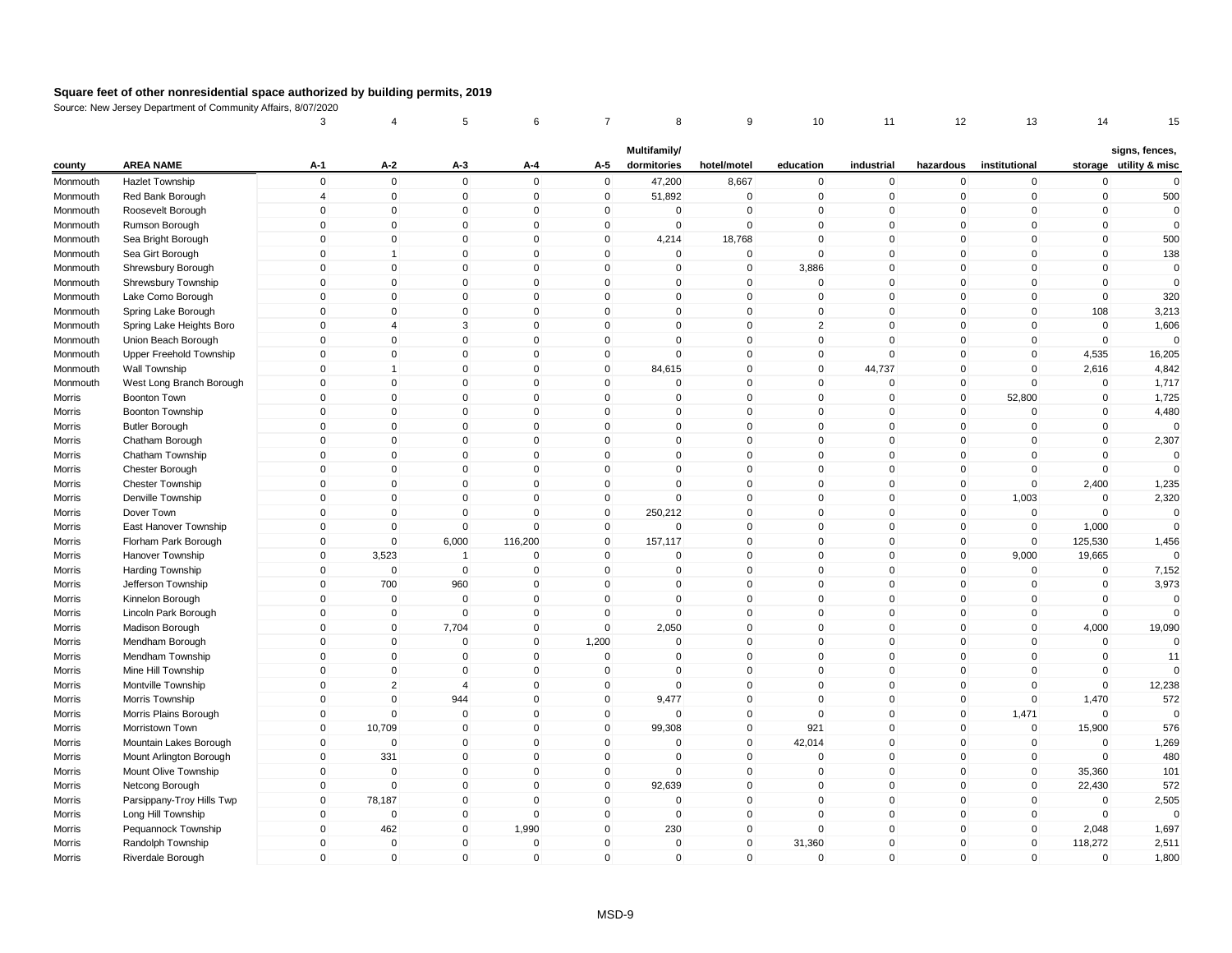|                      |                                            | 3              | 4              | 5              | 6            | $\overline{7}$ | 8                           | 9            | 10             | 11          | 12           | 13                         | 14          | 15                                       |
|----------------------|--------------------------------------------|----------------|----------------|----------------|--------------|----------------|-----------------------------|--------------|----------------|-------------|--------------|----------------------------|-------------|------------------------------------------|
| county               | <b>AREA NAME</b>                           | $A-1$          | A-2            | $A-3$          | A-4          | A-5            | Multifamily/<br>dormitories | hotel/motel  | education      | industrial  | hazardous    | institutional              |             | signs, fences,<br>storage utility & misc |
|                      | <b>Hazlet Township</b>                     | $\mathbf 0$    | $\mathbf 0$    | $\mathbf 0$    | $\Omega$     | $\mathsf 0$    | 47,200                      | 8,667        | $\mathbf 0$    | $\mathbf 0$ | $\mathbf 0$  |                            | $\mathbf 0$ | $\mathbf 0$                              |
| Monmouth<br>Monmouth | Red Bank Borough                           | $\overline{4}$ | $\mathbf 0$    | $\mathbf 0$    | $\mathbf{0}$ | $\mathbf 0$    | 51,892                      | $\mathbf 0$  | $\mathbf 0$    | $\mathbf 0$ | $\mathbf 0$  | $\mathbf 0$<br>$\mathbf 0$ | $\mathbf 0$ | 500                                      |
|                      |                                            | 0              | $\overline{0}$ | $\mathbf 0$    | $\Omega$     | $\mathbf{0}$   | $\mathbf{0}$                | $\pmb{0}$    | $\mathbf{0}$   | $\mathbf 0$ | $\mathbf 0$  | $\Omega$                   | $\pmb{0}$   | $\Omega$                                 |
| Monmouth<br>Monmouth | Roosevelt Borough<br>Rumson Borough        | $\mathbf 0$    | $\mathbf 0$    | $\Omega$       | $\Omega$     | $\mathbf{0}$   | $\Omega$                    | $\mathbf 0$  | $\mathbf{0}$   | $\Omega$    | $\mathbf{0}$ | $\mathbf{0}$               | $\mathbf 0$ | $\mathbf{0}$                             |
| Monmouth             | Sea Bright Borough                         | $\mathbf 0$    | $\mathbf 0$    | $\mathbf 0$    | $\mathbf 0$  | $\mathbf 0$    | 4,214                       | 18,768       | $\mathbf{0}$   | $\mathbf 0$ | $\mathbf 0$  | $\mathbf 0$                | $\mathbf 0$ | 500                                      |
| Monmouth             | Sea Girt Borough                           | $\mathbf 0$    | 1              | $\Omega$       | $\mathbf{0}$ | $\mathbf{0}$   | $\Omega$                    | $\mathbf 0$  | $\Omega$       | $\Omega$    | $\mathbf 0$  | $\Omega$                   | $\mathbf 0$ | 138                                      |
| Monmouth             | Shrewsbury Borough                         | $\mathbf{0}$   | $\mathbf 0$    | $\mathbf 0$    | $\mathbf{0}$ | $\mathbf{0}$   | $\mathbf{0}$                | $\mathbf 0$  | 3,886          | $\mathbf 0$ | $\mathbf 0$  | $\Omega$                   | $\mathbf 0$ | $\mathbf 0$                              |
| Monmouth             | Shrewsbury Township                        | $\mathbf 0$    | $\mathbf 0$    | $\mathbf 0$    | $\mathbf 0$  | $\mathbf 0$    | 0                           | $\mathbf 0$  | $\mathbf 0$    | $\mathbf 0$ | $\mathbf 0$  | $\mathbf 0$                | $\mathbf 0$ | $\Omega$                                 |
| Monmouth             | Lake Como Borough                          | $\mathbf 0$    | $\Omega$       | $\mathbf 0$    | $\mathbf{0}$ | $\mathbf{0}$   | $\mathbf{0}$                | $\mathbf 0$  | $\mathbf{0}$   | $\mathbf 0$ | $\mathbf 0$  | $\mathbf{0}$               | $\mathbf 0$ | 320                                      |
|                      | Spring Lake Borough                        | $\mathbf 0$    | $\mathbf 0$    | $\mathbf 0$    | $\mathbf 0$  | $\mathbf 0$    | $\mathbf 0$                 | $\pmb{0}$    | $\mathbf 0$    | $\mathbf 0$ | $\mathbf 0$  | $\mathbf 0$                | 108         | 3,213                                    |
| Monmouth<br>Monmouth | Spring Lake Heights Boro                   | $\mathbf 0$    | $\overline{4}$ | 3              | $\Omega$     | $\mathbf 0$    | $\Omega$                    | $\mathbf 0$  | $\overline{2}$ | $\Omega$    | 0            | $\mathbf 0$                | $\mathbf 0$ | 1,606                                    |
| Monmouth             | Union Beach Borough                        | $\mathbf 0$    | $\mathbf 0$    | $\mathbf 0$    | $\mathbf{0}$ | $\mathbf{0}$   | $\mathbf{0}$                | $\mathbf 0$  | $\mathbf{0}$   | $\mathbf 0$ | $\mathbf 0$  | $\mathbf{0}$               | $\mathbf 0$ | $\mathbf 0$                              |
|                      |                                            | $\mathbf 0$    | $\mathbf 0$    | $\mathbf 0$    | $\mathbf 0$  | $\mathbf 0$    | $\mathbf 0$                 | $\mathbf 0$  | $\mathbf 0$    | $\mathsf 0$ | $\mathbf 0$  | $\mathbf 0$                | 4,535       | 16,205                                   |
| Monmouth<br>Monmouth | Upper Freehold Township<br>Wall Township   | $\mathbf{0}$   | $\mathbf 1$    | $\mathbf 0$    | $\mathbf{0}$ | $\mathbf{0}$   | 84,615                      | $\mathbf{0}$ | $\mathbf{0}$   | 44,737      | $\mathbf 0$  | $\Omega$                   | 2,616       | 4,842                                    |
|                      | West Long Branch Borough                   | $\mathbf 0$    | $\mathbf 0$    | $\Omega$       | $\mathbf{0}$ | $\mathbf{0}$   | $\Omega$                    | $\mathbf 0$  | $\mathbf{0}$   | $\mathbf 0$ | $\mathbf 0$  | $\Omega$                   | $\mathbf 0$ | 1,717                                    |
| Monmouth             | Boonton Town                               | $\mathbf 0$    | $\mathbf 0$    | $\mathbf 0$    | $\mathbf 0$  | $\mathbf 0$    | $\mathbf 0$                 | $\mathbf 0$  | $\mathbf 0$    | $\mathbf 0$ | $\mathbf 0$  | 52,800                     | $\mathbf 0$ | 1,725                                    |
| Morris<br>Morris     | Boonton Township                           | $\mathbf 0$    | $\mathbf 0$    | $\mathbf 0$    | $\mathbf{0}$ | $\mathbf 0$    | $\mathbf 0$                 | $\mathbf 0$  | $\mathbf{0}$   | $\mathbf 0$ | $\mathbf 0$  | $\mathbf 0$                | $\mathbf 0$ | 4,480                                    |
|                      |                                            | $\mathbf 0$    | $\mathbf 0$    | $\mathbf 0$    | $\mathbf{0}$ | $\mathbf 0$    | $\mathbf 0$                 | $\mathbf 0$  | $\mathbf{0}$   | $\mathbf 0$ | $\mathbf 0$  | $\mathbf 0$                | $\mathbf 0$ | $\mathbf 0$                              |
| Morris<br>Morris     | <b>Butler Borough</b><br>Chatham Borough   | $\mathbf 0$    | $\mathbf 0$    | $\mathbf 0$    | $\mathbf 0$  | $\mathbf 0$    | 0                           | $\pmb{0}$    | $\mathbf 0$    | $\mathbf 0$ | 0            | 0                          | $\pmb{0}$   | 2,307                                    |
| Morris               | Chatham Township                           | $\mathbf 0$    | $\mathbf 0$    | $\mathbf 0$    | $\Omega$     | $\mathbf{0}$   | $\mathbf{0}$                | $\mathbf 0$  | $\mathbf{0}$   | $\mathbf 0$ | $\mathbf 0$  | $\mathbf{0}$               | $\mathbf 0$ | $\mathbf 0$                              |
|                      |                                            | $\mathbf 0$    | $\mathbf 0$    | $\mathbf 0$    | $\mathbf{0}$ | $\mathbf 0$    | $\mathbf 0$                 | $\mathbf 0$  | $\mathbf{0}$   | $\mathbf 0$ | $\mathbf 0$  | $\mathbf{0}$               | $\mathbf 0$ | $\mathbf 0$                              |
| Morris<br>Morris     | Chester Borough<br><b>Chester Township</b> | $\mathbf{0}$   | $\mathbf 0$    | $\Omega$       | $\mathbf{0}$ | $\mathbf{0}$   | $\Omega$                    | $\mathbf{0}$ | $\Omega$       | $\Omega$    | 0            | $\mathbf{0}$               | 2,400       | 1,235                                    |
| Morris               | Denville Township                          | $\mathbf{0}$   | $\mathbf 0$    | $\mathbf{0}$   | $\mathbf{0}$ | $\mathbf{0}$   | $\mathbf 0$                 | $\mathbf{0}$ | $\mathbf{0}$   | $\mathbf 0$ | $\mathbf 0$  | 1,003                      | $\mathbf 0$ | 2,320                                    |
|                      | Dover Town                                 | $\mathbf 0$    | $\mathbf 0$    | $\mathbf 0$    | $\mathbf 0$  | $\mathbf 0$    | 250,212                     | $\mathbf 0$  | $\mathbf{0}$   | $\mathbf 0$ | $\mathbf 0$  | $\mathbf 0$                | $\Omega$    | $\Omega$                                 |
| Morris<br>Morris     | East Hanover Township                      | $\mathbf 0$    | $\mathbf 0$    | $\mathbf 0$    | $\Omega$     | $\mathbf 0$    | $\mathbf{0}$                | $\mathbf 0$  | $\mathbf{0}$   | $\mathbf 0$ | $\mathbf 0$  | $\mathbf 0$                | 1,000       | $\Omega$                                 |
| Morris               | Florham Park Borough                       | $\mathbf 0$    | $\mathbf 0$    | 6,000          | 116,200      | $\mathbf 0$    | 157,117                     | $\mathbf 0$  | $\mathbf 0$    | $\pmb{0}$   | $\mathbf 0$  | $\mathbf 0$                | 125,530     | 1,456                                    |
| Morris               | Hanover Township                           | $\mathbf 0$    | 3,523          | $\mathbf{1}$   | $\mathbf 0$  | $\mathbf 0$    | 0                           | $\mathbf 0$  | $\mathbf{0}$   | $\mathbf 0$ | $\mathbf 0$  | 9,000                      | 19,665      | $\Omega$                                 |
| Morris               | Harding Township                           | $\mathbf{0}$   | $\mathbf{0}$   | $\mathbf 0$    | $\Omega$     | $\mathbf{0}$   | 0                           | $\mathbf 0$  | $\mathbf{0}$   | $\mathbf 0$ | $\mathbf{0}$ | $\mathbf 0$                | $\mathbf 0$ | 7,152                                    |
| Morris               | Jefferson Township                         | $\mathbf 0$    | 700            | 960            | $\mathbf 0$  | $\mathbf 0$    | 0                           | $\mathbf 0$  | $\mathbf{0}$   | $\mathbf 0$ | $\mathbf 0$  | $\mathbf 0$                | $\mathbf 0$ | 3,973                                    |
| Morris               | Kinnelon Borough                           | $\mathbf 0$    | $\mathbf 0$    | $\mathbf 0$    | $\mathbf 0$  | $\mathbf 0$    | $\mathbf 0$                 | $\mathbf 0$  | $\Omega$       | $\pmb{0}$   | $\mathbf 0$  | $\mathbf 0$                | $\mathbf 0$ | $\mathbf 0$                              |
| Morris               | Lincoln Park Borough                       | $\mathbf 0$    | $\mathbf 0$    | $\mathbf 0$    | $\mathbf 0$  | $\mathbf{0}$   | $\Omega$                    | $\mathbf 0$  | $\mathbf{0}$   | $\mathbf 0$ | $\mathbf 0$  | $\Omega$                   | $\mathbf 0$ | $\Omega$                                 |
| Morris               | Madison Borough                            | $\mathbf 0$    | $\mathbf 0$    | 7,704          | $\mathbf{0}$ | $\mathbf 0$    | 2,050                       | $\mathbf 0$  | $\mathbf{0}$   | $\mathbf 0$ | $\mathbf 0$  | $\mathbf{0}$               | 4,000       | 19,090                                   |
| Morris               | Mendham Borough                            | $\mathbf 0$    | $\mathbf 0$    | $\mathbf 0$    | $\mathbf 0$  | 1,200          | $\mathbf 0$                 | $\mathbf 0$  | $\mathbf{0}$   | $\mathsf 0$ | $\mathbf 0$  | $\mathbf 0$                | $\Omega$    | $\Omega$                                 |
| Morris               | Mendham Township                           | $\mathbf 0$    | $\mathbf 0$    | $\mathbf 0$    | $\Omega$     | $\mathbf 0$    | $\mathbf 0$                 | $\mathbf 0$  | $\mathbf{0}$   | $\mathbf 0$ | $\mathbf 0$  | $\mathbf 0$                | $\mathbf 0$ | 11                                       |
| Morris               | Mine Hill Township                         | $\mathbf 0$    | $\mathbf 0$    | $\mathbf 0$    | $\mathbf 0$  | 0              | 0                           | $\mathbf 0$  | $\mathbf 0$    | $\mathbf 0$ | $\mathbf 0$  | $\mathbf 0$                | $\pmb{0}$   | $\Omega$                                 |
| Morris               | Montville Township                         | $\mathbf 0$    | $\overline{2}$ | $\overline{4}$ | $\Omega$     | $\mathbf{0}$   | $\Omega$                    | $\mathbf 0$  | $\mathbf{0}$   | $\Omega$    | $\mathbf{0}$ | $\mathbf{0}$               | $\mathbf 0$ | 12,238                                   |
| Morris               | Morris Township                            | $\mathbf 0$    | $\mathbf 0$    | 944            | $\mathbf 0$  | $\mathbf 0$    | 9,477                       | $\mathbf 0$  | $\mathbf{0}$   | $\mathsf 0$ | $\mathbf 0$  | $\mathbf 0$                | 1,470       | 572                                      |
| Morris               | Morris Plains Borough                      | $\mathbf 0$    | $\mathbf 0$    | $\mathbf 0$    | $\mathbf 0$  | $\mathbf 0$    | 0                           | $\mathbf 0$  | $\mathbf{0}$   | $\mathbf 0$ | $\mathbf 0$  | 1,471                      | $\mathbf 0$ | $\Omega$                                 |
| Morris               | Morristown Town                            | $\mathbf{0}$   | 10,709         | $\mathbf 0$    | $\mathbf{0}$ | $\mathbf 0$    | 99,308                      | $\mathbf 0$  | 921            | $\mathbf 0$ | $\mathbf 0$  | $\mathbf 0$                | 15,900      | 576                                      |
| Morris               | Mountain Lakes Borough                     | $\mathbf 0$    | $\Omega$       | $\mathbf 0$    | $\mathbf{0}$ | $\mathbf 0$    | $\Omega$                    | $\mathbf 0$  | 42,014         | $\mathbf 0$ | $\mathbf 0$  | $\mathbf 0$                | $\mathbf 0$ | 1,269                                    |
| Morris               | Mount Arlington Borough                    | $\mathbf{0}$   | 331            | $\mathbf{0}$   | $\mathbf{0}$ | $\mathbf{0}$   | $\mathbf{0}$                | $\mathbf{0}$ | $\mathbf{0}$   | $\Omega$    | $\mathbf{0}$ | $\mathbf{0}$               | $\Omega$    | 480                                      |
| Morris               | Mount Olive Township                       | $\mathbf 0$    | $\overline{0}$ | $\mathbf 0$    | $\mathbf 0$  | $\mathbf 0$    | $\mathbf 0$                 | $\pmb{0}$    | $\mathbf 0$    | $\mathbf 0$ | $\mathbf 0$  | $\mathbf 0$                | 35,360      | 101                                      |
| Morris               | Netcong Borough                            | $\mathbf 0$    | $\mathbf 0$    | $\mathbf 0$    | $\Omega$     | $\mathbf 0$    | 92,639                      | $\mathbf 0$  | $\mathbf 0$    | $\mathbf 0$ | $\mathbf 0$  | $\mathbf 0$                | 22,430      | 572                                      |
| Morris               | Parsippany-Troy Hills Twp                  | $\mathbf 0$    | 78,187         | $\mathbf 0$    | $\Omega$     | $\mathbf 0$    | $\Omega$                    | $\mathbf 0$  | $\mathbf{0}$   | $\mathsf 0$ | $\mathbf 0$  | $\mathbf 0$                | $\mathbf 0$ | 2,505                                    |
| Morris               | Long Hill Township                         | $\mathbf 0$    | $\mathbf 0$    | $\mathbf 0$    | $\Omega$     | $\mathbf 0$    | $\Omega$                    | $\mathbf 0$  | $\mathbf{0}$   | $\mathbf 0$ | $\mathbf 0$  | $\mathbf 0$                | $\mathbf 0$ | $\mathbf 0$                              |
| Morris               | Pequannock Township                        | $\mathbf 0$    | 462            | $\overline{0}$ | 1,990        | $\mathbf 0$    | 230                         | $\mathbf 0$  | $\mathbf{0}$   | $\mathbf 0$ | $\mathbf 0$  | $\overline{0}$             | 2,048       | 1,697                                    |
| Morris               | Randolph Township                          | $\mathbf 0$    | $\Omega$       | $\mathbf 0$    | $\Omega$     | $\mathbf{0}$   | $\Omega$                    | $\mathbf 0$  | 31,360         | $\Omega$    | $\mathbf 0$  | $\mathbf{0}$               | 118,272     | 2,511                                    |
| Morris               | Riverdale Borough                          | $\mathbf{0}$   | $\mathbf 0$    | $\mathbf{0}$   | $\mathbf{0}$ | $\mathbf{0}$   | $\mathbf{0}$                | $\mathbf 0$  | $\mathbf{0}$   | $\mathbf 0$ | $\mathbf{0}$ | $\mathbf{0}$               | $\Omega$    | 1,800                                    |
|                      |                                            |                |                |                |              |                |                             |              |                |             |              |                            |             |                                          |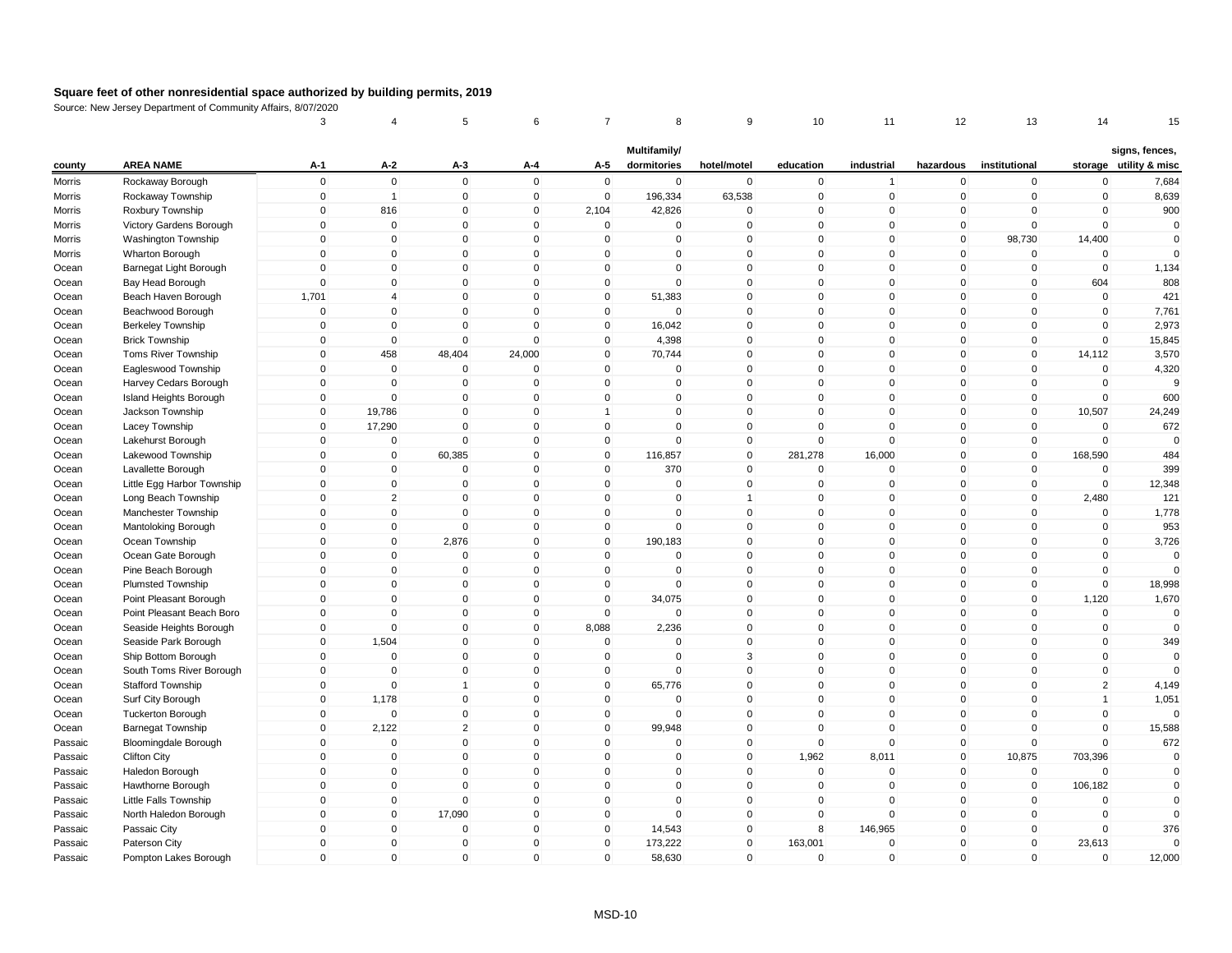|         |                              | 3            | 4              | 5              | 6            | 7              | 8            | 9              | 10           | 11             | 12             | 13            | 14             | 15                     |
|---------|------------------------------|--------------|----------------|----------------|--------------|----------------|--------------|----------------|--------------|----------------|----------------|---------------|----------------|------------------------|
|         |                              |              |                |                |              |                | Multifamily/ |                |              |                |                |               |                | signs, fences,         |
| county  | <b>AREA NAME</b>             | A-1          | A-2            | A-3            | A-4          | A-5            | dormitories  | hotel/motel    | education    | industrial     | hazardous      | institutional |                | storage utility & misc |
| Morris  | Rockaway Borough             | $\mathbf 0$  | $\mathbf 0$    | $\mathbf 0$    | $\mathbf 0$  | $\mathbf 0$    | $\mathbf 0$  | $\mathbf 0$    | $\mathbf 0$  | $\overline{1}$ | 0              | $\mathbf 0$   | $\mathbf 0$    | 7,684                  |
| Morris  | Rockaway Township            | $\mathbf 0$  | $\overline{1}$ | $\mathbf 0$    | $\mathbf 0$  | $\mathbf 0$    | 196,334      | 63,538         | $\mathbf 0$  | $\mathbf 0$    | $\mathbf 0$    | $\mathbf 0$   | $\mathbf 0$    | 8,639                  |
| Morris  | Roxbury Township             | 0            | 816            | $\mathbf 0$    | $\mathsf 0$  | 2,104          | 42,826       | 0              | $\Omega$     | $\pmb{0}$      | $\mathbf{0}$   | $\Omega$      | $\Omega$       | 900                    |
| Morris  | Victory Gardens Borough      | $\mathbf 0$  | $\mathbf 0$    | $\mathbf 0$    | $\mathbf 0$  | $\mathbf 0$    | $\mathbf{0}$ | $\mathsf 0$    | $\Omega$     | $\mathbf{0}$   | $\mathbf{0}$   | $\mathbf 0$   | $\Omega$       | $\mathbf{0}$           |
| Morris  | Washington Township          | $\mathbf 0$  | $\mathbf 0$    | $\mathbf 0$    | $\mathbf 0$  | $\mathbf 0$    | $\mathbf 0$  | $\mathbf 0$    | $\mathbf{0}$ | $\mathbf 0$    | $\mathbf 0$    | 98,730        | 14,400         | $\mathbf{0}$           |
| Morris  | Wharton Borough              | $\mathbf 0$  | $\mathbf 0$    | $\mathbf 0$    | $\mathbf{0}$ | $\mathbf 0$    | $\Omega$     | $\mathsf 0$    | $\mathbf{0}$ | $\mathbf{0}$   | $\mathbf 0$    | $\Omega$      | $\Omega$       | $\Omega$               |
| Ocean   | Barnegat Light Borough       | $\mathbf{0}$ | $\mathbf 0$    | $\mathbf 0$    | $\mathbf{0}$ | $\mathbf 0$    | $\Omega$     | $\mathsf 0$    | $\Omega$     | $\mathbf 0$    | $\overline{0}$ | $\mathbf{0}$  | $\Omega$       | 1,134                  |
| Ocean   | Bay Head Borough             | $\mathbf 0$  | $\mathbf 0$    | $\mathbf 0$    | $\mathbf 0$  | $\mathbf 0$    | 0            | $\mathsf 0$    | $\mathbf 0$  | $\mathbf 0$    | $\overline{0}$ | $\mathbf 0$   | 604            | 808                    |
| Ocean   | Beach Haven Borough          | 1,701        | $\overline{4}$ | $\mathbf{0}$   | $\mathbf{0}$ | $\mathbf 0$    | 51,383       | $\mathsf 0$    | $\mathbf{0}$ | $\mathbf{0}$   | $\overline{0}$ | $\mathbf 0$   | $\Omega$       | 421                    |
| Ocean   | Beachwood Borough            | $\mathbf 0$  | $\mathbf 0$    | $\mathbf 0$    | $\mathbf 0$  | $\mathbf 0$    | $\mathbf 0$  | $\pmb{0}$      | $\mathbf 0$  | $\mathbf 0$    | $\overline{0}$ | $\mathbf 0$   | $\mathbf 0$    | 7,761                  |
| Ocean   | <b>Berkeley Township</b>     | $\mathbf 0$  | $\,0\,$        | $\mathbf 0$    | $\Omega$     | $\mathbf 0$    | 16,042       | $\mathbf 0$    | $\Omega$     | $\mathbf 0$    | $\mathbf 0$    | $\mathbf 0$   | $\Omega$       | 2,973                  |
| Ocean   | <b>Brick Township</b>        | $\mathbf 0$  | $\mathbf 0$    | $\mathbf 0$    | $\Omega$     | $\mathbf 0$    | 4,398        | $\mathsf 0$    | $\Omega$     | $\mathbf 0$    | $\overline{0}$ | $\mathbf 0$   | $\Omega$       | 15,845                 |
| Ocean   | Toms River Township          | $\mathbf 0$  | 458            | 48,404         | 24,000       | $\mathbf 0$    | 70,744       | $\mathsf 0$    | $\mathbf 0$  | $\mathbf 0$    | $\overline{0}$ | $\mathbf 0$   | 14,112         | 3,570                  |
| Ocean   | Eagleswood Township          | $\mathbf{0}$ | $\mathbf 0$    | $\mathbf 0$    | $\Omega$     | $\mathbf 0$    | $\mathbf 0$  | $\mathbf 0$    | $\Omega$     | $\mathbf 0$    | $\mathbf{0}$   | $\mathbf{0}$  | $\Omega$       | 4,320                  |
| Ocean   | Harvey Cedars Borough        | $\mathbf 0$  | $\mathbf 0$    | $\mathbf 0$    | $\Omega$     | $\mathbf 0$    | $\mathbf 0$  | $\mathsf 0$    | $\Omega$     | $\mathbf{0}$   | $\mathbf{0}$   | $\Omega$      | $\Omega$       | $\mathbf{Q}$           |
| Ocean   | Island Heights Borough       | $\mathbf 0$  | $\mathbf 0$    | $\mathbf 0$    | $\mathbf 0$  | $\mathbf 0$    | 0            | $\mathsf 0$    | $\mathbf{0}$ | $\mathbf 0$    | $\overline{0}$ | $\mathbf 0$   | $\mathbf 0$    | 600                    |
| Ocean   | Jackson Township             | $\mathbf 0$  | 19,786         | $\mathbf 0$    | $\mathbf 0$  | $\overline{1}$ | $\mathbf 0$  | $\mathsf 0$    | $\mathbf{0}$ | $\mathbf 0$    | $\mathbf 0$    | $\mathbf 0$   | 10,507         | 24,249                 |
| Ocean   | Lacey Township               | $\mathbf 0$  | 17,290         | $\mathbf 0$    | $\mathbf 0$  | $\mathbf 0$    | $\mathbf 0$  | $\mathsf 0$    | $\mathbf{0}$ | $\mathbf 0$    | $\overline{0}$ | $\mathbf 0$   | $\mathbf 0$    | 672                    |
| Ocean   | Lakehurst Borough            | 0            | $\mathbf 0$    | $\mathbf 0$    | $\mathbf 0$  | 0              | $\mathbf 0$  | $\mathbf 0$    | $\Omega$     | $\mathbf 0$    | $\mathbf 0$    | $\mathbf 0$   | $\Omega$       | $\Omega$               |
| Ocean   | Lakewood Township            | $\mathbf 0$  | $\mathbf 0$    | 60,385         | $\mathbf 0$  | $\mathbf 0$    | 116,857      | $\mathbf 0$    | 281,278      | 16,000         | $\overline{0}$ | $\mathbf 0$   | 168,590        | 484                    |
| Ocean   | Lavallette Borough           | $\mathbf 0$  | $\mathbf 0$    | $\mathbf 0$    | $\mathbf 0$  | $\mathbf 0$    | 370          | $\mathsf 0$    | $\mathbf 0$  | $\mathbf 0$    | $\overline{0}$ | $\mathbf 0$   | $\Omega$       | 399                    |
| Ocean   | Little Egg Harbor Township   | $\mathbf{0}$ | $\mathbf 0$    | $\mathbf 0$    | $\mathbf{0}$ | 0              | $\Omega$     | $\pmb{0}$      | $\mathbf{0}$ | $\mathbf{0}$   | 0              | $\mathbf 0$   | $\Omega$       | 12,348                 |
| Ocean   | Long Beach Township          | $\mathbf{0}$ | $\overline{2}$ | $\mathbf 0$    | $\mathbf{0}$ | $\mathbf{0}$   | $\Omega$     | $\overline{1}$ | $\Omega$     | $\mathbf 0$    | $\mathbf{0}$   | $\Omega$      | 2,480          | 121                    |
| Ocean   | Manchester Township          | $\mathbf 0$  | $\mathbf 0$    | $\mathbf 0$    | $\mathbf 0$  | 0              | $\mathbf 0$  | $\mathsf 0$    | $\Omega$     | $\mathbf 0$    | $\mathbf 0$    | $\mathbf 0$   | $\mathbf 0$    | 1,778                  |
| Ocean   | Mantoloking Borough          | $\mathbf 0$  | $\mathbf 0$    | $\mathbf 0$    | $\mathbf{0}$ | $\mathbf 0$    | $\mathbf{0}$ | $\mathsf 0$    | $\mathbf{0}$ | $\mathbf{0}$   | $\overline{0}$ | $\mathbf{0}$  | $\Omega$       | 953                    |
| Ocean   | Ocean Township               | $\mathbf 0$  | $\mathbf 0$    | 2,876          | $\mathbf 0$  | $\mathbf 0$    | 190,183      | $\pmb{0}$      | $\mathbf 0$  | $\mathbf 0$    | $\overline{0}$ | $\mathbf 0$   | $\mathbf 0$    | 3,726                  |
| Ocean   | Ocean Gate Borough           | $\mathbf 0$  | $\mathbf 0$    | $\mathbf 0$    | $\mathbf 0$  | $\mathbf 0$    | $\mathbf 0$  | $\mathbf 0$    | $\Omega$     | $\mathbf 0$    | $\mathbf 0$    | $\mathbf 0$   | $\mathbf 0$    | $\mathbf 0$            |
| Ocean   | Pine Beach Borough           | $\mathbf 0$  | $\mathbf 0$    | $\mathbf 0$    | $\Omega$     | $\mathbf{0}$   | $\mathbf 0$  | $\mathsf 0$    | $\Omega$     | $\mathbf 0$    | $\mathbf{0}$   | $\mathbf{0}$  | $\Omega$       | $\Omega$               |
| Ocean   | <b>Plumsted Township</b>     | $\mathbf 0$  | $\mathbf 0$    | $\mathbf 0$    | $\mathbf 0$  | $\mathbf 0$    | 0            | $\mathsf 0$    | $\mathbf 0$  | $\mathbf 0$    | $\overline{0}$ | $\mathbf 0$   | $\mathbf 0$    | 18,998                 |
| Ocean   | Point Pleasant Borough       | $\mathbf 0$  | $\mathbf 0$    | $\mathbf 0$    | $\mathbf 0$  | $\mathbf 0$    | 34,075       | $\mathbf 0$    | $\mathbf 0$  | $\mathbf 0$    | $\overline{0}$ | $\mathbf 0$   | 1,120          | 1,670                  |
| Ocean   | Point Pleasant Beach Boro    | $\mathbf 0$  | $\overline{0}$ | $\mathbf 0$    | $\mathbf 0$  | $\mathbf 0$    | $\mathbf 0$  | $\mathbf 0$    | $\Omega$     | $\mathbf 0$    | $\mathbf 0$    | $\Omega$      | $\Omega$       | $\mathbf{0}$           |
| Ocean   | Seaside Heights Borough      | $\mathbf 0$  | $\mathbf 0$    | $\mathbf 0$    | $\Omega$     | 8,088          | 2,236        | $\mathsf 0$    | $\mathbf{0}$ | $\mathbf 0$    | $\mathbf{0}$   | $\mathbf{0}$  | $\mathbf 0$    | $\mathbf 0$            |
| Ocean   | Seaside Park Borough         | $\mathbf 0$  | 1,504          | $\mathbf 0$    | $\mathbf 0$  | $\mathbf 0$    | $\mathbf 0$  | $\mathsf 0$    | $\mathbf{0}$ | $\mathbf 0$    | $\mathbf 0$    | $\mathbf 0$   | $\mathbf 0$    | 349                    |
| Ocean   | Ship Bottom Borough          | $\mathbf 0$  | $\mathbf 0$    | $\mathbf 0$    | $\mathbf 0$  | $\mathbf 0$    | $\mathbf 0$  | 3              | $\mathbf{0}$ | $\mathbf 0$    | $\mathbf 0$    | $\mathbf 0$   | $\mathbf 0$    | $\mathbf 0$            |
| Ocean   | South Toms River Borough     | $\mathbf 0$  | $\mathbf 0$    | $\mathbf 0$    | $\mathbf 0$  | 0              | $\mathbf 0$  | $\mathbf 0$    | $\mathbf 0$  | $\mathbf 0$    | $\overline{0}$ | 0             | $\mathbf 0$    | $\mathbf{0}$           |
| Ocean   | <b>Stafford Township</b>     | $\mathbf 0$  | $\mathbf 0$    | $\overline{1}$ | $\Omega$     | $\mathbf{0}$   | 65,776       | $\mathsf 0$    | $\Omega$     | $\mathbf{0}$   | $\overline{0}$ | $\mathbf{0}$  | $\overline{2}$ | 4,149                  |
| Ocean   | Surf City Borough            | $\mathbf 0$  | 1,178          | $\mathbf 0$    | $\mathbf 0$  | $\mathbf 0$    | $\mathbf 0$  | $\mathsf 0$    | $\mathbf{0}$ | $\mathbf 0$    | $\overline{0}$ | $\mathbf 0$   | $\mathbf{1}$   | 1,051                  |
| Ocean   | <b>Tuckerton Borough</b>     | $\mathbf 0$  | $\mathbf 0$    | $\mathbf 0$    | $\mathbf 0$  | $\mathbf 0$    | $\mathbf 0$  | $\mathbf 0$    | $\mathbf 0$  | $\mathbf 0$    | $\mathbf 0$    | $\mathbf 0$   | $\mathbf 0$    | $\Omega$               |
| Ocean   | <b>Barnegat Township</b>     | $\mathbf{0}$ | 2,122          | $\overline{2}$ | $\mathbf{0}$ | $\mathbf 0$    | 99,948       | $\mathsf 0$    | $\Omega$     | $\mathbf 0$    | $\mathbf{0}$   | $\mathbf{0}$  | $\Omega$       | 15,588                 |
| Passaic | Bloomingdale Borough         | $\mathbf 0$  | $\overline{0}$ | $\mathbf 0$    | $\mathbf 0$  | $\mathbf 0$    | $\mathbf 0$  | $\mathsf 0$    | $\Omega$     | $\mathbf 0$    | $\mathbf 0$    | $\mathbf 0$   | $\Omega$       | 672                    |
| Passaic | <b>Clifton City</b>          | $\mathbf{0}$ | $\mathbf{0}$   | $\mathbf{0}$   | $\mathbf{0}$ | $\mathbf{0}$   | $\mathbf{0}$ | $\mathbf 0$    | 1,962        | 8,011          | $\overline{0}$ | 10,875        | 703,396        | $\mathbf{0}$           |
| Passaic | Haledon Borough              | $\mathbf 0$  | $\mathbf 0$    | $\mathbf 0$    | $\mathbf 0$  | $\mathbf 0$    | $\mathbf 0$  | $\pmb{0}$      | $\mathbf 0$  | $\mathbf 0$    | $\overline{0}$ | $\mathbf 0$   | $\mathbf 0$    | $\mathbf 0$            |
| Passaic | Hawthorne Borough            | $\mathbf 0$  | $\mathbf 0$    | $\mathbf 0$    | $\mathbf 0$  | $\mathbf 0$    | 0            | $\mathbf 0$    | $\mathbf 0$  | $\mathbf 0$    | $\mathbf 0$    | $\mathbf 0$   | 106,182        | $\mathbf 0$            |
| Passaic | <b>Little Falls Township</b> | $\mathbf 0$  | $\mathbf 0$    | $\mathbf 0$    | $\mathbf 0$  | $\mathbf 0$    | $\mathbf 0$  | $\mathsf 0$    | $\Omega$     | $\mathbf 0$    | $\mathbf{0}$   | $\mathbf 0$   | $\Omega$       | $\Omega$               |
| Passaic | North Haledon Borough        | $\mathbf 0$  | $\mathbf 0$    | 17,090         | $\mathbf 0$  | $\mathbf 0$    | $\mathbf 0$  | $\mathsf 0$    | $\mathbf 0$  | $\mathbf 0$    | $\mathbf 0$    | $\mathbf 0$   | $\mathbf 0$    | $\mathbf{0}$           |
| Passaic | Passaic City                 | $\mathbf 0$  | $\mathbf 0$    | $\mathbf 0$    | $\mathbf 0$  | $\mathbf 0$    | 14,543       | $\mathbf 0$    | 8            | 146,965        | $\overline{0}$ | $\mathbf 0$   | $\mathbf 0$    | 376                    |
| Passaic | Paterson City                | $\mathbf{0}$ | $\mathbf 0$    | $\mathbf 0$    | $\mathbf 0$  | $\mathbf 0$    | 173,222      | $\mathsf 0$    | 163,001      | $\mathbf{0}$   | $\mathbf{0}$   | $\mathbf{0}$  | 23,613         | $\Omega$               |
| Passaic | Pompton Lakes Borough        | $\mathbf{0}$ | $\mathsf 0$    | $\mathbf 0$    | $\mathbf{0}$ | $\mathbf{0}$   | 58,630       | $\mathbf 0$    | $\mathbf{0}$ | $\mathbf{0}$   | $\mathbf{0}$   | $\mathbf{0}$  | $\Omega$       | 12,000                 |
|         |                              |              |                |                |              |                |              |                |              |                |                |               |                |                        |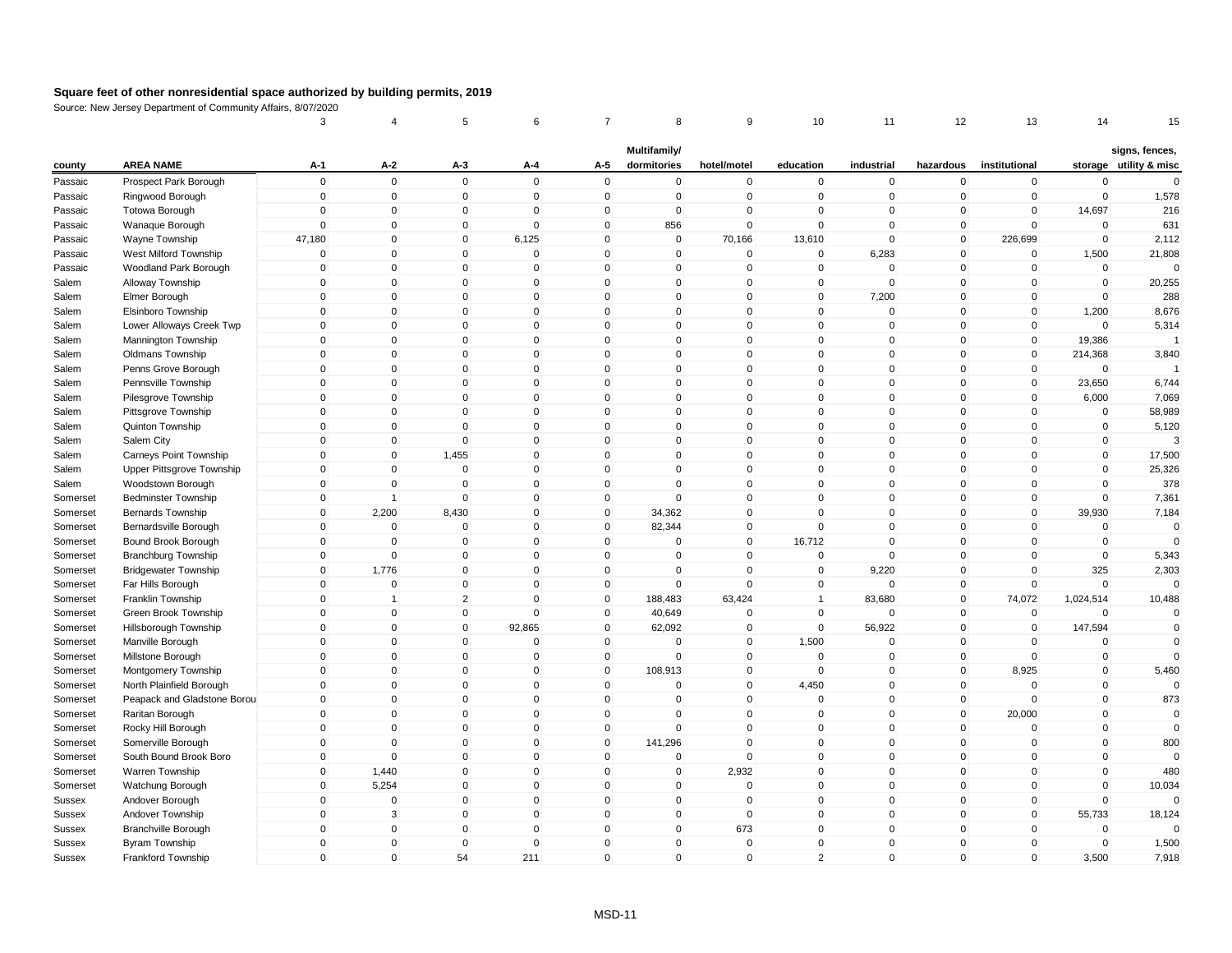|               |                                                | 3                           |                            | 5                       | 6                           | 7                           | 8                           | 9                          | 10                          | 11                      | 12                | 13                          | 14                         | 15                                       |
|---------------|------------------------------------------------|-----------------------------|----------------------------|-------------------------|-----------------------------|-----------------------------|-----------------------------|----------------------------|-----------------------------|-------------------------|-------------------|-----------------------------|----------------------------|------------------------------------------|
| county        | <b>AREA NAME</b>                               | A-1                         | A-2                        | $A-3$                   | A-4                         | A-5                         | Multifamily/<br>dormitories | hotel/motel                | education                   | industrial              | hazardous         | institutional               |                            | signs, fences,<br>storage utility & misc |
| Passaic       | Prospect Park Borough                          | $\mathbf 0$                 | $\mathbf 0$                | $\mathbf 0$             | $\Omega$                    | $\mathsf 0$                 | 0                           | $\mathbf 0$                | $\mathbf 0$                 | $\mathbf 0$             | $\mathbf 0$       | $\pmb{0}$                   | $\mathbf 0$                | $\Omega$                                 |
| Passaic       | Ringwood Borough                               | $\mathbf 0$                 | $\mathbf 0$                | $\mathbf 0$             | $\Omega$                    | $\mathbf 0$                 | $\mathbf 0$                 | $\mathbf 0$                | $\mathbf 0$                 | $\mathbf 0$             | $\mathbf 0$       | $\mathbf 0$                 | $\mathbf 0$                | 1,578                                    |
| Passaic       | <b>Totowa Borough</b>                          | 0                           | $\overline{0}$             | 0                       | $\Omega$                    | $\mathbf{0}$                | 0                           | $\Omega$                   | $\Omega$                    | $\mathbf 0$             | $\mathbf 0$       | $\mathbf{0}$                | 14,697                     | 216                                      |
| Passaic       | Wanaque Borough                                | $\mathbf{0}$                | $\mathbf 0$                | $\mathbf 0$             | $\Omega$                    | $\mathbf{0}$                | 856                         | $\mathbf 0$                | $\mathbf{0}$                | $\Omega$                | $\mathbf 0$       | $\mathbf{0}$                | $\mathbf 0$                | 631                                      |
| Passaic       | Wayne Township                                 | 47,180                      | $\mathbf 0$                | $\mathbf 0$             | 6,125                       | $\mathbf 0$                 | $\mathbf 0$                 | 70,166                     | 13,610                      | $\mathbf 0$             | $\mathbf 0$       | 226,699                     | $\mathbf 0$                | 2,112                                    |
| Passaic       | West Milford Township                          | $\mathbf{0}$                | $\mathbf 0$                | $\Omega$                | $\Omega$                    | $\mathbf{0}$                | $\Omega$                    | $\Omega$                   | $\mathbf{0}$                | 6,283                   | $\mathbf 0$       | $\mathbf 0$                 | 1,500                      | 21,808                                   |
| Passaic       | Woodland Park Borough                          | $\mathbf 0$                 | $\mathbf 0$                | $\mathbf 0$             | $\Omega$                    | $\mathbf{0}$                | $\mathbf{0}$                | $\mathbf 0$                | $\mathbf{0}$                | $\mathbf 0$             | $\mathbf 0$       | $\mathbf 0$                 | $\mathbf 0$                | $\Omega$                                 |
| Salem         | Alloway Township                               | $\mathbf 0$                 | $\mathbf 0$                | $\mathbf 0$             | $\mathbf 0$                 | $\mathbf 0$                 | $\mathbf 0$                 | $\mathbf 0$                | $\mathbf 0$                 | $\mathsf 0$             | $\mathbf 0$       | $\mathbf 0$                 | $\mathbf 0$                | 20,255                                   |
| Salem         | Elmer Borough                                  | $\mathbf 0$                 | $\Omega$                   | $\mathbf{0}$            | $\Omega$                    | $\mathbf{0}$                | $\mathbf{0}$                | $\mathbf 0$                | $\mathbf{0}$                | 7,200                   | $\mathbf 0$       | $\mathbf 0$                 | $\mathbf 0$                | 288                                      |
| Salem         | Elsinboro Township                             | $\mathbf 0$                 | $\mathbf 0$                | $\mathbf 0$             | $\mathbf 0$                 | $\mathbf 0$                 | $\mathbf 0$                 | $\pmb{0}$                  | $\mathbf 0$                 | $\mathbf 0$             | $\mathbf 0$       | $\mathbf 0$                 | 1,200                      | 8,676                                    |
| Salem         | Lower Alloways Creek Twp                       | $\mathbf 0$                 | $\Omega$                   | $\Omega$                | $\Omega$                    | $\mathbf 0$                 | $\mathbf 0$                 | $\Omega$                   | $\mathbf 0$                 | $\Omega$                | 0                 | $\mathbf 0$                 | $\Omega$                   | 5,314                                    |
| Salem         | Mannington Township                            | $\mathbf 0$                 | $\mathbf 0$                | $\mathbf 0$             | $\mathbf{0}$                | $\mathbf{0}$                | $\mathbf 0$                 | $\mathbf 0$                | $\mathbf{0}$                | $\mathbf 0$             | $\mathbf 0$       | $\mathbf{0}$                | 19,386                     | $\overline{1}$                           |
| Salem         |                                                | $\mathbf 0$                 | $\mathbf 0$                | $\mathbf 0$             | $\mathbf 0$                 | $\mathbf 0$                 | $\mathbf 0$                 | $\mathbf 0$                | $\mathbf{0}$                | $\mathbf 0$             | $\mathbf 0$       | $\mathbf 0$                 | 214,368                    | 3,840                                    |
| Salem         | <b>Oldmans Township</b><br>Penns Grove Borough | $\mathbf{0}$                | $\mathbf 0$                | $\mathbf 0$             | $\mathbf{0}$                | $\mathbf{0}$                | $\mathbf{0}$                | $\mathbf{0}$               | $\Omega$                    | $\mathbf 0$             | $\mathbf 0$       | $\mathbf{0}$                | $\mathbf 0$                |                                          |
|               |                                                | $\mathbf 0$                 | $\mathbf 0$                | $\Omega$                | $\mathbf{0}$                | $\mathbf{0}$                | $\Omega$                    | $\mathbf 0$                | $\mathbf{0}$                | $\mathbf 0$             | $\mathbf 0$       | $\mathbf 0$                 | 23,650                     |                                          |
| Salem         | Pennsville Township                            | $\mathbf 0$                 | $\mathbf 0$                | $\mathbf 0$             | $\mathbf 0$                 | $\mathbf 0$                 | $\mathbf 0$                 | $\mathbf 0$                | $\mathbf 0$                 | $\mathbf 0$             | $\mathbf 0$       | $\mathbf 0$                 | 6,000                      | 6,744<br>7,069                           |
| Salem         | Pilesgrove Township                            | $\mathbf 0$                 | $\mathbf 0$                | $\mathbf 0$             | $\mathbf{0}$                | $\mathbf 0$                 | $\mathbf 0$                 | $\mathbf 0$                | $\mathbf{0}$                | $\mathbf 0$             | $\mathbf 0$       |                             | $\Omega$                   | 58,989                                   |
| Salem         | Pittsgrove Township                            | $\mathbf 0$                 | $\mathbf 0$                | $\mathbf 0$             | $\mathbf 0$                 |                             |                             | $\mathbf 0$                | $\mathbf{0}$                | $\mathbf 0$             |                   | $\mathbf 0$                 |                            |                                          |
| Salem         | Quinton Township                               |                             |                            |                         | $\mathbf 0$                 | $\mathbf 0$                 | $\mathbf 0$<br>$\Omega$     |                            |                             | $\mathbf 0$             | $\mathbf 0$       | $\mathbf 0$                 | $\mathbf 0$                | 5,120<br>3                               |
| Salem         | Salem City                                     | 0<br>$\mathbf 0$            | $\mathbf 0$<br>$\mathbf 0$ | $\mathbf 0$             | $\Omega$                    | $\mathbf 0$<br>$\mathbf{0}$ | $\mathbf{0}$                | $\mathbf 0$<br>$\mathbf 0$ | $\mathbf 0$<br>$\mathbf{0}$ | $\mathbf 0$             | 0<br>$\mathbf{0}$ | 0<br>$\mathbf{0}$           | $\pmb{0}$<br>$\mathbf 0$   |                                          |
| Salem         | Carneys Point Township                         |                             |                            | 1,455                   | $\mathbf{0}$                |                             |                             |                            |                             | $\mathbf 0$             |                   | $\mathbf{0}$                |                            | 17,500                                   |
| Salem         | Upper Pittsgrove Township                      | $\mathbf 0$<br>$\mathbf{0}$ | $\mathbf 0$<br>$\Omega$    | $\mathbf 0$<br>$\Omega$ | $\mathbf{0}$                | $\mathbf 0$<br>$\mathbf{0}$ | $\mathbf 0$<br>$\Omega$     | $\mathbf 0$<br>$\mathbf 0$ | $\mathbf{0}$<br>$\Omega$    | $\Omega$                | $\mathbf 0$       | $\Omega$                    | $\mathbf 0$<br>$\mathbf 0$ | 25,326<br>378                            |
| Salem         | Woodstown Borough                              |                             |                            |                         | $\mathbf{0}$                | $\mathbf{0}$                | $\Omega$                    | $\mathbf{0}$               | $\Omega$                    | $\mathbf 0$             | 0                 | $\mathbf{0}$                |                            |                                          |
| Somerset      | <b>Bedminster Township</b>                     | $\mathbf 0$                 | $\mathbf{1}$               | $\mathbf 0$             |                             |                             |                             |                            |                             |                         | $\mathbf 0$       |                             | $\mathbf 0$                | 7,361                                    |
| Somerset      | <b>Bernards Township</b>                       | $\mathbf 0$                 | 2,200                      | 8,430                   | $\mathbf 0$<br>$\mathbf{0}$ | $\mathbf 0$<br>$\mathbf{0}$ | 34,362                      | $\mathbf 0$                | $\Omega$<br>$\mathbf{0}$    | $\mathbf 0$<br>$\Omega$ | $\mathbf 0$       | $\mathbf 0$                 | 39,930<br>$\mathbf 0$      | 7,184                                    |
| Somerset      | Bernardsville Borough                          | $\mathbf 0$                 | $\mathbf 0$                | $\mathbf 0$             |                             |                             | 82,344                      | $\mathbf 0$                |                             |                         | $\mathbf{0}$      | $\mathbf 0$                 |                            | $\mathbf 0$<br>$\Omega$                  |
| Somerset      | Bound Brook Borough                            | $\mathbf 0$                 | $\overline{0}$             | $\mathbf 0$             | $\mathbf 0$                 | $\mathbf 0$                 | 0                           | $\mathbf 0$                | 16,712                      | $\mathbf 0$             | $\mathbf 0$       | $\mathbf 0$                 | $\mathbf 0$                |                                          |
| Somerset      | <b>Branchburg Township</b>                     | $\mathbf 0$                 | $\overline{0}$             | $\mathbf 0$             | $\Omega$<br>$\Omega$        | $\mathbf 0$                 | 0<br>$\Omega$               | $\mathbf 0$                | $\mathbf 0$                 | $\mathbf 0$             | $\mathbf 0$       | $\mathbf 0$<br>$\mathbf{0}$ | $\mathbf 0$                | 5,343                                    |
| Somerset      | <b>Bridgewater Township</b>                    | $\mathbf 0$                 | 1,776                      | $\mathbf 0$             |                             | $\mathbf{0}$                |                             | $\mathbf 0$                | $\mathbf{0}$                | 9,220                   | $\mathbf 0$       |                             | 325                        | 2,303<br>$\Omega$                        |
| Somerset      | Far Hills Borough                              | $\mathbf 0$                 | $\mathbf 0$                | $\mathbf 0$             | $\mathbf 0$                 | $\mathbf 0$                 | 0                           | $\mathbf 0$                | $\mathbf 0$                 | $\mathbf 0$             | $\mathbf 0$       | $\mathbf 0$                 | $\mathbf 0$                |                                          |
| Somerset      | Franklin Township                              | $\mathbf 0$                 | $\overline{1}$             | $\overline{2}$          | $\Omega$                    | $\mathbf 0$                 | 188,483                     | 63,424                     | $\overline{1}$              | 83,680                  | $\mathbf 0$       | 74,072                      | 1,024,514                  | 10,488                                   |
| Somerset      | Green Brook Township                           | $\mathbf 0$                 | $\mathbf 0$                | $\mathbf 0$             | $\Omega$                    | $\mathbf 0$                 | 40,649                      | $\Omega$                   | $\mathbf{0}$                | $\mathbf 0$             | $\mathbf 0$       | $\mathbf 0$                 | $\mathbf 0$                | $\Omega$                                 |
| Somerset      | Hillsborough Township                          | $\mathbf 0$                 | $\mathbf 0$                | $\mathbf{0}$            | 92,865                      | $\mathbf 0$                 | 62,092                      | $\mathbf 0$                | $\mathbf 0$                 | 56,922                  | $\mathbf 0$       | $\mathbf 0$                 | 147,594                    | $\mathbf 0$                              |
| Somerset      | Manville Borough                               | $\mathbf 0$                 | $\mathbf 0$                | $\mathbf 0$             | $\Omega$<br>$\Omega$        | $\mathbf 0$                 | 0                           | $\mathbf 0$                | 1,500                       | $\mathbf 0$             | $\mathbf 0$       | $\mathbf 0$                 | $\mathbf 0$                | $\Omega$<br>$\Omega$                     |
| Somerset      | Millstone Borough                              | $\mathbf 0$                 | $\mathbf 0$                | $\mathbf 0$             |                             | $\mathbf 0$                 | 0                           | $\mathbf 0$                | $\mathbf{0}$                | $\mathbf 0$             | $\mathbf 0$       | $\mathbf 0$                 | $\mathbf 0$                |                                          |
| Somerset      | Montgomery Township                            | $\mathbf 0$                 | $\mathbf 0$<br>$\Omega$    | $\mathbf 0$             | $\mathbf 0$<br>$\Omega$     | $\mathbf 0$                 | 108,913                     | $\mathbf 0$                | $\mathbf 0$                 | $\mathbf 0$<br>$\Omega$ | $\mathbf 0$       | 8,925                       | $\pmb{0}$                  | 5,460                                    |
| Somerset      | North Plainfield Borough                       | $\mathbf 0$                 |                            | $\mathbf{0}$            |                             | $\mathbf{0}$                | $\Omega$                    | $\mathbf 0$                | 4,450                       |                         | $\mathbf{0}$      | $\mathbf{0}$                | $\mathbf 0$                | $\mathbf 0$                              |
| Somerset      | Peapack and Gladstone Borou                    | $\mathbf 0$                 | $\mathbf 0$                | $\mathbf 0$             | $\mathbf{0}$                | $\mathbf 0$                 | $\mathbf 0$                 | $\mathbf 0$                | $\mathbf{0}$                | $\mathbf 0$             | $\mathbf 0$       | $\mathbf 0$                 | $\mathbf 0$                | 873                                      |
| Somerset      | Raritan Borough                                | $\mathbf 0$                 | $\mathbf 0$                | $\mathbf 0$             | $\mathbf 0$                 | $\mathbf 0$                 | 0                           | $\mathbf 0$                | $\mathbf 0$                 | $\mathbf 0$             | $\mathbf 0$       | 20,000                      | $\mathbf 0$                | 0                                        |
| Somerset      | Rocky Hill Borough                             | $\mathbf{0}$                | $\mathbf 0$                | $\mathbf 0$             | $\mathbf{0}$                | $\mathbf{0}$                | $\mathbf 0$                 | $\mathbf 0$                | $\mathbf{0}$                | $\mathbf 0$             | $\mathbf 0$       | $\Omega$                    | $\mathbf 0$                | $\mathbf{0}$                             |
| Somerset      | Somerville Borough                             | $\mathbf 0$                 | $\Omega$                   | $\mathbf 0$             | $\mathbf 0$                 | $\mathbf 0$                 | 141,296                     | $\mathbf 0$                | $\mathbf{0}$                | $\mathbf 0$             | $\mathbf 0$       | $\mathbf 0$                 | $\mathbf 0$                | 800                                      |
| Somerset      | South Bound Brook Boro                         | $\mathbf{0}$                | $\mathbf{0}$               | $\mathbf{0}$            | $\mathbf{0}$                | $\mathbf{0}$                | $\Omega$                    | $\mathbf 0$                | $\mathbf{0}$                | $\Omega$                | $\mathbf{0}$      | $\mathbf{0}$                | $\mathbf 0$                | $\Omega$                                 |
| Somerset      | Warren Township                                | $\mathbf 0$                 | 1,440                      | $\mathbf 0$             | $\mathbf 0$                 | $\mathbf 0$                 | $\mathbf 0$                 | 2,932                      | $\mathbf 0$                 | $\mathbf 0$             | $\mathbf 0$       | $\mathbf 0$                 | $\mathbf 0$                | 480                                      |
| Somerset      | Watchung Borough                               | $\mathbf 0$                 | 5,254                      | $\mathbf 0$             | $\mathbf 0$                 | $\mathbf 0$                 | $\mathbf 0$                 | $\mathbf 0$                | $\mathbf 0$                 | $\mathbf 0$             | $\mathbf 0$       | $\mathbf 0$                 | $\mathbf 0$                | 10,034                                   |
| Sussex        | Andover Borough                                | $\mathbf 0$                 | $\overline{0}$             | $\mathbf 0$             | $\Omega$                    | $\mathbf 0$                 | $\mathbf 0$                 | $\mathbf 0$                | $\mathbf{0}$                | $\mathbf 0$             | $\mathbf 0$       | $\mathbf 0$                 | $\mathbf 0$                | $\Omega$                                 |
| <b>Sussex</b> | Andover Township                               | $\mathbf 0$                 | 3                          | $\mathbf 0$             | $\Omega$                    | $\mathbf 0$                 | $\mathbf 0$                 | $\mathbf 0$                | $\mathbf{0}$                | $\mathbf 0$             | $\mathbf 0$       | $\mathbf 0$                 | 55,733                     | 18,124                                   |
| Sussex        | <b>Branchville Borough</b>                     | $\mathbf 0$                 | $\mathbf 0$                | $\mathbf 0$             | $\Omega$                    | $\mathbf 0$                 | $\mathbf 0$                 | 673                        | $\mathbf{0}$                | $\mathbf 0$             | $\mathbf 0$       | $\mathbf 0$                 | $\mathbf 0$                | $\Omega$                                 |
| Sussex        | Byram Township                                 | $\mathbf 0$                 | $\mathbf 0$                | $\mathbf 0$             | $\Omega$                    | $\mathbf{0}$                | $\mathbf{0}$                | $\Omega$                   | $\Omega$                    | $\Omega$                | $\mathbf 0$       | $\Omega$                    | $\mathbf 0$                | 1,500                                    |
| Sussex        | Frankford Township                             | $\mathbf{0}$                | $\mathbf{0}$               | 54                      | 211                         | $\mathbf{0}$                | $\mathbf{0}$                | $\mathbf 0$                | $\overline{2}$              | $\mathbf 0$             | $\mathbf{0}$      | $\mathbf{0}$                | 3,500                      | 7,918                                    |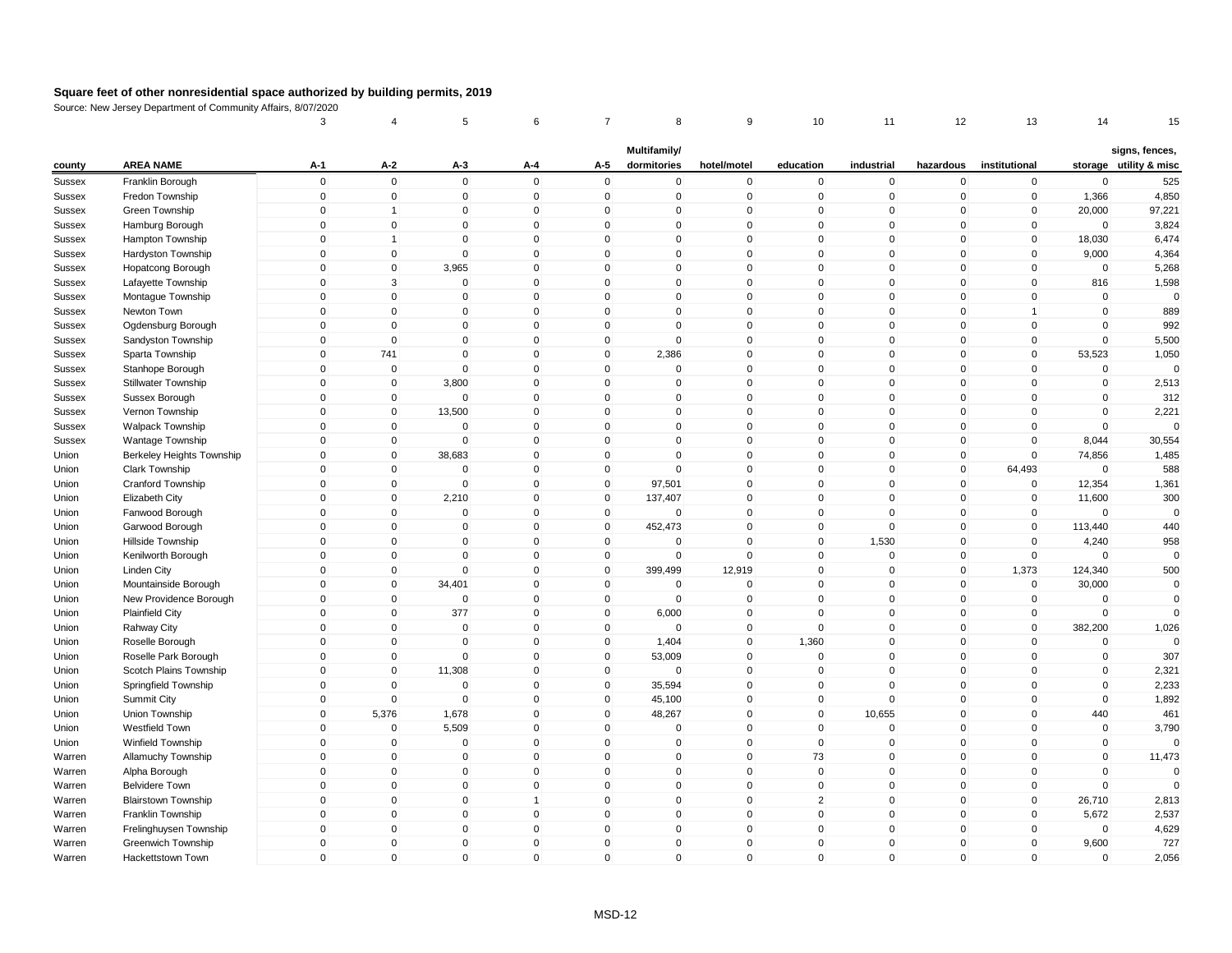|               |                                  | 3                   | $\overline{4}$ | 5            | 6              | 7            | 8            | 9            | 10             | 11          | 12                  | 13            | 14          | 15                     |
|---------------|----------------------------------|---------------------|----------------|--------------|----------------|--------------|--------------|--------------|----------------|-------------|---------------------|---------------|-------------|------------------------|
|               |                                  |                     |                |              |                |              | Multifamily/ |              |                |             |                     |               |             | signs, fences,         |
| county        | <b>AREA NAME</b>                 | $A-1$               | A-2            | $A-3$        | A-4            | A-5          | dormitories  | hotel/motel  | education      | industrial  | hazardous           | institutional |             | storage utility & misc |
| <b>Sussex</b> | Franklin Borough                 | $\mathbf 0$         | $\mathbf 0$    | $\mathbf 0$  | $\mathbf 0$    | $\mathsf 0$  | 0            | $\mathbf 0$  | $\mathbf 0$    | $\mathbf 0$ | $\mathbf 0$         | $\mathbf 0$   | $\mathbf 0$ | 525                    |
| Sussex        | Fredon Township                  | $\mathbf 0$         | $\mathbf 0$    | $\mathbf 0$  | $\mathbf 0$    | $\mathbf 0$  | $\mathbf 0$  | $\pmb{0}$    | $\mathbf 0$    | $\mathbf 0$ | $\mathbf 0$         | $\mathbf 0$   | 1,366       | 4,850                  |
| Sussex        | Green Township                   | $\mathsf{O}\xspace$ | $\overline{1}$ | $\mathbf 0$  | $\Omega$       | $\mathbf{0}$ | 0            | $\pmb{0}$    | $\mathbf{0}$   | $\mathbf 0$ | 0                   | $\mathbf 0$   | 20,000      | 97,221                 |
| <b>Sussex</b> | Hamburg Borough                  | $\mathbf 0$         | $\mathbf 0$    | $\Omega$     | $\mathbf{0}$   | $\mathbf{0}$ | $\mathbf{0}$ | $\mathbf 0$  | $\mathbf{0}$   | $\mathbf 0$ | $\mathbf{0}$        | $\mathbf 0$   | $\mathbf 0$ | 3,824                  |
| Sussex        | Hampton Township                 | $\mathbf 0$         | $\overline{1}$ | $\mathbf 0$  | $\mathbf 0$    | $\mathbf 0$  | $\mathbf 0$  | $\mathbf 0$  | $\mathbf{0}$   | $\mathbf 0$ | $\mathbf 0$         | $\mathbf 0$   | 18,030      | 6,474                  |
| Sussex        | Hardyston Township               | $\mathbf 0$         | $\mathbf 0$    | $\Omega$     | $\mathbf{0}$   | $\mathbf{0}$ | $\Omega$     | $\mathbf 0$  | $\Omega$       | $\mathbf 0$ | $\mathbf 0$         | $\mathbf{0}$  | 9,000       | 4,364                  |
| <b>Sussex</b> | Hopatcong Borough                | $\mathbf 0$         | $\mathbf 0$    | 3,965        | $\mathbf{0}$   | $\mathbf{0}$ | $\mathbf{0}$ | $\mathbf 0$  | $\mathbf{0}$   | $\mathbf 0$ | $\mathbf 0$         | $\mathbf{0}$  | $\mathbf 0$ | 5,268                  |
| Sussex        | Lafayette Township               | $\mathbf 0$         | 3              | $\mathbf 0$  | $\mathbf 0$    | $\mathbf 0$  | $\mathbf 0$  | $\mathbf 0$  | $\mathbf 0$    | $\mathsf 0$ | $\mathbf 0$         | $\mathbf 0$   | 816         | 1,598                  |
| <b>Sussex</b> | Montague Township                | $\mathbf 0$         | $\mathbf 0$    | $\mathbf 0$  | $\mathbf{0}$   | $\mathbf{0}$ | $\mathbf{0}$ | $\mathbf 0$  | $\mathbf{0}$   | $\mathbf 0$ | $\mathbf 0$         | $\mathbf{0}$  | $\mathbf 0$ | $\mathbf 0$            |
| Sussex        | Newton Town                      | $\mathbf 0$         | $\mathbf 0$    | $\mathbf 0$  | $\mathbf 0$    | $\mathbf 0$  | $\mathbf 0$  | $\mathbf 0$  | $\mathbf 0$    | $\pmb{0}$   | $\mathbf 0$         | $\mathbf{1}$  | $\mathbf 0$ | 889                    |
| <b>Sussex</b> | Ogdensburg Borough               | $\mathbf 0$         | $\mathbf 0$    | $\Omega$     | $\Omega$       | $\mathbf 0$  | $\Omega$     | $\mathbf 0$  | $\mathbf 0$    | $\mathbf 0$ | 0                   | $\mathbf 0$   | $\mathbf 0$ | 992                    |
| <b>Sussex</b> | Sandyston Township               | $\mathbf 0$         | $\mathbf 0$    | $\mathbf 0$  | $\mathbf{0}$   | $\mathbf 0$  | $\mathbf 0$  | $\mathbf 0$  | $\mathbf{0}$   | $\mathbf 0$ | $\mathbf 0$         | $\mathbf 0$   | $\mathbf 0$ | 5,500                  |
| Sussex        | Sparta Township                  | $\mathbf 0$         | 741            | $\mathbf 0$  | $\mathbf 0$    | $\mathbf 0$  | 2,386        | $\mathbf 0$  | $\mathbf{0}$   | $\pmb{0}$   | $\mathbf 0$         | $\mathbf 0$   | 53,523      | 1,050                  |
| Sussex        | Stanhope Borough                 | $\mathbf{0}$        | $\mathbf 0$    | $\mathbf 0$  | $\mathbf{0}$   | $\mathbf{0}$ | $\Omega$     | $\mathbf{0}$ | $\Omega$       | $\pmb{0}$   | $\mathbf 0$         | $\mathbf{0}$  | $\mathbf 0$ | $\Omega$               |
| <b>Sussex</b> | Stillwater Township              | $\mathbf 0$         | $\mathbf 0$    | 3,800        | $\mathbf 0$    | $\mathbf{0}$ | $\Omega$     | $\mathbf 0$  | $\mathbf{0}$   | $\pmb{0}$   | $\mathbf 0$         | $\Omega$      | $\mathbf 0$ | 2,513                  |
| Sussex        | Sussex Borough                   | $\mathbf 0$         | $\mathbf 0$    | $\mathbf 0$  | $\mathbf 0$    | $\mathbf 0$  | $\mathbf 0$  | $\mathbf 0$  | $\mathbf 0$    | $\mathbf 0$ | $\mathbf 0$         | $\mathbf 0$   | $\mathbf 0$ | 312                    |
| <b>Sussex</b> | Vernon Township                  | $\mathbf 0$         | $\mathbf 0$    | 13,500       | $\mathbf 0$    | $\mathbf 0$  | $\mathbf 0$  | $\mathbf 0$  | $\mathbf{0}$   | $\pmb{0}$   | $\mathbf 0$         | $\mathbf 0$   | $\mathbf 0$ | 2,221                  |
| <b>Sussex</b> | Walpack Township                 | $\mathbf 0$         | $\mathbf 0$    | $\mathbf 0$  | $\mathbf 0$    | $\mathbf 0$  | $\mathbf 0$  | $\mathbf 0$  | $\mathbf 0$    | $\mathbf 0$ | $\mathbf 0$         | $\mathbf 0$   | $\mathbf 0$ | $\Omega$               |
| Sussex        | Wantage Township                 | 0                   | $\mathbf 0$    | $\mathbf 0$  | $\mathbf 0$    | $\mathbf 0$  | $\Omega$     | $\pmb{0}$    | $\mathbf 0$    | $\mathbf 0$ | 0                   | 0             | 8,044       | 30,554                 |
| Union         | <b>Berkeley Heights Township</b> | $\mathbf 0$         | $\mathbf 0$    | 38,683       | $\mathbf{0}$   | $\mathbf 0$  | $\Omega$     | $\mathbf 0$  | $\mathbf{0}$   | $\mathbf 0$ | $\mathbf 0$         | $\mathbf{0}$  | 74,856      | 1,485                  |
| Union         | Clark Township                   | $\mathbf 0$         | $\mathbf 0$    | $\mathbf 0$  | $\mathbf 0$    | $\mathbf 0$  | $\mathbf{0}$ | $\mathbf 0$  | $\mathbf{0}$   | $\mathbf 0$ | $\mathbf 0$         | 64,493        | $\mathbf 0$ | 588                    |
| Union         | Cranford Township                | $\mathsf{O}\xspace$ | $\mathbf 0$    | $\mathbf 0$  | $\mathbf{0}$   | $\mathbf{0}$ | 97,501       | $\mathbf{0}$ | $\Omega$       | $\mathbf 0$ | $\mathsf{O}\xspace$ | $\mathbf{0}$  | 12,354      | 1,361                  |
| Union         | Elizabeth City                   | $\mathbf{0}$        | $\mathbf 0$    | 2,210        | $\mathbf{0}$   | $\mathbf{0}$ | 137,407      | $\mathbf{0}$ | $\mathbf{0}$   | $\mathbf 0$ | $\mathbf 0$         | $\mathbf 0$   | 11,600      | 300                    |
| Union         | Fanwood Borough                  | $\mathbf 0$         | $\mathbf 0$    | $\mathbf 0$  | $\mathbf 0$    | $\mathbf 0$  | 0            | $\mathbf 0$  | $\mathbf{0}$   | $\mathbf 0$ | $\mathbf 0$         | $\mathbf 0$   | $\Omega$    | $\Omega$               |
| Union         | Garwood Borough                  | $\mathbf 0$         | $\mathbf 0$    | $\mathbf 0$  | $\mathbf{0}$   | $\mathbf 0$  | 452,473      | $\mathbf 0$  | $\mathbf{0}$   | $\mathbf 0$ | $\mathbf{0}$        | $\mathbf 0$   | 113,440     | 440                    |
| Union         | Hillside Township                | $\mathsf{O}\xspace$ | $\pmb{0}$      | $\mathbf 0$  | $\mathbf 0$    | $\mathbf 0$  | 0            | $\mathbf 0$  | $\mathbf 0$    | 1,530       | $\mathbf 0$         | $\mathbf 0$   | 4,240       | 958                    |
| Union         | Kenilworth Borough               | $\mathbf 0$         | $\pmb{0}$      | $\mathbf 0$  | $\Omega$       | $\mathbf 0$  | 0            | $\Omega$     | $\mathbf 0$    | $\pmb{0}$   | $\mathbf 0$         | $\mathbf 0$   | $\Omega$    | $\mathbf 0$            |
| Union         | Linden City                      | $\mathbf 0$         | $\mathbf 0$    | $\mathbf 0$  | $\Omega$       | $\mathbf 0$  | 399,499      | 12,919       | $\mathbf{0}$   | $\mathbf 0$ | $\mathbf 0$         | 1,373         | 124,340     | 500                    |
| Union         | Mountainside Borough             | $\mathbf 0$         | $\mathbf 0$    | 34,401       | $\mathbf 0$    | $\mathbf 0$  | 0            | $\mathbf 0$  | $\mathbf{0}$   | $\mathbf 0$ | $\mathbf 0$         | $\mathbf 0$   | 30,000      | $\mathbf 0$            |
| Union         | New Providence Borough           | $\mathbf 0$         | $\mathbf 0$    | $\mathbf 0$  | $\mathbf 0$    | $\mathbf 0$  | $\mathbf 0$  | $\mathbf 0$  | $\Omega$       | $\pmb{0}$   | $\mathbf 0$         | $\mathbf 0$   | $\mathbf 0$ | $\mathbf 0$            |
| Union         | <b>Plainfield City</b>           | $\mathbf 0$         | $\mathbf 0$    | 377          | $\mathbf{0}$   | $\mathbf 0$  | 6,000        | $\mathbf 0$  | $\mathbf{0}$   | $\mathbf 0$ | $\mathbf 0$         | $\mathbf 0$   | $\mathbf 0$ | $\Omega$               |
| Union         | Rahway City                      | $\mathbf 0$         | $\mathbf 0$    | $\mathbf 0$  | $\mathbf{0}$   | $\mathbf 0$  | $\Omega$     | $\mathbf 0$  | $\mathbf 0$    | $\mathbf 0$ | $\mathbf 0$         | $\mathbf{0}$  | 382,200     | 1,026                  |
| Union         | Roselle Borough                  | $\mathbf 0$         | $\mathbf 0$    | $\mathbf 0$  | $\mathbf 0$    | $\mathbf 0$  | 1,404        | $\mathbf 0$  | 1,360          | $\pmb{0}$   | $\mathbf 0$         | $\mathbf 0$   | $\mathbf 0$ | $\Omega$               |
| Union         | Roselle Park Borough             | $\mathbf 0$         | $\mathbf 0$    | $\mathbf 0$  | $\mathbf{0}$   | $\mathbf 0$  | 53,009       | $\mathbf 0$  | $\mathbf 0$    | $\mathbf 0$ | $\mathbf 0$         | $\mathbf 0$   | $\mathbf 0$ | 307                    |
| Union         | Scotch Plains Township           | $\mathbf 0$         | $\mathbf 0$    | 11,308       | $\mathbf 0$    | 0            | 0            | $\mathbf 0$  | $\mathbf 0$    | $\mathbf 0$ | $\mathbf 0$         | $\mathbf 0$   | $\pmb{0}$   | 2,321                  |
| Union         | Springfield Township             | $\mathbf 0$         | $\Omega$       | $\mathbf 0$  | $\Omega$       | $\mathbf 0$  | 35,594       | $\mathbf 0$  | $\mathbf{0}$   | $\Omega$    | $\mathbf{0}$        | $\mathbf{0}$  | $\mathbf 0$ | 2,233                  |
| Union         | <b>Summit City</b>               | $\mathbf 0$         | $\mathbf 0$    | $\mathbf 0$  | $\mathbf 0$    | $\mathbf 0$  | 45,100       | $\mathbf 0$  | $\mathbf 0$    | $\pmb{0}$   | $\mathbf 0$         | $\mathbf 0$   | $\mathbf 0$ | 1,892                  |
| Union         | Union Township                   | $\mathbf 0$         | 5,376          | 1,678        | $\mathbf 0$    | $\mathbf 0$  | 48,267       | $\mathbf 0$  | $\mathbf 0$    | 10,655      | $\mathbf 0$         | $\mathbf 0$   | 440         | 461                    |
| Union         | Westfield Town                   | $\mathbf{0}$        | $\mathbf 0$    | 5,509        | $\mathbf{0}$   | $\mathbf{0}$ | $\mathbf 0$  | $\mathbf{0}$ | $\mathbf{0}$   | $\mathbf 0$ | $\mathbf 0$         | $\mathbf{0}$  | $\mathbf 0$ | 3,790                  |
| Union         | Winfield Township                | $\mathbf 0$         | $\overline{0}$ | $\mathbf 0$  | $\mathbf{0}$   | $\mathbf 0$  | 0            | $\mathbf 0$  | $\mathbf 0$    | $\mathbf 0$ | $\mathbf 0$         | $\mathbf 0$   | $\mathbf 0$ |                        |
| Warren        | Allamuchy Township               | $\mathbf{0}$        | $\mathbf{0}$   | $\mathbf{0}$ | $\mathbf{0}$   | $\mathbf{0}$ | $\mathbf{0}$ | $\mathbf{0}$ | 73             | $\Omega$    | $\mathbf{0}$        | $\mathbf{0}$  | $\mathbf 0$ | 11,473                 |
| Warren        | Alpha Borough                    | $\mathbf 0$         | $\mathbf 0$    | $\mathbf 0$  | $\mathbf 0$    | $\mathbf 0$  | $\mathbf 0$  | $\pmb{0}$    | $\mathbf 0$    | $\pmb{0}$   | $\mathbf 0$         | $\mathbf 0$   | $\mathbf 0$ |                        |
| Warren        | <b>Belvidere Town</b>            | $\mathbf 0$         | $\pmb{0}$      | $\mathbf 0$  | $\mathbf 0$    | $\mathbf 0$  | $\mathbf 0$  | $\mathbf 0$  | $\mathbf 0$    | $\mathbf 0$ | $\mathbf 0$         | $\mathbf 0$   | $\mathbf 0$ | $\Omega$               |
| Warren        | <b>Blairstown Township</b>       | $\mathbf 0$         | $\mathbf 0$    | $\mathbf 0$  | $\overline{1}$ | $\mathbf 0$  | $\mathbf 0$  | $\mathbf 0$  | $\overline{2}$ | $\pmb{0}$   | $\mathbf 0$         | $\mathbf 0$   | 26,710      | 2,813                  |
| Warren        | Franklin Township                | $\mathbf 0$         | $\mathbf 0$    | $\mathbf 0$  | $\mathbf 0$    | $\mathbf 0$  | $\mathbf 0$  | $\mathbf 0$  | $\mathbf{0}$   | $\mathbf 0$ | $\mathbf 0$         | $\mathbf 0$   | 5,672       | 2,537                  |
| Warren        | Frelinghuysen Township           | $\mathbf 0$         | $\mathbf 0$    | $\mathbf 0$  | $\mathbf 0$    | $\mathbf 0$  | $\mathbf 0$  | $\mathbf 0$  | $\mathbf{0}$   | $\mathbf 0$ | $\mathbf 0$         | $\mathbf 0$   | $\mathbf 0$ | 4,629                  |
| Warren        | Greenwich Township               | $\mathbf 0$         | $\mathbf 0$    | $\mathbf 0$  | $\mathbf{0}$   | $\mathbf{0}$ | $\mathbf{0}$ | $\mathbf 0$  | $\Omega$       | $\mathbf 0$ | $\mathbf 0$         | $\mathbf{0}$  | 9,600       | 727                    |
| Warren        | Hackettstown Town                | $\mathbf{0}$        | $\mathbf 0$    | $\mathbf 0$  | $\mathbf{0}$   | $\mathbf{0}$ | $\mathbf{0}$ | $\mathbf 0$  | $\mathbf{0}$   | $\mathbf 0$ | $\mathbf 0$         | $\mathbf{0}$  | $\mathbf 0$ | 2,056                  |